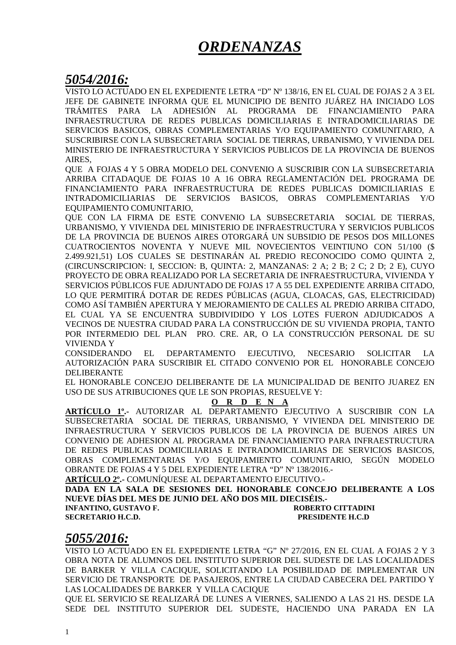# *ORDENANZAS*

# *5054/2016:*

VISTO LO ACTUADO EN EL EXPEDIENTE LETRA "D" Nº 138/16, EN EL CUAL DE FOJAS 2 A 3 EL JEFE DE GABINETE INFORMA QUE EL MUNICIPIO DE BENITO JUÁREZ HA INICIADO LOS TRÁMITES PARA LA ADHESIÓN AL PROGRAMA DE FINANCIAMIENTO PARA INFRAESTRUCTURA DE REDES PUBLICAS DOMICILIARIAS E INTRADOMICILIARIAS DE SERVICIOS BASICOS, OBRAS COMPLEMENTARIAS Y/O EQUIPAMIENTO COMUNITARIO, A SUSCRIBIRSE CON LA SUBSECRETARIA SOCIAL DE TIERRAS, URBANISMO, Y VIVIENDA DEL MINISTERIO DE INFRAESTRUCTURA Y SERVICIOS PUBLICOS DE LA PROVINCIA DE BUENOS AIRES,

QUE A FOJAS 4 Y 5 OBRA MODELO DEL CONVENIO A SUSCRIBIR CON LA SUBSECRETARIA ARRIBA CITADAQUE DE FOJAS 10 A 16 OBRA REGLAMENTACIÓN DEL PROGRAMA DE FINANCIAMIENTO PARA INFRAESTRUCTURA DE REDES PUBLICAS DOMICILIARIAS E INTRADOMICILIARIAS DE SERVICIOS BASICOS, OBRAS COMPLEMENTARIAS Y/O EQUIPAMIENTO COMUNITARIO,

QUE CON LA FIRMA DE ESTE CONVENIO LA SUBSECRETARIA SOCIAL DE TIERRAS, URBANISMO, Y VIVIENDA DEL MINISTERIO DE INFRAESTRUCTURA Y SERVICIOS PUBLICOS DE LA PROVINCIA DE BUENOS AIRES OTORGARÁ UN SUBSIDIO DE PESOS DOS MILLONES CUATROCIENTOS NOVENTA Y NUEVE MIL NOVECIENTOS VEINTIUNO CON 51/100 (\$ 2.499.921,51) LOS CUALES SE DESTINARÁN AL PREDIO RECONOCIDO COMO QUINTA 2, (CIRCUNSCRIPCION: I, SECCION: B, QUINTA: 2, MANZANAS: 2 A; 2 B; 2 C; 2 D; 2 E), CUYO PROYECTO DE OBRA REALIZADO POR LA SECRETARIA DE INFRAESTRUCTURA, VIVIENDA Y SERVICIOS PÚBLICOS FUE ADJUNTADO DE FOJAS 17 A 55 DEL EXPEDIENTE ARRIBA CITADO, LO QUE PERMITIRÁ DOTAR DE REDES PÚBLICAS (AGUA, CLOACAS, GAS, ELECTRICIDAD) COMO ASÍ TAMBIÉN APERTURA Y MEJORAMIENTO DE CALLES AL PREDIO ARRIBA CITADO, EL CUAL YA SE ENCUENTRA SUBDIVIDIDO Y LOS LOTES FUERON ADJUDICADOS A VECINOS DE NUESTRA CIUDAD PARA LA CONSTRUCCIÓN DE SU VIVIENDA PROPIA, TANTO POR INTERMEDIO DEL PLAN PRO. CRE. AR, O LA CONSTRUCCIÓN PERSONAL DE SU VIVIENDA Y

CONSIDERANDO EL DEPARTAMENTO EJECUTIVO, NECESARIO SOLICITAR LA AUTORIZACIÓN PARA SUSCRIBIR EL CITADO CONVENIO POR EL HONORABLE CONCEJO DELIBERANTE

EL HONORABLE CONCEJO DELIBERANTE DE LA MUNICIPALIDAD DE BENITO JUAREZ EN USO DE SUS ATRIBUCIONES QUE LE SON PROPIAS, RESUELVE Y:

### **O R D E N A**

**ARTÍCULO 1º.-** AUTORIZAR AL DEPARTAMENTO EJECUTIVO A SUSCRIBIR CON LA SUBSECRETARIA SOCIAL DE TIERRAS, URBANISMO, Y VIVIENDA DEL MINISTERIO DE INFRAESTRUCTURA Y SERVICIOS PUBLICOS DE LA PROVINCIA DE BUENOS AIRES UN CONVENIO DE ADHESION AL PROGRAMA DE FINANCIAMIENTO PARA INFRAESTRUCTURA DE REDES PUBLICAS DOMICILIARIAS E INTRADOMICILIARIAS DE SERVICIOS BASICOS, OBRAS COMPLEMENTARIAS Y/O EQUIPAMIENTO COMUNITARIO, SEGÚN MODELO OBRANTE DE FOJAS 4 Y 5 DEL EXPEDIENTE LETRA "D" Nº 138/2016.-

**ARTÍCULO 2º.-** COMUNÍQUESE AL DEPARTAMENTO EJECUTIVO.-

**DADA EN LA SALA DE SESIONES DEL HONORABLE CONCEJO DELIBERANTE A LOS NUEVE DÍAS DEL MES DE JUNIO DEL AÑO DOS MIL DIECISÉIS.- INFANTINO, GUSTAVO F. ROBERTO CITTADINI** 

**SECRETARIO H.C.D. PRESIDENTE H.C.D** 

# *5055/2016:*

VISTO LO ACTUADO EN EL EXPEDIENTE LETRA "G" Nº 27/2016, EN EL CUAL A FOJAS 2 Y 3 OBRA NOTA DE ALUMNOS DEL INSTITUTO SUPERIOR DEL SUDESTE DE LAS LOCALIDADES DE BARKER Y VILLA CACIQUE, SOLICITANDO LA POSIBILIDAD DE IMPLEMENTAR UN SERVICIO DE TRANSPORTE DE PASAJEROS, ENTRE LA CIUDAD CABECERA DEL PARTIDO Y LAS LOCALIDADES DE BARKER Y VILLA CACIQUE

QUE EL SERVICIO SE REALIZARÁ DE LUNES A VIERNES, SALIENDO A LAS 21 HS. DESDE LA SEDE DEL INSTITUTO SUPERIOR DEL SUDESTE, HACIENDO UNA PARADA EN LA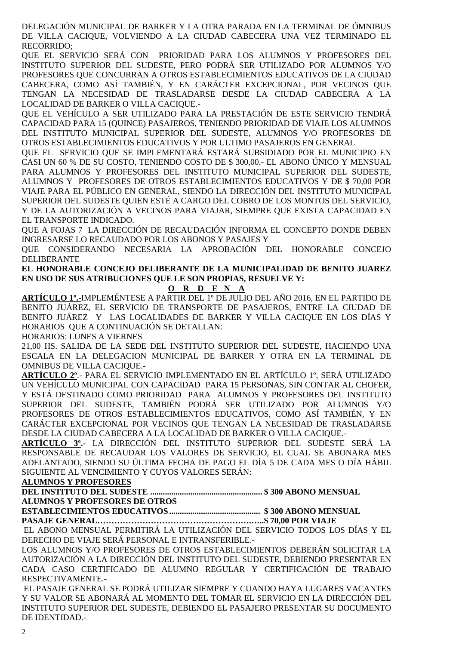DELEGACIÓN MUNICIPAL DE BARKER Y LA OTRA PARADA EN LA TERMINAL DE ÓMNIBUS DE VILLA CACIQUE, VOLVIENDO A LA CIUDAD CABECERA UNA VEZ TERMINADO EL RECORRIDO;

QUE EL SERVICIO SERÁ CON PRIORIDAD PARA LOS ALUMNOS Y PROFESORES DEL INSTITUTO SUPERIOR DEL SUDESTE, PERO PODRÁ SER UTILIZADO POR ALUMNOS Y/O PROFESORES QUE CONCURRAN A OTROS ESTABLECIMIENTOS EDUCATIVOS DE LA CIUDAD CABECERA, COMO ASÍ TAMBIÉN, Y EN CARÁCTER EXCEPCIONAL, POR VECINOS QUE TENGAN LA NECESIDAD DE TRASLADARSE DESDE LA CIUDAD CABECERA A LA LOCALIDAD DE BARKER O VILLA CACIQUE.-

QUE EL VEHÍCULO A SER UTILIZADO PARA LA PRESTACIÓN DE ESTE SERVICIO TENDRÁ CAPACIDAD PARA 15 (QUINCE) PASAJEROS, TENIENDO PRIORIDAD DE VIAJE LOS ALUMNOS DEL INSTITUTO MUNICIPAL SUPERIOR DEL SUDESTE, ALUMNOS Y/O PROFESORES DE OTROS ESTABLECIMIENTOS EDUCATIVOS Y POR ULTIMO PASAJEROS EN GENERAL

QUE EL SERVICIO QUE SE IMPLEMENTARÁ ESTARÁ SUBSIDIADO POR EL MUNICIPIO EN CASI UN 60 % DE SU COSTO, TENIENDO COSTO DE \$ 300,00.- EL ABONO ÚNICO Y MENSUAL PARA ALUMNOS Y PROFESORES DEL INSTITUTO MUNICIPAL SUPERIOR DEL SUDESTE, ALUMNOS Y PROFESORES DE OTROS ESTABLECIMIENTOS EDUCATIVOS Y DE \$ 70,00 POR VIAJE PARA EL PÚBLICO EN GENERAL, SIENDO LA DIRECCIÓN DEL INSTITUTO MUNICIPAL SUPERIOR DEL SUDESTE QUIEN ESTÉ A CARGO DEL COBRO DE LOS MONTOS DEL SERVICIO, Y DE LA AUTORIZACIÓN A VECINOS PARA VIAJAR, SIEMPRE QUE EXISTA CAPACIDAD EN EL TRANSPORTE INDICADO.

QUE A FOJAS 7 LA DIRECCIÓN DE RECAUDACIÓN INFORMA EL CONCEPTO DONDE DEBEN INGRESARSE LO RECAUDADO POR LOS ABONOS Y PASAJES Y

QUE CONSIDERANDO NECESARIA LA APROBACIÓN DEL HONORABLE CONCEJO DELIBERANTE

**EL HONORABLE CONCEJO DELIBERANTE DE LA MUNICIPALIDAD DE BENITO JUAREZ EN USO DE SUS ATRIBUCIONES QUE LE SON PROPIAS, RESUELVE Y:** 

**O R D E N A**

**ARTÍCULO 1º.-**IMPLEMÉNTESE A PARTIR DEL 1º DE JULIO DEL AÑO 2016, EN EL PARTIDO DE BENITO JUÁREZ, EL SERVICIO DE TRANSPORTE DE PASAJEROS, ENTRE LA CIUDAD DE BENITO JUÁREZ Y LAS LOCALIDADES DE BARKER Y VILLA CACIQUE EN LOS DÍAS Y HORARIOS QUE A CONTINUACIÓN SE DETALLAN:

HORARIOS: LUNES A VIERNES

21,00 HS. SALIDA DE LA SEDE DEL INSTITUTO SUPERIOR DEL SUDESTE, HACIENDO UNA ESCALA EN LA DELEGACION MUNICIPAL DE BARKER Y OTRA EN LA TERMINAL DE OMNIBUS DE VILLA CACIQUE.-

**ARTÍCULO 2º**.- PARA EL SERVICIO IMPLEMENTADO EN EL ARTÍCULO 1º, SERÁ UTILIZADO UN VEHÍCULO MUNICIPAL CON CAPACIDAD PARA 15 PERSONAS, SIN CONTAR AL CHOFER, Y ESTÁ DESTINADO COMO PRIORIDAD PARA ALUMNOS Y PROFESORES DEL INSTITUTO SUPERIOR DEL SUDESTE, TAMBIÉN PODRÁ SER UTILIZADO POR ALUMNOS Y/O PROFESORES DE OTROS ESTABLECIMIENTOS EDUCATIVOS, COMO ASÍ TAMBIÉN, Y EN CARÁCTER EXCEPCIONAL POR VECINOS QUE TENGAN LA NECESIDAD DE TRASLADARSE DESDE LA CIUDAD CABECERA A LA LOCALIDAD DE BARKER O VILLA CACIQUE.-

**ARTÍCULO 3º.-** LA DIRECCIÓN DEL INSTITUTO SUPERIOR DEL SUDESTE SERÁ LA RESPONSABLE DE RECAUDAR LOS VALORES DE SERVICIO, EL CUAL SE ABONARA MES ADELANTADO, SIENDO SU ÚLTIMA FECHA DE PAGO EL DÍA 5 DE CADA MES O DÍA HÁBIL SIGUIENTE AL VENCIMIENTO Y CUYOS VALORES SERÁN:

## **ALUMNOS Y PROFESORES**

**DEL INSTITUTO DEL SUDESTE ..................................................... \$ 300 ABONO MENSUAL** 

**ALUMNOS Y PROFESORES DE OTROS** 

### **ESTABLECIMIENTOS EDUCATIVOS ........................................... \$ 300 ABONO MENSUAL PASAJE GENERAL……………………………………………….…..\$ 70,00 POR VIAJE**

 EL ABONO MENSUAL PERMITIRÁ LA UTILIZACIÓN DEL SERVICIO TODOS LOS DÍAS Y EL DERECHO DE VIAJE SERÁ PERSONAL E INTRANSFERIBLE.-

LOS ALUMNOS Y/O PROFESORES DE OTROS ESTABLECIMIENTOS DEBERÁN SOLICITAR LA AUTORIZACIÓN A LA DIRECCIÓN DEL INSTITUTO DEL SUDESTE, DEBIENDO PRESENTAR EN CADA CASO CERTIFICADO DE ALUMNO REGULAR Y CERTIFICACIÓN DE TRABAJO RESPECTIVAMENTE.-

 EL PASAJE GENERAL SE PODRÁ UTILIZAR SIEMPRE Y CUANDO HAYA LUGARES VACANTES Y SU VALOR SE ABONARÁ AL MOMENTO DEL TOMAR EL SERVICIO EN LA DIRECCIÓN DEL INSTITUTO SUPERIOR DEL SUDESTE, DEBIENDO EL PASAJERO PRESENTAR SU DOCUMENTO DE IDENTIDAD.-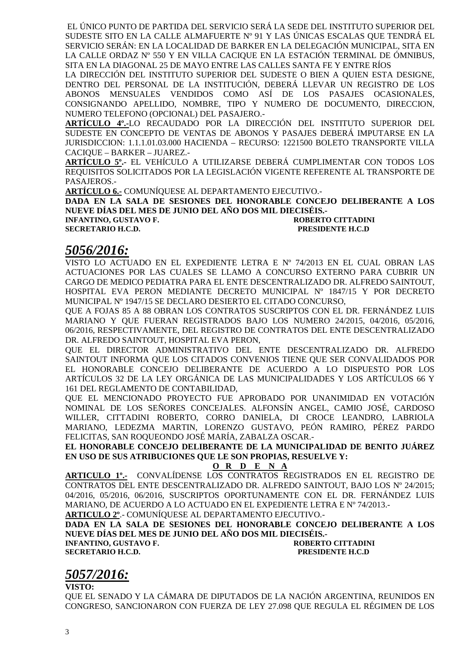EL ÚNICO PUNTO DE PARTIDA DEL SERVICIO SERÁ LA SEDE DEL INSTITUTO SUPERIOR DEL SUDESTE SITO EN LA CALLE ALMAFUERTE Nº 91 Y LAS ÚNICAS ESCALAS QUE TENDRÁ EL SERVICIO SERÁN: EN LA LOCALIDAD DE BARKER EN LA DELEGACIÓN MUNICIPAL, SITA EN LA CALLE ORDAZ Nº 550 Y EN VILLA CACIQUE EN LA ESTACIÓN TERMINAL DE ÓMNIBUS, SITA EN LA DIAGONAL 25 DE MAYO ENTRE LAS CALLES SANTA FE Y ENTRE RÍOS

LA DIRECCIÓN DEL INSTITUTO SUPERIOR DEL SUDESTE O BIEN A QUIEN ESTA DESIGNE, DENTRO DEL PERSONAL DE LA INSTITUCIÓN, DEBERÁ LLEVAR UN REGISTRO DE LOS ABONOS MENSUALES VENDIDOS COMO ASÍ DE LOS PASAJES OCASIONALES, CONSIGNANDO APELLIDO, NOMBRE, TIPO Y NUMERO DE DOCUMENTO, DIRECCION, NUMERO TELEFONO (OPCIONAL) DEL PASAJERO.-

**ARTÍCULO 4º.-**LO RECAUDADO POR LA DIRECCIÓN DEL INSTITUTO SUPERIOR DEL SUDESTE EN CONCEPTO DE VENTAS DE ABONOS Y PASAJES DEBERÁ IMPUTARSE EN LA JURISDICCION: 1.1.1.01.03.000 HACIENDA – RECURSO: 1221500 BOLETO TRANSPORTE VILLA CACIQUE – BARKER – JUAREZ.-

**ARTÍCULO 5º.-** EL VEHÍCULO A UTILIZARSE DEBERÁ CUMPLIMENTAR CON TODOS LOS REQUISITOS SOLICITADOS POR LA LEGISLACIÓN VIGENTE REFERENTE AL TRANSPORTE DE PASAJEROS.-

**ARTÍCULO 6.-** COMUNÍQUESE AL DEPARTAMENTO EJECUTIVO.-

**DADA EN LA SALA DE SESIONES DEL HONORABLE CONCEJO DELIBERANTE A LOS NUEVE DÍAS DEL MES DE JUNIO DEL AÑO DOS MIL DIECISÉIS.-** 

**INFANTINO, GUSTAVO F. ROBERTO CITTADINI SECRETARIO H.C.D. PRESIDENTE H.C.D** 

# *5056/2016:*

VISTO LO ACTUADO EN EL EXPEDIENTE LETRA E Nº 74/2013 EN EL CUAL OBRAN LAS ACTUACIONES POR LAS CUALES SE LLAMO A CONCURSO EXTERNO PARA CUBRIR UN CARGO DE MEDICO PEDIATRA PARA EL ENTE DESCENTRALIZADO DR. ALFREDO SAINTOUT, HOSPITAL EVA PERON MEDIANTE DECRETO MUNICIPAL Nº 1847/15 Y POR DECRETO MUNICIPAL Nº 1947/15 SE DECLARO DESIERTO EL CITADO CONCURSO,

QUE A FOJAS 85 A 88 OBRAN LOS CONTRATOS SUSCRIPTOS CON EL DR. FERNÁNDEZ LUIS MARIANO Y QUE FUERAN REGISTRADOS BAJO LOS NUMERO 24/2015, 04/2016, 05/2016, 06/2016, RESPECTIVAMENTE, DEL REGISTRO DE CONTRATOS DEL ENTE DESCENTRALIZADO DR. ALFREDO SAINTOUT, HOSPITAL EVA PERON,

QUE EL DIRECTOR ADMINISTRATIVO DEL ENTE DESCENTRALIZADO DR. ALFREDO SAINTOUT INFORMA QUE LOS CITADOS CONVENIOS TIENE QUE SER CONVALIDADOS POR EL HONORABLE CONCEJO DELIBERANTE DE ACUERDO A LO DISPUESTO POR LOS ARTÍCULOS 32 DE LA LEY ORGÁNICA DE LAS MUNICIPALIDADES Y LOS ARTÍCULOS 66 Y 161 DEL REGLAMENTO DE CONTABILIDAD,

QUE EL MENCIONADO PROYECTO FUE APROBADO POR UNANIMIDAD EN VOTACIÓN NOMINAL DE LOS SEÑORES CONCEJALES. ALFONSÍN ANGEL, CAMIO JOSÉ, CARDOSO WILLER, CITTADINI ROBERTO, CORRO DANIELA, DI CROCE LEANDRO, LABRIOLA MARIANO, LEDEZMA MARTIN, LORENZO GUSTAVO, PEÓN RAMIRO, PÉREZ PARDO FELICITAS, SAN ROQUEONDO JOSÉ MARÍA, ZABALZA OSCAR.-

**EL HONORABLE CONCEJO DELIBERANTE DE LA MUNICIPALIDAD DE BENITO JUÁREZ EN USO DE SUS ATRIBUCIONES QUE LE SON PROPIAS, RESUELVE Y:** 

### **O R D E N A**

**ARTICULO 1º.-** CONVALÍDENSE LOS CONTRATOS REGISTRADOS EN EL REGISTRO DE CONTRATOS DEL ENTE DESCENTRALIZADO DR. ALFREDO SAINTOUT, BAJO LOS Nº 24/2015; 04/2016, 05/2016, 06/2016, SUSCRIPTOS OPORTUNAMENTE CON EL DR. FERNÁNDEZ LUIS MARIANO, DE ACUERDO A LO ACTUADO EN EL EXPEDIENTE LETRA E Nº 74/2013.-

**ARTICULO 2º**.- COMUNÍQUESE AL DEPARTAMENTO EJECUTIVO.-

**DADA EN LA SALA DE SESIONES DEL HONORABLE CONCEJO DELIBERANTE A LOS NUEVE DÍAS DEL MES DE JUNIO DEL AÑO DOS MIL DIECISÉIS.-** 

**INFANTINO, GUSTAVO F. SECRETARIO H.C.D. PRESIDENTE H.C.D** 

# *5057/2016:*

**VISTO:** 

QUE EL SENADO Y LA CÁMARA DE DIPUTADOS DE LA NACIÓN ARGENTINA, REUNIDOS EN CONGRESO, SANCIONARON CON FUERZA DE LEY 27.098 QUE REGULA EL RÉGIMEN DE LOS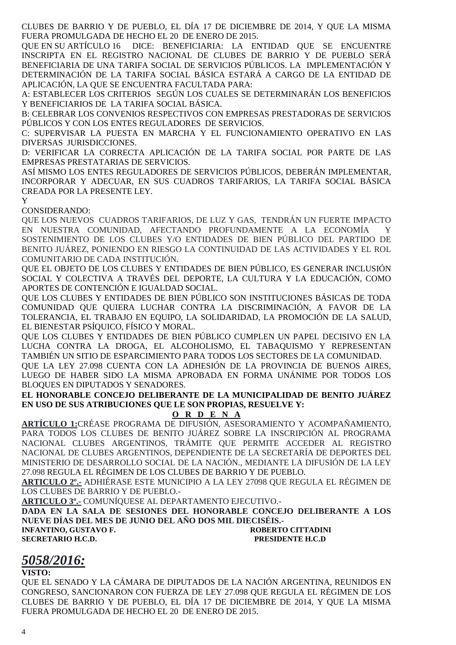CLUBES DE BARRIO Y DE PUEBLO, EL DÍA 17 DE DICIEMBRE DE 2014, Y QUE LA MISMA FUERA PROMULGADA DE HECHO EL 20 DE ENERO DE 2015.

QUE EN SU ARTÍCULO 16 DICE: BENEFICIARIA: LA ENTIDAD QUE SE ENCUENTRE INSCRIPTA EN EL REGISTRO NACIONAL DE CLUBES DE BARRIO Y DE PUEBLO SERÁ BENEFICIARIA DE UNA TARIFA SOCIAL DE SERVICIOS PÚBLICOS. LA IMPLEMENTACIÓN Y DETERMINACIÓN DE LA TARIFA SOCIAL BÁSICA ESTARÁ A CARGO DE LA ENTIDAD DE APLICACIÓN, LA QUE SE ENCUENTRA FACULTADA PARA:

A: ESTABLECER LOS CRITERIOS SEGÚN LOS CUALES SE DETERMINARÁN LOS BENEFICIOS Y BENEFICIARIOS DE LA TARIFA SOCIAL BÁSICA.

B: CELEBRAR LOS CONVENIOS RESPECTIVOS CON EMPRESAS PRESTADORAS DE SERVICIOS PÚBLICOS Y CON LOS ENTES REGULADORES DE SERVICIOS.

C: SUPERVISAR LA PUESTA EN MARCHA Y EL FUNCIONAMIENTO OPERATIVO EN LAS DIVERSAS JURISDICCIONES.

D: VERIFICAR LA CORRECTA APLICACIÓN DE LA TARIFA SOCIAL POR PARTE DE LAS EMPRESAS PRESTATARIAS DE SERVICIOS.

ASÍ MISMO LOS ENTES REGULADORES DE SERVICIOS PÚBLICOS, DEBERÁN IMPLEMENTAR, INCORPORAR Y ADECUAR, EN SUS CUADROS TARIFARIOS, LA TARIFA SOCIAL BÁSICA CREADA POR LA PRESENTE LEY.

Y

### CONSIDERANDO:

QUE LOS NUEVOS CUADROS TARIFARIOS, DE LUZ Y GAS, TENDRÁN UN FUERTE IMPACTO EN NUESTRA COMUNIDAD, AFECTANDO PROFUNDAMENTE A LA ECONOMÍA Y SOSTENIMIENTO DE LOS CLUBES Y/O ENTIDADES DE BIEN PÚBLICO DEL PARTIDO DE BENITO JUÁREZ, PONIENDO EN RIESGO LA CONTINUIDAD DE LAS ACTIVIDADES Y EL ROL COMUNITARIO DE CADA INSTITUCIÓN.

QUE EL OBJETO DE LOS CLUBES Y ENTIDADES DE BIEN PÚBLICO, ES GENERAR INCLUSIÓN SOCIAL Y COLECTIVA A TRAVÉS DEL DEPORTE, LA CULTURA Y LA EDUCACIÓN, COMO APORTES DE CONTENCIÓN E IGUALDAD SOCIAL.

QUE LOS CLUBES Y ENTIDADES DE BIEN PÚBLICO SON INSTITUCIONES BÁSICAS DE TODA COMUNIDAD QUE QUIERA LUCHAR CONTRA LA DISCRIMINACIÓN, A FAVOR DE LA TOLERANCIA, EL TRABAJO EN EQUIPO, LA SOLIDARIDAD, LA PROMOCIÓN DE LA SALUD, EL BIENESTAR PSÍQUICO, FÍSICO Y MORAL.

QUE LOS CLUBES Y ENTIDADES DE BIEN PÚBLICO CUMPLEN UN PAPEL DECISIVO EN LA LUCHA CONTRA LA DROGA, EL ALCOHOLISMO, EL TABAQUISMO Y REPRESENTAN TAMBIÉN UN SITIO DE ESPARCIMIENTO PARA TODOS LOS SECTORES DE LA COMUNIDAD.

QUE LA LEY 27.098 CUENTA CON LA ADHESIÓN DE LA PROVINCIA DE BUENOS AIRES, LUEGO DE HABER SIDO LA MISMA APROBADA EN FORMA UNÁNIME POR TODOS LOS BLOQUES EN DIPUTADOS Y SENADORES.

**EL HONORABLE CONCEJO DELIBERANTE DE LA MUNICIPALIDAD DE BENITO JUÁREZ EN USO DE SUS ATRIBUCIONES QUE LE SON PROPIAS, RESUELVE Y:** 

### **O R D E N A**

**ARTÍCULO 1:**CRÉASE PROGRAMA DE DIFUSIÓN, ASESORAMIENTO Y ACOMPAÑAMIENTO, PARA TODOS LOS CLUBES DE BENITO JUÁREZ SOBRE LA INSCRIPCIÓN AL PROGRAMA NACIONAL CLUBES ARGENTINOS, TRÁMITE QUE PERMITE ACCEDER AL REGISTRO NACIONAL DE CLUBES ARGENTINOS, DEPENDIENTE DE LA SECRETARÍA DE DEPORTES DEL MINISTERIO DE DESARROLLO SOCIAL DE LA NACIÓN., MEDIANTE LA DIFUSIÓN DE LA LEY 27.098 REGULA EL RÉGIMEN DE LOS CLUBES DE BARRIO Y DE PUEBLO.

**ARTICULO 2º.-** ADHIÉRASE ESTE MUNICIPIO A LA LEY 27098 QUE REGULA EL RÉGIMEN DE LOS CLUBES DE BARRIO Y DE PUEBLO.-

**ARTICULO 3º.-** COMUNÍQUESE AL DEPARTAMENTO EJECUTIVO.-

**DADA EN LA SALA DE SESIONES DEL HONORABLE CONCEJO DELIBERANTE A LOS NUEVE DÍAS DEL MES DE JUNIO DEL AÑO DOS MIL DIECISÉIS.- INFANTINO, GUSTAVO F.** ROBERTO CITTADINI

**SECRETARIO H.C.D. PRESIDENTE H.C.D** 

# *5058/2016:*

### **VISTO:**

QUE EL SENADO Y LA CÁMARA DE DIPUTADOS DE LA NACIÓN ARGENTINA, REUNIDOS EN CONGRESO, SANCIONARON CON FUERZA DE LEY 27.098 QUE REGULA EL RÉGIMEN DE LOS CLUBES DE BARRIO Y DE PUEBLO, EL DÍA 17 DE DICIEMBRE DE 2014, Y QUE LA MISMA FUERA PROMULGADA DE HECHO EL 20 DE ENERO DE 2015.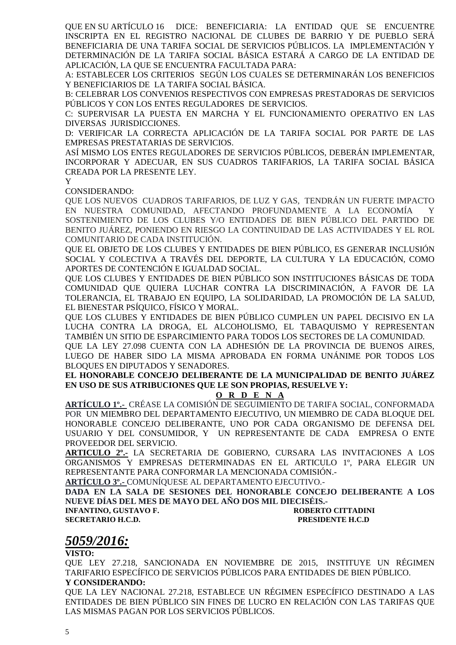QUE EN SU ARTÍCULO 16 DICE: BENEFICIARIA: LA ENTIDAD QUE SE ENCUENTRE INSCRIPTA EN EL REGISTRO NACIONAL DE CLUBES DE BARRIO Y DE PUEBLO SERÁ BENEFICIARIA DE UNA TARIFA SOCIAL DE SERVICIOS PÚBLICOS. LA IMPLEMENTACIÓN Y DETERMINACIÓN DE LA TARIFA SOCIAL BÁSICA ESTARÁ A CARGO DE LA ENTIDAD DE APLICACIÓN, LA QUE SE ENCUENTRA FACULTADA PARA:

A: ESTABLECER LOS CRITERIOS SEGÚN LOS CUALES SE DETERMINARÁN LOS BENEFICIOS Y BENEFICIARIOS DE LA TARIFA SOCIAL BÁSICA.

B: CELEBRAR LOS CONVENIOS RESPECTIVOS CON EMPRESAS PRESTADORAS DE SERVICIOS PÚBLICOS Y CON LOS ENTES REGULADORES DE SERVICIOS.

C: SUPERVISAR LA PUESTA EN MARCHA Y EL FUNCIONAMIENTO OPERATIVO EN LAS DIVERSAS JURISDICCIONES.

D: VERIFICAR LA CORRECTA APLICACIÓN DE LA TARIFA SOCIAL POR PARTE DE LAS EMPRESAS PRESTATARIAS DE SERVICIOS.

ASÍ MISMO LOS ENTES REGULADORES DE SERVICIOS PÚBLICOS, DEBERÁN IMPLEMENTAR, INCORPORAR Y ADECUAR, EN SUS CUADROS TARIFARIOS, LA TARIFA SOCIAL BÁSICA CREADA POR LA PRESENTE LEY.

Y

CONSIDERANDO:

QUE LOS NUEVOS CUADROS TARIFARIOS, DE LUZ Y GAS, TENDRÁN UN FUERTE IMPACTO EN NUESTRA COMUNIDAD, AFECTANDO PROFUNDAMENTE A LA ECONOMÍA Y SOSTENIMIENTO DE LOS CLUBES Y/O ENTIDADES DE BIEN PÚBLICO DEL PARTIDO DE BENITO JUÁREZ, PONIENDO EN RIESGO LA CONTINUIDAD DE LAS ACTIVIDADES Y EL ROL COMUNITARIO DE CADA INSTITUCIÓN.

QUE EL OBJETO DE LOS CLUBES Y ENTIDADES DE BIEN PÚBLICO, ES GENERAR INCLUSIÓN SOCIAL Y COLECTIVA A TRAVÉS DEL DEPORTE, LA CULTURA Y LA EDUCACIÓN, COMO APORTES DE CONTENCIÓN E IGUALDAD SOCIAL.

QUE LOS CLUBES Y ENTIDADES DE BIEN PÚBLICO SON INSTITUCIONES BÁSICAS DE TODA COMUNIDAD QUE QUIERA LUCHAR CONTRA LA DISCRIMINACIÓN, A FAVOR DE LA TOLERANCIA, EL TRABAJO EN EQUIPO, LA SOLIDARIDAD, LA PROMOCIÓN DE LA SALUD, EL BIENESTAR PSÍQUICO, FÍSICO Y MORAL.

QUE LOS CLUBES Y ENTIDADES DE BIEN PÚBLICO CUMPLEN UN PAPEL DECISIVO EN LA LUCHA CONTRA LA DROGA, EL ALCOHOLISMO, EL TABAQUISMO Y REPRESENTAN TAMBIÉN UN SITIO DE ESPARCIMIENTO PARA TODOS LOS SECTORES DE LA COMUNIDAD.

QUE LA LEY 27.098 CUENTA CON LA ADHESIÓN DE LA PROVINCIA DE BUENOS AIRES, LUEGO DE HABER SIDO LA MISMA APROBADA EN FORMA UNÁNIME POR TODOS LOS BLOQUES EN DIPUTADOS Y SENADORES.

**EL HONORABLE CONCEJO DELIBERANTE DE LA MUNICIPALIDAD DE BENITO JUÁREZ EN USO DE SUS ATRIBUCIONES QUE LE SON PROPIAS, RESUELVE Y:** 

**O R D E N A**

**ARTÍCULO 1º.-** CRÉASE LA COMISIÓN DE SEGUIMIENTO DE TARIFA SOCIAL, CONFORMADA POR UN MIEMBRO DEL DEPARTAMENTO EJECUTIVO, UN MIEMBRO DE CADA BLOQUE DEL HONORABLE CONCEJO DELIBERANTE, UNO POR CADA ORGANISMO DE DEFENSA DEL USUARIO Y DEL CONSUMIDOR, Y UN REPRESENTANTE DE CADA EMPRESA O ENTE PROVEEDOR DEL SERVICIO.

**ARTICULO 2º.-** LA SECRETARIA DE GOBIERNO, CURSARA LAS INVITACIONES A LOS ORGANISMOS Y EMPRESAS DETERMINADAS EN EL ARTICULO 1º, PARA ELEGIR UN REPRESENTANTE PARA CONFORMAR LA MENCIONADA COMISIÓN.-

**ARTÍCULO 3º.-** COMUNÍQUESE AL DEPARTAMENTO EJECUTIVO.-

**DADA EN LA SALA DE SESIONES DEL HONORABLE CONCEJO DELIBERANTE A LOS NUEVE DÍAS DEL MES DE MAYO DEL AÑO DOS MIL DIECISÉIS.-** 

**INFANTINO, GUSTAVO F. ROBERTO CITTADINI** 

**SECRETARIO H.C.D. PRESIDENTE H.C.D** 

# *5059/2016:*

**VISTO:** 

QUE LEY 27.218, SANCIONADA EN NOVIEMBRE DE 2015, INSTITUYE UN RÉGIMEN TARIFARIO ESPECÍFICO DE SERVICIOS PÚBLICOS PARA ENTIDADES DE BIEN PÚBLICO. **Y CONSIDERANDO:**

QUE LA LEY NACIONAL 27.218, ESTABLECE UN RÉGIMEN ESPECÍFICO DESTINADO A LAS ENTIDADES DE BIEN PÚBLICO SIN FINES DE LUCRO EN RELACIÓN CON LAS TARIFAS QUE LAS MISMAS PAGAN POR LOS SERVICIOS PÚBLICOS.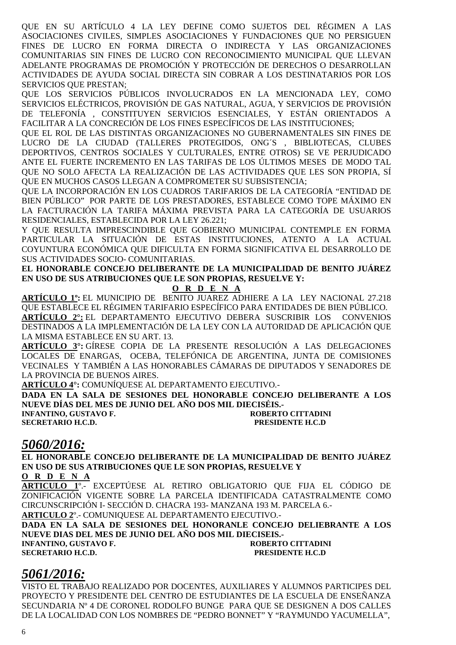QUE EN SU ARTÍCULO 4 LA LEY DEFINE COMO SUJETOS DEL RÉGIMEN A LAS ASOCIACIONES CIVILES, SIMPLES ASOCIACIONES Y FUNDACIONES QUE NO PERSIGUEN FINES DE LUCRO EN FORMA DIRECTA O INDIRECTA Y LAS ORGANIZACIONES COMUNITARIAS SIN FINES DE LUCRO CON RECONOCIMIENTO MUNICIPAL QUE LLEVAN ADELANTE PROGRAMAS DE PROMOCIÓN Y PROTECCIÓN DE DERECHOS O DESARROLLAN ACTIVIDADES DE AYUDA SOCIAL DIRECTA SIN COBRAR A LOS DESTINATARIOS POR LOS SERVICIOS QUE PRESTAN;

QUE LOS SERVICIOS PÚBLICOS INVOLUCRADOS EN LA MENCIONADA LEY, COMO SERVICIOS ELÉCTRICOS, PROVISIÓN DE GAS NATURAL, AGUA, Y SERVICIOS DE PROVISIÓN DE TELEFONÍA , CONSTITUYEN SERVICIOS ESENCIALES, Y ESTÁN ORIENTADOS A FACILITAR A LA CONCRECIÓN DE LOS FINES ESPECÍFICOS DE LAS INSTITUCIONES;

QUE EL ROL DE LAS DISTINTAS ORGANIZACIONES NO GUBERNAMENTALES SIN FINES DE LUCRO DE LA CIUDAD (TALLERES PROTEGIDOS, ONG´S , BIBLIOTECAS, CLUBES DEPORTIVOS, CENTROS SOCIALES Y CULTURALES, ENTRE OTROS) SE VE PERJUDICADO ANTE EL FUERTE INCREMENTO EN LAS TARIFAS DE LOS ÚLTIMOS MESES DE MODO TAL QUE NO SOLO AFECTA LA REALIZACIÓN DE LAS ACTIVIDADES QUE LES SON PROPIA, SÍ QUE EN MUCHOS CASOS LLEGAN A COMPROMETER SU SUBSISTENCIA;

QUE LA INCORPORACIÓN EN LOS CUADROS TARIFARIOS DE LA CATEGORÍA "ENTIDAD DE BIEN PÚBLICO" POR PARTE DE LOS PRESTADORES, ESTABLECE COMO TOPE MÁXIMO EN LA FACTURACIÓN LA TARIFA MÁXIMA PREVISTA PARA LA CATEGORÍA DE USUARIOS RESIDENCIALES, ESTABLECIDA POR LA LEY 26.221;

Y QUE RESULTA IMPRESCINDIBLE QUE GOBIERNO MUNICIPAL CONTEMPLE EN FORMA PARTICULAR LA SITUACIÓN DE ESTAS INSTITUCIONES, ATENTO A LA ACTUAL COYUNTURA ECONÓMICA QUE DIFICULTA EN FORMA SIGNIFICATIVA EL DESARROLLO DE SUS ACTIVIDADES SOCIO- COMUNITARIAS.

**EL HONORABLE CONCEJO DELIBERANTE DE LA MUNICIPALIDAD DE BENITO JUÁREZ EN USO DE SUS ATRIBUCIONES QUE LE SON PROPIAS, RESUELVE Y:**

**O R D E N A**

**ARTÍCULO 1º:** EL MUNICIPIO DE BENITO JUAREZ ADHIERE A LA LEY NACIONAL 27.218 QUE ESTABLECE EL RÉGIMEN TARIFARIO ESPECÍFICO PARA ENTIDADES DE BIEN PÚBLICO. **ARTÍCULO 2°:** EL DEPARTAMENTO EJECUTIVO DEBERA SUSCRIBIR LOS CONVENIOS DESTINADOS A LA IMPLEMENTACIÓN DE LA LEY CON LA AUTORIDAD DE APLICACIÓN QUE LA MISMA ESTABLECE EN SU ART. 13.

**ARTÍCULO 3°:** GÍRESE COPIA DE LA PRESENTE RESOLUCIÓN A LAS DELEGACIONES LOCALES DE ENARGAS, OCEBA, TELEFÓNICA DE ARGENTINA, JUNTA DE COMISIONES VECINALES Y TAMBIÉN A LAS HONORABLES CÁMARAS DE DIPUTADOS Y SENADORES DE LA PROVINCIA DE BUENOS AIRES.

**ARTÍCULO 4°:** COMUNÍQUESE AL DEPARTAMENTO EJECUTIVO.-

**DADA EN LA SALA DE SESIONES DEL HONORABLE CONCEJO DELIBERANTE A LOS NUEVE DÍAS DEL MES DE JUNIO DEL AÑO DOS MIL DIECISÉIS.-** 

**SECRETARIO H.C.D. PRESIDENTE H.C.D** 

**INFANTINO, GUSTAVO F. ROBERTO CITTADINI** 

# *5060/2016:*

**EL HONORABLE CONCEJO DELIBERANTE DE LA MUNICIPALIDAD DE BENITO JUÁREZ EN USO DE SUS ATRIBUCIONES QUE LE SON PROPIAS, RESUELVE Y O R D E N A**

**ARTICULO 1**º.- EXCEPTÚESE AL RETIRO OBLIGATORIO QUE FIJA EL CÓDIGO DE ZONIFICACIÓN VIGENTE SOBRE LA PARCELA IDENTIFICADA CATASTRALMENTE COMO CIRCUNSCRIPCIÓN I- SECCIÓN D. CHACRA 193- MANZANA 193 M. PARCELA 6.-

**ARTICULO 2**º.- COMUNIQUESE AL DEPARTAMENTO EJECUTIVO.-

**DADA EN LA SALA DE SESIONES DEL HONORANLE CONCEJO DELIEBRANTE A LOS NUEVE DIAS DEL MES DE JUNIO DEL AÑO DOS MIL DIECISEIS.- INFANTINO, GUSTAVO F.** ROBERTO CITTADINI

**SECRETARIO H.C.D. PRESIDENTE H.C.D** 

# *5061/2016:*

VISTO EL TRABAJO REALIZADO POR DOCENTES, AUXILIARES Y ALUMNOS PARTICIPES DEL PROYECTO Y PRESIDENTE DEL CENTRO DE ESTUDIANTES DE LA ESCUELA DE ENSEÑANZA SECUNDARIA Nº 4 DE CORONEL RODOLFO BUNGE PARA QUE SE DESIGNEN A DOS CALLES DE LA LOCALIDAD CON LOS NOMBRES DE "PEDRO BONNET" Y "RAYMUNDO YACUMELLA",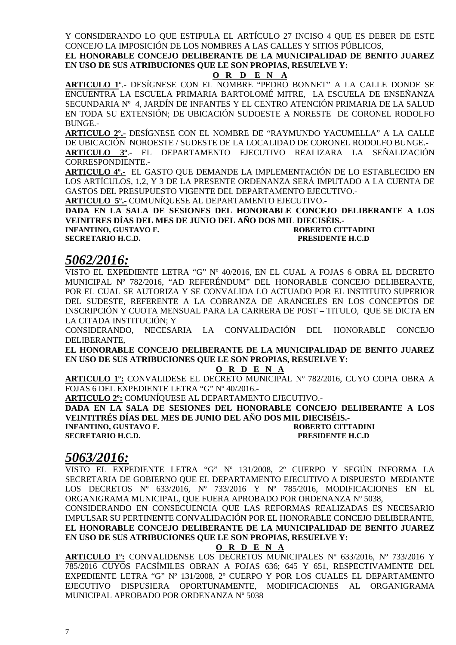Y CONSIDERANDO LO QUE ESTIPULA EL ARTÍCULO 27 INCISO 4 QUE ES DEBER DE ESTE CONCEJO LA IMPOSICIÓN DE LOS NOMBRES A LAS CALLES Y SITIOS PÚBLICOS,

**EL HONORABLE CONCEJO DELIBERANTE DE LA MUNICIPALIDAD DE BENITO JUAREZ EN USO DE SUS ATRIBUCIONES QUE LE SON PROPIAS, RESUELVE Y:** 

**O R D E N A**

**ARTICULO 1**º.- DESÍGNESE CON EL NOMBRE "PEDRO BONNET" A LA CALLE DONDE SE ENCUENTRA LA ESCUELA PRIMARIA BARTOLOMÉ MITRE, LA ESCUELA DE ENSEÑANZA SECUNDARIA Nº 4, JARDÍN DE INFANTES Y EL CENTRO ATENCIÓN PRIMARIA DE LA SALUD EN TODA SU EXTENSIÓN; DE UBICACIÓN SUDOESTE A NORESTE DE CORONEL RODOLFO BUNGE.-

**ARTICULO 2º.-** DESÍGNESE CON EL NOMBRE DE "RAYMUNDO YACUMELLA" A LA CALLE DE UBICACIÓN NOROESTE / SUDESTE DE LA LOCALIDAD DE CORONEL RODOLFO BUNGE.- **ARTICULO 3º**.- EL DEPARTAMENTO EJECUTIVO REALIZARA LA SEÑALIZACIÓN

CORRESPONDIENTE.-

**ARTICULO 4º.-** EL GASTO QUE DEMANDE LA IMPLEMENTACIÓN DE LO ESTABLECIDO EN LOS ARTÍCULOS, 1,2, Y 3 DE LA PRESENTE ORDENANZA SERÁ IMPUTADO A LA CUENTA DE GASTOS DEL PRESUPUESTO VIGENTE DEL DEPARTAMENTO EJECUTIVO.-

**ARTICULO 5º.-** COMUNÍQUESE AL DEPARTAMENTO EJECUTIVO.-

**DADA EN LA SALA DE SESIONES DEL HONORABLE CONCEJO DELIBERANTE A LOS VEINITRES DÍAS DEL MES DE JUNIO DEL AÑO DOS MIL DIECISÉIS.-** 

**INFANTINO, GUSTAVO F. ROBERTO CITTADINI SECRETARIO H.C.D. PRESIDENTE H.C.D** 

# *5062/2016:*

VISTO EL EXPEDIENTE LETRA "G" Nº 40/2016, EN EL CUAL A FOJAS 6 OBRA EL DECRETO MUNICIPAL Nº 782/2016, "AD REFERÉNDUM" DEL HONORABLE CONCEJO DELIBERANTE, POR EL CUAL SE AUTORIZA Y SE CONVALIDA LO ACTUADO POR EL INSTITUTO SUPERIOR DEL SUDESTE, REFERENTE A LA COBRANZA DE ARANCELES EN LOS CONCEPTOS DE INSCRIPCIÓN Y CUOTA MENSUAL PARA LA CARRERA DE POST – TITULO, QUE SE DICTA EN LA CITADA INSTITUCIÓN; Y

CONSIDERANDO, NECESARIA LA CONVALIDACIÓN DEL HONORABLE CONCEJO DELIBERANTE,

**EL HONORABLE CONCEJO DELIBERANTE DE LA MUNICIPALIDAD DE BENITO JUAREZ EN USO DE SUS ATRIBUCIONES QUE LE SON PROPIAS, RESUELVE Y:** 

**O R D E N A**

**ARTICULO 1º:** CONVALIDESE EL DECRETO MUNICIPAL Nº 782/2016, CUYO COPIA OBRA A FOJAS 6 DEL EXPEDIENTE LETRA "G" Nº 40/2016.-

**ARTICULO 2º:** COMUNÍQUESE AL DEPARTAMENTO EJECUTIVO.-

**DADA EN LA SALA DE SESIONES DEL HONORABLE CONCEJO DELIBERANTE A LOS VEINTITRÉS DÍAS DEL MES DE JUNIO DEL AÑO DOS MIL DIECISÉIS.-** 

**INFANTINO, GUSTAVO F. ROBERTO CITTADINI** 

# **SECRETARIO H.C.D. PRESIDENTE H.C.D**

# *5063/2016:*

VISTO EL EXPEDIENTE LETRA "G" Nº 131/2008, 2º CUERPO Y SEGÚN INFORMA LA SECRETARIA DE GOBIERNO QUE EL DEPARTAMENTO EJECUTIVO A DISPUESTO MEDIANTE LOS DECRETOS Nº 633/2016, Nº 733/2016 Y Nº 785/2016, MODIFICACIONES EN EL ORGANIGRAMA MUNICIPAL, QUE FUERA APROBADO POR ORDENANZA Nº 5038,

CONSIDERANDO EN CONSECUENCIA QUE LAS REFORMAS REALIZADAS ES NECESARIO IMPULSAR SU PERTINENTE CONVALIDACIÓN POR EL HONORABLE CONCEJO DELIBERANTE, **EL HONORABLE CONCEJO DELIBERANTE DE LA MUNICIPALIDAD DE BENITO JUAREZ EN USO DE SUS ATRIBUCIONES QUE LE SON PROPIAS, RESUELVE Y:** 

### **O R D E N A**

**ARTICULO 1º:** CONVALIDENSE LOS DECRETOS MUNICIPALES Nº 633/2016, Nº 733/2016 Y 785/2016 CUYOS FACSÍMILES OBRAN A FOJAS 636; 645 Y 651, RESPECTIVAMENTE DEL EXPEDIENTE LETRA "G" Nº 131/2008, 2º CUERPO Y POR LOS CUALES EL DEPARTAMENTO EJECUTIVO DISPUSIERA OPORTUNAMENTE, MODIFICACIONES AL ORGANIGRAMA MUNICIPAL APROBADO POR ORDENANZA Nº 5038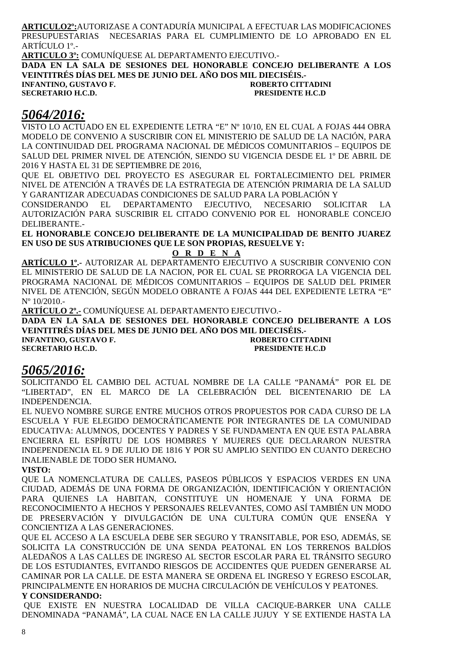**ARTICULO2º:**AUTORIZASE A CONTADURÍA MUNICIPAL A EFECTUAR LAS MODIFICACIONES PRESUPUESTARIAS NECESARIAS PARA EL CUMPLIMIENTO DE LO APROBADO EN EL ARTÍCULO 1º.-

**ARTICULO 3º:** COMUNÍQUESE AL DEPARTAMENTO EJECUTIVO.- **DADA EN LA SALA DE SESIONES DEL HONORABLE CONCEJO DELIBERANTE A LOS VEINTITRÉS DÍAS DEL MES DE JUNIO DEL AÑO DOS MIL DIECISÉIS.- INFANTINO, GUSTAVO F. CONFIDENTIAL CONFIDENTIAL CONFIDENTIAL CONFIDENTIAL CONFIDENTIAL CONFIDENTIAL CONFIDENTI SECRETARIO H.C.D. PRESIDENTE H.C.D** 

# *5064/2016:*

VISTO LO ACTUADO EN EL EXPEDIENTE LETRA "E" Nº 10/10, EN EL CUAL A FOJAS 444 OBRA MODELO DE CONVENIO A SUSCRIBIR CON EL MINISTERIO DE SALUD DE LA NACIÓN, PARA LA CONTINUIDAD DEL PROGRAMA NACIONAL DE MÉDICOS COMUNITARIOS – EQUIPOS DE SALUD DEL PRIMER NIVEL DE ATENCIÓN, SIENDO SU VIGENCIA DESDE EL 1º DE ABRIL DE 2016 Y HASTA EL 31 DE SEPTIEMBRE DE 2016,

QUE EL OBJETIVO DEL PROYECTO ES ASEGURAR EL FORTALECIMIENTO DEL PRIMER NIVEL DE ATENCIÓN A TRAVÉS DE LA ESTRATEGIA DE ATENCIÓN PRIMARIA DE LA SALUD Y GARANTIZAR ADECUADAS CONDICIONES DE SALUD PARA LA POBLACIÓN Y

CONSIDERANDO EL DEPARTAMENTO EJECUTIVO, NECESARIO SOLICITAR LA AUTORIZACIÓN PARA SUSCRIBIR EL CITADO CONVENIO POR EL HONORABLE CONCEJO DELIBERANTE.-

**EL HONORABLE CONCEJO DELIBERANTE DE LA MUNICIPALIDAD DE BENITO JUAREZ EN USO DE SUS ATRIBUCIONES QUE LE SON PROPIAS, RESUELVE Y:** 

### **O R D E N A**

**ARTÍCULO 1º.-** AUTORIZAR AL DEPARTAMENTO EJECUTIVO A SUSCRIBIR CONVENIO CON EL MINISTERIO DE SALUD DE LA NACION, POR EL CUAL SE PRORROGA LA VIGENCIA DEL PROGRAMA NACIONAL DE MÉDICOS COMUNITARIOS – EQUIPOS DE SALUD DEL PRIMER NIVEL DE ATENCIÓN, SEGÚN MODELO OBRANTE A FOJAS 444 DEL EXPEDIENTE LETRA "E" Nº 10/2010.-

**ARTÍCULO 2º.-** COMUNÍQUESE AL DEPARTAMENTO EJECUTIVO.-

**DADA EN LA SALA DE SESIONES DEL HONORABLE CONCEJO DELIBERANTE A LOS VEINTITRÉS DÍAS DEL MES DE JUNIO DEL AÑO DOS MIL DIECISÉIS.-** 

**INFANTINO, GUSTAVO F. ROBERTO CITTADINI SECRETARIO H.C.D.** 

# *5065/2016:*

SOLICITANDO EL CAMBIO DEL ACTUAL NOMBRE DE LA CALLE "PANAMÁ" POR EL DE "LIBERTAD", EN EL MARCO DE LA CELEBRACIÓN DEL BICENTENARIO DE LA INDEPENDENCIA.

EL NUEVO NOMBRE SURGE ENTRE MUCHOS OTROS PROPUESTOS POR CADA CURSO DE LA ESCUELA Y FUE ELEGIDO DEMOCRÁTICAMENTE POR INTEGRANTES DE LA COMUNIDAD EDUCATIVA: ALUMNOS, DOCENTES Y PADRES Y SE FUNDAMENTA EN QUE ESTA PALABRA ENCIERRA EL ESPÍRITU DE LOS HOMBRES Y MUJERES QUE DECLARARON NUESTRA INDEPENDENCIA EL 9 DE JULIO DE 1816 Y POR SU AMPLIO SENTIDO EN CUANTO DERECHO INALIENABLE DE TODO SER HUMANO**.** 

### **VISTO:**

QUE LA NOMENCLATURA DE CALLES, PASEOS PÚBLICOS Y ESPACIOS VERDES EN UNA CIUDAD, ADEMÁS DE UNA FORMA DE ORGANIZACIÓN, IDENTIFICACIÓN Y ORIENTACIÓN PARA QUIENES LA HABITAN, CONSTITUYE UN HOMENAJE Y UNA FORMA DE RECONOCIMIENTO A HECHOS Y PERSONAJES RELEVANTES, COMO ASÍ TAMBIÉN UN MODO DE PRESERVACIÓN Y DIVULGACIÓN DE UNA CULTURA COMÚN QUE ENSEÑA Y CONCIENTIZA A LAS GENERACIONES.

QUE EL ACCESO A LA ESCUELA DEBE SER SEGURO Y TRANSITABLE, POR ESO, ADEMÁS, SE SOLICITA LA CONSTRUCCIÓN DE UNA SENDA PEATONAL EN LOS TERRENOS BALDÍOS ALEDAÑOS A LAS CALLES DE INGRESO AL SECTOR ESCOLAR PARA EL TRÁNSITO SEGURO DE LOS ESTUDIANTES, EVITANDO RIESGOS DE ACCIDENTES QUE PUEDEN GENERARSE AL CAMINAR POR LA CALLE. DE ESTA MANERA SE ORDENA EL INGRESO Y EGRESO ESCOLAR, PRINCIPALMENTE EN HORARIOS DE MUCHA CIRCULACIÓN DE VEHÍCULOS Y PEATONES. **Y CONSIDERANDO:**

 QUE EXISTE EN NUESTRA LOCALIDAD DE VILLA CACIQUE-BARKER UNA CALLE DENOMINADA "PANAMÁ", LA CUAL NACE EN LA CALLE JUJUY Y SE EXTIENDE HASTA LA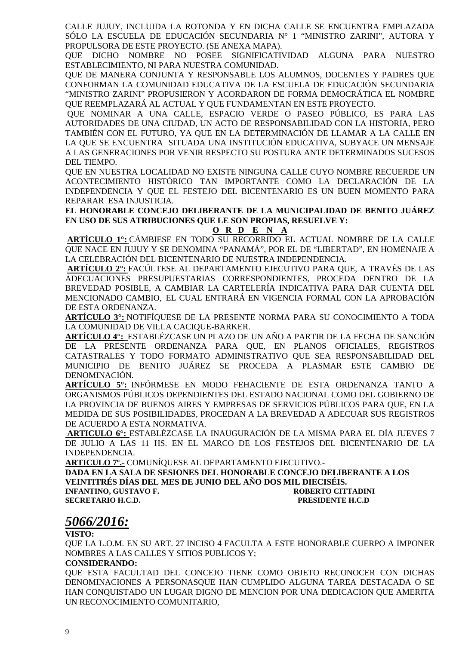CALLE JUJUY, INCLUIDA LA ROTONDA Y EN DICHA CALLE SE ENCUENTRA EMPLAZADA SÓLO LA ESCUELA DE EDUCACIÓN SECUNDARIA N° 1 "MINISTRO ZARINI", AUTORA Y PROPULSORA DE ESTE PROYECTO. (SE ANEXA MAPA).

QUE DICHO NOMBRE NO POSEE SIGNIFICATIVIDAD ALGUNA PARA NUESTRO ESTABLECIMIENTO, NI PARA NUESTRA COMUNIDAD.

QUE DE MANERA CONJUNTA Y RESPONSABLE LOS ALUMNOS, DOCENTES Y PADRES QUE CONFORMAN LA COMUNIDAD EDUCATIVA DE LA ESCUELA DE EDUCACIÓN SECUNDARIA "MINISTRO ZARINI" PROPUSIERON Y ACORDARON DE FORMA DEMOCRÁTICA EL NOMBRE QUE REEMPLAZARÁ AL ACTUAL Y QUE FUNDAMENTAN EN ESTE PROYECTO.

 QUE NOMINAR A UNA CALLE, ESPACIO VERDE O PASEO PÚBLICO, ES PARA LAS AUTORIDADES DE UNA CIUDAD, UN ACTO DE RESPONSABILIDAD CON LA HISTORIA, PERO TAMBIÉN CON EL FUTURO, YA QUE EN LA DETERMINACIÓN DE LLAMAR A LA CALLE EN LA QUE SE ENCUENTRA SITUADA UNA INSTITUCIÓN EDUCATIVA, SUBYACE UN MENSAJE A LAS GENERACIONES POR VENIR RESPECTO SU POSTURA ANTE DETERMINADOS SUCESOS DEL TIEMPO.

QUE EN NUESTRA LOCALIDAD NO EXISTE NINGUNA CALLE CUYO NOMBRE RECUERDE UN ACONTECIMIENTO HISTÓRICO TAN IMPORTANTE COMO LA DECLARACIÓN DE LA INDEPENDENCIA Y QUE EL FESTEJO DEL BICENTENARIO ES UN BUEN MOMENTO PARA REPARAR ESA INJUSTICIA.

### **EL HONORABLE CONCEJO DELIBERANTE DE LA MUNICIPALIDAD DE BENITO JUÁREZ EN USO DE SUS ATRIBUCIONES QUE LE SON PROPIAS, RESUELVE Y:**

### **O R D E N A**

**ARTÍCULO 1°:** CÁMBIESE EN TODO SU RECORRIDO EL ACTUAL NOMBRE DE LA CALLE QUE NACE EN JUJUY Y SE DENOMINA "PANAMÁ", POR EL DE "LIBERTAD", EN HOMENAJE A LA CELEBRACIÓN DEL BICENTENARIO DE NUESTRA INDEPENDENCIA.

**ARTÍCULO 2°:** FACÚLTESE AL DEPARTAMENTO EJECUTIVO PARA QUE, A TRAVÉS DE LAS ADECUACIONES PRESUPUESTARIAS CORRESPONDIENTES, PROCEDA DENTRO DE LA BREVEDAD POSIBLE, A CAMBIAR LA CARTELERÍA INDICATIVA PARA DAR CUENTA DEL MENCIONADO CAMBIO, EL CUAL ENTRARÁ EN VIGENCIA FORMAL CON LA APROBACIÓN DE ESTA ORDENANZA.

**ARTÍCULO 3°:** NOTIFÍQUESE DE LA PRESENTE NORMA PARA SU CONOCIMIENTO A TODA LA COMUNIDAD DE VILLA CACIQUE-BARKER.

**ARTÍCULO 4°:** ESTABLÉZCASE UN PLAZO DE UN AÑO A PARTIR DE LA FECHA DE SANCIÓN DE LA PRESENTE ORDENANZA PARA QUE, EN PLANOS OFICIALES, REGISTROS CATASTRALES Y TODO FORMATO ADMINISTRATIVO QUE SEA RESPONSABILIDAD DEL MUNICIPIO DE BENITO JUÁREZ SE PROCEDA A PLASMAR ESTE CAMBIO DE DENOMINACIÓN.

**ARTÍCULO 5°:** INFÓRMESE EN MODO FEHACIENTE DE ESTA ORDENANZA TANTO A ORGANISMOS PÚBLICOS DEPENDIENTES DEL ESTADO NACIONAL COMO DEL GOBIERNO DE LA PROVINCIA DE BUENOS AIRES Y EMPRESAS DE SERVICIOS PÚBLICOS PARA QUE, EN LA MEDIDA DE SUS POSIBILIDADES, PROCEDAN A LA BREVEDAD A ADECUAR SUS REGISTROS DE ACUERDO A ESTA NORMATIVA.

 **ARTICULO 6°:** ESTABLÉZCASE LA INAUGURACIÓN DE LA MISMA PARA EL DÍA JUEVES 7 DE JULIO A LAS 11 HS. EN EL MARCO DE LOS FESTEJOS DEL BICENTENARIO DE LA INDEPENDENCIA.

**ARTICULO 7º.-** COMUNÍQUESE AL DEPARTAMENTO EJECUTIVO.-

**DADA EN LA SALA DE SESIONES DEL HONORABLE CONCEJO DELIBERANTE A LOS VEINTITRÉS DÍAS DEL MES DE JUNIO DEL AÑO DOS MIL DIECISÉIS. INFANTINO, GUSTAVO F. SECRETARIO H.C.D. PRESIDENTE H.C.D** 

# *5066/2016:*

**VISTO:** 

QUE LA L.O.M. EN SU ART. 27 INCISO 4 FACULTA A ESTE HONORABLE CUERPO A IMPONER NOMBRES A LAS CALLES Y SITIOS PUBLICOS Y;

### **CONSIDERANDO:**

QUE ESTA FACULTAD DEL CONCEJO TIENE COMO OBJETO RECONOCER CON DICHAS DENOMINACIONES A PERSONASQUE HAN CUMPLIDO ALGUNA TAREA DESTACADA O SE HAN CONQUISTADO UN LUGAR DIGNO DE MENCION POR UNA DEDICACION QUE AMERITA UN RECONOCIMIENTO COMUNITARIO,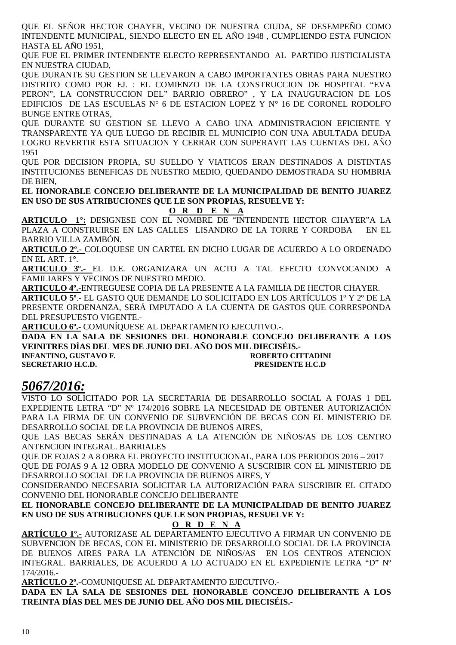QUE EL SEÑOR HECTOR CHAYER, VECINO DE NUESTRA CIUDA, SE DESEMPEÑO COMO INTENDENTE MUNICIPAL, SIENDO ELECTO EN EL AÑO 1948 , CUMPLIENDO ESTA FUNCION HASTA EL AÑO 1951,

QUE FUE EL PRIMER INTENDENTE ELECTO REPRESENTANDO AL PARTIDO JUSTICIALISTA EN NUESTRA CIUDAD,

QUE DURANTE SU GESTION SE LLEVARON A CABO IMPORTANTES OBRAS PARA NUESTRO DISTRITO COMO POR EJ. : EL COMIENZO DE LA CONSTRUCCION DE HOSPITAL "EVA PERON", LA CONSTRUCCION DEL" BARRIO OBRERO" , Y LA INAUGURACION DE LOS EDIFICIOS DE LAS ESCUELAS N° 6 DE ESTACION LOPEZ Y N° 16 DE CORONEL RODOLFO BUNGE ENTRE OTRAS,

QUE DURANTE SU GESTION SE LLEVO A CABO UNA ADMINISTRACION EFICIENTE Y TRANSPARENTE YA QUE LUEGO DE RECIBIR EL MUNICIPIO CON UNA ABULTADA DEUDA LOGRO REVERTIR ESTA SITUACION Y CERRAR CON SUPERAVIT LAS CUENTAS DEL AÑO 1951

QUE POR DECISION PROPIA, SU SUELDO Y VIATICOS ERAN DESTINADOS A DISTINTAS INSTITUCIONES BENEFICAS DE NUESTRO MEDIO, QUEDANDO DEMOSTRADA SU HOMBRIA DE BIEN,

**EL HONORABLE CONCEJO DELIBERANTE DE LA MUNICIPALIDAD DE BENITO JUAREZ EN USO DE SUS ATRIBUCIONES QUE LE SON PROPIAS, RESUELVE Y:** 

**O R D E N A**

**ARTICULO 1°:** DESIGNESE CON EL NOMBRE DE "INTENDENTE HECTOR CHAYER"A LA PLAZA A CONSTRUIRSE EN LAS CALLES LISANDRO DE LA TORRE Y CORDOBA EN EL BARRIO VILLA ZAMBÓN.

**ARTICULO 2º.-** COLOQUESE UN CARTEL EN DICHO LUGAR DE ACUERDO A LO ORDENADO EN EL ART. 1°.

**ARTICULO 3º.-** EL D.E. ORGANIZARA UN ACTO A TAL EFECTO CONVOCANDO A FAMILIARES Y VECINOS DE NUESTRO MEDIO.

**ARTICULO 4º.-**ENTREGUESE COPIA DE LA PRESENTE A LA FAMILIA DE HECTOR CHAYER. **ARTICULO 5º**.- EL GASTO QUE DEMANDE LO SOLICITADO EN LOS ARTÍCULOS 1º Y 2º DE LA PRESENTE ORDENANZA, SERÁ IMPUTADO A LA CUENTA DE GASTOS QUE CORRESPONDA DEL PRESUPUESTO VIGENTE.-

**ARTICULO 6º.-** COMUNÍQUESE AL DEPARTAMENTO EJECUTIVO.-.

**DADA EN LA SALA DE SESIONES DEL HONORABLE CONCEJO DELIBERANTE A LOS VEINITRES DÍAS DEL MES DE JUNIO DEL AÑO DOS MIL DIECISÉIS.-** 

**INFANTINO, GUSTAVO F. SECRETARIO H.C.D. PRESIDENTE H.C.D** 

# *5067/2016:*

VISTO LO SOLICITADO POR LA SECRETARIA DE DESARROLLO SOCIAL A FOJAS 1 DEL EXPEDIENTE LETRA "D" Nº 174/2016 SOBRE LA NECESIDAD DE OBTENER AUTORIZACIÓN PARA LA FIRMA DE UN CONVENIO DE SUBVENCIÓN DE BECAS CON EL MINISTERIO DE DESARROLLO SOCIAL DE LA PROVINCIA DE BUENOS AIRES,

QUE LAS BECAS SERÁN DESTINADAS A LA ATENCIÓN DE NIÑOS/AS DE LOS CENTRO ANTENCION INTEGRAL. BARRIALES

QUE DE FOJAS 2 A 8 OBRA EL PROYECTO INSTITUCIONAL, PARA LOS PERIODOS 2016 – 2017 QUE DE FOJAS 9 A 12 OBRA MODELO DE CONVENIO A SUSCRIBIR CON EL MINISTERIO DE DESARROLLO SOCIAL DE LA PROVINCIA DE BUENOS AIRES, Y

CONSIDERANDO NECESARIA SOLICITAR LA AUTORIZACIÓN PARA SUSCRIBIR EL CITADO CONVENIO DEL HONORABLE CONCEJO DELIBERANTE

**EL HONORABLE CONCEJO DELIBERANTE DE LA MUNICIPALIDAD DE BENITO JUAREZ EN USO DE SUS ATRIBUCIONES QUE LE SON PROPIAS, RESUELVE Y:** 

### **O R D E N A**

**ARTÍCULO 1º.-** AUTORIZASE AL DEPARTAMENTO EJECUTIVO A FIRMAR UN CONVENIO DE SUBVENCION DE BECAS, CON EL MINISTERIO DE DESARROLLO SOCIAL DE LA PROVINCIA DE BUENOS AIRES PARA LA ATENCIÓN DE NIÑOS/AS EN LOS CENTROS ATENCION INTEGRAL. BARRIALES, DE ACUERDO A LO ACTUADO EN EL EXPEDIENTE LETRA "D" Nº 174/2016.-

**ARTÍCULO 2º.-**COMUNIQUESE AL DEPARTAMENTO EJECUTIVO.-

**DADA EN LA SALA DE SESIONES DEL HONORABLE CONCEJO DELIBERANTE A LOS TREINTA DÍAS DEL MES DE JUNIO DEL AÑO DOS MIL DIECISÉIS.-**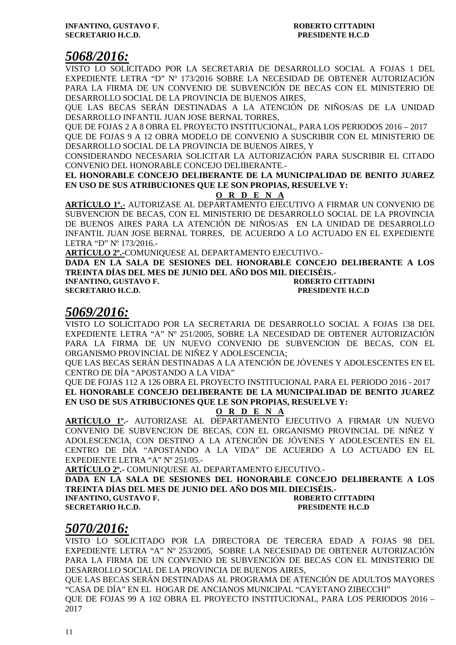# *5068/2016:*

VISTO LO SOLICITADO POR LA SECRETARIA DE DESARROLLO SOCIAL A FOJAS 1 DEL EXPEDIENTE LETRA "D" Nº 173/2016 SOBRE LA NECESIDAD DE OBTENER AUTORIZACIÓN PARA LA FIRMA DE UN CONVENIO DE SUBVENCIÓN DE BECAS CON EL MINISTERIO DE DESARROLLO SOCIAL DE LA PROVINCIA DE BUENOS AIRES,

QUE LAS BECAS SERÁN DESTINADAS A LA ATENCIÓN DE NIÑOS/AS DE LA UNIDAD DESARROLLO INFANTIL JUAN JOSE BERNAL TORRES,

QUE DE FOJAS 2 A 8 OBRA EL PROYECTO INSTITUCIONAL, PARA LOS PERIODOS 2016 – 2017 QUE DE FOJAS 9 A 12 OBRA MODELO DE CONVENIO A SUSCRIBIR CON EL MINISTERIO DE

DESARROLLO SOCIAL DE LA PROVINCIA DE BUENOS AIRES, Y

CONSIDERANDO NECESARIA SOLICITAR LA AUTORIZACIÓN PARA SUSCRIBIR EL CITADO CONVENIO DEL HONORABLE CONCEJO DELIBERANTE.-

**EL HONORABLE CONCEJO DELIBERANTE DE LA MUNICIPALIDAD DE BENITO JUAREZ EN USO DE SUS ATRIBUCIONES QUE LE SON PROPIAS, RESUELVE Y:** 

**O R D E N A**

**ARTÍCULO 1º.-** AUTORIZASE AL DEPARTAMENTO EJECUTIVO A FIRMAR UN CONVENIO DE SUBVENCION DE BECAS, CON EL MINISTERIO DE DESARROLLO SOCIAL DE LA PROVINCIA DE BUENOS AIRES PARA LA ATENCIÓN DE NIÑOS/AS EN LA UNIDAD DE DESARROLLO INFANTIL JUAN JOSE BERNAL TORRES, DE ACUERDO A LO ACTUADO EN EL EXPEDIENTE LETRA "D" Nº 173/2016.-

**ARTÍCULO 2º.-**COMUNIQUESE AL DEPARTAMENTO EJECUTIVO.-

**DADA EN LA SALA DE SESIONES DEL HONORABLE CONCEJO DELIBERANTE A LOS TREINTA DÍAS DEL MES DE JUNIO DEL AÑO DOS MIL DIECISÉIS.-** 

**INFANTINO, GUSTAVO F. ROBERTO CITTADINI SECRETARIO H.C.D. PRESIDENTE H.C.D** 

# *5069/2016:*

VISTO LO SOLICITADO POR LA SECRETARIA DE DESARROLLO SOCIAL A FOJAS 138 DEL EXPEDIENTE LETRA "A" Nº 251/2005, SOBRE LA NECESIDAD DE OBTENER AUTORIZACIÓN PARA LA FIRMA DE UN NUEVO CONVENIO DE SUBVENCION DE BECAS, CON EL ORGANISMO PROVINCIAL DE NIÑEZ Y ADOLESCENCIA;

QUE LAS BECAS SERÁN DESTINADAS A LA ATENCIÓN DE JÓVENES Y ADOLESCENTES EN EL CENTRO DE DÍA "APOSTANDO A LA VIDA"

QUE DE FOJAS 112 A 126 OBRA EL PROYECTO INSTITUCIONAL PARA EL PERIODO 2016 - 2017 **EL HONORABLE CONCEJO DELIBERANTE DE LA MUNICIPALIDAD DE BENITO JUAREZ EN USO DE SUS ATRIBUCIONES QUE LE SON PROPIAS, RESUELVE Y:** 

**O R D E N A**

**ARTÍCULO 1º.-** AUTORIZASE AL DEPARTAMENTO EJECUTIVO A FIRMAR UN NUEVO CONVENIO DE SUBVENCION DE BECAS, CON EL ORGANISMO PROVINCIAL DE NIÑEZ Y ADOLESCENCIA, CON DESTINO A LA ATENCIÓN DE JÓVENES Y ADOLESCENTES EN EL CENTRO DE DÍA "APOSTANDO A LA VIDA" DE ACUERDO A LO ACTUADO EN EL EXPEDIENTE LETRA "A" Nº 251/05.-

**ARTÍCULO 2º.-** COMUNIQUESE AL DEPARTAMENTO EJECUTIVO.-

**DADA EN LA SALA DE SESIONES DEL HONORABLE CONCEJO DELIBERANTE A LOS TREINTA DÍAS DEL MES DE JUNIO DEL AÑO DOS MIL DIECISÉIS.-** 

**INFANTINO, GUSTAVO F. ROBERTO CITTADINI** 

**SECRETARIO H.C.D. PRESIDENTE H.C.D** 

# *5070/2016:*

VISTO LO SOLICITADO POR LA DIRECTORA DE TERCERA EDAD A FOJAS 98 DEL EXPEDIENTE LETRA "A" Nº 253/2005, SOBRE LA NECESIDAD DE OBTENER AUTORIZACIÓN PARA LA FIRMA DE UN CONVENIO DE SUBVENCIÓN DE BECAS CON EL MINISTERIO DE DESARROLLO SOCIAL DE LA PROVINCIA DE BUENOS AIRES,

QUE LAS BECAS SERÁN DESTINADAS AL PROGRAMA DE ATENCIÓN DE ADULTOS MAYORES "CASA DE DÍA" EN EL HOGAR DE ANCIANOS MUNICIPAL "CAYETANO ZIBECCHI"

QUE DE FOJAS 99 A 102 OBRA EL PROYECTO INSTITUCIONAL, PARA LOS PERIODOS 2016 – 2017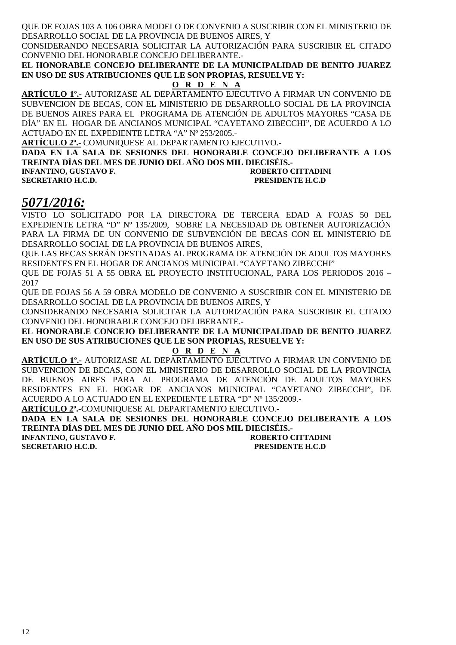QUE DE FOJAS 103 A 106 OBRA MODELO DE CONVENIO A SUSCRIBIR CON EL MINISTERIO DE DESARROLLO SOCIAL DE LA PROVINCIA DE BUENOS AIRES, Y

CONSIDERANDO NECESARIA SOLICITAR LA AUTORIZACIÓN PARA SUSCRIBIR EL CITADO CONVENIO DEL HONORABLE CONCEJO DELIBERANTE.-

**EL HONORABLE CONCEJO DELIBERANTE DE LA MUNICIPALIDAD DE BENITO JUAREZ EN USO DE SUS ATRIBUCIONES QUE LE SON PROPIAS, RESUELVE Y:** 

## **O R D E N A**

**ARTÍCULO 1º.-** AUTORIZASE AL DEPARTAMENTO EJECUTIVO A FIRMAR UN CONVENIO DE SUBVENCION DE BECAS, CON EL MINISTERIO DE DESARROLLO SOCIAL DE LA PROVINCIA DE BUENOS AIRES PARA EL PROGRAMA DE ATENCIÓN DE ADULTOS MAYORES "CASA DE DÍA" EN EL HOGAR DE ANCIANOS MUNICIPAL "CAYETANO ZIBECCHI", DE ACUERDO A LO ACTUADO EN EL EXPEDIENTE LETRA "A" Nº 253/2005.-

**ARTÍCULO 2º.-** COMUNIQUESE AL DEPARTAMENTO EJECUTIVO.-

**DADA EN LA SALA DE SESIONES DEL HONORABLE CONCEJO DELIBERANTE A LOS TREINTA DÍAS DEL MES DE JUNIO DEL AÑO DOS MIL DIECISÉIS.-** 

**INFANTINO, GUSTAVO F. ROBERTO CITTADINI SECRETARIO H.C.D. PRESIDENTE H.C.D** 

# *5071/2016:*

VISTO LO SOLICITADO POR LA DIRECTORA DE TERCERA EDAD A FOJAS 50 DEL EXPEDIENTE LETRA "D" Nº 135/2009, SOBRE LA NECESIDAD DE OBTENER AUTORIZACIÓN PARA LA FIRMA DE UN CONVENIO DE SUBVENCIÓN DE BECAS CON EL MINISTERIO DE DESARROLLO SOCIAL DE LA PROVINCIA DE BUENOS AIRES,

QUE LAS BECAS SERÁN DESTINADAS AL PROGRAMA DE ATENCIÓN DE ADULTOS MAYORES RESIDENTES EN EL HOGAR DE ANCIANOS MUNICIPAL "CAYETANO ZIBECCHI"

QUE DE FOJAS 51 A 55 OBRA EL PROYECTO INSTITUCIONAL, PARA LOS PERIODOS 2016 – 2017

QUE DE FOJAS 56 A 59 OBRA MODELO DE CONVENIO A SUSCRIBIR CON EL MINISTERIO DE DESARROLLO SOCIAL DE LA PROVINCIA DE BUENOS AIRES, Y

CONSIDERANDO NECESARIA SOLICITAR LA AUTORIZACIÓN PARA SUSCRIBIR EL CITADO CONVENIO DEL HONORABLE CONCEJO DELIBERANTE.-

**EL HONORABLE CONCEJO DELIBERANTE DE LA MUNICIPALIDAD DE BENITO JUAREZ EN USO DE SUS ATRIBUCIONES QUE LE SON PROPIAS, RESUELVE Y:** 

### **O R D E N A**

**ARTÍCULO 1º.-** AUTORIZASE AL DEPARTAMENTO EJECUTIVO A FIRMAR UN CONVENIO DE SUBVENCION DE BECAS, CON EL MINISTERIO DE DESARROLLO SOCIAL DE LA PROVINCIA DE BUENOS AIRES PARA AL PROGRAMA DE ATENCIÓN DE ADULTOS MAYORES RESIDENTES EN EL HOGAR DE ANCIANOS MUNICIPAL "CAYETANO ZIBECCHI", DE ACUERDO A LO ACTUADO EN EL EXPEDIENTE LETRA "D" Nº 135/2009.-

**ARTÍCULO 2º.-**COMUNIQUESE AL DEPARTAMENTO EJECUTIVO.-

**DADA EN LA SALA DE SESIONES DEL HONORABLE CONCEJO DELIBERANTE A LOS TREINTA DÍAS DEL MES DE JUNIO DEL AÑO DOS MIL DIECISÉIS.-** 

**INFANTINO, GUSTAVO F.** 

**SECRETARIO H.C.D. PRESIDENTE H.C.D**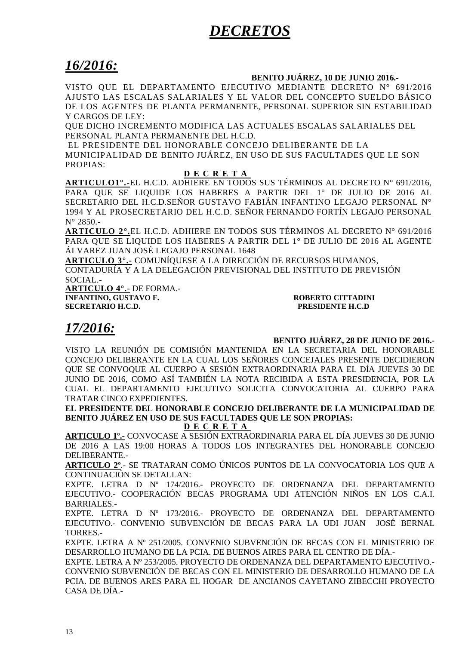# *DECRETOS*

# *16/2016:*

### **BENITO JUÁREZ, 10 DE JUNIO 2016.-**

VISTO QUE EL DEPARTAMENTO EJECUTIVO MEDIANTE DECRETO N° 691/2016 AJUSTO LAS ESCALAS SALARIALES Y EL VALOR DEL CONCEPTO SUELDO BÁSICO DE LOS AGENTES DE PLANTA PERMANENTE, PERSONAL SUPERIOR SIN ESTABILIDAD Y CARGOS DE LEY:

QUE DICHO INCREMENTO MODIFICA LAS ACTUALES ESCALAS SALARIALES DEL PERSONAL PLANTA PERMANENTE DEL H.C.D.

EL PRESIDENTE DEL HONORABLE CONCEJO DELIBERANTE DE LA MUNICIPALIDAD DE BENITO JUÁREZ, EN USO DE SUS FACULTADES QUE LE SON PROPIAS:

### **D E C R E T A**

**ARTICULO1°.**-EL H.C.D. ADHIERE EN TODOS SUS TÉRMINOS AL DECRETO N° 691/2016, PARA QUE SE LIQUIDE LOS HABERES A PARTIR DEL 1° DE JULIO DE 2016 AL SECRETARIO DEL H.C.D.SEÑOR GUSTAVO FABIÁN INFANTINO LEGAJO PERSONAL N° 1994 Y AL PROSECRETARIO DEL H.C.D. SEÑOR FERNANDO FORTÍN LEGAJO PERSONAL N° 2850.-

**ARTICULO 2°.**EL H.C.D. ADHIERE EN TODOS SUS TÉRMINOS AL DECRETO N° 691/2016 PARA QUE SE LIQUIDE LOS HABERES A PARTIR DEL 1° DE JULIO DE 2016 AL AGENTE ÁLVAREZ JUAN JOSÉ LEGAJO PERSONAL 1648

**ARTICULO 3°.-** COMUNÍQUESE A LA DIRECCIÓN DE RECURSOS HUMANOS, CONTADURÍA Y A LA DELEGACIÓN PREVISIONAL DEL INSTITUTO DE PREVISIÓN SOCIAL.-

**ARTICULO 4°.**- DE FORMA.- **INFANTINO, GUSTAVO F. AND ROBERTO CITTADINI SECRETARIO H.C.D.**<br>**INFANTINO H.C.D. REGISTARIO H.C.D.** 

**PRESIDENTE H.C.D** 

# *17/2016:*

### **BENITO JUÁREZ, 28 DE JUNIO DE 2016.-**

VISTO LA REUNIÓN DE COMISIÓN MANTENIDA EN LA SECRETARIA DEL HONORABLE CONCEJO DELIBERANTE EN LA CUAL LOS SEÑORES CONCEJALES PRESENTE DECIDIERON QUE SE CONVOQUE AL CUERPO A SESIÓN EXTRAORDINARIA PARA EL DÍA JUEVES 30 DE JUNIO DE 2016, COMO ASÍ TAMBIÉN LA NOTA RECIBIDA A ESTA PRESIDENCIA, POR LA CUAL EL DEPARTAMENTO EJECUTIVO SOLICITA CONVOCATORIA AL CUERPO PARA TRATAR CINCO EXPEDIENTES.

**EL PRESIDENTE DEL HONORABLE CONCEJO DELIBERANTE DE LA MUNICIPALIDAD DE BENITO JUÁREZ EN USO DE SUS FACULTADES QUE LE SON PROPIAS: D E C R E T A**

**ARTICULO 1º.-** CONVOCASE A SESIÓN EXTRAORDINARIA PARA EL DÍA JUEVES 30 DE JUNIO DE 2016 A LAS 19:00 HORAS A TODOS LOS INTEGRANTES DEL HONORABLE CONCEJO DELIBERANTE.-

**ARTICULO 2º**.- SE TRATARAN COMO ÚNICOS PUNTOS DE LA CONVOCATORIA LOS QUE A CONTINUACIÓN SE DETALLAN:

EXPTE. LETRA D Nº 174/2016.- PROYECTO DE ORDENANZA DEL DEPARTAMENTO EJECUTIVO.- COOPERACIÓN BECAS PROGRAMA UDI ATENCIÓN NIÑOS EN LOS C.A.I. BARRIALES.-

EXPTE. LETRA D Nº 173/2016.- PROYECTO DE ORDENANZA DEL DEPARTAMENTO EJECUTIVO.- CONVENIO SUBVENCIÓN DE BECAS PARA LA UDI JUAN JOSÉ BERNAL TORRES.-

EXPTE. LETRA A Nº 251/2005. CONVENIO SUBVENCIÓN DE BECAS CON EL MINISTERIO DE DESARROLLO HUMANO DE LA PCIA. DE BUENOS AIRES PARA EL CENTRO DE DÍA.-

EXPTE. LETRA A Nº 253/2005. PROYECTO DE ORDENANZA DEL DEPARTAMENTO EJECUTIVO.- CONVENIO SUBVENCIÓN DE BECAS CON EL MINISTERIO DE DESARROLLO HUMANO DE LA PCIA. DE BUENOS ARES PARA EL HOGAR DE ANCIANOS CAYETANO ZIBECCHI PROYECTO CASA DE DÍA.-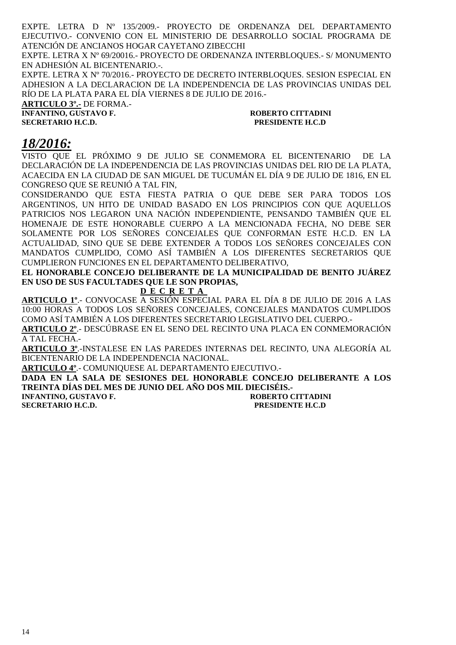EXPTE. LETRA D Nº 135/2009.- PROYECTO DE ORDENANZA DEL DEPARTAMENTO EJECUTIVO.- CONVENIO CON EL MINISTERIO DE DESARROLLO SOCIAL PROGRAMA DE ATENCIÓN DE ANCIANOS HOGAR CAYETANO ZIBECCHI

EXPTE. LETRA X Nº 69/20016.- PROYECTO DE ORDENANZA INTERBLOQUES.- S/ MONUMENTO EN ADHESIÓN AL BICENTENARIO.-.

EXPTE. LETRA X Nº 70/2016.- PROYECTO DE DECRETO INTERBLOQUES. SESION ESPECIAL EN ADHESION A LA DECLARACION DE LA INDEPENDENCIA DE LAS PROVINCIAS UNIDAS DEL RÍO DE LA PLATA PARA EL DÍA VIERNES 8 DE JULIO DE 2016.-

**ARTICULO 3º.-** DE FORMA.- **INFANTINO, GUSTAVO F.** ROBERTO CITTADINI **SECRETARIO H.C.D. PRESIDENTE H.C.D** 

# *18/2016:*

VISTO QUE EL PRÓXIMO 9 DE JULIO SE CONMEMORA EL BICENTENARIO DE LA DECLARACIÓN DE LA INDEPENDENCIA DE LAS PROVINCIAS UNIDAS DEL RIO DE LA PLATA, ACAECIDA EN LA CIUDAD DE SAN MIGUEL DE TUCUMÁN EL DÍA 9 DE JULIO DE 1816, EN EL CONGRESO QUE SE REUNIÓ A TAL FIN,

CONSIDERANDO QUE ESTA FIESTA PATRIA O QUE DEBE SER PARA TODOS LOS ARGENTINOS, UN HITO DE UNIDAD BASADO EN LOS PRINCIPIOS CON QUE AQUELLOS PATRICIOS NOS LEGARON UNA NACIÓN INDEPENDIENTE, PENSANDO TAMBIÉN QUE EL HOMENAJE DE ESTE HONORABLE CUERPO A LA MENCIONADA FECHA, NO DEBE SER SOLAMENTE POR LOS SEÑORES CONCEJALES QUE CONFORMAN ESTE H.C.D. EN LA ACTUALIDAD, SINO QUE SE DEBE EXTENDER A TODOS LOS SEÑORES CONCEJALES CON MANDATOS CUMPLIDO, COMO ASÍ TAMBIÉN A LOS DIFERENTES SECRETARIOS QUE CUMPLIERON FUNCIONES EN EL DEPARTAMENTO DELIBERATIVO,

**EL HONORABLE CONCEJO DELIBERANTE DE LA MUNICIPALIDAD DE BENITO JUÁREZ EN USO DE SUS FACULTADES QUE LE SON PROPIAS,** 

### **D E C R E T A**

**ARTICULO 1º**.- CONVOCASE A SESIÓN ESPECIAL PARA EL DÍA 8 DE JULIO DE 2016 A LAS 10:00 HORAS A TODOS LOS SEÑORES CONCEJALES, CONCEJALES MANDATOS CUMPLIDOS COMO ASÍ TAMBIÉN A LOS DIFERENTES SECRETARIO LEGISLATIVO DEL CUERPO.-

**ARTICULO 2º**.- DESCÚBRASE EN EL SENO DEL RECINTO UNA PLACA EN CONMEMORACIÓN A TAL FECHA.-

**ARTICULO 3º**.-INSTALESE EN LAS PAREDES INTERNAS DEL RECINTO, UNA ALEGORÍA AL BICENTENARIO DE LA INDEPENDENCIA NACIONAL.

**ARTICULO 4º**.- COMUNIQUESE AL DEPARTAMENTO EJECUTIVO.-

**DADA EN LA SALA DE SESIONES DEL HONORABLE CONCEJO DELIBERANTE A LOS TREINTA DÍAS DEL MES DE JUNIO DEL AÑO DOS MIL DIECISÉIS.-** 

**INFANTINO, GUSTAVO F. ROBERTO CITTADINI SECRETARIO H.C.D. PRESIDENTE H.C.D**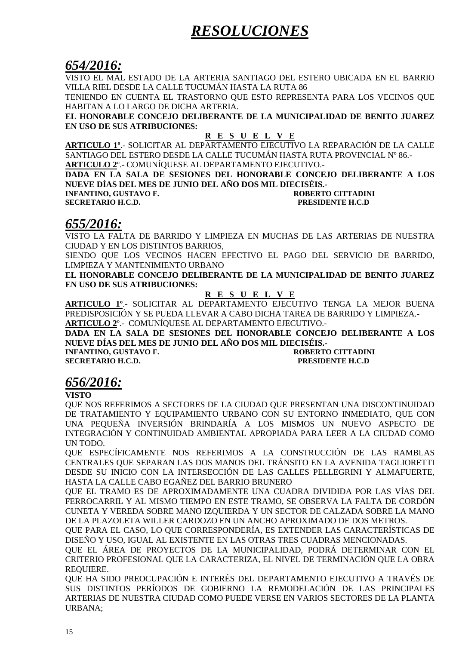# *RESOLUCIONES*

# *654/2016:*

VISTO EL MAL ESTADO DE LA ARTERIA SANTIAGO DEL ESTERO UBICADA EN EL BARRIO VILLA RIEL DESDE LA CALLE TUCUMÁN HASTA LA RUTA 86

TENIENDO EN CUENTA EL TRASTORNO QUE ESTO REPRESENTA PARA LOS VECINOS QUE HABITAN A LO LARGO DE DICHA ARTERIA.

**EL HONORABLE CONCEJO DELIBERANTE DE LA MUNICIPALIDAD DE BENITO JUAREZ EN USO DE SUS ATRIBUCIONES:** 

**R E S U E L V E**

**ARTICULO 1º**.- SOLICITAR AL DEPARTAMENTO EJECUTIVO LA REPARACIÓN DE LA CALLE SANTIAGO DEL ESTERO DESDE LA CALLE TUCUMÁN HASTA RUTA PROVINCIAL Nº 86.- **ARTICULO 2**º.- COMUNÍQUESE AL DEPARTAMENTO EJECUTIVO.-

**DADA EN LA SALA DE SESIONES DEL HONORABLE CONCEJO DELIBERANTE A LOS NUEVE DÍAS DEL MES DE JUNIO DEL AÑO DOS MIL DIECISÉIS.-** 

**INFANTINO, GUSTAVO F. ROBERTO CITTADINI SECRETARIO H.C.D. PRESIDENTE H.C.D** 

# *655/2016:*

VISTO LA FALTA DE BARRIDO Y LIMPIEZA EN MUCHAS DE LAS ARTERIAS DE NUESTRA CIUDAD Y EN LOS DISTINTOS BARRIOS,

SIENDO QUE LOS VECINOS HACEN EFECTIVO EL PAGO DEL SERVICIO DE BARRIDO, LIMPIEZA Y MANTENIMIENTO URBANO

**EL HONORABLE CONCEJO DELIBERANTE DE LA MUNICIPALIDAD DE BENITO JUAREZ EN USO DE SUS ATRIBUCIONES:** 

## **R E S U E L V E**

**ARTICULO 1º**.- SOLICITAR AL DEPARTAMENTO EJECUTIVO TENGA LA MEJOR BUENA PREDISPOSICIÓN Y SE PUEDA LLEVAR A CABO DICHA TAREA DE BARRIDO Y LIMPIEZA.- **ARTICULO 2**º.- COMUNÍQUESE AL DEPARTAMENTO EJECUTIVO.-

**DADA EN LA SALA DE SESIONES DEL HONORABLE CONCEJO DELIBERANTE A LOS NUEVE DÍAS DEL MES DE JUNIO DEL AÑO DOS MIL DIECISÉIS.-** 

**INFANTINO, GUSTAVO F. ROBERTO CITTADINI SECRETARIO H.C.D. PRESIDENTE H.C.D** 

# *656/2016:*

**VISTO** 

QUE NOS REFERIMOS A SECTORES DE LA CIUDAD QUE PRESENTAN UNA DISCONTINUIDAD DE TRATAMIENTO Y EQUIPAMIENTO URBANO CON SU ENTORNO INMEDIATO, QUE CON UNA PEQUEÑA INVERSIÓN BRINDARÍA A LOS MISMOS UN NUEVO ASPECTO DE INTEGRACIÓN Y CONTINUIDAD AMBIENTAL APROPIADA PARA LEER A LA CIUDAD COMO UN TODO.

QUE ESPECÍFICAMENTE NOS REFERIMOS A LA CONSTRUCCIÓN DE LAS RAMBLAS CENTRALES QUE SEPARAN LAS DOS MANOS DEL TRÁNSITO EN LA AVENIDA TAGLIORETTI DESDE SU INICIO CON LA INTERSECCIÓN DE LAS CALLES PELLEGRINI Y ALMAFUERTE, HASTA LA CALLE CABO EGAÑEZ DEL BARRIO BRUNERO

QUE EL TRAMO ES DE APROXIMADAMENTE UNA CUADRA DIVIDIDA POR LAS VÍAS DEL FERROCARRIL Y AL MISMO TIEMPO EN ESTE TRAMO, SE OBSERVA LA FALTA DE CORDÓN CUNETA Y VEREDA SOBRE MANO IZQUIERDA Y UN SECTOR DE CALZADA SOBRE LA MANO DE LA PLAZOLETA WILLER CARDOZO EN UN ANCHO APROXIMADO DE DOS METROS.

QUE PARA EL CASO, LO QUE CORRESPONDERÍA, ES EXTENDER LAS CARACTERÍSTICAS DE DISEÑO Y USO, IGUAL AL EXISTENTE EN LAS OTRAS TRES CUADRAS MENCIONADAS.

QUE EL ÁREA DE PROYECTOS DE LA MUNICIPALIDAD, PODRÁ DETERMINAR CON EL CRITERIO PROFESIONAL QUE LA CARACTERIZA, EL NIVEL DE TERMINACIÓN QUE LA OBRA REQUIERE.

QUE HA SIDO PREOCUPACIÓN E INTERÉS DEL DEPARTAMENTO EJECUTIVO A TRAVÉS DE SUS DISTINTOS PERÍODOS DE GOBIERNO LA REMODELACIÓN DE LAS PRINCIPALES ARTERIAS DE NUESTRA CIUDAD COMO PUEDE VERSE EN VARIOS SECTORES DE LA PLANTA URBANA;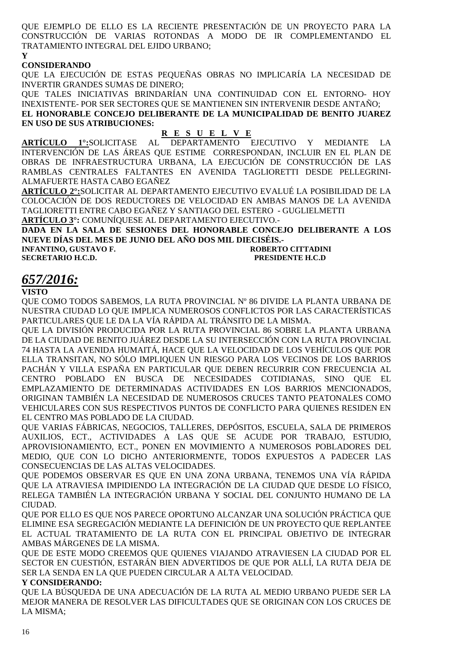QUE EJEMPLO DE ELLO ES LA RECIENTE PRESENTACIÓN DE UN PROYECTO PARA LA CONSTRUCCIÓN DE VARIAS ROTONDAS A MODO DE IR COMPLEMENTANDO EL TRATAMIENTO INTEGRAL DEL EJIDO URBANO; **Y** 

### **CONSIDERANDO**

QUE LA EJECUCIÓN DE ESTAS PEQUEÑAS OBRAS NO IMPLICARÍA LA NECESIDAD DE INVERTIR GRANDES SUMAS DE DINERO;

QUE TALES INICIATIVAS BRINDARÍAN UNA CONTINUIDAD CON EL ENTORNO- HOY INEXISTENTE- POR SER SECTORES QUE SE MANTIENEN SIN INTERVENIR DESDE ANTAÑO; **EL HONORABLE CONCEJO DELIBERANTE DE LA MUNICIPALIDAD DE BENITO JUAREZ EN USO DE SUS ATRIBUCIONES:** 

**R E S U E L V E DEPARTAMENTO EJECUTIVO Y MEDIANTE LA** INTERVENCIÓN DE LAS ÁREAS QUE ESTIME CORRESPONDAN, INCLUIR EN EL PLAN DE OBRAS DE INFRAESTRUCTURA URBANA, LA EJECUCIÓN DE CONSTRUCCIÓN DE LAS RAMBLAS CENTRALES FALTANTES EN AVENIDA TAGLIORETTI DESDE PELLEGRINI-ALMAFUERTE HASTA CABO EGAÑEZ

**ARTÍCULO 2°:**SOLICITAR AL DEPARTAMENTO EJECUTIVO EVALUÉ LA POSIBILIDAD DE LA COLOCACIÓN DE DOS REDUCTORES DE VELOCIDAD EN AMBAS MANOS DE LA AVENIDA TAGLIORETTI ENTRE CABO EGAÑEZ Y SANTIAGO DEL ESTERO - GUGLIELMETTI **ARTÍCULO 3°:** COMUNÍQUESE AL DEPARTAMENTO EJECUTIVO.-

**DADA EN LA SALA DE SESIONES DEL HONORABLE CONCEJO DELIBERANTE A LOS NUEVE DÍAS DEL MES DE JUNIO DEL AÑO DOS MIL DIECISÉIS.- INFANTINO, GUSTAVO F. ROBERTO CITTADINI** 

**SECRETARIO H.C.D. PRESIDENTE H.C.D** 

# *657/2016:*

### **VISTO**

QUE COMO TODOS SABEMOS, LA RUTA PROVINCIAL Nº 86 DIVIDE LA PLANTA URBANA DE NUESTRA CIUDAD LO QUE IMPLICA NUMEROSOS CONFLICTOS POR LAS CARACTERÍSTICAS PARTICULARES QUE LE DA LA VÍA RÁPIDA AL TRÁNSITO DE LA MISMA.

QUE LA DIVISIÓN PRODUCIDA POR LA RUTA PROVINCIAL 86 SOBRE LA PLANTA URBANA DE LA CIUDAD DE BENITO JUÁREZ DESDE LA SU INTERSECCIÓN CON LA RUTA PROVINCIAL 74 HASTA LA AVENIDA HUMAITÁ, HACE QUE LA VELOCIDAD DE LOS VEHÍCULOS QUE POR ELLA TRANSITAN, NO SÓLO IMPLIQUEN UN RIESGO PARA LOS VECINOS DE LOS BARRIOS PACHÁN Y VILLA ESPAÑA EN PARTICULAR QUE DEBEN RECURRIR CON FRECUENCIA AL CENTRO POBLADO EN BUSCA DE NECESIDADES COTIDIANAS, SINO QUE EL EMPLAZAMIENTO DE DETERMINADAS ACTIVIDADES EN LOS BARRIOS MENCIONADOS, ORIGINAN TAMBIÉN LA NECESIDAD DE NUMEROSOS CRUCES TANTO PEATONALES COMO VEHICULARES CON SUS RESPECTIVOS PUNTOS DE CONFLICTO PARA QUIENES RESIDEN EN EL CENTRO MAS POBLADO DE LA CIUDAD.

QUE VARIAS FÁBRICAS, NEGOCIOS, TALLERES, DEPÓSITOS, ESCUELA, SALA DE PRIMEROS AUXILIOS, ECT., ACTIVIDADES A LAS QUE SE ACUDE POR TRABAJO, ESTUDIO, APROVISIONAMIENTO, ECT., PONEN EN MOVIMIENTO A NUMEROSOS POBLADORES DEL MEDIO, QUE CON LO DICHO ANTERIORMENTE, TODOS EXPUESTOS A PADECER LAS CONSECUENCIAS DE LAS ALTAS VELOCIDADES.

QUE PODEMOS OBSERVAR ES QUE EN UNA ZONA URBANA, TENEMOS UNA VÍA RÁPIDA QUE LA ATRAVIESA IMPIDIENDO LA INTEGRACIÓN DE LA CIUDAD QUE DESDE LO FÍSICO, RELEGA TAMBIÉN LA INTEGRACIÓN URBANA Y SOCIAL DEL CONJUNTO HUMANO DE LA CIUDAD.

QUE POR ELLO ES QUE NOS PARECE OPORTUNO ALCANZAR UNA SOLUCIÓN PRÁCTICA QUE ELIMINE ESA SEGREGACIÓN MEDIANTE LA DEFINICIÓN DE UN PROYECTO QUE REPLANTEE EL ACTUAL TRATAMIENTO DE LA RUTA CON EL PRINCIPAL OBJETIVO DE INTEGRAR AMBAS MÁRGENES DE LA MISMA.

QUE DE ESTE MODO CREEMOS QUE QUIENES VIAJANDO ATRAVIESEN LA CIUDAD POR EL SECTOR EN CUESTIÓN, ESTARÁN BIEN ADVERTIDOS DE QUE POR ALLÍ, LA RUTA DEJA DE SER LA SENDA EN LA QUE PUEDEN CIRCULAR A ALTA VELOCIDAD.

### **Y CONSIDERANDO:**

QUE LA BÚSQUEDA DE UNA ADECUACIÓN DE LA RUTA AL MEDIO URBANO PUEDE SER LA MEJOR MANERA DE RESOLVER LAS DIFICULTADES QUE SE ORIGINAN CON LOS CRUCES DE LA MISMA;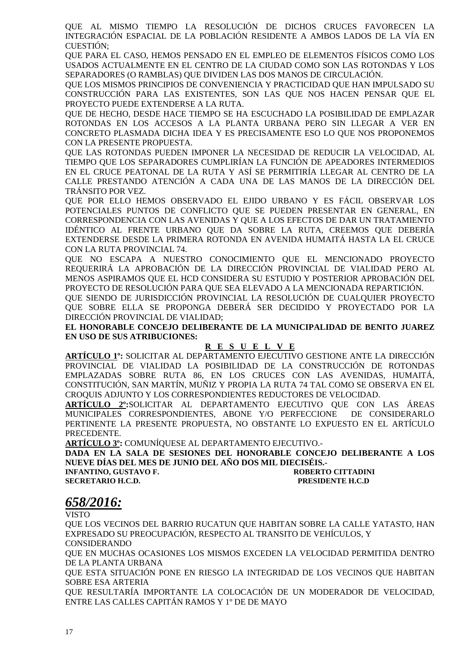QUE AL MISMO TIEMPO LA RESOLUCIÓN DE DICHOS CRUCES FAVORECEN LA INTEGRACIÓN ESPACIAL DE LA POBLACIÓN RESIDENTE A AMBOS LADOS DE LA VÍA EN CUESTIÓN;

QUE PARA EL CASO, HEMOS PENSADO EN EL EMPLEO DE ELEMENTOS FÍSICOS COMO LOS USADOS ACTUALMENTE EN EL CENTRO DE LA CIUDAD COMO SON LAS ROTONDAS Y LOS SEPARADORES (O RAMBLAS) QUE DIVIDEN LAS DOS MANOS DE CIRCULACIÓN.

QUE LOS MISMOS PRINCIPIOS DE CONVENIENCIA Y PRACTICIDAD QUE HAN IMPULSADO SU CONSTRUCCIÓN PARA LAS EXISTENTES, SON LAS QUE NOS HACEN PENSAR QUE EL PROYECTO PUEDE EXTENDERSE A LA RUTA.

QUE DE HECHO, DESDE HACE TIEMPO SE HA ESCUCHADO LA POSIBILIDAD DE EMPLAZAR ROTONDAS EN LOS ACCESOS A LA PLANTA URBANA PERO SIN LLEGAR A VER EN CONCRETO PLASMADA DICHA IDEA Y ES PRECISAMENTE ESO LO QUE NOS PROPONEMOS CON LA PRESENTE PROPUESTA.

QUE LAS ROTONDAS PUEDEN IMPONER LA NECESIDAD DE REDUCIR LA VELOCIDAD, AL TIEMPO QUE LOS SEPARADORES CUMPLIRÍAN LA FUNCIÓN DE APEADORES INTERMEDIOS EN EL CRUCE PEATONAL DE LA RUTA Y ASÍ SE PERMITIRÍA LLEGAR AL CENTRO DE LA CALLE PRESTANDO ATENCIÓN A CADA UNA DE LAS MANOS DE LA DIRECCIÓN DEL TRÁNSITO POR VEZ.

QUE POR ELLO HEMOS OBSERVADO EL EJIDO URBANO Y ES FÁCIL OBSERVAR LOS POTENCIALES PUNTOS DE CONFLICTO QUE SE PUEDEN PRESENTAR EN GENERAL, EN CORRESPONDENCIA CON LAS AVENIDAS Y QUE A LOS EFECTOS DE DAR UN TRATAMIENTO IDÉNTICO AL FRENTE URBANO QUE DA SOBRE LA RUTA, CREEMOS QUE DEBERÍA EXTENDERSE DESDE LA PRIMERA ROTONDA EN AVENIDA HUMAITÁ HASTA LA EL CRUCE CON LA RUTA PROVINCIAL 74.

QUE NO ESCAPA A NUESTRO CONOCIMIENTO QUE EL MENCIONADO PROYECTO REQUERIRÁ LA APROBACIÓN DE LA DIRECCIÓN PROVINCIAL DE VIALIDAD PERO AL MENOS ASPIRAMOS QUE EL HCD CONSIDERA SU ESTUDIO Y POSTERIOR APROBACIÓN DEL PROYECTO DE RESOLUCIÓN PARA QUE SEA ELEVADO A LA MENCIONADA REPARTICIÓN.

QUE SIENDO DE JURISDICCIÓN PROVINCIAL LA RESOLUCIÓN DE CUALQUIER PROYECTO QUE SOBRE ELLA SE PROPONGA DEBERÁ SER DECIDIDO Y PROYECTADO POR LA DIRECCIÓN PROVINCIAL DE VIALIDAD;

**EL HONORABLE CONCEJO DELIBERANTE DE LA MUNICIPALIDAD DE BENITO JUAREZ EN USO DE SUS ATRIBUCIONES:**

### **R E S U E L V E**

**ARTÍCULO 1º:** SOLICITAR AL DEPARTAMENTO EJECUTIVO GESTIONE ANTE LA DIRECCIÓN PROVINCIAL DE VIALIDAD LA POSIBILIDAD DE LA CONSTRUCCIÓN DE ROTONDAS EMPLAZADAS SOBRE RUTA 86, EN LOS CRUCES CON LAS AVENIDAS, HUMAITÁ, CONSTITUCIÓN, SAN MARTÍN, MUÑIZ Y PROPIA LA RUTA 74 TAL COMO SE OBSERVA EN EL CROQUIS ADJUNTO Y LOS CORRESPONDIENTES REDUCTORES DE VELOCIDAD.

**ARTÍCULO 2º:**SOLICITAR AL DEPARTAMENTO EJECUTIVO QUE CON LAS ÁREAS MUNICIPALES CORRESPONDIENTES, ABONE Y/O PERFECCIONE DE CONSIDERARLO PERTINENTE LA PRESENTE PROPUESTA, NO OBSTANTE LO EXPUESTO EN EL ARTÍCULO PRECEDENTE.

**ARTÍCULO 3º:** COMUNÍQUESE AL DEPARTAMENTO EJECUTIVO.-

**DADA EN LA SALA DE SESIONES DEL HONORABLE CONCEJO DELIBERANTE A LOS NUEVE DÍAS DEL MES DE JUNIO DEL AÑO DOS MIL DIECISÉIS.-** 

**SECRETARIO H.C.D. PRESIDENTE H.C.D** 

**INFANTINO, GUSTAVO F. ROBERTO CITTADINI** 

# *658/2016:*

VISTO

QUE LOS VECINOS DEL BARRIO RUCATUN QUE HABITAN SOBRE LA CALLE YATASTO, HAN EXPRESADO SU PREOCUPACIÓN, RESPECTO AL TRANSITO DE VEHÍCULOS, Y CONSIDERANDO

QUE EN MUCHAS OCASIONES LOS MISMOS EXCEDEN LA VELOCIDAD PERMITIDA DENTRO DE LA PLANTA URBANA

QUE ESTA SITUACIÓN PONE EN RIESGO LA INTEGRIDAD DE LOS VECINOS QUE HABITAN SOBRE ESA ARTERIA

QUE RESULTARÍA IMPORTANTE LA COLOCACIÓN DE UN MODERADOR DE VELOCIDAD, ENTRE LAS CALLES CAPITÁN RAMOS Y 1º DE DE MAYO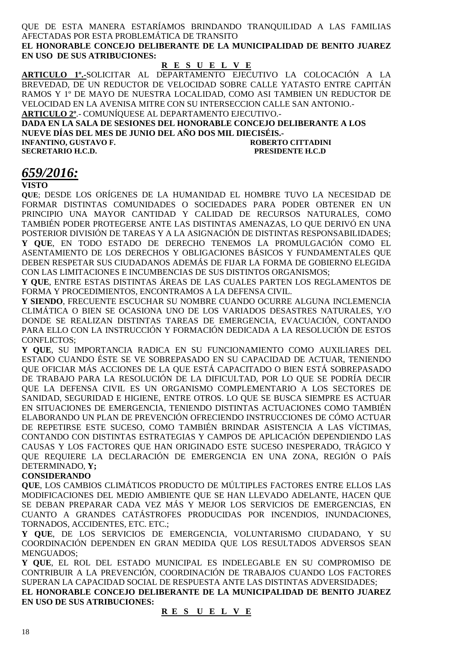QUE DE ESTA MANERA ESTARÍAMOS BRINDANDO TRANQUILIDAD A LAS FAMILIAS AFECTADAS POR ESTA PROBLEMÁTICA DE TRANSITO

**EL HONORABLE CONCEJO DELIBERANTE DE LA MUNICIPALIDAD DE BENITO JUAREZ EN USO DE SUS ATRIBUCIONES:** 

## **R E S U E L V E**

**ARTICULO 1º.-**SOLICITAR AL DEPARTAMENTO EJECUTIVO LA COLOCACIÓN A LA BREVEDAD, DE UN REDUCTOR DE VELOCIDAD SOBRE CALLE YATASTO ENTRE CAPITÁN RAMOS Y 1º DE MAYO DE NUESTRA LOCALIDAD, COMO ASI TAMBIEN UN REDUCTOR DE VELOCIDAD EN LA AVENISA MITRE CON SU INTERSECCION CALLE SAN ANTONIO.-

**ARTICULO 2º**.- COMUNÍQUESE AL DEPARTAMENTO EJECUTIVO.- **DADA EN LA SALA DE SESIONES DEL HONORABLE CONCEJO DELIBERANTE A LOS** 

**NUEVE DÍAS DEL MES DE JUNIO DEL AÑO DOS MIL DIECISÉIS.- INFANTINO, GUSTAVO F. ROBERTO CITTADINI SECRETARIO H.C.D. PRESIDENTE H.C.D** 

# *659/2016:*

**VISTO** 

**QUE**; DESDE LOS ORÍGENES DE LA HUMANIDAD EL HOMBRE TUVO LA NECESIDAD DE FORMAR DISTINTAS COMUNIDADES O SOCIEDADES PARA PODER OBTENER EN UN PRINCIPIO UNA MAYOR CANTIDAD Y CALIDAD DE RECURSOS NATURALES, COMO TAMBIÉN PODER PROTEGERSE ANTE LAS DISTINTAS AMENAZAS, LO QUE DERIVÓ EN UNA POSTERIOR DIVISIÓN DE TAREAS Y A LA ASIGNACIÓN DE DISTINTAS RESPONSABILIDADES; **Y QUE**, EN TODO ESTADO DE DERECHO TENEMOS LA PROMULGACIÓN COMO EL ASENTAMIENTO DE LOS DERECHOS Y OBLIGACIONES BÁSICOS Y FUNDAMENTALES QUE DEBEN RESPETAR SUS CIUDADANOS ADEMÁS DE FIJAR LA FORMA DE GOBIERNO ELEGIDA CON LAS LIMITACIONES E INCUMBENCIAS DE SUS DISTINTOS ORGANISMOS;

**Y QUE**, ENTRE ESTAS DISTINTAS ÁREAS DE LAS CUALES PARTEN LOS REGLAMENTOS DE FORMA Y PROCEDIMIENTOS, ENCONTRAMOS A LA DEFENSA CIVIL.

**Y SIENDO**, FRECUENTE ESCUCHAR SU NOMBRE CUANDO OCURRE ALGUNA INCLEMENCIA CLIMÁTICA O BIEN SE OCASIONA UNO DE LOS VARIADOS DESASTRES NATURALES, Y/O DONDE SE REALIZAN DISTINTAS TAREAS DE EMERGENCIA, EVACUACIÓN, CONTANDO PARA ELLO CON LA INSTRUCCIÓN Y FORMACIÓN DEDICADA A LA RESOLUCIÓN DE ESTOS CONFLICTOS;

**Y QUE**, SU IMPORTANCIA RADICA EN SU FUNCIONAMIENTO COMO AUXILIARES DEL ESTADO CUANDO ÉSTE SE VE SOBREPASADO EN SU CAPACIDAD DE ACTUAR, TENIENDO QUE OFICIAR MÁS ACCIONES DE LA QUE ESTÁ CAPACITADO O BIEN ESTÁ SOBREPASADO DE TRABAJO PARA LA RESOLUCIÓN DE LA DIFICULTAD, POR LO QUE SE PODRÍA DECIR QUE LA DEFENSA CIVIL ES UN ORGANISMO COMPLEMENTARIO A LOS SECTORES DE SANIDAD, SEGURIDAD E HIGIENE, ENTRE OTROS. LO QUE SE BUSCA SIEMPRE ES ACTUAR EN SITUACIONES DE EMERGENCIA, TENIENDO DISTINTAS ACTUACIONES COMO TAMBIÉN ELABORANDO UN PLAN DE PREVENCIÓN OFRECIENDO INSTRUCCIONES DE CÓMO ACTUAR DE REPETIRSE ESTE SUCESO, COMO TAMBIÉN BRINDAR ASISTENCIA A LAS VÍCTIMAS, CONTANDO CON DISTINTAS ESTRATEGIAS Y CAMPOS DE APLICACIÓN DEPENDIENDO LAS CAUSAS Y LOS FACTORES QUE HAN ORIGINADO ESTE SUCESO INESPERADO, TRÁGICO Y QUE REQUIERE LA DECLARACIÓN DE EMERGENCIA EN UNA ZONA, REGIÓN O PAÍS DETERMINADO, **Y;** 

### **CONSIDERANDO**

**QUE**, LOS CAMBIOS CLIMÁTICOS PRODUCTO DE MÚLTIPLES FACTORES ENTRE ELLOS LAS MODIFICACIONES DEL MEDIO AMBIENTE QUE SE HAN LLEVADO ADELANTE, HACEN QUE SE DEBAN PREPARAR CADA VEZ MÁS Y MEJOR LOS SERVICIOS DE EMERGENCIAS, EN CUANTO A GRANDES CATÁSTROFES PRODUCIDAS POR INCENDIOS, INUNDACIONES, TORNADOS, ACCIDENTES, ETC. ETC.;

**Y QUE**, DE LOS SERVICIOS DE EMERGENCIA, VOLUNTARISMO CIUDADANO, Y SU COORDINACIÓN DEPENDEN EN GRAN MEDIDA QUE LOS RESULTADOS ADVERSOS SEAN MENGUADOS;

**Y QUE**, EL ROL DEL ESTADO MUNICIPAL ES INDELEGABLE EN SU COMPROMISO DE CONTRIBUIR A LA PREVENCIÓN, COORDINACIÓN DE TRABAJOS CUANDO LOS FACTORES SUPERAN LA CAPACIDAD SOCIAL DE RESPUESTA ANTE LAS DISTINTAS ADVERSIDADES; **EL HONORABLE CONCEJO DELIBERANTE DE LA MUNICIPALIDAD DE BENITO JUAREZ** 

**EN USO DE SUS ATRIBUCIONES:** 

### **R E S U E L V E**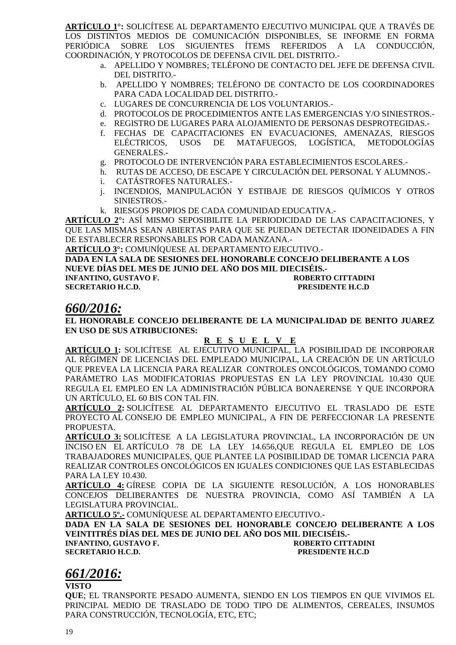**ARTÍCULO 1°:** SOLICÍTESE AL DEPARTAMENTO EJECUTIVO MUNICIPAL QUE A TRAVÉS DE LOS DISTINTOS MEDIOS DE COMUNICACIÓN DISPONIBLES, SE INFORME EN FORMA PERIÓDICA SOBRE LOS SIGUIENTES ÍTEMS REFERIDOS A LA CONDUCCIÓN, COORDINACIÓN, Y PROTOCOLOS DE DEFENSA CIVIL DEL DISTRITO.-

- a. APELLIDO Y NOMBRES; TELÉFONO DE CONTACTO DEL JEFE DE DEFENSA CIVIL DEL DISTRITO.-
- b. APELLIDO Y NOMBRES; TELÉFONO DE CONTACTO DE LOS COORDINADORES PARA CADA LOCALIDAD DEL DISTRITO.-
- c. LUGARES DE CONCURRENCIA DE LOS VOLUNTARIOS.-
- d. PROTOCOLOS DE PROCEDIMIENTOS ANTE LAS EMERGENCIAS Y/O SINIESTROS.-
- e. REGISTRO DE LUGARES PARA ALOJAMIENTO DE PERSONAS DESPROTEGIDAS.-
- f. FECHAS DE CAPACITACIONES EN EVACUACIONES, AMENAZAS, RIESGOS ELÉCTRICOS, USOS DE MATAFUEGOS, LOGÍSTICA, METODOLOGÍAS GENERALES.-
- g. PROTOCOLO DE INTERVENCIÓN PARA ESTABLECIMIENTOS ESCOLARES.-
- h. RUTAS DE ACCESO, DE ESCAPE Y CIRCULACIÓN DEL PERSONAL Y ALUMNOS.-
- i. CATÁSTROFES NATURALES.-
- j. INCENDIOS, MANIPULACIÓN Y ESTIBAJE DE RIESGOS QUÍMICOS Y OTROS SINIESTROS.-
- k. RIESGOS PROPIOS DE CADA COMUNIDAD EDUCATIVA.-

**ARTÍCULO 2°:** ASÍ MISMO SEPOSIBILITE LA PERIODICIDAD DE LAS CAPACITACIONES, Y QUE LAS MISMAS SEAN ABIERTAS PARA QUE SE PUEDAN DETECTAR IDONEIDADES A FIN DE ESTABLECER RESPONSABLES POR CADA MANZANA.-

**ARTÍCULO 3°:** COMUNÍQUESE AL DEPARTAMENTO EJECUTIVO.-

**DADA EN LA SALA DE SESIONES DEL HONORABLE CONCEJO DELIBERANTE A LOS NUEVE DÍAS DEL MES DE JUNIO DEL AÑO DOS MIL DIECISÉIS.-** 

**INFANTINO, GUSTAVO F. ROBERTO CITTADINI** 

**SECRETARIO H.C.D. PRESIDENTE H.C.D** 

# *660/2016:*

**EL HONORABLE CONCEJO DELIBERANTE DE LA MUNICIPALIDAD DE BENITO JUAREZ EN USO DE SUS ATRIBUCIONES:** 

### **R E S U E L V E**

**ARTÍCULO 1:** SOLICÍTESE AL EJECUTIVO MUNICIPAL, LA POSIBILIDAD DE INCORPORAR AL RÉGIMEN DE LICENCIAS DEL EMPLEADO MUNICIPAL, LA CREACIÓN DE UN ARTÍCULO QUE PREVEA LA LICENCIA PARA REALIZAR CONTROLES ONCOLÓGICOS, TOMANDO COMO PARÁMETRO LAS MODIFICATORIAS PROPUESTAS EN LA LEY PROVINCIAL 10.430 QUE REGULA EL EMPLEO EN LA ADMINISTRACIÓN PÚBLICA BONAERENSE Y QUE INCORPORA UN ARTÍCULO, EL 60 BIS CON TAL FIN.

**ARTÍCULO 2:** SOLICÍTESE AL DEPARTAMENTO EJECUTIVO EL TRASLADO DE ESTE PROYECTO AL CONSEJO DE EMPLEO MUNICIPAL, A FIN DE PERFECCIONAR LA PRESENTE PROPUESTA.

**ARTÍCULO 3:** SOLICÍTESE A LA LEGISLATURA PROVINCIAL, LA INCORPORACIÓN DE UN INCISO EN EL ARTÍCULO 78 DE LA LEY 14.656,QUE REGULA EL EMPLEO DE LOS TRABAJADORES MUNICIPALES, QUE PLANTEE LA POSIBILIDAD DE TOMAR LICENCIA PARA REALIZAR CONTROLES ONCOLÓGICOS EN IGUALES CONDICIONES QUE LAS ESTABLECIDAS PARA LA LEY 10.430.

**ARTÍCULO 4:** GÍRESE COPIA DE LA SIGUIENTE RESOLUCIÓN, A LOS HONORABLES CONCEJOS DELIBERANTES DE NUESTRA PROVINCIA, COMO ASÍ TAMBIÉN A LA LEGISLATURA PROVINCIAL.

**ARTICULO 5º.-** COMUNÍQUESE AL DEPARTAMENTO EJECUTIVO.-

**DADA EN LA SALA DE SESIONES DEL HONORABLE CONCEJO DELIBERANTE A LOS VEINTITRÉS DÍAS DEL MES DE JUNIO DEL AÑO DOS MIL DIECISÉIS.- INFANTINO, GUSTAVO F.** 

**SECRETARIO H.C.D. PRESIDENTE H.C.D** 

# *661/2016:*

**VISTO** 

**QUE**; EL TRANSPORTE PESADO AUMENTA, SIENDO EN LOS TIEMPOS EN QUE VIVIMOS EL PRINCIPAL MEDIO DE TRASLADO DE TODO TIPO DE ALIMENTOS, CEREALES, INSUMOS PARA CONSTRUCCIÓN, TECNOLOGÍA, ETC, ETC;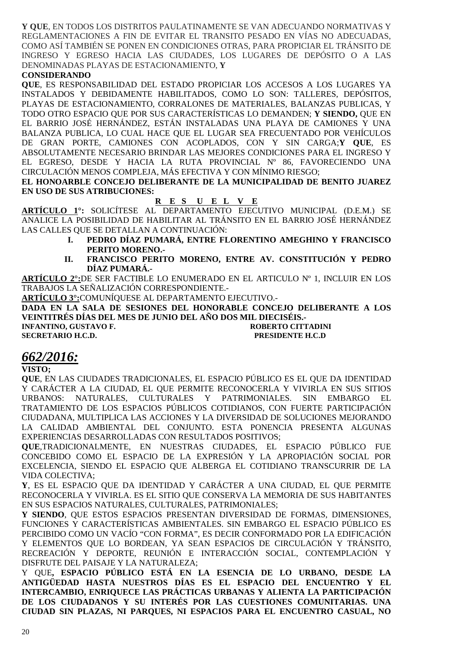**Y QUE**, EN TODOS LOS DISTRITOS PAULATINAMENTE SE VAN ADECUANDO NORMATIVAS Y REGLAMENTACIONES A FIN DE EVITAR EL TRANSITO PESADO EN VÍAS NO ADECUADAS, COMO ASÍ TAMBIÉN SE PONEN EN CONDICIONES OTRAS, PARA PROPICIAR EL TRÁNSITO DE INGRESO Y EGRESO HACIA LAS CIUDADES, LOS LUGARES DE DEPÓSITO O A LAS DENOMINADAS PLAYAS DE ESTACIONAMIENTO, **Y**

### **CONSIDERANDO**

**QUE**, ES RESPONSABILIDAD DEL ESTADO PROPICIAR LOS ACCESOS A LOS LUGARES YA INSTALADOS Y DEBIDAMENTE HABILITADOS, COMO LO SON: TALLERES, DEPÓSITOS, PLAYAS DE ESTACIONAMIENTO, CORRALONES DE MATERIALES, BALANZAS PUBLICAS, Y TODO OTRO ESPACIO QUE POR SUS CARACTERÍSTICAS LO DEMANDEN; **Y SIENDO,** QUE EN EL BARRIO JOSÉ HERNÁNDEZ, ESTÁN INSTALADAS UNA PLAYA DE CAMIONES Y UNA BALANZA PUBLICA, LO CUAL HACE QUE EL LUGAR SEA FRECUENTADO POR VEHÍCULOS DE GRAN PORTE, CAMIONES CON ACOPLADOS, CON Y SIN CARGA;**Y QUE**, ES ABSOLUTAMENTE NECESARIO BRINDAR LAS MEJORES CONDICIONES PARA EL INGRESO Y EL EGRESO, DESDE Y HACIA LA RUTA PROVINCIAL Nº 86, FAVORECIENDO UNA CIRCULACIÓN MENOS COMPLEJA, MÁS EFECTIVA Y CON MÍNIMO RIESGO;

**EL HONOARBLE CONCEJO DELIBERANTE DE LA MUNICIPALIDAD DE BENITO JUAREZ EN USO DE SUS ATRIBUCIONES:** 

**R E S U E L V E**

**ARTÍCULO 1°:** SOLICÍTESE AL DEPARTAMENTO EJECUTIVO MUNICIPAL (D.E.M.) SE ANALICE LA POSIBILIDAD DE HABILITAR AL TRÁNSITO EN EL BARRIO JOSÉ HERNÁNDEZ LAS CALLES QUE SE DETALLAN A CONTINUACIÓN:

- **I. PEDRO DÍAZ PUMARÁ, ENTRE FLORENTINO AMEGHINO Y FRANCISCO PERITO MORENO.-**
- **II. FRANCISCO PERITO MORENO, ENTRE AV. CONSTITUCIÓN Y PEDRO DÍAZ PUMARÁ.-**

**ARTÍCULO 2°:**DE SER FACTIBLE LO ENUMERADO EN EL ARTICULO Nº 1, INCLUIR EN LOS TRABAJOS LA SEÑALIZACIÓN CORRESPONDIENTE.-

**ARTÍCULO 3°:**COMUNÍQUESE AL DEPARTAMENTO EJECUTIVO.-

**DADA EN LA SALA DE SESIONES DEL HONORABLE CONCEJO DELIBERANTE A LOS VEINTITRÉS DÍAS DEL MES DE JUNIO DEL AÑO DOS MIL DIECISÉIS.-** 

**INFANTINO, GUSTAVO F.** A CONSECTION OF THE ROBERTO CITTADINI **SECRETARIO H.C.D. PRESIDENTE H.C.D** 

# *662/2016:*

### **VISTO;**

**QUE**, EN LAS CIUDADES TRADICIONALES, EL ESPACIO PÚBLICO ES EL QUE DA IDENTIDAD Y CARÁCTER A LA CIUDAD, EL QUE PERMITE RECONOCERLA Y VIVIRLA EN SUS SITIOS URBANOS: NATURALES, CULTURALES Y PATRIMONIALES. SIN EMBARGO EL TRATAMIENTO DE LOS ESPACIOS PÚBLICOS COTIDIANOS, CON FUERTE PARTICIPACIÓN CIUDADANA, MULTIPLICA LAS ACCIONES Y LA DIVERSIDAD DE SOLUCIONES MEJORANDO LA CALIDAD AMBIENTAL DEL CONJUNTO. ESTA PONENCIA PRESENTA ALGUNAS EXPERIENCIAS DESARROLLADAS CON RESULTADOS POSITIVOS;

**QUE**,TRADICIONALMENTE, EN NUESTRAS CIUDADES, EL ESPACIO PÚBLICO FUE CONCEBIDO COMO EL ESPACIO DE LA EXPRESIÓN Y LA APROPIACIÓN SOCIAL POR EXCELENCIA, SIENDO EL ESPACIO QUE ALBERGA EL COTIDIANO TRANSCURRIR DE LA VIDA COLECTIVA;

**Y**, ES EL ESPACIO QUE DA IDENTIDAD Y CARÁCTER A UNA CIUDAD, EL QUE PERMITE RECONOCERLA Y VIVIRLA. ES EL SITIO QUE CONSERVA LA MEMORIA DE SUS HABITANTES EN SUS ESPACIOS NATURALES, CULTURALES, PATRIMONIALES;

**Y SIENDO**, QUE ESTOS ESPACIOS PRESENTAN DIVERSIDAD DE FORMAS, DIMENSIONES, FUNCIONES Y CARACTERÍSTICAS AMBIENTALES. SIN EMBARGO EL ESPACIO PÚBLICO ES PERCIBIDO COMO UN VACÍO "CON FORMA", ES DECIR CONFORMADO POR LA EDIFICACIÓN Y ELEMENTOS QUE LO BORDEAN, YA SEAN ESPACIOS DE CIRCULACIÓN Y TRÁNSITO, RECREACIÓN Y DEPORTE, REUNIÓN E INTERACCIÓN SOCIAL, CONTEMPLACIÓN Y DISFRUTE DEL PAISAJE Y LA NATURALEZA;

Y QUE**, ESPACIO PÚBLICO ESTÁ EN LA ESENCIA DE LO URBANO, DESDE LA ANTIGÜEDAD HASTA NUESTROS DÍAS ES EL ESPACIO DEL ENCUENTRO Y EL INTERCAMBIO, ENRIQUECE LAS PRÁCTICAS URBANAS Y ALIENTA LA PARTICIPACIÓN DE LOS CIUDADANOS Y SU INTERÉS POR LAS CUESTIONES COMUNITARIAS. UNA CIUDAD SIN PLAZAS, NI PARQUES, NI ESPACIOS PARA EL ENCUENTRO CASUAL, NO**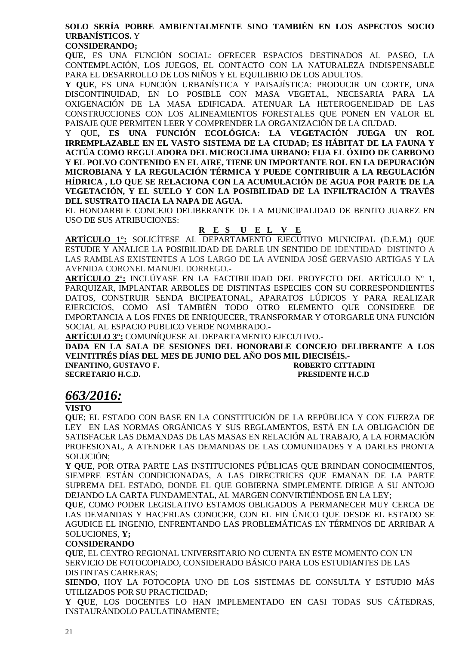## **SOLO SERÍA POBRE AMBIENTALMENTE SINO TAMBIÉN EN LOS ASPECTOS SOCIO URBANÍSTICOS.** Y

### **CONSIDERANDO;**

**QUE**, ES UNA FUNCIÓN SOCIAL: OFRECER ESPACIOS DESTINADOS AL PASEO, LA CONTEMPLACIÓN, LOS JUEGOS, EL CONTACTO CON LA NATURALEZA INDISPENSABLE PARA EL DESARROLLO DE LOS NIÑOS Y EL EQUILIBRIO DE LOS ADULTOS.

**Y QUE**, ES UNA FUNCIÓN URBANÍSTICA Y PAISAJÍSTICA: PRODUCIR UN CORTE, UNA DISCONTINUIDAD, EN LO POSIBLE CON MASA VEGETAL, NECESARIA PARA LA OXIGENACIÓN DE LA MASA EDIFICADA. ATENUAR LA HETEROGENEIDAD DE LAS CONSTRUCCIONES CON LOS ALINEAMIENTOS FORESTALES QUE PONEN EN VALOR EL PAISAJE QUE PERMITEN LEER Y COMPRENDER LA ORGANIZACIÓN DE LA CIUDAD.

Y QUE**, ES UNA FUNCIÓN ECOLÓGICA: LA VEGETACIÓN JUEGA UN ROL IRREMPLAZABLE EN EL VASTO SISTEMA DE LA CIUDAD; ES HÁBITAT DE LA FAUNA Y ACTÚA COMO REGULADORA DEL MICROCLIMA URBANO: FIJA EL ÓXIDO DE CARBONO Y EL POLVO CONTENIDO EN EL AIRE, TIENE UN IMPORTANTE ROL EN LA DEPURACIÓN MICROBIANA Y LA REGULACIÓN TÉRMICA Y PUEDE CONTRIBUIR A LA REGULACIÓN HÍDRICA , LO QUE SE RELACIONA CON LA ACUMULACIÓN DE AGUA POR PARTE DE LA VEGETACIÓN, Y EL SUELO Y CON LA POSIBILIDAD DE LA INFILTRACIÓN A TRAVÉS DEL SUSTRATO HACIA LA NAPA DE AGUA.** 

EL HONOARBLE CONCEJO DELIBERANTE DE LA MUNICIPALIDAD DE BENITO JUAREZ EN USO DE SUS ATRIBUCIONES:

## **R E S U E L V E**

**ARTÍCULO 1°:** SOLICÍTESE AL DEPARTAMENTO EJECUTIVO MUNICIPAL (D.E.M.) QUE ESTUDIE Y ANALICE LA POSIBILIDAD DE DARLE UN SENTIDO DE IDENTIDAD DISTINTO A LAS RAMBLAS EXISTENTES A LOS LARGO DE LA AVENIDA JOSÉ GERVASIO ARTIGAS Y LA AVENIDA CORONEL MANUEL DORREGO.-

**ARTÍCULO 2°:** INCLÚYASE EN LA FACTIBILIDAD DEL PROYECTO DEL ARTÍCULO Nº 1, PARQUIZAR, IMPLANTAR ARBOLES DE DISTINTAS ESPECIES CON SU CORRESPONDIENTES DATOS, CONSTRUIR SENDA BICIPEATONAL, APARATOS LÚDICOS Y PARA REALIZAR EJERCICIOS, COMO ASÍ TAMBIÉN TODO OTRO ELEMENTO QUE CONSIDERE DE IMPORTANCIA A LOS FINES DE ENRIQUECER, TRANSFORMAR Y OTORGARLE UNA FUNCIÓN SOCIAL AL ESPACIO PUBLICO VERDE NOMBRADO.-

**ARTÍCULO 3°:** COMUNÍQUESE AL DEPARTAMENTO EJECUTIVO.-

**DADA EN LA SALA DE SESIONES DEL HONORABLE CONCEJO DELIBERANTE A LOS VEINTITRÉS DÍAS DEL MES DE JUNIO DEL AÑO DOS MIL DIECISÉIS.- INFANTINO, GUSTAVO F. ROBERTO CITTADINI** 

**SECRETARIO H.C.D. PRESIDENTE H.C.D** 

# *663/2016:*

### **VISTO**

**QUE**; EL ESTADO CON BASE EN LA CONSTITUCIÓN DE LA REPÚBLICA Y CON FUERZA DE LEY EN LAS NORMAS ORGÁNICAS Y SUS REGLAMENTOS, ESTÁ EN LA OBLIGACIÓN DE SATISFACER LAS DEMANDAS DE LAS MASAS EN RELACIÓN AL TRABAJO, A LA FORMACIÓN PROFESIONAL, A ATENDER LAS DEMANDAS DE LAS COMUNIDADES Y A DARLES PRONTA SOLUCIÓN;

**Y QUE**, POR OTRA PARTE LAS INSTITUCIONES PÚBLICAS QUE BRINDAN CONOCIMIENTOS, SIEMPRE ESTÁN CONDICIONADAS, A LAS DIRECTRICES QUE EMANAN DE LA PARTE SUPREMA DEL ESTADO, DONDE EL QUE GOBIERNA SIMPLEMENTE DIRIGE A SU ANTOJO DEJANDO LA CARTA FUNDAMENTAL, AL MARGEN CONVIRTIÉNDOSE EN LA LEY;

**QUE**, COMO PODER LEGISLATIVO ESTAMOS OBLIGADOS A PERMANECER MUY CERCA DE LAS DEMANDAS Y HACERLAS CONOCER, CON EL FIN ÚNICO QUE DESDE EL ESTADO SE AGUDICE EL INGENIO, ENFRENTANDO LAS PROBLEMÁTICAS EN TÉRMINOS DE ARRIBAR A SOLUCIONES, **Y;**

### **CONSIDERANDO**

**QUE**, EL CENTRO REGIONAL UNIVERSITARIO NO CUENTA EN ESTE MOMENTO CON UN SERVICIO DE FOTOCOPIADO, CONSIDERADO BÁSICO PARA LOS ESTUDIANTES DE LAS DISTINTAS CARRERAS;

**SIENDO**, HOY LA FOTOCOPIA UNO DE LOS SISTEMAS DE CONSULTA Y ESTUDIO MÁS UTILIZADOS POR SU PRACTICIDAD;

**Y QUE**, LOS DOCENTES LO HAN IMPLEMENTADO EN CASI TODAS SUS CÁTEDRAS, INSTAURÁNDOLO PAULATINAMENTE;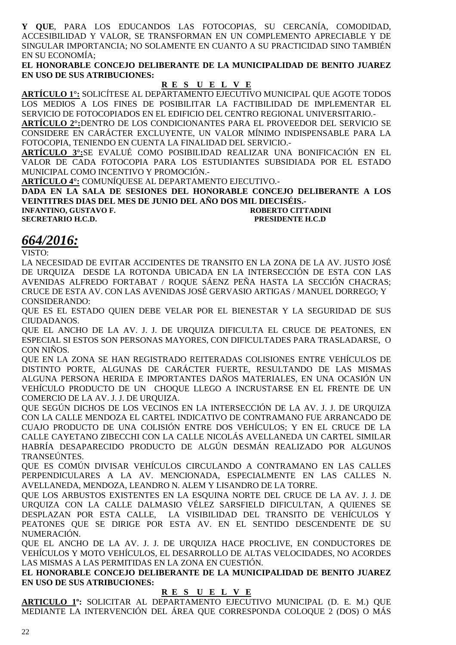**Y QUE**, PARA LOS EDUCANDOS LAS FOTOCOPIAS, SU CERCANÍA, COMODIDAD, ACCESIBILIDAD Y VALOR, SE TRANSFORMAN EN UN COMPLEMENTO APRECIABLE Y DE SINGULAR IMPORTANCIA; NO SOLAMENTE EN CUANTO A SU PRACTICIDAD SINO TAMBIÉN EN SU ECONOMÍA;

**EL HONORABLE CONCEJO DELIBERANTE DE LA MUNICIPALIDAD DE BENITO JUAREZ EN USO DE SUS ATRIBUCIONES:** 

### **R E S U E L V E**

**ARTÍCULO 1°:** SOLICÍTESE AL DEPARTAMENTO EJECUTIVO MUNICIPAL QUE AGOTE TODOS LOS MEDIOS A LOS FINES DE POSIBILITAR LA FACTIBILIDAD DE IMPLEMENTAR EL SERVICIO DE FOTOCOPIADOS EN EL EDIFICIO DEL CENTRO REGIONAL UNIVERSITARIO.-

**ARTÍCULO 2°:**DENTRO DE LOS CONDICIONANTES PARA EL PROVEEDOR DEL SERVICIO SE CONSIDERE EN CARÁCTER EXCLUYENTE, UN VALOR MÍNIMO INDISPENSABLE PARA LA FOTOCOPIA, TENIENDO EN CUENTA LA FINALIDAD DEL SERVICIO.-

**ARTÍCULO 3°:**SE EVALUÉ COMO POSIBILIDAD REALIZAR UNA BONIFICACIÓN EN EL VALOR DE CADA FOTOCOPIA PARA LOS ESTUDIANTES SUBSIDIADA POR EL ESTADO MUNICIPAL COMO INCENTIVO Y PROMOCIÓN.-

**ARTÍCULO 4°:** COMUNÍQUESE AL DEPARTAMENTO EJECUTIVO.-

**DADA EN LA SALA DE SESIONES DEL HONORABLE CONCEJO DELIBERANTE A LOS VEINTITRES DIAS DEL MES DE JUNIO DEL AÑO DOS MIL DIECISÉIS.-** 

### **INFANTINO, GUSTAVO F. ROBERTO CITTADINI SECRETARIO H.C.D. PRESIDENTE H.C.D**

# *664/2016:*

VISTO:

LA NECESIDAD DE EVITAR ACCIDENTES DE TRANSITO EN LA ZONA DE LA AV. JUSTO JOSÉ DE URQUIZA DESDE LA ROTONDA UBICADA EN LA INTERSECCIÓN DE ESTA CON LAS AVENIDAS ALFREDO FORTABAT / ROQUE SÁENZ PEÑA HASTA LA SECCIÓN CHACRAS; CRUCE DE ESTA AV. CON LAS AVENIDAS JOSÉ GERVASIO ARTIGAS / MANUEL DORREGO; Y CONSIDERANDO:

QUE ES EL ESTADO QUIEN DEBE VELAR POR EL BIENESTAR Y LA SEGURIDAD DE SUS CIUDADANOS.

QUE EL ANCHO DE LA AV. J. J. DE URQUIZA DIFICULTA EL CRUCE DE PEATONES, EN ESPECIAL SI ESTOS SON PERSONAS MAYORES, CON DIFICULTADES PARA TRASLADARSE, O CON NIÑOS.

QUE EN LA ZONA SE HAN REGISTRADO REITERADAS COLISIONES ENTRE VEHÍCULOS DE DISTINTO PORTE, ALGUNAS DE CARÁCTER FUERTE, RESULTANDO DE LAS MISMAS ALGUNA PERSONA HERIDA E IMPORTANTES DAÑOS MATERIALES, EN UNA OCASIÓN UN VEHÍCULO PRODUCTO DE UN CHOQUE LLEGO A INCRUSTARSE EN EL FRENTE DE UN COMERCIO DE LA AV. J. J. DE URQUIZA.

QUE SEGÚN DICHOS DE LOS VECINOS EN LA INTERSECCIÓN DE LA AV. J. J. DE URQUIZA CON LA CALLE MENDOZA EL CARTEL INDICATIVO DE CONTRAMANO FUE ARRANCADO DE CUAJO PRODUCTO DE UNA COLISIÓN ENTRE DOS VEHÍCULOS; Y EN EL CRUCE DE LA CALLE CAYETANO ZIBECCHI CON LA CALLE NICOLÁS AVELLANEDA UN CARTEL SIMILAR HABRÍA DESAPARECIDO PRODUCTO DE ALGÚN DESMÁN REALIZADO POR ALGUNOS TRANSEÚNTES.

QUE ES COMÚN DIVISAR VEHÍCULOS CIRCULANDO A CONTRAMANO EN LAS CALLES PERPENDICULARES A LA AV. MENCIONADA, ESPECIALMENTE EN LAS CALLES N. AVELLANEDA, MENDOZA, LEANDRO N. ALEM Y LISANDRO DE LA TORRE.

QUE LOS ARBUSTOS EXISTENTES EN LA ESQUINA NORTE DEL CRUCE DE LA AV. J. J. DE URQUIZA CON LA CALLE DALMASIO VÉLEZ SARSFIELD DIFICULTAN, A QUIENES SE DESPLAZAN POR ESTA CALLE, LA VISIBILIDAD DEL TRANSITO DE VEHÍCULOS Y PEATONES QUE SE DIRIGE POR ESTA AV. EN EL SENTIDO DESCENDENTE DE SU NUMERACIÓN.

QUE EL ANCHO DE LA AV. J. J. DE URQUIZA HACE PROCLIVE, EN CONDUCTORES DE VEHÍCULOS Y MOTO VEHÍCULOS, EL DESARROLLO DE ALTAS VELOCIDADES, NO ACORDES LAS MISMAS A LAS PERMITIDAS EN LA ZONA EN CUESTIÓN.

**EL HONORABLE CONCEJO DELIBERANTE DE LA MUNICIPALIDAD DE BENITO JUAREZ EN USO DE SUS ATRIBUCIONES:** 

## **R E S U E L V E**

**ARTICULO 1º:** SOLICITAR AL DEPARTAMENTO EJECUTIVO MUNICIPAL (D. E. M.) QUE MEDIANTE LA INTERVENCIÓN DEL ÁREA QUE CORRESPONDA COLOQUE 2 (DOS) O MÁS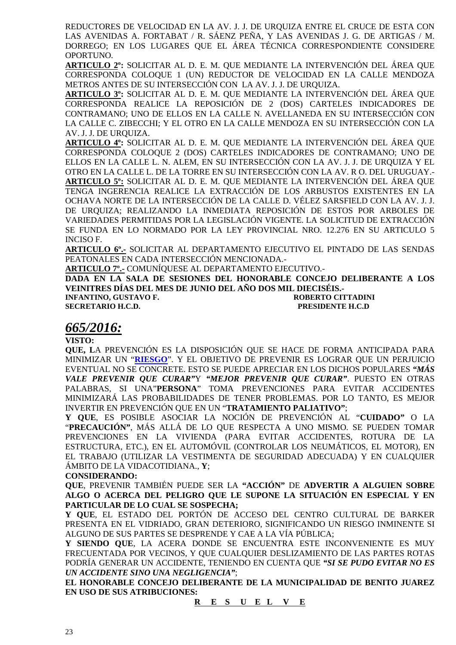REDUCTORES DE VELOCIDAD EN LA AV. J. J. DE URQUIZA ENTRE EL CRUCE DE ESTA CON LAS AVENIDAS A. FORTABAT / R. SÁENZ PEÑA, Y LAS AVENIDAS J. G. DE ARTIGAS / M. DORREGO; EN LOS LUGARES QUE EL ÁREA TÉCNICA CORRESPONDIENTE CONSIDERE OPORTUNO.

**ARTICULO 2º:** SOLICITAR AL D. E. M. QUE MEDIANTE LA INTERVENCIÓN DEL ÁREA QUE CORRESPONDA COLOQUE 1 (UN) REDUCTOR DE VELOCIDAD EN LA CALLE MENDOZA METROS ANTES DE SU INTERSECCIÓN CON LA AV. J. J. DE URQUIZA.

**ARTICULO 3º:** SOLICITAR AL D. E. M. QUE MEDIANTE LA INTERVENCIÓN DEL ÁREA QUE CORRESPONDA REALICE LA REPOSICIÓN DE 2 (DOS) CARTELES INDICADORES DE CONTRAMANO; UNO DE ELLOS EN LA CALLE N. AVELLANEDA EN SU INTERSECCIÓN CON LA CALLE C. ZIBECCHI; Y EL OTRO EN LA CALLE MENDOZA EN SU INTERSECCIÓN CON LA AV. J. J. DE URQUIZA.

**ARTICULO 4º:** SOLICITAR AL D. E. M. QUE MEDIANTE LA INTERVENCIÓN DEL ÁREA QUE CORRESPONDA COLOQUE 2 (DOS) CARTELES INDICADORES DE CONTRAMANO; UNO DE ELLOS EN LA CALLE L. N. ALEM, EN SU INTERSECCIÓN CON LA AV. J. J. DE URQUIZA Y EL OTRO EN LA CALLE L. DE LA TORRE EN SU INTERSECCIÓN CON LA AV. R O. DEL URUGUAY.- **ARTICULO 5º:** SOLICITAR AL D. E. M. QUE MEDIANTE LA INTERVENCIÓN DEL ÁREA QUE TENGA INGERENCIA REALICE LA EXTRACCIÓN DE LOS ARBUSTOS EXISTENTES EN LA OCHAVA NORTE DE LA INTERSECCIÓN DE LA CALLE D. VÉLEZ SARSFIELD CON LA AV. J. J. DE URQUIZA; REALIZANDO LA INMEDIATA REPOSICIÓN DE ESTOS POR ARBOLES DE VARIEDADES PERMITIDAS POR LA LEGISLACIÓN VIGENTE. LA SOLICITUD DE EXTRACCIÓN SE FUNDA EN LO NORMADO POR LA LEY PROVINCIAL NRO. 12.276 EN SU ARTICULO 5 INCISO F.

**ARTICULO 6º.-** SOLICITAR AL DEPARTAMENTO EJECUTIVO EL PINTADO DE LAS SENDAS PEATONALES EN CADA INTERSECCIÓN MENCIONADA.-

**ARTICULO 7º.-** COMUNÍQUESE AL DEPARTAMENTO EJECUTIVO.-

**DADA EN LA SALA DE SESIONES DEL HONORABLE CONCEJO DELIBERANTE A LOS VEINITRES DÍAS DEL MES DE JUNIO DEL AÑO DOS MIL DIECISÉIS.-** 

**INFANTINO, GUSTAVO F. SECRETARIO H.C.D. PRESIDENTE H.C.D** 

# *665/2016:*

**VISTO:** 

**QUE, L**A PREVENCIÓN ES LA DISPOSICIÓN QUE SE HACE DE FORMA ANTICIPADA PARA MINIMIZAR UN "**RIESGO**". Y EL OBJETIVO DE PREVENIR ES LOGRAR QUE UN PERJUICIO EVENTUAL NO SE CONCRETE. ESTO SE PUEDE APRECIAR EN LOS DICHOS POPULARES *"MÁS VALE PREVENIR QUE CURAR"*Y *"MEJOR PREVENIR QUE CURAR"*. PUESTO EN OTRAS PALABRAS, SI UNA"**PERSONA**" TOMA PREVENCIONES PARA EVITAR ACCIDENTES MINIMIZARÁ LAS PROBABILIDADES DE TENER PROBLEMAS. POR LO TANTO, ES MEJOR INVERTIR EN PREVENCIÓN QUE EN UN "**TRATAMIENTO PALIATIVO"**;

**Y QUE**, ES POSIBLE ASOCIAR LA NOCIÓN DE PREVENCIÓN AL "**CUIDADO"** O LA "**PRECAUCIÓN"**, MÁS ALLÁ DE LO QUE RESPECTA A UNO MISMO. SE PUEDEN TOMAR PREVENCIONES EN LA VIVIENDA (PARA EVITAR ACCIDENTES, ROTURA DE LA ESTRUCTURA, ETC.), EN EL AUTOMÓVIL (CONTROLAR LOS NEUMÁTICOS, EL MOTOR), EN EL TRABAJO (UTILIZAR LA VESTIMENTA DE SEGURIDAD ADECUADA) Y EN CUALQUIER ÁMBITO DE LA VIDACOTIDIANA., **Y**;

### **CONSIDERANDO:**

**QUE**, PREVENIR TAMBIÉN PUEDE SER LA **"ACCIÓN"** DE **ADVERTIR A ALGUIEN SOBRE ALGO O ACERCA DEL PELIGRO QUE LE SUPONE LA SITUACIÓN EN ESPECIAL Y EN PARTICULAR DE LO CUAL SE SOSPECHA;** 

**Y QUE**, EL ESTADO DEL PORTÓN DE ACCESO DEL CENTRO CULTURAL DE BARKER PRESENTA EN EL VIDRIADO, GRAN DETERIORO, SIGNIFICANDO UN RIESGO INMINENTE SI ALGUNO DE SUS PARTES SE DESPRENDE Y CAE A LA VÍA PÚBLICA;

**Y SIENDO QUE**, LA ACERA DONDE SE ENCUENTRA ESTE INCONVENIENTE ES MUY FRECUENTADA POR VECINOS, Y QUE CUALQUIER DESLIZAMIENTO DE LAS PARTES ROTAS PODRÍA GENERAR UN ACCIDENTE, TENIENDO EN CUENTA QUE *"SI SE PUDO EVITAR NO ES UN ACCIDENTE SINO UNA NEGLIGENCIA"*;

**EL HONORABLE CONCEJO DELIBERANTE DE LA MUNICIPALIDAD DE BENITO JUAREZ EN USO DE SUS ATRIBUCIONES:**

**R E S U E L V E**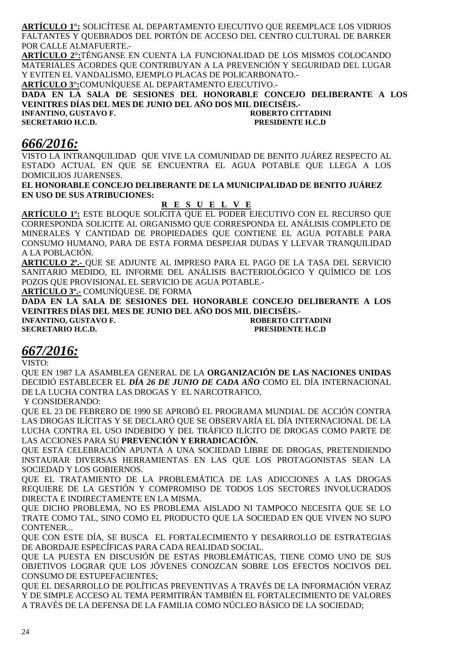**ARTÍCULO 1°:** SOLICÍTESE AL DEPARTAMENTO EJECUTIVO QUE REEMPLACE LOS VIDRIOS FALTANTES Y QUEBRADOS DEL PORTÓN DE ACCESO DEL CENTRO CULTURAL DE BARKER POR CALLE ALMAFUERTE.-

**ARTÍCULO 2°:**TÉNGANSE EN CUENTA LA FUNCIONALIDAD DE LOS MISMOS COLOCANDO MATERIALES ACORDES QUE CONTRIBUYAN A LA PREVENCIÓN Y SEGURIDAD DEL LUGAR Y EVITEN EL VANDALISMO, EJEMPLO PLACAS DE POLICARBONATO.-

**ARTÍCULO 3°:**COMUNÍQUESE AL DEPARTAMENTO EJECUTIVO.-

**DADA EN LA SALA DE SESIONES DEL HONORABLE CONCEJO DELIBERANTE A LOS VEINITRES DÍAS DEL MES DE JUNIO DEL AÑO DOS MIL DIECISÉIS.-** 

**INFANTINO, GUSTAVO F. SECRETARIO H.C.D. PRESIDENTE H.C.D** 

# *666/2016:*

VISTO LA INTRANQUILIDAD QUE VIVE LA COMUNIDAD DE BENITO JUÁREZ RESPECTO AL ESTADO ACTUAL EN QUE SE ENCUENTRA EL AGUA POTABLE QUE LLEGA A LOS DOMICILIOS JUARENSES.

**EL HONORABLE CONCEJO DELIBERANTE DE LA MUNICIPALIDAD DE BENITO JUÁREZ EN USO DE SUS ATRIBUCIONES:** 

## **R E S U E L V E**

**ARTÍCULO 1º:** ESTE BLOQUE SOLICITA QUE EL PODER EJECUTIVO CON EL RECURSO QUE CORRESPONDA SOLICITE AL ORGANISMO QUE CORRESPONDA EL ANÁLISIS COMPLETO DE MINERALES Y CANTIDAD DE PROPIEDADES QUE CONTIENE EL AGUA POTABLE PARA CONSUMO HUMANO, PARA DE ESTA FORMA DESPEJAR DUDAS Y LLEVAR TRANQUILIDAD A LA POBLACIÓN.

**ARTICULO 2º.-** QUE SE ADJUNTE AL IMPRESO PARA EL PAGO DE LA TASA DEL SERVICIO SANITARIO MEDIDO, EL INFORME DEL ANÁLISIS BACTERIOLÓGICO Y QUÍMICO DE LOS POZOS QUE PROVISIONAL EL SERVICIO DE AGUA POTABLE.-

**ARTÍCULO 3º.-** COMUNÍQUESE. DE FORMA

**DADA EN LA SALA DE SESIONES DEL HONORABLE CONCEJO DELIBERANTE A LOS VEINITRES DÍAS DEL MES DE JUNIO DEL AÑO DOS MIL DIECISÉIS.- INFANTINO, GUSTAVO F. ROBERTO CITTADINI** 

**SECRETARIO H.C.D. PRESIDENTE H.C.D** 

# *667/2016:*

VISTO:

QUE EN 1987 LA ASAMBLEA GENERAL DE LA **ORGANIZACIÓN DE LAS NACIONES UNIDAS** DECIDIÓ ESTABLECER EL *DÍA 26 DE JUNIO DE CADA AÑO* COMO EL DÍA INTERNACIONAL DE LA LUCHA CONTRA LAS DROGAS Y EL NARCOTRAFICO,

Y CONSIDERANDO:

QUE EL 23 DE FEBRERO DE 1990 SE APROBÓ EL PROGRAMA MUNDIAL DE ACCIÓN CONTRA LAS DROGAS ILÍCITAS Y SE DECLARÓ QUE SE OBSERVARÍA EL DÍA INTERNACIONAL DE LA LUCHA CONTRA EL USO INDEBIDO Y DEL TRÁFICO ILÍCITO DE DROGAS COMO PARTE DE LAS ACCIONES PARA SU **PREVENCIÓN Y ERRADICACIÓN.** 

QUE ESTA CELEBRACIÓN APUNTA A UNA SOCIEDAD LIBRE DE DROGAS, PRETENDIENDO INSTAURAR DIVERSAS HERRAMIENTAS EN LAS QUE LOS PROTAGONISTAS SEAN LA SOCIEDAD Y LOS GOBIERNOS.

QUE EL TRATAMIENTO DE LA PROBLEMÁTICA DE LAS ADICCIONES A LAS DROGAS REQUIERE DE LA GESTIÓN Y COMPROMISO DE TODOS LOS SECTORES INVOLUCRADOS DIRECTA E INDIRECTAMENTE EN LA MISMA.

QUE DICHO PROBLEMA, NO ES PROBLEMA AISLADO NI TAMPOCO NECESITA QUE SE LO TRATE COMO TAL, SINO COMO EL PRODUCTO QUE LA SOCIEDAD EN QUE VIVEN NO SUPO CONTENER...

QUE CON ESTE DÍA, SE BUSCA EL FORTALECIMIENTO Y DESARROLLO DE ESTRATEGIAS DE ABORDAJE ESPECÍFICAS PARA CADA REALIDAD SOCIAL.

QUE LA PUESTA EN DISCUSIÓN DE ESTAS PROBLEMÁTICAS, TIENE COMO UNO DE SUS OBJETIVOS LOGRAR QUE LOS JÓVENES CONOZCAN SOBRE LOS EFECTOS NOCIVOS DEL CONSUMO DE ESTUPEFACIENTES;

QUE EL DESARROLLO DE POLÍTICAS PREVENTIVAS A TRAVÉS DE LA INFORMACIÓN VERAZ Y DE SIMPLE ACCESO AL TEMA PERMITIRÁN TAMBIÉN EL FORTALECIMIENTO DE VALORES A TRAVÉS DE LA DEFENSA DE LA FAMILIA COMO NÚCLEO BÁSICO DE LA SOCIEDAD;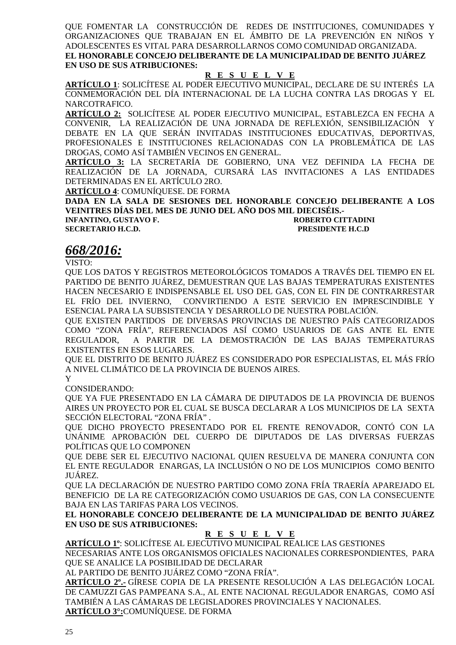QUE FOMENTAR LA CONSTRUCCIÓN DE REDES DE INSTITUCIONES, COMUNIDADES Y ORGANIZACIONES QUE TRABAJAN EN EL ÁMBITO DE LA PREVENCIÓN EN NIÑOS Y ADOLESCENTES ES VITAL PARA DESARROLLARNOS COMO COMUNIDAD ORGANIZADA. **EL HONORABLE CONCEJO DELIBERANTE DE LA MUNICIPALIDAD DE BENITO JUÁREZ EN USO DE SUS ATRIBUCIONES:** 

### **R E S U E L V E**

**ARTÍCULO 1**: SOLICÍTESE AL PODER EJECUTIVO MUNICIPAL, DECLARE DE SU INTERÉS LA CONMEMORACIÓN DEL DÍA INTERNACIONAL DE LA LUCHA CONTRA LAS DROGAS Y EL NARCOTRAFICO.

**ARTÍCULO 2:** SOLICÍTESE AL PODER EJECUTIVO MUNICIPAL, ESTABLEZCA EN FECHA A CONVENIR, LA REALIZACIÓN DE UNA JORNADA DE REFLEXIÓN, SENSIBILIZACIÓN Y DEBATE EN LA QUE SERÁN INVITADAS INSTITUCIONES EDUCATIVAS, DEPORTIVAS, PROFESIONALES E INSTITUCIONES RELACIONADAS CON LA PROBLEMÁTICA DE LAS DROGAS, COMO ASÍ TAMBIÉN VECINOS EN GENERAL.

**ARTÍCULO 3:** LA SECRETARÍA DE GOBIERNO, UNA VEZ DEFINIDA LA FECHA DE REALIZACIÓN DE LA JORNADA, CURSARÁ LAS INVITACIONES A LAS ENTIDADES DETERMINADAS EN EL ARTÍCULO 2RO.

**ARTÍCULO 4**: COMUNÍQUESE. DE FORMA

**DADA EN LA SALA DE SESIONES DEL HONORABLE CONCEJO DELIBERANTE A LOS VEINITRES DÍAS DEL MES DE JUNIO DEL AÑO DOS MIL DIECISÉIS.-** 

**SECRETARIO H.C.D. PRESIDENTE H.C.D** 

**INFANTINO, GUSTAVO F. CONFIDENTIAL CONFIDENTIAL ROBERTO CITTADINI** 

# *668/2016:*

VISTO:

QUE LOS DATOS Y REGISTROS METEOROLÓGICOS TOMADOS A TRAVÉS DEL TIEMPO EN EL PARTIDO DE BENITO JUÁREZ, DEMUESTRAN QUE LAS BAJAS TEMPERATURAS EXISTENTES HACEN NECESARIO E INDISPENSABLE EL USO DEL GAS, CON EL FIN DE CONTRARRESTAR EL FRÍO DEL INVIERNO, CONVIRTIENDO A ESTE SERVICIO EN IMPRESCINDIBLE Y ESENCIAL PARA LA SUBSISTENCIA Y DESARROLLO DE NUESTRA POBLACIÓN.

QUE EXISTEN PARTIDOS DE DIVERSAS PROVINCIAS DE NUESTRO PAÍS CATEGORIZADOS COMO "ZONA FRÍA", REFERENCIADOS ASÍ COMO USUARIOS DE GAS ANTE EL ENTE REGULADOR, A PARTIR DE LA DEMOSTRACIÓN DE LAS BAJAS TEMPERATURAS EXISTENTES EN ESOS LUGARES.

QUE EL DISTRITO DE BENITO JUÁREZ ES CONSIDERADO POR ESPECIALISTAS, EL MÁS FRÍO A NIVEL CLIMÁTICO DE LA PROVINCIA DE BUENOS AIRES.

Y

CONSIDERANDO:

QUE YA FUE PRESENTADO EN LA CÁMARA DE DIPUTADOS DE LA PROVINCIA DE BUENOS AIRES UN PROYECTO POR EL CUAL SE BUSCA DECLARAR A LOS MUNICIPIOS DE LA SEXTA SECCIÓN ELECTORAL "ZONA FRÍA" .

QUE DICHO PROYECTO PRESENTADO POR EL FRENTE RENOVADOR, CONTÓ CON LA UNÁNIME APROBACIÓN DEL CUERPO DE DIPUTADOS DE LAS DIVERSAS FUERZAS POLÍTICAS QUE LO COMPONEN

QUE DEBE SER EL EJECUTIVO NACIONAL QUIEN RESUELVA DE MANERA CONJUNTA CON EL ENTE REGULADOR ENARGAS, LA INCLUSIÓN O NO DE LOS MUNICIPIOS COMO BENITO JUÁREZ.

QUE LA DECLARACIÓN DE NUESTRO PARTIDO COMO ZONA FRÍA TRAERÍA APAREJADO EL BENEFICIO DE LA RE CATEGORIZACIÓN COMO USUARIOS DE GAS, CON LA CONSECUENTE BAJA EN LAS TARIFAS PARA LOS VECINOS.

**EL HONORABLE CONCEJO DELIBERANTE DE LA MUNICIPALIDAD DE BENITO JUÁREZ EN USO DE SUS ATRIBUCIONES:** 

### **R E S U E L V E**

**ARTÍCULO 1º**: SOLICÍTESE AL EJECUTIVO MUNICIPAL REALICE LAS GESTIONES NECESARIAS ANTE LOS ORGANISMOS OFICIALES NACIONALES CORRESPONDIENTES, PARA QUE SE ANALICE LA POSIBILIDAD DE DECLARAR

AL PARTIDO DE BENITO JUÁREZ COMO "ZONA FRÍA".

**ARTÍCULO 2º.-** GÍRESE COPIA DE LA PRESENTE RESOLUCIÓN A LAS DELEGACIÓN LOCAL DE CAMUZZI GAS PAMPEANA S.A., AL ENTE NACIONAL REGULADOR ENARGAS, COMO ASÍ TAMBIÉN A LAS CÁMARAS DE LEGISLADORES PROVINCIALES Y NACIONALES. **ARTÍCULO 3°:**COMUNÍQUESE. DE FORMA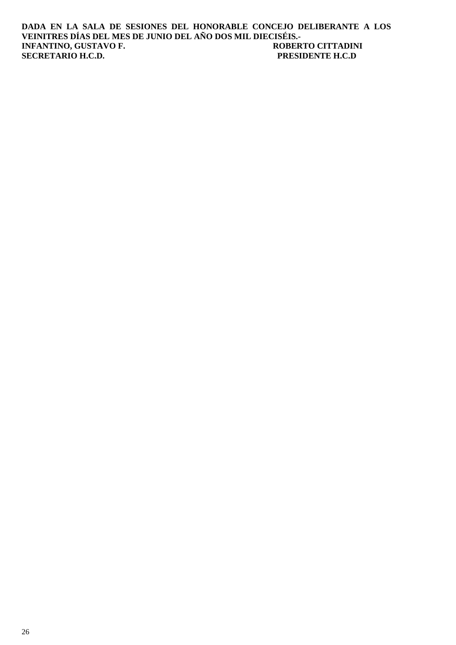**DADA EN LA SALA DE SESIONES DEL HONORABLE CONCEJO DELIBERANTE A LOS VEINITRES DÍAS DEL MES DE JUNIO DEL AÑO DOS MIL DIECISÉIS.- INFANTINO, GUSTAVO F. ROBERTO CITTADIN<br>
SECRETARIO H.C.D. PRESIDENTE H.C.D SECRETARIO H.C.D.**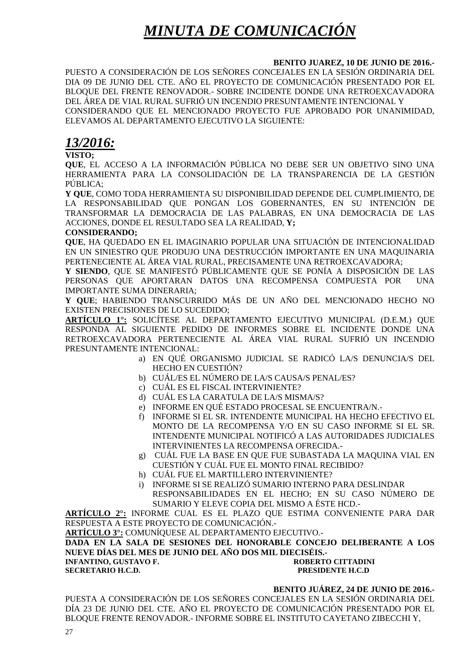# *MINUTA DE COMUNICACIÓN*

### **BENITO JUAREZ, 10 DE JUNIO DE 2016.-**

PUESTO A CONSIDERACIÓN DE LOS SEÑORES CONCEJALES EN LA SESIÓN ORDINARIA DEL DIA 09 DE JUNIO DEL CTE. AÑO EL PROYECTO DE COMUNICACIÓN PRESENTADO POR EL BLOQUE DEL FRENTE RENOVADOR.- SOBRE INCIDENTE DONDE UNA RETROEXCAVADORA DEL ÁREA DE VIAL RURAL SUFRIÓ UN INCENDIO PRESUNTAMENTE INTENCIONAL Y CONSIDERANDO QUE EL MENCIONADO PROYECTO FUE APROBADO POR UNANIMIDAD, ELEVAMOS AL DEPARTAMENTO EJECUTIVO LA SIGUIENTE:

# *13/2016:*

**VISTO;** 

**QUE**, EL ACCESO A LA INFORMACIÓN PÚBLICA NO DEBE SER UN OBJETIVO SINO UNA HERRAMIENTA PARA LA CONSOLIDACIÓN DE LA TRANSPARENCIA DE LA GESTIÓN PÚBLICA;

**Y QUE**, COMO TODA HERRAMIENTA SU DISPONIBILIDAD DEPENDE DEL CUMPLIMIENTO, DE LA RESPONSABILIDAD QUE PONGAN LOS GOBERNANTES, EN SU INTENCIÓN DE TRANSFORMAR LA DEMOCRACIA DE LAS PALABRAS, EN UNA DEMOCRACIA DE LAS ACCIONES, DONDE EL RESULTADO SEA LA REALIDAD, **Y;** 

### **CONSIDERANDO;**

**QUE**, HA QUEDADO EN EL IMAGINARIO POPULAR UNA SITUACIÓN DE INTENCIONALIDAD EN UN SINIESTRO QUE PRODUJO UNA DESTRUCCIÓN IMPORTANTE EN UNA MAQUINARIA PERTENECIENTE AL ÁREA VIAL RURAL, PRECISAMENTE UNA RETROEXCAVADORA;

**Y SIENDO**, QUE SE MANIFESTÓ PÚBLICAMENTE QUE SE PONÍA A DISPOSICIÓN DE LAS PERSONAS QUE APORTARAN DATOS UNA RECOMPENSA COMPUESTA POR UNA IMPORTANTE SUMA DINERARIA;

**Y QUE**; HABIENDO TRANSCURRIDO MÁS DE UN AÑO DEL MENCIONADO HECHO NO EXISTEN PRECISIONES DE LO SUCEDIDO;

**ARTÍCULO 1°:** SOLICÍTESE AL DEPARTAMENTO EJECUTIVO MUNICIPAL (D.E.M.) QUE RESPONDA AL SIGUIENTE PEDIDO DE INFORMES SOBRE EL INCIDENTE DONDE UNA RETROEXCAVADORA PERTENECIENTE AL ÁREA VIAL RURAL SUFRIÓ UN INCENDIO PRESUNTAMENTE INTENCIONAL:

- a) EN QUÉ ORGANISMO JUDICIAL SE RADICÓ LA/S DENUNCIA/S DEL HECHO EN CUESTIÓN?
- b) CUÁL/ES EL NÚMERO DE LA/S CAUSA/S PENAL/ES?
- c) CUÁL ES EL FISCAL INTERVINIENTE?
- d) CUÁL ES LA CARATULA DE LA/S MISMA/S?
- e) INFORME EN QUÉ ESTADO PROCESAL SE ENCUENTRA/N.-
- f) INFORME SI EL SR. INTENDENTE MUNICIPAL HA HECHO EFECTIVO EL MONTO DE LA RECOMPENSA Y/O EN SU CASO INFORME SI EL SR. INTENDENTE MUNICIPAL NOTIFICÓ A LAS AUTORIDADES JUDICIALES INTERVINIENTES LA RECOMPENSA OFRECIDA.-
- g) CUÁL FUE LA BASE EN QUE FUE SUBASTADA LA MAQUINA VIAL EN CUESTIÓN Y CUÁL FUE EL MONTO FINAL RECIBIDO?
- h) CUÁL FUE EL MARTILLERO INTERVINIENTE?
- i) INFORME SI SE REALIZÓ SUMARIO INTERNO PARA DESLINDAR RESPONSABILIDADES EN EL HECHO; EN SU CASO NÚMERO DE SUMARIO Y ELEVE COPIA DEL MISMO A ÉSTE HCD.-

**ARTÍCULO 2°:** INFORME CUAL ES EL PLAZO QUE ESTIMA CONVENIENTE PARA DAR RESPUESTA A ESTE PROYECTO DE COMUNICACIÓN.-

**ARTÍCULO 3°:** COMUNÍQUESE AL DEPARTAMENTO EJECUTIVO.-

**DADA EN LA SALA DE SESIONES DEL HONORABLE CONCEJO DELIBERANTE A LOS NUEVE DÍAS DEL MES DE JUNIO DEL AÑO DOS MIL DIECISÉIS.- INFANTINO, GUSTAVO F. ROBERTO CITTADINI SECRETARIO H.C.D. PRESIDENTE H.C.D** 

### **BENITO JUÁREZ, 24 DE JUNIO DE 2016.-**

PUESTA A CONSIDERACIÓN DE LOS SEÑORES CONCEJALES EN LA SESIÓN ORDINARIA DEL DÍA 23 DE JUNIO DEL CTE. AÑO EL PROYECTO DE COMUNICACIÓN PRESENTADO POR EL BLOQUE FRENTE RENOVADOR.- INFORME SOBRE EL INSTITUTO CAYETANO ZIBECCHI Y,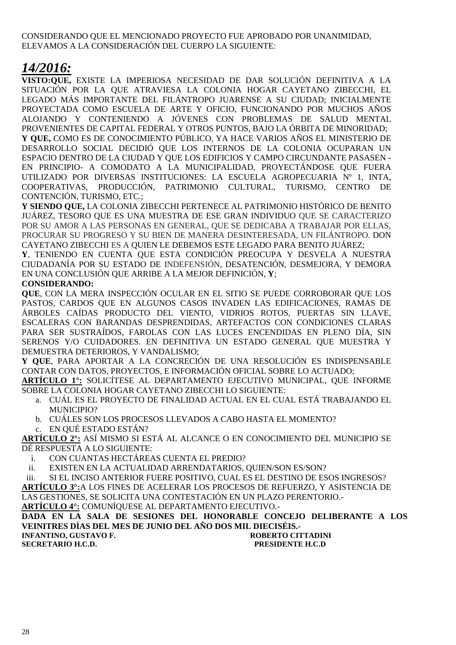### CONSIDERANDO QUE EL MENCIONADO PROYECTO FUE APROBADO POR UNANIMIDAD, ELEVAMOS A LA CONSIDERACIÓN DEL CUERPO LA SIGUIENTE:

# *14/2016:*

**VISTO:QUE,** EXISTE LA IMPERIOSA NECESIDAD DE DAR SOLUCIÓN DEFINITIVA A LA SITUACIÓN POR LA QUE ATRAVIESA LA COLONIA HOGAR CAYETANO ZIBECCHI, EL LEGADO MÁS IMPORTANTE DEL FILÁNTROPO JUARENSE A SU CIUDAD; INICIALMENTE PROYECTADA COMO ESCUELA DE ARTE Y OFICIO, FUNCIONANDO POR MUCHOS AÑOS ALOJANDO Y CONTENIENDO A JÓVENES CON PROBLEMAS DE SALUD MENTAL PROVENIENTES DE CAPITAL FEDERAL Y OTROS PUNTOS, BAJO LA ÓRBITA DE MINORIDAD; **Y QUE,** COMO ES DE CONOCIMIENTO PÚBLICO, YA HACE VARIOS AÑOS EL MINISTERIO DE DESARROLLO SOCIAL DECIDIÓ QUE LOS INTERNOS DE LA COLONIA OCUPARAN UN ESPACIO DENTRO DE LA CIUDAD Y QUE LOS EDIFICIOS Y CAMPO CIRCUNDANTE PASASEN - EN PRINCIPIO- A COMODATO A LA MUNICIPALIDAD, PROYECTÁNDOSE QUE FUERA UTILIZADO POR DIVERSAS INSTITUCIONES: LA ESCUELA AGROPECUARIA Nº 1, INTA, COOPERATIVAS, PRODUCCIÓN, PATRIMONIO CULTURAL, TURISMO, CENTRO DE CONTENCIÓN, TURISMO, ETC.;

**Y SIENDO QUE,** LA COLONIA ZIBECCHI PERTENECE AL PATRIMONIO HISTÓRICO DE BENITO JUÁREZ, TESORO QUE ES UNA MUESTRA DE ESE GRAN INDIVIDUO QUE SE CARACTERIZO POR SU AMOR A LAS PERSONAS EN GENERAL, QUE SE DEDICABA A TRABAJAR POR ELLAS, PROCURAR SU PROGRESO Y SU BIEN DE MANERA DESINTERESADA, UN FILÁNTROPO. DON CAYETANO ZIBECCHI ES A QUIEN LE DEBEMOS ESTE LEGADO PARA BENITO JUÁREZ;

**Y**, TENIENDO EN CUENTA QUE ESTA CONDICIÓN PREOCUPA Y DESVELA A NUESTRA CIUDADANÍA POR SU ESTADO DE INDEFENSIÓN, DESATENCIÓN, DESMEJORA, Y DEMORA EN UNA CONCLUSIÓN QUE ARRIBE A LA MEJOR DEFINICIÓN, **Y**;

### **CONSIDERANDO:**

**QUE**, CON LA MERA INSPECCIÓN OCULAR EN EL SITIO SE PUEDE CORROBORAR QUE LOS PASTOS, CARDOS QUE EN ALGUNOS CASOS INVADEN LAS EDIFICACIONES, RAMAS DE ÁRBOLES CAÍDAS PRODUCTO DEL VIENTO, VIDRIOS ROTOS, PUERTAS SIN LLAVE, ESCALERAS CON BARANDAS DESPRENDIDAS, ARTEFACTOS CON CONDICIONES CLARAS PARA SER SUSTRAÍDOS, FAROLAS CON LAS LUCES ENCENDIDAS EN PLENO DÍA, SIN SERENOS Y/O CUIDADORES. EN DEFINITIVA UN ESTADO GENERAL QUE MUESTRA Y DEMUESTRA DETERIOROS, Y VANDALISMO;

**Y QUE**, PARA APORTAR A LA CONCRECIÓN DE UNA RESOLUCIÓN ES INDISPENSABLE CONTAR CON DATOS, PROYECTOS, E INFORMACIÓN OFICIAL SOBRE LO ACTUADO;

**ARTÍCULO 1°:** SOLICÍTESE AL DEPARTAMENTO EJECUTIVO MUNICIPAL, QUE INFORME SOBRE LA COLONIA HOGAR CAYETANO ZIBECCHI LO SIGUIENTE:

- a. CUÁL ES EL PROYECTO DE FINALIDAD ACTUAL EN EL CUAL ESTÁ TRABAJANDO EL MUNICIPIO?
- b. CUÁLES SON LOS PROCESOS LLEVADOS A CABO HASTA EL MOMENTO?
- c. EN QUÉ ESTADO ESTÁN?

**ARTÍCULO 2°:** ASÍ MISMO SI ESTÁ AL ALCANCE O EN CONOCIMIENTO DEL MUNICIPIO SE DÉ RESPUESTA A LO SIGUIENTE:

i. CON CUANTAS HECTÁREAS CUENTA EL PREDIO?

ii. EXISTEN EN LA ACTUALIDAD ARRENDATARIOS, QUIEN/SON ES/SON?

iii. SI EL INCISO ANTERIOR FUERE POSITIVO, CUAL ES EL DESTINO DE ESOS INGRESOS? **ARTÍCULO 3°:**A LOS FINES DE ACELERAR LOS PROCESOS DE REFUERZO, Y ASISTENCIA DE LAS GESTIONES, SE SOLICITA UNA CONTESTACIÓN EN UN PLAZO PERENTORIO.- **ARTÍCULO 4°:** COMUNÍQUESE AL DEPARTAMENTO EJECUTIVO.-

**DADA EN LA SALA DE SESIONES DEL HONORABLE CONCEJO DELIBERANTE A LOS VEINITRES DÍAS DEL MES DE JUNIO DEL AÑO DOS MIL DIECISÉIS.-** 

**INFANTINO, GUSTAVO F. ROBERTO CITTADINI SECRETARIO H.C.D. PRESIDENTE H.C.D**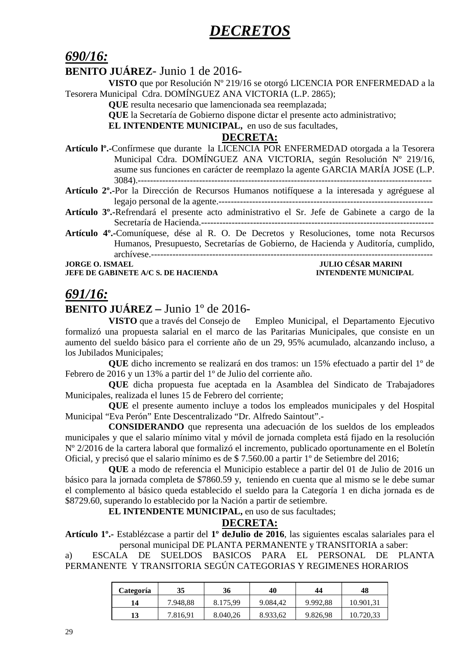# *DECRETOS*

# *690/16:*

# **BENITO JUÁREZ**- Junio 1 de 2016-

**VISTO** que por Resolución Nº 219/16 se otorgó LICENCIA POR ENFERMEDAD a la Tesorera Municipal Cdra. DOMÍNGUEZ ANA VICTORIA (L.P. 2865);

**QUE** resulta necesario que lamencionada sea reemplazada;

**QUE** la Secretaría de Gobierno dispone dictar el presente acto administrativo;

**EL INTENDENTE MUNICIPAL,** en uso de sus facultades,

### **DECRETA:**

- **Artículo lº.-**Confírmese que durante la LICENCIA POR ENFERMEDAD otorgada a la Tesorera Municipal Cdra. DOMÍNGUEZ ANA VICTORIA, según Resolución Nº 219/16, asume sus funciones en carácter de reemplazo la agente GARCIA MARÍA JOSE (L.P. 3084).------------------------------------------------------------------------------------------------
- **Artículo 2º.-**Por la Dirección de Recursos Humanos notifíquese a la interesada y agréguese al legajo personal de la agente.----------------------------------------------------------------------
- **Artículo 3º.-**Refrendará el presente acto administrativo el Sr. Jefe de Gabinete a cargo de la Secretaría de Hacienda.----------------------------------------------------------------------------
- **Artículo 4º.-**Comuníquese, dése al R. O. De Decretos y Resoluciones, tome nota Recursos Humanos, Presupuesto, Secretarías de Gobierno, de Hacienda y Auditoría, cumplido, archívese.--------------------------------------------------------------------------------------------

**JORGE O. ISMAEL JULIO CÉSAR MARINI JEFE DE GABINETE A/C S. DE HACIENDA INTENDENTE MUNICIPAL** 

# *691/16:*

# **BENITO JUÁREZ –** Junio 1º de 2016-

**VISTO** que a través del Consejo de Empleo Municipal, el Departamento Ejecutivo formalizó una propuesta salarial en el marco de las Paritarias Municipales, que consiste en un aumento del sueldo básico para el corriente año de un 29, 95% acumulado, alcanzando incluso, a los Jubilados Municipales;

**QUE** dicho incremento se realizará en dos tramos: un 15% efectuado a partir del 1º de Febrero de 2016 y un 13% a partir del 1º de Julio del corriente año.

**QUE** dicha propuesta fue aceptada en la Asamblea del Sindicato de Trabajadores Municipales, realizada el lunes 15 de Febrero del corriente;

**QUE** el presente aumento incluye a todos los empleados municipales y del Hospital Municipal "Eva Perón" Ente Descentralizado "Dr. Alfredo Saintout".-

**CONSIDERANDO** que representa una adecuación de los sueldos de los empleados municipales y que el salario mínimo vital y móvil de jornada completa está fijado en la resolución Nº 2/2016 de la cartera laboral que formalizó el incremento, publicado oportunamente en el Boletín Oficial, y precisó que el salario mínimo es de \$ 7.560.00 a partir 1º de Setiembre del 2016;

**QUE** a modo de referencia el Municipio establece a partir del 01 de Julio de 2016 un básico para la jornada completa de \$7860.59 y, teniendo en cuenta que al mismo se le debe sumar el complemento al básico queda establecido el sueldo para la Categoría 1 en dicha jornada es de \$8729.60, superando lo establecido por la Nación a partir de setiembre.

**EL INTENDENTE MUNICIPAL,** en uso de sus facultades;

## **DECRETA:**

**Artículo 1º.-** Establézcase a partir del **1º deJulio de 2016**, las siguientes escalas salariales para el personal municipal DE PLANTA PERMANENTE y TRANSITORIA a saber:

a) ESCALA DE SUELDOS BASICOS PARA EL PERSONAL DE PLANTA PERMANENTE Y TRANSITORIA SEGÚN CATEGORIAS Y REGIMENES HORARIOS

| Categoría | 35       | 36       | 40       | 44       | 48        |
|-----------|----------|----------|----------|----------|-----------|
| 14        | 7.948,88 | 8.175,99 | 9.084,42 | 9.992,88 | 10.901,31 |
| 13        | 7.816,91 | 8.040,26 | 8.933,62 | 9.826,98 | 10.720,33 |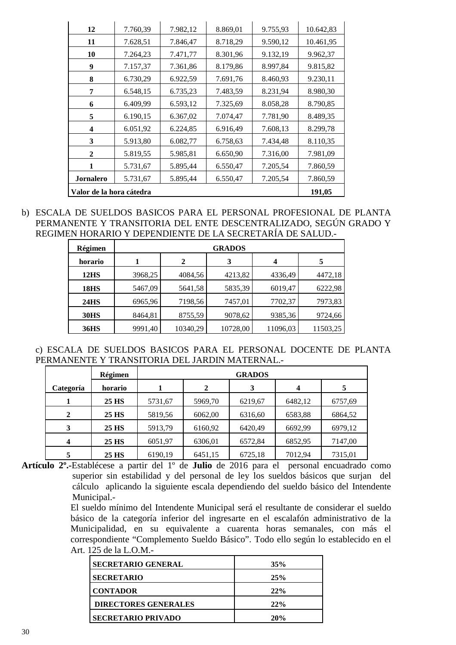| 12                       | 7.760,39 | 7.982,12 | 8.869,01 | 9.755,93 | 10.642,83 |
|--------------------------|----------|----------|----------|----------|-----------|
| 11                       | 7.628,51 | 7.846,47 | 8.718,29 | 9.590,12 | 10.461,95 |
| 10                       | 7.264,23 | 7.471,77 | 8.301,96 | 9.132,19 | 9.962,37  |
| 9                        | 7.157,37 | 7.361,86 | 8.179,86 | 8.997,84 | 9.815,82  |
| 8                        | 6.730,29 | 6.922,59 | 7.691,76 | 8.460,93 | 9.230,11  |
| 7                        | 6.548,15 | 6.735,23 | 7.483,59 | 8.231,94 | 8.980,30  |
| 6                        | 6.409,99 | 6.593,12 | 7.325,69 | 8.058,28 | 8.790,85  |
| 5                        | 6.190,15 | 6.367,02 | 7.074,47 | 7.781,90 | 8.489,35  |
| 4                        | 6.051,92 | 6.224,85 | 6.916,49 | 7.608,13 | 8.299,78  |
| 3                        | 5.913,80 | 6.082,77 | 6.758,63 | 7.434,48 | 8.110,35  |
| $\mathbf{2}$             | 5.819,55 | 5.985,81 | 6.650,90 | 7.316,00 | 7.981,09  |
| 1                        | 5.731,67 | 5.895,44 | 6.550,47 | 7.205,54 | 7.860,59  |
| <b>Jornalero</b>         | 5.731,67 | 5.895,44 | 6.550,47 | 7.205,54 | 7.860,59  |
| Valor de la hora cátedra | 191,05   |          |          |          |           |

b) ESCALA DE SUELDOS BASICOS PARA EL PERSONAL PROFESIONAL DE PLANTA PERMANENTE Y TRANSITORIA DEL ENTE DESCENTRALIZADO, SEGÚN GRADO Y REGIMEN HORARIO Y DEPENDIENTE DE LA SECRETARÍA DE SALUD.-

| Régimen          |         |          | <b>GRADOS</b> |                  |          |
|------------------|---------|----------|---------------|------------------|----------|
| horario          |         | 2        | 3             | $\boldsymbol{4}$ | 5        |
| 12 <sub>HS</sub> | 3968,25 | 4084,56  | 4213,82       | 4336,49          | 4472,18  |
| <b>18HS</b>      | 5467,09 | 5641,58  | 5835,39       | 6019,47          | 6222,98  |
| <b>24HS</b>      | 6965,96 | 7198,56  | 7457,01       | 7702,37          | 7973,83  |
| <b>30HS</b>      | 8464,81 | 8755,59  | 9078,62       | 9385,36          | 9724,66  |
| <b>36HS</b>      | 9991,40 | 10340,29 | 10728,00      | 11096,03         | 11503,25 |

c) ESCALA DE SUELDOS BASICOS PARA EL PERSONAL DOCENTE DE PLANTA PERMANENTE Y TRANSITORIA DEL JARDIN MATERNAL.-

|           | Régimen |         |             | <b>GRADOS</b> |         |         |
|-----------|---------|---------|-------------|---------------|---------|---------|
| Categoría | horario |         | $\mathbf 2$ | 3             | 4       | 5       |
|           | 25 HS   | 5731,67 | 5969,70     | 6219,67       | 6482,12 | 6757,69 |
| 2         | 25 HS   | 5819,56 | 6062,00     | 6316,60       | 6583,88 | 6864,52 |
| 3         | 25 HS   | 5913,79 | 6160,92     | 6420,49       | 6692,99 | 6979,12 |
| 4         | 25 HS   | 6051,97 | 6306,01     | 6572,84       | 6852,95 | 7147,00 |
| 5         | 25 HS   | 6190,19 | 6451,15     | 6725,18       | 7012,94 | 7315,01 |

**Artículo 2º.-**Establécese a partir del 1º de **Julio** de 2016 para el personal encuadrado como superior sin estabilidad y del personal de ley los sueldos básicos que surjan del cálculo aplicando la siguiente escala dependiendo del sueldo básico del Intendente Municipal.-

El sueldo mínimo del Intendente Municipal será el resultante de considerar el sueldo básico de la categoría inferior del ingresarte en el escalafón administrativo de la Municipalidad, en su equivalente a cuarenta horas semanales, con más el correspondiente "Complemento Sueldo Básico". Todo ello según lo establecido en el Art. 125 de la L.O.M.-

| <b>SECRETARIO GENERAL</b>   | 35% |
|-----------------------------|-----|
| <b>SECRETARIO</b>           | 25% |
| <b>CONTADOR</b>             | 22% |
| <b>DIRECTORES GENERALES</b> | 22% |
| <b>SECRETARIO PRIVADO</b>   | 20% |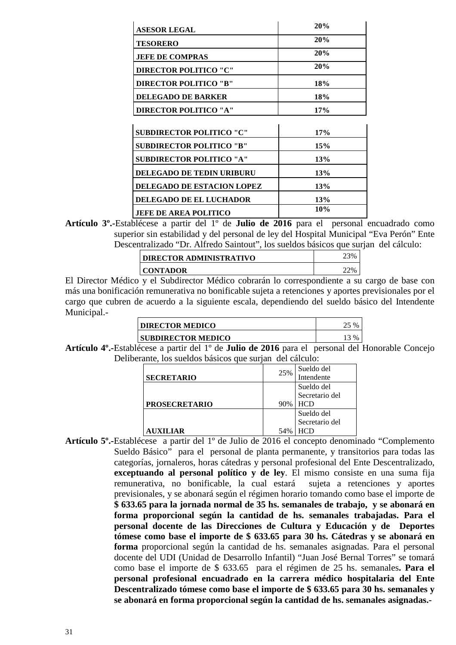| <b>ASESOR LEGAL</b>               | 20%        |
|-----------------------------------|------------|
| <b>TESORERO</b>                   | 20%        |
| <b>JEFE DE COMPRAS</b>            | 20%        |
| <b>DIRECTOR POLITICO "C"</b>      | 20%        |
| <b>DIRECTOR POLITICO "B"</b>      | 18%        |
| <b>DELEGADO DE BARKER</b>         | 18%        |
| <b>DIRECTOR POLITICO "A"</b>      | 17%        |
|                                   |            |
| <b>SUBDIRECTOR POLITICO "C"</b>   | 17%        |
| <b>SUBDIRECTOR POLITICO "B"</b>   | 15%        |
| <b>SUBDIRECTOR POLITICO "A"</b>   | 13%        |
| <b>DELEGADO DE TEDIN URIBURU</b>  | 13%        |
| <b>DELEGADO DE ESTACION LOPEZ</b> | <b>13%</b> |
| <b>DELEGADO DE EL LUCHADOR</b>    | 13%        |
| <b>JEFE DE AREA POLITICO</b>      | 10%        |

**Artículo 3º.-**Establécese a partir del 1º de **Julio de 2016** para el personal encuadrado como superior sin estabilidad y del personal de ley del Hospital Municipal "Eva Perón" Ente Descentralizado "Dr. Alfredo Saintout", los sueldos básicos que surjan del cálculo:

|                 | <b>DIRECTOR ADMINISTRATIVO</b> | 23% |
|-----------------|--------------------------------|-----|
| CONTADOR<br>22% |                                |     |

El Director Médico y el Subdirector Médico cobrarán lo correspondiente a su cargo de base con más una bonificación remunerativa no bonificable sujeta a retenciones y aportes previsionales por el cargo que cubren de acuerdo a la siguiente escala, dependiendo del sueldo básico del Intendente Municipal.-

| <b>DIRECTOR MEDICO</b>    | $\frac{0}{6}$ |
|---------------------------|---------------|
| <b>SUBDIRECTOR MEDICO</b> | $13\%$        |

**Artículo 4º.-**Establécese a partir del 1º de **Julio de 2016** para el personal del Honorable Concejo Deliberante, los sueldos básicos que surjan del cálculo:

|                      |     | Sueldo del     |
|----------------------|-----|----------------|
| <b>SECRETARIO</b>    | 25% | Intendente     |
|                      |     | Sueldo del     |
|                      |     | Secretario del |
| <b>PROSECRETARIO</b> | 90% | HCD            |
|                      |     |                |
|                      |     | Sueldo del     |
|                      |     | Secretario del |

**Artículo 5º.-**Establécese a partir del 1º de Julio de 2016 el concepto denominado "Complemento Sueldo Básico" para el personal de planta permanente, y transitorios para todas las categorías, jornaleros, horas cátedras y personal profesional del Ente Descentralizado, **exceptuando al personal político y de ley**. El mismo consiste en una suma fija remunerativa, no bonificable, la cual estará sujeta a retenciones y aportes previsionales, y se abonará según el régimen horario tomando como base el importe de **\$ 633.65 para la jornada normal de 35 hs. semanales de trabajo, y se abonará en forma proporcional según la cantidad de hs. semanales trabajadas. Para el personal docente de las Direcciones de Cultura y Educación y de Deportes tómese como base el importe de \$ 633.65 para 30 hs. Cátedras y se abonará en forma** proporcional según la cantidad de hs. semanales asignadas. Para el personal docente del UDI (Unidad de Desarrollo Infantil) "Juan José Bernal Torres" se tomará como base el importe de \$ 633.65 para el régimen de 25 hs. semanales**. Para el personal profesional encuadrado en la carrera médico hospitalaria del Ente Descentralizado tómese como base el importe de \$ 633.65 para 30 hs. semanales y se abonará en forma proporcional según la cantidad de hs. semanales asignadas.-**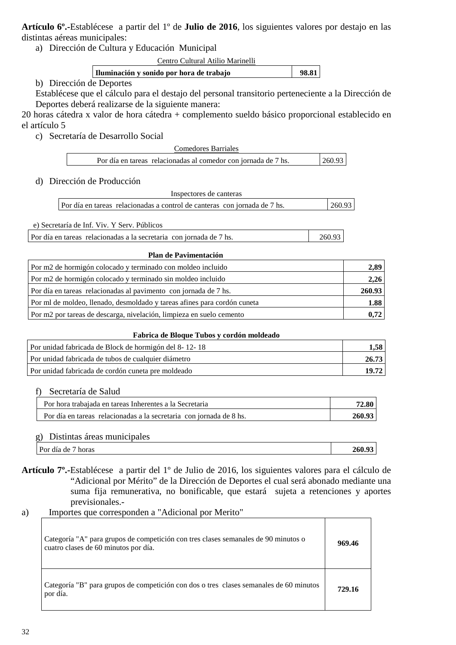**Artículo 6º.-**Establécese a partir del 1º de **Julio de 2016**, los siguientes valores por destajo en las distintas aéreas municipales:

a) Dirección de Cultura y Educación Municipal

Centro Cultural Atilio Marinelli

| Iluminación y sonido por hora de trabajo | 98.81 |  |
|------------------------------------------|-------|--|
|                                          |       |  |

### b) Dirección de Deportes

Establécese que el cálculo para el destajo del personal transitorio perteneciente a la Dirección de Deportes deberá realizarse de la siguiente manera:

20 horas cátedra x valor de hora cátedra + complemento sueldo básico proporcional establecido en el artículo 5

c) Secretaría de Desarrollo Social

| Comedores Barriales                                            |        |
|----------------------------------------------------------------|--------|
| Por día en tareas relacionadas al comedor con jornada de 7 hs. | 260.93 |

### d) Dirección de Producción

| Inspectores de canteras                                                   |        |
|---------------------------------------------------------------------------|--------|
| Por día en tareas relacionadas a control de canteras con jornada de 7 hs. | 260.93 |

e) Secretaría de Inf. Viv. Y Serv. Públicos

Por día en tareas relacionadas a la secretaria con jornada de 7 hs. 260.93

### **Plan de Pavimentación**

| Por m2 de hormigón colocado y terminado con moldeo incluido              |        |
|--------------------------------------------------------------------------|--------|
| Por m2 de hormigón colocado y terminado sin moldeo incluido              | 2,26   |
| Por día en tareas relacionadas al pavimento con jornada de 7 hs.         | 260.93 |
| Por ml de moldeo, llenado, desmoldado y tareas afines para cordón cuneta | 1.88   |
| Por m2 por tareas de descarga, nivelación, limpieza en suelo cemento     | 0.72   |

### **Fabrica de Bloque Tubos y cordón moldeado**

| Por unidad fabricada de Block de hormigón del 8-12-18 | 1.58  |
|-------------------------------------------------------|-------|
| Por unidad fabricada de tubos de cualquier diámetro   | 26.73 |
| Por unidad fabricada de cordón cuneta pre moldeado    | 19.72 |

### f) Secretaría de Salud

| Por hora trabajada en tareas Inherentes a la Secretaria             |        |
|---------------------------------------------------------------------|--------|
| Por día en tareas relacionadas a la secretaria con iornada de 8 hs. | 260.93 |

### g) Distintas áreas municipales

| horas<br>dia<br>de<br>Por | $\mathbf{a}$<br>$\sim$ $\sim$<br>200 |
|---------------------------|--------------------------------------|
|---------------------------|--------------------------------------|

**Artículo 7º.-**Establécese a partir del 1º de Julio de 2016, los siguientes valores para el cálculo de "Adicional por Mérito" de la Dirección de Deportes el cual será abonado mediante una suma fija remunerativa, no bonificable, que estará sujeta a retenciones y aportes previsionales.-

## a) Importes que corresponden a "Adicional por Merito"

| Categoría "A" para grupos de competición con tres clases semanales de 90 minutos o<br>cuatro clases de 60 minutos por día. | 969.46 |
|----------------------------------------------------------------------------------------------------------------------------|--------|
| Categoría "B" para grupos de competición con dos o tres clases semanales de 60 minutos<br>por día.                         | 729.16 |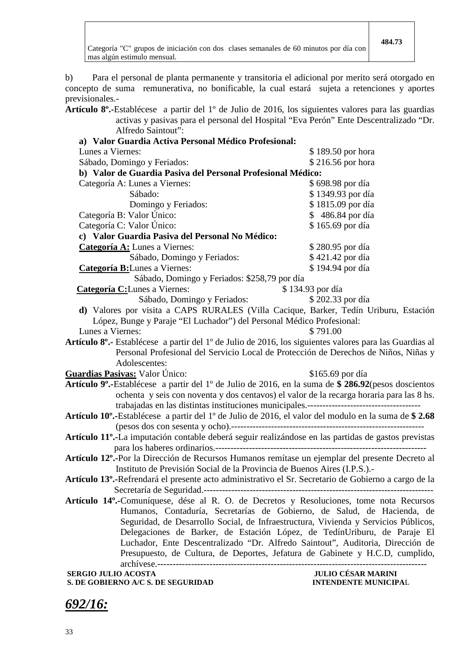Categoría "C" grupos de iniciación con dos clases semanales de 60 minutos por día con mas algún estimulo mensual.

b) Para el personal de planta permanente y transitoria el adicional por merito será otorgado en concepto de suma remunerativa, no bonificable, la cual estará sujeta a retenciones y aportes previsionales.-

**Artículo 8º.-**Establécese a partir del 1º de Julio de 2016, los siguientes valores para las guardias activas y pasivas para el personal del Hospital "Eva Perón" Ente Descentralizado "Dr. Alfredo Saintout":

| <b>SERGIO JULIO ACOSTA</b><br>S. DE GOBIERNO A/C S. DE SEGURIDAD                                                                                                | <b>JULIO CÉSAR MARINI</b><br><b>INTENDENTE MUNICIPAL</b> |
|-----------------------------------------------------------------------------------------------------------------------------------------------------------------|----------------------------------------------------------|
|                                                                                                                                                                 |                                                          |
| Luchador, Ente Descentralizado "Dr. Alfredo Saintout", Auditoria, Dirección de<br>Presupuesto, de Cultura, de Deportes, Jefatura de Gabinete y H.C.D, cumplido, |                                                          |
| Delegaciones de Barker, de Estación López, de TedínUriburu, de Paraje El                                                                                        |                                                          |
| Seguridad, de Desarrollo Social, de Infraestructura, Vivienda y Servicios Públicos,                                                                             |                                                          |
| Humanos, Contaduría, Secretarías de Gobierno, de Salud, de Hacienda, de                                                                                         |                                                          |
| Artículo 14º.-Comuníquese, dése al R. O. de Decretos y Resoluciones, tome nota Recursos                                                                         |                                                          |
|                                                                                                                                                                 |                                                          |
| Artículo 13 <sup>°</sup> .-Refrendará el presente acto administrativo el Sr. Secretario de Gobierno a cargo de la                                               |                                                          |
| Instituto de Previsión Social de la Provincia de Buenos Aires (I.P.S.).                                                                                         |                                                          |
| Artículo 12º.-Por la Dirección de Recursos Humanos remítase un ejemplar del presente Decreto al                                                                 |                                                          |
|                                                                                                                                                                 |                                                          |
| Artículo 11º.-La imputación contable deberá seguir realizándose en las partidas de gastos previstas                                                             |                                                          |
|                                                                                                                                                                 |                                                          |
| Artículo 10°.-Establécese a partir del 1° de Julio de 2016, el valor del modulo en la suma de \$2.68                                                            |                                                          |
|                                                                                                                                                                 |                                                          |
| ochenta y seis con noventa y dos centavos) el valor de la recarga horaria para las 8 hs.                                                                        |                                                          |
| Guardias Pasivas: Valor Único:<br>Artículo 9 <sup>°</sup> .-Establécese a partir del 1 <sup>°</sup> de Julio de 2016, en la suma de \$ 286.92 (pesos doscientos | \$165.69 por día                                         |
| Adolescentes:                                                                                                                                                   |                                                          |
| Personal Profesional del Servicio Local de Protección de Derechos de Niños, Niñas y                                                                             |                                                          |
| Artículo 8°.- Establécese a partir del 1° de Julio de 2016, los siguientes valores para las Guardias al                                                         |                                                          |
| Lunes a Viernes:                                                                                                                                                | \$791.00                                                 |
| López, Bunge y Paraje "El Luchador") del Personal Médico Profesional:                                                                                           |                                                          |
| d) Valores por visita a CAPS RURALES (Villa Cacique, Barker, Tedín Uriburu, Estación                                                                            |                                                          |
| Sábado, Domingo y Feriados:                                                                                                                                     | \$202.33 por día                                         |
| Categoría C: Lunes a Viernes:                                                                                                                                   | \$134.93 por día                                         |
| Sábado, Domingo y Feriados: \$258,79 por día                                                                                                                    |                                                          |
| Categoría B: Lunes a Viernes:                                                                                                                                   | \$194.94 por día                                         |
| Sábado, Domingo y Feriados:                                                                                                                                     | \$421.42 por día                                         |
| Categoría A: Lunes a Viernes:                                                                                                                                   | \$280.95 por día                                         |
| c) Valor Guardia Pasiva del Personal No Médico:                                                                                                                 |                                                          |
| Categoría C: Valor Único:                                                                                                                                       | \$165.69 por día                                         |
| Categoría B: Valor Único:                                                                                                                                       | \$486.84 por día                                         |
| Domingo y Feriados:                                                                                                                                             | \$1815.09 por día                                        |
| Categoría A: Lunes a Viernes:<br>Sábado:                                                                                                                        | \$698.98 por día<br>\$1349.93 por día                    |
| b) Valor de Guardia Pasiva del Personal Profesional Médico:                                                                                                     |                                                          |
| Sábado, Domingo y Feriados:                                                                                                                                     | \$216.56 por hora                                        |
| Lunes a Viernes:                                                                                                                                                | \$189.50 por hora                                        |
| a) Valor Guardia Activa Personal Médico Profesional:                                                                                                            |                                                          |
|                                                                                                                                                                 |                                                          |

*692/16:*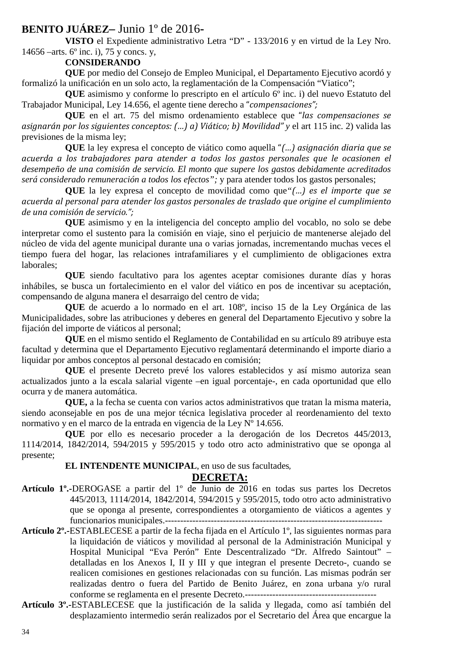# **BENITO JUÁREZ–** Junio 1º de 2016**-**

**VISTO** el Expediente administrativo Letra "D" - 133/2016 y en virtud de la Ley Nro. 14656 –arts. 6º inc. i), 75 y concs. y,

# **CONSIDERANDO**

**QUE** por medio del Consejo de Empleo Municipal, el Departamento Ejecutivo acordó y formalizó la unificación en un solo acto, la reglamentación de la Compensación "Viatico";

**QUE** asimismo y conforme lo prescripto en el artículo 6<sup>°</sup> inc. i) del nuevo Estatuto del Trabajador Municipal, Ley 14.656, el agente tiene derecho a "*compensaciones";* 

**QUE** en el art. 75 del mismo ordenamiento establece que "*las compensaciones se asignarán por los siguientes conceptos: (…) a) Viático; b) Movilidad" y* el art 115 inc. 2) valida las previsiones de la misma ley;

**QUE** la ley expresa el concepto de viático como aquella "*(…) asignación diaria que se acuerda a los trabajadores para atender a todos los gastos personales que le ocasionen el desempeño de una comisión de servicio. El monto que supere los gastos debidamente acreditados será considerado remuneración a todos los efectos";* y para atender todos los gastos personales;

**QUE** la ley expresa el concepto de movilidad como que*"(…) es el importe que se acuerda al personal para atender los gastos personales de traslado que origine el cumplimiento de una comisión de servicio.";* 

**QUE** asimismo y en la inteligencia del concepto amplio del vocablo, no solo se debe interpretar como el sustento para la comisión en viaje, sino el perjuicio de mantenerse alejado del núcleo de vida del agente municipal durante una o varias jornadas, incrementando muchas veces el tiempo fuera del hogar, las relaciones intrafamiliares y el cumplimiento de obligaciones extra laborales;

**QUE** siendo facultativo para los agentes aceptar comisiones durante días y horas inhábiles, se busca un fortalecimiento en el valor del viático en pos de incentivar su aceptación, compensando de alguna manera el desarraigo del centro de vida;

**QUE** de acuerdo a lo normado en el art. 108º, inciso 15 de la Ley Orgánica de las Municipalidades, sobre las atribuciones y deberes en general del Departamento Ejecutivo y sobre la fijación del importe de viáticos al personal;

**QUE** en el mismo sentido el Reglamento de Contabilidad en su artículo 89 atribuye esta facultad y determina que el Departamento Ejecutivo reglamentará determinando el importe diario a liquidar por ambos conceptos al personal destacado en comisión;

**QUE** el presente Decreto prevé los valores establecidos y así mismo autoriza sean actualizados junto a la escala salarial vigente –en igual porcentaje-, en cada oportunidad que ello ocurra y de manera automática.

**QUE,** a la fecha se cuenta con varios actos administrativos que tratan la misma materia, siendo aconsejable en pos de una mejor técnica legislativa proceder al reordenamiento del texto normativo y en el marco de la entrada en vigencia de la Ley Nº 14.656.

**QUE** por ello es necesario proceder a la derogación de los Decretos 445/2013, 1114/2014, 1842/2014, 594/2015 y 595/2015 y todo otro acto administrativo que se oponga al presente;

### **EL INTENDENTE MUNICIPAL**, en uso de sus facultades,

### **DECRETA:**

- **Artículo 1º.-**DEROGASE a partir del 1º de Junio de 2016 en todas sus partes los Decretos 445/2013, 1114/2014, 1842/2014, 594/2015 y 595/2015, todo otro acto administrativo que se oponga al presente, correspondientes a otorgamiento de viáticos a agentes y funcionarios municipales.-----------------------------------------------------------------------
- **Artículo 2º.-**ESTABLECESE a partir de la fecha fijada en el Artículo 1º, las siguientes normas para la liquidación de viáticos y movilidad al personal de la Administración Municipal y Hospital Municipal "Eva Perón" Ente Descentralizado "Dr. Alfredo Saintout" – detalladas en los Anexos I, II y III y que integran el presente Decreto-, cuando se realicen comisiones en gestiones relacionadas con su función. Las mismas podrán ser realizadas dentro o fuera del Partido de Benito Juárez, en zona urbana y/o rural conforme se reglamenta en el presente Decreto.-------------------------------------------
- **Artículo 3º.-**ESTABLECESE que la justificación de la salida y llegada, como así también del desplazamiento intermedio serán realizados por el Secretario del Área que encargue la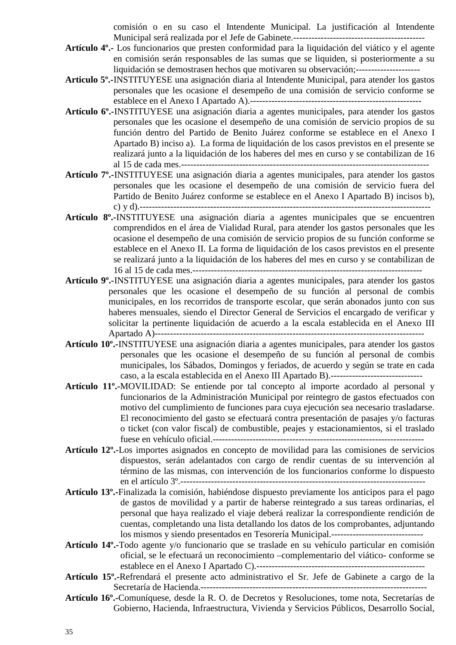comisión o en su caso el Intendente Municipal. La justificación al Intendente Municipal será realizada por el Jefe de Gabinete.-------------------------------------------

- **Artículo 4º.-** Los funcionarios que presten conformidad para la liquidación del viático y el agente en comisión serán responsables de las sumas que se liquiden, si posteriormente a su liquidación se demostrasen hechos que motivaren su observación;---------------------
- **Articulo 5º.-**INSTITUYESE una asignación diaria al Intendente Municipal, para atender los gastos personales que les ocasione el desempeño de una comisión de servicio conforme se establece en el Anexo I Apartado A).--------------------------------------------------------
- **Artículo 6º.-**INSTITUYESE una asignación diaria a agentes municipales, para atender los gastos personales que les ocasione el desempeño de una comisión de servicio propios de su función dentro del Partido de Benito Juárez conforme se establece en el Anexo I Apartado B) inciso a). La forma de liquidación de los casos previstos en el presente se realizará junto a la liquidación de los haberes del mes en curso y se contabilizan de 16 al 15 de cada mes.---------------------------------------------------------------------------------
- **Artículo 7º.-**INSTITUYESE una asignación diaria a agentes municipales, para atender los gastos personales que les ocasione el desempeño de una comisión de servicio fuera del Partido de Benito Juárez conforme se establece en el Anexo I Apartado B) incisos b), c) y d).-----------------------------------------------------------------------------------------------
- **Artículo 8º.-**INSTITUYESE una asignación diaria a agentes municipales que se encuentren comprendidos en el área de Vialidad Rural, para atender los gastos personales que les ocasione el desempeño de una comisión de servicio propios de su función conforme se establece en el Anexo II. La forma de liquidación de los casos previstos en el presente se realizará junto a la liquidación de los haberes del mes en curso y se contabilizan de 16 al 15 de cada mes.---------------------------------------------------------------------------
- **Artículo 9º.-**INSTITUYESE una asignación diaria a agentes municipales, para atender los gastos personales que les ocasione el desempeño de su función al personal de combis municipales, en los recorridos de transporte escolar, que serán abonados junto con sus haberes mensuales, siendo el Director General de Servicios el encargado de verificar y solicitar la pertinente liquidación de acuerdo a la escala establecida en el Anexo III Apartado A)----------------------------------------------------------------------------------------
- **Artículo 10º.-**INSTITUYESE una asignación diaria a agentes municipales, para atender los gastos personales que les ocasione el desempeño de su función al personal de combis municipales, los Sábados, Domingos y feriados, de acuerdo y según se trate en cada caso, a la escala establecida en el Anexo III Apartado B).------------------------------
- **Artículo 11º.-**MOVILIDAD: Se entiende por tal concepto al importe acordado al personal y funcionarios de la Administración Municipal por reintegro de gastos efectuados con motivo del cumplimiento de funciones para cuya ejecución sea necesario trasladarse. El reconocimiento del gasto se efectuará contra presentación de pasajes y/o facturas o ticket (con valor fiscal) de combustible, peajes y estacionamientos, si el traslado fuese en vehículo oficial.---------------------------------------------------------------------
- **Artículo 12º.-**Los importes asignados en concepto de movilidad para las comisiones de servicios dispuestos, serán adelantados con cargo de rendir cuentas de su intervención al término de las mismas, con intervención de los funcionarios conforme lo dispuesto en el artículo 3º.--------------------------------------------------------------------------------
- **Artículo 13º.-**Finalizada la comisión, habiéndose dispuesto previamente los anticipos para el pago de gastos de movilidad y a partir de haberse reintegrado a sus tareas ordinarias, el personal que haya realizado el viaje deberá realizar la correspondiente rendición de cuentas, completando una lista detallando los datos de los comprobantes, adjuntando los mismos y siendo presentados en Tesorería Municipal.------------------------------
- **Artículo 14º.-**Todo agente y/o funcionario que se traslade en su vehículo particular en comisión oficial, se le efectuará un reconocimiento –complementario del viático- conforme se establece en el Anexo I Apartado C).-------------------------------------------------------
- **Artículo 15º.-**Refrendará el presente acto administrativo el Sr. Jefe de Gabinete a cargo de la Secretaría de Hacienda.--------------------------------------------------------------------------
- **Artículo 16º.-**Comuníquese, desde la R. O. de Decretos y Resoluciones, tome nota, Secretarías de Gobierno, Hacienda, Infraestructura, Vivienda y Servicios Públicos, Desarrollo Social,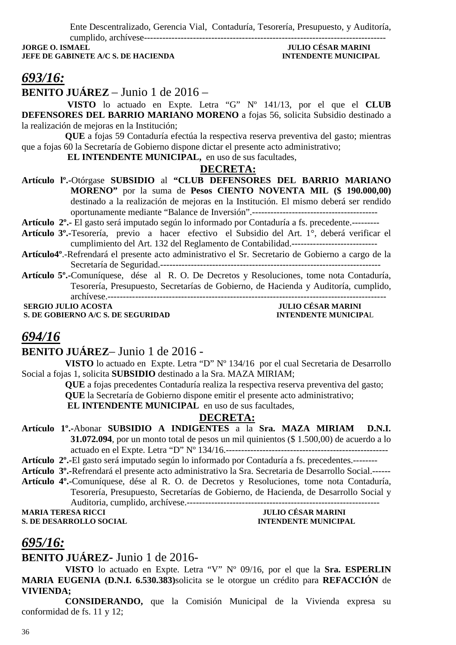Ente Descentralizado, Gerencia Vial, Contaduría, Tesorería, Presupuesto, y Auditoría,

cumplido, archívese------------------------------------------------------------------------------- **JORGE O. ISMAEL JULIO CÉSAR MARINI JEFE DE GABINETE A/C S. DE HACIENDA INTENDENTE MUNICIPAL** 

# *693/16:*

**BENITO JUÁREZ** – Junio 1 de 2016 –

 **VISTO** lo actuado en Expte. Letra "G" Nº 141/13, por el que el **CLUB DEFENSORES DEL BARRIO MARIANO MORENO** a fojas 56, solicita Subsidio destinado a la realización de mejoras en la Institución;

**QUE** a fojas 59 Contaduría efectúa la respectiva reserva preventiva del gasto; mientras que a fojas 60 la Secretaría de Gobierno dispone dictar el presente acto administrativo;

 **EL INTENDENTE MUNICIPAL,** en uso de sus facultades,

### **DECRETA:**

**Artículo lº.-**Otórgase **SUBSIDIO** al **"CLUB DEFENSORES DEL BARRIO MARIANO MORENO"** por la suma de **Pesos CIENTO NOVENTA MIL (\$ 190.000,00)**  destinado a la realización de mejoras en la Institución. El mismo deberá ser rendido oportunamente mediante "Balance de Inversión".-----------------------------------------

**Artículo 2º.-** El gasto será imputado según lo informado por Contaduría a fs. precedente.---------

- **Artículo 3º.-**Tesorería, previo a hacer efectivo el Subsidio del Art. 1°, deberá verificar el cumplimiento del Art. 132 del Reglamento de Contabilidad.----------------------------
- **Artículo4º**.-Refrendará el presente acto administrativo el Sr. Secretario de Gobierno a cargo de la Secretaría de Seguridad.------------------------------------------------------------------------
- **Artículo 5º.-**Comuníquese, dése al R. O. De Decretos y Resoluciones, tome nota Contaduría, Tesorería, Presupuesto, Secretarías de Gobierno, de Hacienda y Auditoría, cumplido, archívese.-------------------------------------------------------------------------------------------

**S. DE GOBIERNO A/C S. DE SEGURIDAD** 

 **JULIO CÉSAR MARINI<br>INTENDENTE MUNICIPAL** 

# *694/16*

## **BENITO JUÁREZ**– Junio 1 de 2016 -

**VISTO** lo actuado en Expte. Letra "D" Nº 134/16 por el cual Secretaria de Desarrollo Social a fojas 1, solicita **SUBSIDIO** destinado a la Sra. MAZA MIRIAM;

> **QUE** a fojas precedentes Contaduría realiza la respectiva reserva preventiva del gasto; **QUE** la Secretaría de Gobierno dispone emitir el presente acto administrativo;

 **EL INTENDENTE MUNICIPAL** en uso de sus facultades,

## **DECRETA:**

**Artículo 1º.-**Abonar **SUBSIDIO A INDIGENTES** a la **Sra. MAZA MIRIAM D.N.I. 31.072.094**, por un monto total de pesos un mil quinientos (\$ 1.500,00) de acuerdo a lo actuado en el Expte. Letra "D" Nº 134/16.-----------------------------------------------------

**Artículo 2º.-**El gasto será imputado según lo informado por Contaduría a fs. precedentes.--------

- **Artículo 3º.-**Refrendará el presente acto administrativo la Sra. Secretaria de Desarrollo Social.------
- **Artículo 4º.-**Comuníquese, dése al R. O. de Decretos y Resoluciones, tome nota Contaduría, Tesorería, Presupuesto, Secretarías de Gobierno, de Hacienda, de Desarrollo Social y Auditoria, cumplido, archívese.---------------------------------------------------------------

**MARIA TERESA RICCI JULIO CÉSAR MARINI** 

**S. DE DESARROLLO SOCIAL DESPESSION DE L'ALGERIE DE L'ALGERIE MUNICIPAL** 

# *695/16:*

# **BENITO JUÁREZ-** Junio 1 de 2016-

**VISTO** lo actuado en Expte. Letra "V" Nº 09/16, por el que la **Sra. ESPERLIN MARIA EUGENIA (D.N.I. 6.530.383)**solicita se le otorgue un crédito para **REFACCIÓN** de **VIVIENDA;**

**CONSIDERANDO,** que la Comisión Municipal de la Vivienda expresa su conformidad de fs. 11 y 12;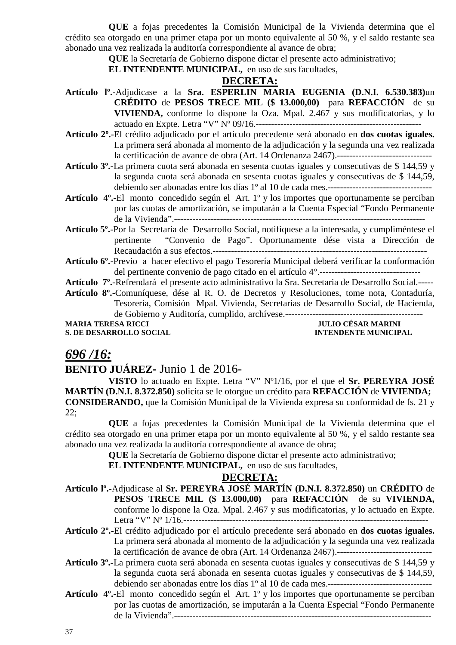**QUE** a fojas precedentes la Comisión Municipal de la Vivienda determina que el crédito sea otorgado en una primer etapa por un monto equivalente al 50 %, y el saldo restante sea abonado una vez realizada la auditoría correspondiente al avance de obra;

**QUE** la Secretaría de Gobierno dispone dictar el presente acto administrativo;

**EL INTENDENTE MUNICIPAL,** en uso de sus facultades,

#### **DECRETA:**

- **Artículo lº.-**Adjudicase a la **Sra. ESPERLIN MARIA EUGENIA (D.N.I. 6.530.383)**un **CRÉDITO** de **PESOS TRECE MIL (\$ 13.000,00)** para **REFACCIÓN** de su **VIVIENDA,** conforme lo dispone la Oza. Mpal. 2.467 y sus modificatorias, y lo actuado en Expte. Letra "V" Nº 09/16.------------------------------------------------------
- **Artículo 2º.-**El crédito adjudicado por el artículo precedente será abonado en **dos cuotas iguales.** La primera será abonada al momento de la adjudicación y la segunda una vez realizada la certificación de avance de obra (Art. 14 Ordenanza 2467).-------------------------------
- **Artículo 3º.-**La primera cuota será abonada en sesenta cuotas iguales y consecutivas de \$ 144,59 y la segunda cuota será abonada en sesenta cuotas iguales y consecutivas de \$ 144,59, debiendo ser abonadas entre los días 1º al 10 de cada mes.----------------------------------
- **Artículo 4º.-**El monto concedido según el Art. 1º y los importes que oportunamente se perciban por las cuotas de amortización, se imputarán a la Cuenta Especial "Fondo Permanente de la Vivienda".----------------------------------------------------------------------------------
- **Artículo 5º.-**Por la Secretaría de Desarrollo Social, notifíquese a la interesada, y cumpliméntese el pertinente "Convenio de Pago". Oportunamente dése vista a Dirección de Recaudación a sus efectos.----------------------------------------------------------------------
- **Artículo 6º.-**Previo a hacer efectivo el pago Tesorería Municipal deberá verificar la conformación del pertinente convenio de pago citado en el artículo 4°.---------------------------------

**Artículo 7º.**-Refrendará el presente acto administrativo la Sra. Secretaria de Desarrollo Social.-----

**Artículo 8º.-**Comuníquese, dése al R. O. de Decretos y Resoluciones, tome nota, Contaduría, Tesorería, Comisión Mpal. Vivienda, Secretarías de Desarrollo Social, de Hacienda, de Gobierno y Auditoría, cumplido, archívese.--------------------------------------------- **MULIO CÉSAR MARINI** 

**S. DE DESARROLLO SOCIAL INTENDENTE MUNICIPAL** 

### *696 /16:*

### **BENITO JUÁREZ-** Junio 1 de 2016-

**VISTO** lo actuado en Expte. Letra "V" Nº1/16, por el que el **Sr. PEREYRA JOSÉ MARTÍN (D.N.I. 8.372.850)** solicita se le otorgue un crédito para **REFACCIÓN** de **VIVIENDA; CONSIDERANDO,** que la Comisión Municipal de la Vivienda expresa su conformidad de fs. 21 y 22;

**QUE** a fojas precedentes la Comisión Municipal de la Vivienda determina que el crédito sea otorgado en una primer etapa por un monto equivalente al 50 %, y el saldo restante sea abonado una vez realizada la auditoría correspondiente al avance de obra;

**QUE** la Secretaría de Gobierno dispone dictar el presente acto administrativo;

**EL INTENDENTE MUNICIPAL,** en uso de sus facultades,

- **Artículo lº.-**Adjudicase al **Sr. PEREYRA JOSÉ MARTÍN (D.N.I. 8.372.850)** un **CRÉDITO** de **PESOS TRECE MIL (\$ 13.000,00)** para **REFACCIÓN** de su **VIVIENDA,** conforme lo dispone la Oza. Mpal. 2.467 y sus modificatorias, y lo actuado en Expte. Letra "V" Nº 1/16.--------------------------------------------------------------------------------
- **Artículo 2º.-**El crédito adjudicado por el artículo precedente será abonado en **dos cuotas iguales.** La primera será abonada al momento de la adjudicación y la segunda una vez realizada la certificación de avance de obra (Art. 14 Ordenanza 2467).-------------------------------
- **Artículo 3º.-**La primera cuota será abonada en sesenta cuotas iguales y consecutivas de \$ 144,59 y la segunda cuota será abonada en sesenta cuotas iguales y consecutivas de \$ 144,59, debiendo ser abonadas entre los días 1º al 10 de cada mes.----------------------------------
- **Artículo 4º.-**El monto concedido según el Art. 1º y los importes que oportunamente se perciban por las cuotas de amortización, se imputarán a la Cuenta Especial "Fondo Permanente de la Vivienda".------------------------------------------------------------------------------------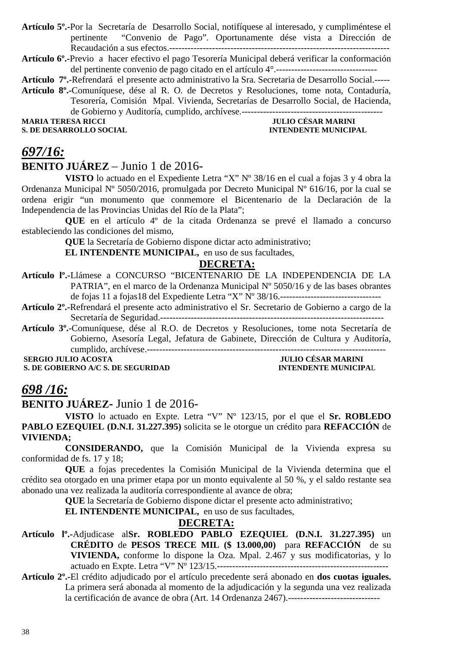**Artículo 5º.-**Por la Secretaría de Desarrollo Social, notifíquese al interesado, y cumpliméntese el pertinente "Convenio de Pago". Oportunamente dése vista a Dirección de Recaudación a sus efectos.------------------------------------------------------------------------

**Artículo 6º.-**Previo a hacer efectivo el pago Tesorería Municipal deberá verificar la conformación del pertinente convenio de pago citado en el artículo 4°.---------------------------------

**Artículo 7º.**-Refrendará el presente acto administrativo la Sra. Secretaria de Desarrollo Social.-----

**Artículo 8º.-**Comuníquese, dése al R. O. de Decretos y Resoluciones, tome nota, Contaduría, Tesorería, Comisión Mpal. Vivienda, Secretarías de Desarrollo Social, de Hacienda,

de Gobierno y Auditoría, cumplido, archívese.----------------------------------------------

**S. DE DESARROLLO SOCIAL** 

**MARIA TERESA RICCI DE LA CONSTRUITION DE LA CONSTRUEIX DE LA CONSTRUEIX DE LA CONSTRUEIX DE LA CONSTRUEIX DE<br>L'ASSEMBLE DE LA CONSTRUEIX DE LA CONSTRUEIX DE LA CONSTRUEIX DE LA CONSTRUEIX DE LA CONSTRUEIX DE LA CONSTRUEIX** 

### *697/16:*

### **BENITO JUÁREZ** – Junio 1 de 2016-

**VISTO** lo actuado en el Expediente Letra "X" Nº 38/16 en el cual a fojas 3 y 4 obra la Ordenanza Municipal Nº 5050/2016, promulgada por Decreto Municipal Nº 616/16, por la cual se ordena erigir "un monumento que conmemore el Bicentenario de la Declaración de la Independencia de las Provincias Unidas del Río de la Plata";

**QUE** en el artículo 4º de la citada Ordenanza se prevé el llamado a concurso estableciendo las condiciones del mismo,

**QUE** la Secretaría de Gobierno dispone dictar acto administrativo;

**EL INTENDENTE MUNICIPAL,** en uso de sus facultades,

#### **DECRETA:**

- **Artículo lº.-**Llámese a CONCURSO "BICENTENARIO DE LA INDEPENDENCIA DE LA PATRIA", en el marco de la Ordenanza Municipal Nº 5050/16 y de las bases obrantes de fojas 11 a fojas18 del Expediente Letra "X" Nº 38/16.---------------------------------
- **Artículo 2º.-**Refrendará el presente acto administrativo el Sr. Secretario de Gobierno a cargo de la Secretaría de Seguridad.-------------------------------------------------------------------------
- **Artículo 3º.**-Comuníquese, dése al R.O. de Decretos y Resoluciones, tome nota Secretaría de Gobierno, Asesoría Legal, Jefatura de Gabinete, Dirección de Cultura y Auditoría, cumplido, archívese.------------------------------------------------------------------------------

 **SERGIO JULIO ACOSTA JULIO CÉSAR MARINI** 

**S. DE GOBIERNO A/C S. DE SEGURIDAD INTENDENTE MUNICIPAL** 

### *698 /16:*

### **BENITO JUÁREZ-** Junio 1 de 2016-

**VISTO** lo actuado en Expte. Letra "V" Nº 123/15, por el que el **Sr. ROBLEDO PABLO EZEQUIEL (D.N.I. 31.227.395)** solicita se le otorgue un crédito para **REFACCIÓN** de **VIVIENDA;**

**CONSIDERANDO,** que la Comisión Municipal de la Vivienda expresa su conformidad de fs. 17 y 18;

**QUE** a fojas precedentes la Comisión Municipal de la Vivienda determina que el crédito sea otorgado en una primer etapa por un monto equivalente al 50 %, y el saldo restante sea abonado una vez realizada la auditoría correspondiente al avance de obra;

**QUE** la Secretaría de Gobierno dispone dictar el presente acto administrativo;

**EL INTENDENTE MUNICIPAL,** en uso de sus facultades,

- **Artículo lº.-**Adjudicase al**Sr. ROBLEDO PABLO EZEQUIEL (D.N.I. 31.227.395)** un **CRÉDITO** de **PESOS TRECE MIL (\$ 13.000,00)** para **REFACCIÓN** de su **VIVIENDA,** conforme lo dispone la Oza. Mpal. 2.467 y sus modificatorias, y lo actuado en Expte. Letra "V" Nº 123/15.--------------------------------------------------------
- **Artículo 2º.-**El crédito adjudicado por el artículo precedente será abonado en **dos cuotas iguales.** La primera será abonada al momento de la adjudicación y la segunda una vez realizada la certificación de avance de obra (Art. 14 Ordenanza 2467).------------------------------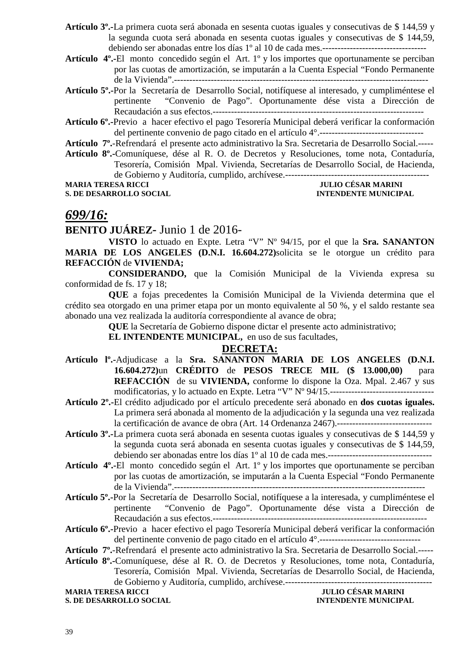- **Artículo 3º.-**La primera cuota será abonada en sesenta cuotas iguales y consecutivas de \$ 144,59 y la segunda cuota será abonada en sesenta cuotas iguales y consecutivas de \$ 144,59, debiendo ser abonadas entre los días 1º al 10 de cada mes.----------------------------------
- **Artículo 4º.-**El monto concedido según el Art. 1º y los importes que oportunamente se perciban por las cuotas de amortización, se imputarán a la Cuenta Especial "Fondo Permanente de la Vivienda".-----------------------------------------------------------------------------------
- **Artículo 5º.-**Por la Secretaría de Desarrollo Social, notifíquese al interesado, y cumpliméntese el pertinente "Convenio de Pago". Oportunamente dése vista a Dirección de Recaudación a sus efectos.---------------------------------------------------------------------
- **Artículo 6º.-**Previo a hacer efectivo el pago Tesorería Municipal deberá verificar la conformación del pertinente convenio de pago citado en el artículo 4°.----------------------------------
- **Artículo 7º.**-Refrendará el presente acto administrativo la Sra. Secretaria de Desarrollo Social.-----
- **Artículo 8º.-**Comuníquese, dése al R. O. de Decretos y Resoluciones, tome nota, Contaduría, Tesorería, Comisión Mpal. Vivienda, Secretarías de Desarrollo Social, de Hacienda, de Gobierno y Auditoría, cumplido, archívese.----------------------------------------------- **MARIA TERESA RICCI JULIO CÉSAR MARINI**
- **S. DE DESARROLLO SOCIAL INTENDENTE MUNICIPAL**

### *699/16:*

### **BENITO JUÁREZ-** Junio 1 de 2016-

**VISTO** lo actuado en Expte. Letra "V" Nº 94/15, por el que la **Sra. SANANTON MARIA DE LOS ANGELES (D.N.I. 16.604.272)**solicita se le otorgue un crédito para **REFACCIÓN** de **VIVIENDA;**

**CONSIDERANDO,** que la Comisión Municipal de la Vivienda expresa su conformidad de fs. 17 y 18;

**QUE** a fojas precedentes la Comisión Municipal de la Vivienda determina que el crédito sea otorgado en una primer etapa por un monto equivalente al 50 %, y el saldo restante sea abonado una vez realizada la auditoría correspondiente al avance de obra;

**QUE** la Secretaría de Gobierno dispone dictar el presente acto administrativo;

**EL INTENDENTE MUNICIPAL,** en uso de sus facultades,

### **DECRETA:**

- **Artículo lº.-**Adjudicase a la **Sra. SANANTON MARIA DE LOS ANGELES (D.N.I. 16.604.272)**un **CRÉDITO** de **PESOS TRECE MIL (\$ 13.000,00)** para **REFACCIÓN** de su **VIVIENDA,** conforme lo dispone la Oza. Mpal. 2.467 y sus modificatorias, y lo actuado en Expte. Letra "V" Nº 94/15.----------------------------------
- **Artículo 2º.-**El crédito adjudicado por el artículo precedente será abonado en **dos cuotas iguales.** La primera será abonada al momento de la adjudicación y la segunda una vez realizada la certificación de avance de obra (Art. 14 Ordenanza 2467).-------------------------------
- **Artículo 3º.-**La primera cuota será abonada en sesenta cuotas iguales y consecutivas de \$ 144,59 y la segunda cuota será abonada en sesenta cuotas iguales y consecutivas de \$ 144,59, debiendo ser abonadas entre los días 1º al 10 de cada mes.----------------------------------
- **Artículo 4º.-**El monto concedido según el Art. 1º y los importes que oportunamente se perciban por las cuotas de amortización, se imputarán a la Cuenta Especial "Fondo Permanente de la Vivienda".----------------------------------------------------------------------------------
- **Artículo 5º.-**Por la Secretaría de Desarrollo Social, notifíquese a la interesada, y cumpliméntese el pertinente "Convenio de Pago". Oportunamente dése vista a Dirección de Recaudación a sus efectos.----------------------------------------------------------------------
- **Artículo 6º.-**Previo a hacer efectivo el pago Tesorería Municipal deberá verificar la conformación del pertinente convenio de pago citado en el artículo 4°.---------------------------------
- **Artículo 7º.**-Refrendará el presente acto administrativo la Sra. Secretaria de Desarrollo Social.-----
- **Artículo 8º.-**Comuníquese, dése al R. O. de Decretos y Resoluciones, tome nota, Contaduría, Tesorería, Comisión Mpal. Vivienda, Secretarías de Desarrollo Social, de Hacienda, de Gobierno y Auditoría, cumplido, archívese.------------------------------------------------ **MARIA TERESA RICCI JULIO CÉSAR MARINI**

**S. DE DESARROLLO SOCIAL** *INTENDENTE MUNICIPAL*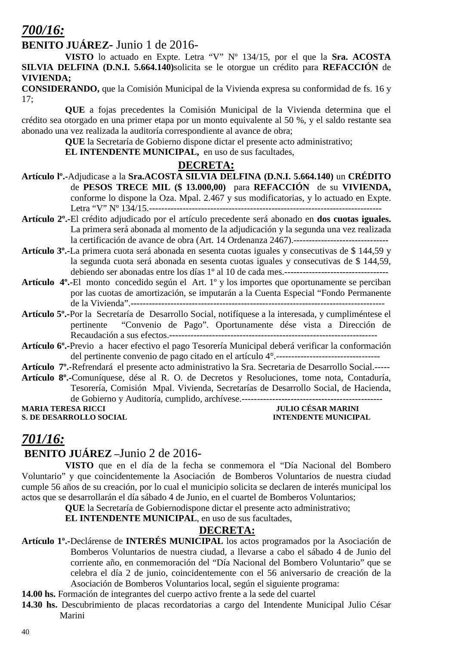### *700/16:*

### **BENITO JUÁREZ-** Junio 1 de 2016-

**VISTO** lo actuado en Expte. Letra "V" Nº 134/15, por el que la **Sra. ACOSTA SILVIA DELFINA (D.N.I. 5.664.140)**solicita se le otorgue un crédito para **REFACCIÓN** de **VIVIENDA;**

**CONSIDERANDO,** que la Comisión Municipal de la Vivienda expresa su conformidad de fs. 16 y 17;

**QUE** a fojas precedentes la Comisión Municipal de la Vivienda determina que el crédito sea otorgado en una primer etapa por un monto equivalente al 50 %, y el saldo restante sea abonado una vez realizada la auditoría correspondiente al avance de obra;

**QUE** la Secretaría de Gobierno dispone dictar el presente acto administrativo;

**EL INTENDENTE MUNICIPAL,** en uso de sus facultades,

#### **DECRETA:**

- **Artículo lº.-**Adjudicase a la **Sra.ACOSTA SILVIA DELFINA (D.N.I. 5.664.140)** un **CRÉDITO** de **PESOS TRECE MIL (\$ 13.000,00)** para **REFACCIÓN** de su **VIVIENDA,** conforme lo dispone la Oza. Mpal. 2.467 y sus modificatorias, y lo actuado en Expte. Letra "V" Nº 134/15.----------------------------------------------------------------------------
- **Artículo 2º.-**El crédito adjudicado por el artículo precedente será abonado en **dos cuotas iguales.** La primera será abonada al momento de la adjudicación y la segunda una vez realizada la certificación de avance de obra (Art. 14 Ordenanza 2467).-------------------------------
- **Artículo 3º.-**La primera cuota será abonada en sesenta cuotas iguales y consecutivas de \$ 144,59 y la segunda cuota será abonada en sesenta cuotas iguales y consecutivas de \$ 144,59, debiendo ser abonadas entre los días 1º al 10 de cada mes.----------------------------------
- **Artículo 4º.-**El monto concedido según el Art. 1º y los importes que oportunamente se perciban por las cuotas de amortización, se imputarán a la Cuenta Especial "Fondo Permanente de la Vivienda".-----------------------------------------------------------------------------------
- **Artículo 5º.-**Por la Secretaría de Desarrollo Social, notifíquese a la interesada, y cumpliméntese el pertinente "Convenio de Pago". Oportunamente dése vista a Dirección de Recaudación a sus efectos.--------------------------------------------------------------------
- **Artículo 6º.-**Previo a hacer efectivo el pago Tesorería Municipal deberá verificar la conformación del pertinente convenio de pago citado en el artículo 4°.----------------------------------
- **Artículo 7º.**-Refrendará el presente acto administrativo la Sra. Secretaria de Desarrollo Social.-----
- **Artículo 8º.-**Comuníquese, dése al R. O. de Decretos y Resoluciones, tome nota, Contaduría, Tesorería, Comisión Mpal. Vivienda, Secretarías de Desarrollo Social, de Hacienda, de Gobierno y Auditoría, cumplido, archívese.----------------------------------------------

**MARIA TERESA RICCI JULIO CÉSAR MARINI S. DE DESARROLLO SOCIAL CONSUMING A LOCAL CONSUMING A LOCAL CONSUMING A LOCAL CONSUMING A LOCAL CONSUMING A LOCAL CONSUMING A LOCAL CONSUMING A LOCAL CONSUMING A LOCAL CONSUMING A LOCAL CONSUMING A LOCAL CONSUMING A LOCAL** 

# *701/16:*

### **BENITO JUÁREZ –**Junio 2 de 2016-

**VISTO** que en el día de la fecha se conmemora el "Día Nacional del Bombero Voluntario" y que coincidentemente la Asociación de Bomberos Voluntarios de nuestra ciudad cumple 56 años de su creación, por lo cual el municipio solicita se declaren de interés municipal los actos que se desarrollarán el día sábado 4 de Junio, en el cuartel de Bomberos Voluntarios;

**QUE** la Secretaría de Gobiernodispone dictar el presente acto administrativo;

**EL INTENDENTE MUNICIPAL**, en uso de sus facultades,

- **Artículo 1º.-**Declárense de **INTERÉS MUNICIPAL** los actos programados por la Asociación de Bomberos Voluntarios de nuestra ciudad, a llevarse a cabo el sábado 4 de Junio del corriente año, en conmemoración del "Día Nacional del Bombero Voluntario" que se celebra el día 2 de junio, coincidentemente con el 56 aniversario de creación de la Asociación de Bomberos Voluntarios local, según el siguiente programa:
- **14.00 hs.** Formación de integrantes del cuerpo activo frente a la sede del cuartel
- **14.30 hs.** Descubrimiento de placas recordatorias a cargo del Intendente Municipal Julio César Marini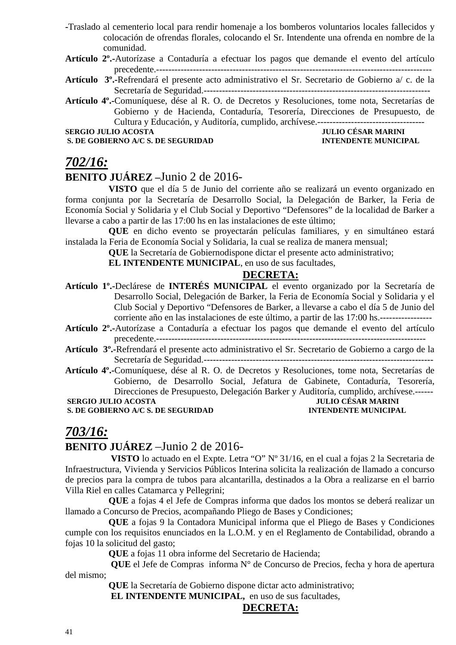- **-**Traslado al cementerio local para rendir homenaje a los bomberos voluntarios locales fallecidos y colocación de ofrendas florales, colocando el Sr. Intendente una ofrenda en nombre de la comunidad.
- **Artículo 2º.-**Autorízase a Contaduría a efectuar los pagos que demande el evento del artículo precedente.------------------------------------------------------------------------------------------
- **Artículo 3º.-**Refrendará el presente acto administrativo el Sr. Secretario de Gobierno a/ c. de la Secretaría de Seguridad.--------------------------------------------------------------------------
- **Artículo 4º.-**Comuníquese, dése al R. O. de Decretos y Resoluciones, tome nota, Secretarías de Gobierno y de Hacienda, Contaduría, Tesorería, Direcciones de Presupuesto, de Cultura y Educación, y Auditoría, cumplido, archívese.-----------------------------------

**S. DE GOBIERNO A/C S. DE SEGURIDAD** 

# **SERGIO JULIO ACOSTA JULIO CÉSAR MARINI**

### *702/16:*

### **BENITO JUÁREZ –**Junio 2 de 2016-

**VISTO** que el día 5 de Junio del corriente año se realizará un evento organizado en forma conjunta por la Secretaría de Desarrollo Social, la Delegación de Barker, la Feria de Economía Social y Solidaria y el Club Social y Deportivo "Defensores" de la localidad de Barker a llevarse a cabo a partir de las 17:00 hs en las instalaciones de este último;

**QUE** en dicho evento se proyectarán películas familiares, y en simultáneo estará instalada la Feria de Economía Social y Solidaria, la cual se realiza de manera mensual;

**QUE** la Secretaría de Gobiernodispone dictar el presente acto administrativo;

**EL INTENDENTE MUNICIPAL**, en uso de sus facultades,

### **DECRETA:**

**Artículo 1º.-**Declárese de **INTERÉS MUNICIPAL** el evento organizado por la Secretaría de Desarrollo Social, Delegación de Barker, la Feria de Economía Social y Solidaria y el Club Social y Deportivo "Defensores de Barker, a llevarse a cabo el día 5 de Junio del corriente año en las instalaciones de este último, a partir de las 17:00 hs.-----------------

**Artículo 2º.-**Autorízase a Contaduría a efectuar los pagos que demande el evento del artículo precedente.----------------------------------------------------------------------------------------

- **Artículo 3º.-**Refrendará el presente acto administrativo el Sr. Secretario de Gobierno a cargo de la Secretaría de Seguridad.---------------------------------------------------------------------------
- **Artículo 4º.-**Comuníquese, dése al R. O. de Decretos y Resoluciones, tome nota, Secretarías de Gobierno, de Desarrollo Social, Jefatura de Gabinete, Contaduría, Tesorería, Direcciones de Presupuesto, Delegación Barker y Auditoría, cumplido, archívese.------ **SERGIO JULIO ACOSTA S. DE GOBIERNO A/C S. DE SEGURIDAD INTENDENTE MUNICIPAL**

### *703/16:*

### **BENITO JUÁREZ** –Junio 2 de 2016-

 **VISTO** lo actuado en el Expte. Letra "O" Nº 31/16, en el cual a fojas 2 la Secretaria de Infraestructura, Vivienda y Servicios Públicos Interina solicita la realización de llamado a concurso de precios para la compra de tubos para alcantarilla, destinados a la Obra a realizarse en el barrio Villa Riel en calles Catamarca y Pellegrini;

**QUE** a fojas 4 el Jefe de Compras informa que dados los montos se deberá realizar un llamado a Concurso de Precios, acompañando Pliego de Bases y Condiciones;

**QUE** a fojas 9 la Contadora Municipal informa que el Pliego de Bases y Condiciones cumple con los requisitos enunciados en la L.O.M. y en el Reglamento de Contabilidad, obrando a fojas 10 la solicitud del gasto;

**QUE** a fojas 11 obra informe del Secretario de Hacienda;

 **QUE** el Jefe de Compras informa N° de Concurso de Precios, fecha y hora de apertura del mismo;

**QUE** la Secretaría de Gobierno dispone dictar acto administrativo;

 **EL INTENDENTE MUNICIPAL,** en uso de sus facultades,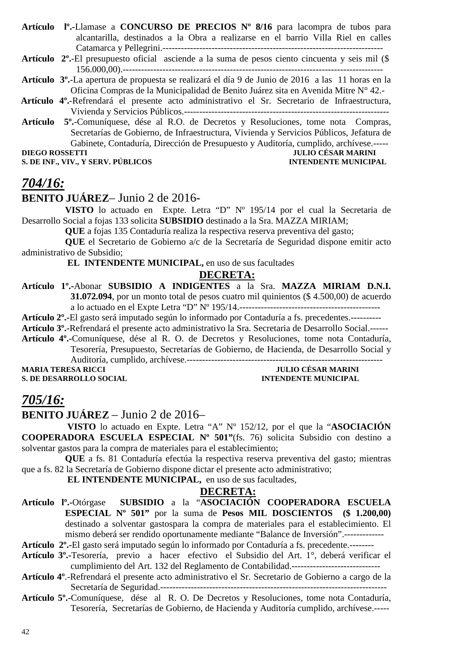- **Artículo lº.-**Llamase a **CONCURSO DE PRECIOS Nº 8/16** para lacompra de tubos para alcantarilla, destinados a la Obra a realizarse en el barrio Villa Riel en calles Catamarca y Pellegrini.------------------------------------------------------------------------
- **Artículo 2º.**-El presupuesto oficial asciende a la suma de pesos ciento cincuenta y seis mil (\$ 156.000,00).-------------------------------------------------------------------------------------
- **Artículo 3º.**-La apertura de propuesta se realizará el día 9 de Junio de 2016 a las 11 horas en la Oficina Compras de la Municipalidad de Benito Juárez sita en Avenida Mitre N° 42.-
- **Artículo 4º.**-Refrendará el presente acto administrativo el Sr. Secretario de Infraestructura, Vivienda y Servicios Públicos.-------------------------------------------------------------------
- **Artículo 5º.**-Comuníquese, dése al R.O. de Decretos y Resoluciones, tome nota Compras, Secretarías de Gobierno, de Infraestructura, Vivienda y Servicios Públicos, Jefatura de Gabinete, Contaduría, Dirección de Presupuesto y Auditoría, cumplido, archívese.-----

**S. DE INF., VIV., Y SERV. PÚBLICOS INTENDENTE MUNICIPAL** 

### **DIEGO ROSSETTI JULIO CÉSAR MARINI**

### *704/16:*

### **BENITO JUÁREZ**– Junio 2 de 2016-

**VISTO** lo actuado en Expte. Letra "D" Nº 195/14 por el cual la Secretaria de Desarrollo Social a fojas 133 solicita **SUBSIDIO** destinado a la Sra. MAZZA MIRIAM;

**QUE** a fojas 135 Contaduría realiza la respectiva reserva preventiva del gasto;

**QUE** el Secretario de Gobierno a/c de la Secretaría de Seguridad dispone emitir acto administrativo de Subsidio;

 **EL INTENDENTE MUNICIPAL,** en uso de sus facultades

#### **DECRETA:**

**Artículo 1º.-**Abonar **SUBSIDIO A INDIGENTES** a la Sra. **MAZZA MIRIAM D.N.I. 31.072.094**, por un monto total de pesos cuatro mil quinientos (\$ 4.500,00) de acuerdo a lo actuado en el Expte Letra "D" Nº 195/14.----------------------------------------------

**Artículo 2º.-**El gasto será imputado según lo informado por Contaduría a fs. precedentes.----------

**Artículo 3º.-**Refrendará el presente acto administrativo la Sra. Secretaria de Desarrollo Social.------

**Artículo 4º.-**Comuníquese, dése al R. O. de Decretos y Resoluciones, tome nota Contaduría, Tesorería, Presupuesto, Secretarías de Gobierno, de Hacienda, de Desarrollo Social y Auditoría, cumplido, archívese.----------------------------------------------------------------

**MARIA TERESA RICCI TERESA RICCI JULIO CÉSAR MARINI** 

**S. DE DESARROLLO SOCIAL DESPESSION DE L'ALGERIE DE L'ALGERIE DE L'ALGERIE DE L'ALGERIE DE L'ALGERIE DE L'ALGERIE DE L'ALGERIE DE L'ALGERIE DE L'ALGERIE DE L'ALGERIE DE L'ALGERIE DE L'ALGERIE DE L'ALGERIE DE L'ALGERIE DE L** 

### *705/16:*

**BENITO JUÁREZ** – Junio 2 de 2016–

 **VISTO** lo actuado en Expte. Letra "A" Nº 152/12, por el que la "**ASOCIACIÓN COOPERADORA ESCUELA ESPECIAL Nº 501"**(fs. 76) solicita Subsidio con destino a solventar gastos para la compra de materiales para el establecimiento;

**QUE** a fs. 81 Contaduría efectúa la respectiva reserva preventiva del gasto; mientras que a fs. 82 la Secretaría de Gobierno dispone dictar el presente acto administrativo;

 **EL INTENDENTE MUNICIPAL,** en uso de sus facultades,

#### **DECRETA:**

**Artículo lº.-**Otórgase **SUBSIDIO** a la "**ASOCIACIÓN COOPERADORA ESCUELA ESPECIAL Nº 501"** por la suma de **Pesos MIL DOSCIENTOS (\$ 1.200,00)**  destinado a solventar gastospara la compra de materiales para el establecimiento. El mismo deberá ser rendido oportunamente mediante "Balance de Inversión".-------------

**Artículo 2º.-**El gasto será imputado según lo informado por Contaduría a fs. precedente.--------

- **Artículo 3º.-**Tesorería, previo a hacer efectivo el Subsidio del Art. 1°, deberá verificar el cumplimiento del Art. 132 del Reglamento de Contabilidad.-----------------------------
- **Artículo 4º**.-Refrendará el presente acto administrativo el Sr. Secretario de Gobierno a cargo de la Secretaría de Seguridad.--------------------------------------------------------------------------
- **Artículo 5º.-**Comuníquese, dése al R. O. De Decretos y Resoluciones, tome nota Contaduría, Tesorería, Secretarías de Gobierno, de Hacienda y Auditoría cumplido, archívese.-----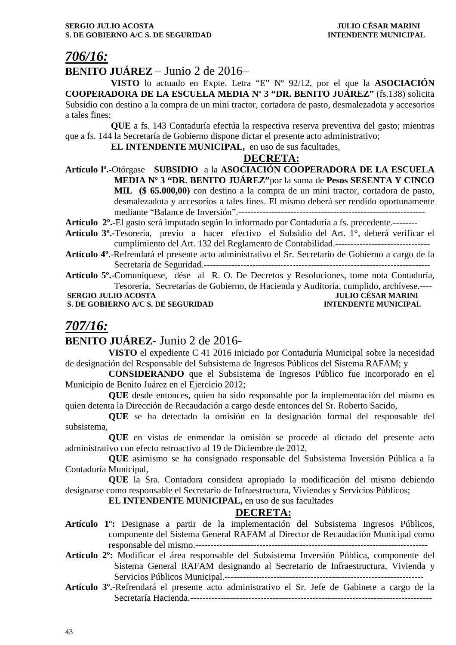### *706/16:*

### **BENITO JUÁREZ** – Junio 2 de 2016–

 **VISTO** lo actuado en Expte. Letra "E" Nº 92/12, por el que la **ASOCIACIÓN COOPERADORA DE LA ESCUELA MEDIA Nº 3 "DR. BENITO JUÁREZ"** (fs.138) solicita Subsidio con destino a la compra de un mini tractor, cortadora de pasto, desmalezadota y accesorios a tales fines;

 **QUE** a fs. 143 Contaduría efectúa la respectiva reserva preventiva del gasto; mientras que a fs. 144 la Secretaría de Gobierno dispone dictar el presente acto administrativo;

 **EL INTENDENTE MUNICIPAL,** en uso de sus facultades,

#### **DECRETA:**

**Artículo lº.-**Otórgase **SUBSIDIO** a la **ASOCIACIÓN COOPERADORA DE LA ESCUELA MEDIA Nº 3 "DR. BENITO JUÁREZ"**por la suma de **Pesos SESENTA Y CINCO MIL (\$ 65.000,00)** con destino a la compra de un mini tractor, cortadora de pasto, desmalezadota y accesorios a tales fines. El mismo deberá ser rendido oportunamente mediante "Balance de Inversión".-------------------------------------------------------------

**Artículo 2º.-**El gasto será imputado según lo informado por Contaduría a fs. precedente.--------

- **Artículo 3º.-**Tesorería, previo a hacer efectivo el Subsidio del Art. 1°, deberá verificar el cumplimiento del Art. 132 del Reglamento de Contabilidad.-------------------------------
- **Artículo 4º**.-Refrendará el presente acto administrativo el Sr. Secretario de Gobierno a cargo de la Secretaría de Seguridad.--------------------------------------------------------------------------

**Artículo 5º.-**Comuníquese, dése al R. O. De Decretos y Resoluciones, tome nota Contaduría, Tesorería, Secretarías de Gobierno, de Hacienda y Auditoría, cumplido, archívese.----

**S. DE GOBIERNO A/C S. DE SEGURIDAD** 

```
 SERGIO JULIO ACOSTA JULIO CÉSAR MARINI
```
### *707/16:*

### **BENITO JUÁREZ**- Junio 2 de 2016-

**VISTO** el expediente C 41 2016 iniciado por Contaduría Municipal sobre la necesidad de designación del Responsable del Subsistema de Ingresos Públicos del Sistema RAFAM; y

**CONSIDERANDO** que el Subsistema de Ingresos Público fue incorporado en el Municipio de Benito Juárez en el Ejercicio 2012;

**QUE** desde entonces, quien ha sido responsable por la implementación del mismo es quien detenta la Dirección de Recaudación a cargo desde entonces del Sr. Roberto Sacido,

**QUE** se ha detectado la omisión en la designación formal del responsable del subsistema,

**QUE** en vistas de enmendar la omisión se procede al dictado del presente acto administrativo con efecto retroactivo al 19 de Diciembre de 2012,

**QUE** asimismo se ha consignado responsable del Subsistema Inversión Pública a la Contaduría Municipal,

**QUE** la Sra. Contadora considera apropiado la modificación del mismo debiendo designarse como responsable el Secretario de Infraestructura, Viviendas y Servicios Públicos;

**EL INTENDENTE MUNICIPAL,** en uso de sus facultades

- **Artículo 1º:** Designase a partir de la implementación del Subsistema Ingresos Públicos, componente del Sistema General RAFAM al Director de Recaudación Municipal como responsable del mismo.----------------------------------------------------------------------------
- **Artículo 2º:** Modificar el área responsable del Subsistema Inversión Pública, componente del Sistema General RAFAM designando al Secretario de Infraestructura, Vivienda y Servicios Públicos Municipal.-----------------------------------------------------------------
- **Artículo 3º.-**Refrendará el presente acto administrativo el Sr. Jefe de Gabinete a cargo de la Secretaría Hacienda.-------------------------------------------------------------------------------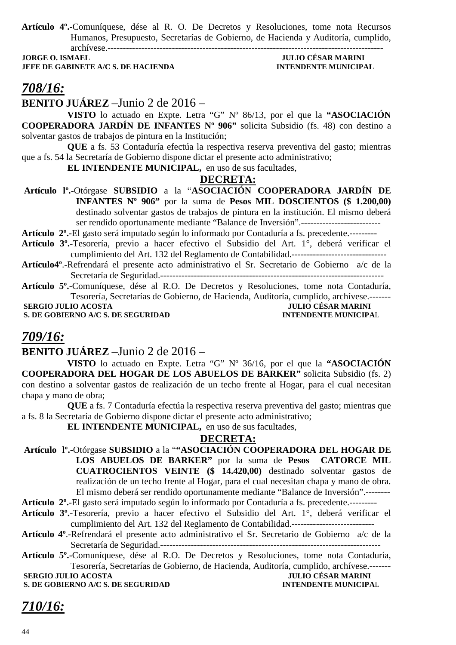**Artículo 4º.-**Comuníquese, dése al R. O. De Decretos y Resoluciones, tome nota Recursos Humanos, Presupuesto, Secretarías de Gobierno, de Hacienda y Auditoría, cumplido, archívese.------------------------------------------------------------------------------------------

**JORGE O. ISMAEL JULIO CÉSAR MARINI JEFE DE GABINETE A/C S. DE HACIENDA** 

# *708/16:*

**BENITO JUÁREZ** –Junio 2 de 2016 –

 **VISTO** lo actuado en Expte. Letra "G" Nº 86/13, por el que la **"ASOCIACIÓN COOPERADORA JARDÍN DE INFANTES Nº 906"** solicita Subsidio (fs. 48) con destino a solventar gastos de trabajos de pintura en la Institución;

 **QUE** a fs. 53 Contaduría efectúa la respectiva reserva preventiva del gasto; mientras que a fs. 54 la Secretaría de Gobierno dispone dictar el presente acto administrativo;

 **EL INTENDENTE MUNICIPAL,** en uso de sus facultades,

#### **DECRETA:**

 **Artículo lº.-**Otórgase **SUBSIDIO** a la "**ASOCIACIÓN COOPERADORA JARDÍN DE INFANTES Nº 906"** por la suma de **Pesos MIL DOSCIENTOS (\$ 1.200,00)**  destinado solventar gastos de trabajos de pintura en la institución. El mismo deberá ser rendido oportunamente mediante "Balance de Inversión".--------------------------

**Artículo 2º.-**El gasto será imputado según lo informado por Contaduría a fs. precedente.---------

- **Artículo 3º.-**Tesorería, previo a hacer efectivo el Subsidio del Art. 1°, deberá verificar el cumplimiento del Art. 132 del Reglamento de Contabilidad.-------------------------------
- **Artículo4º**.-Refrendará el presente acto administrativo el Sr. Secretario de Gobierno a/c de la Secretaría de Seguridad.-------------------------------------------------------------------------
- **Artículo 5º.-**Comuníquese, dése al R.O. De Decretos y Resoluciones, tome nota Contaduría, Tesorería, Secretarías de Gobierno, de Hacienda, Auditoría, cumplido, archívese.-------

 **SERGIO JULIO ACOSTA JULIO CÉSAR MARINI<br>
S. DE GOBIERNO A/C S. DE SEGURIDAD INTENDENTE MUNICIPAL S. DE GOBIERNO A/C S. DE SEGURIDAD** 

### *709/16:*

#### **BENITO JUÁREZ** –Junio 2 de 2016 –

 **VISTO** lo actuado en Expte. Letra "G" Nº 36/16, por el que la **"ASOCIACIÓN COOPERADORA DEL HOGAR DE LOS ABUELOS DE BARKER"** solicita Subsidio (fs. 2) con destino a solventar gastos de realización de un techo frente al Hogar, para el cual necesitan chapa y mano de obra;

 **QUE** a fs. 7 Contaduría efectúa la respectiva reserva preventiva del gasto; mientras que a fs. 8 la Secretaría de Gobierno dispone dictar el presente acto administrativo;

 **EL INTENDENTE MUNICIPAL,** en uso de sus facultades,

### **DECRETA:**

 **Artículo lº.-**Otórgase **SUBSIDIO** a la "**"ASOCIACIÓN COOPERADORA DEL HOGAR DE LOS ABUELOS DE BARKER"** por la suma de **Pesos CATORCE MIL CUATROCIENTOS VEINTE (\$ 14.420,00)** destinado solventar gastos de realización de un techo frente al Hogar, para el cual necesitan chapa y mano de obra. El mismo deberá ser rendido oportunamente mediante "Balance de Inversión".--------

**Artículo 2º.-**El gasto será imputado según lo informado por Contaduría a fs. precedente.---------

- **Artículo 3º.-**Tesorería, previo a hacer efectivo el Subsidio del Art. 1°, deberá verificar el cumplimiento del Art. 132 del Reglamento de Contabilidad.---------------------------
- **Artículo 4º**.-Refrendará el presente acto administrativo el Sr. Secretario de Gobierno a/c de la Secretaría de Seguridad.------------------------------------------------------------------------

**Artículo 5º.-**Comuníquese, dése al R.O. De Decretos y Resoluciones, tome nota Contaduría, Tesorería, Secretarías de Gobierno, de Hacienda, Auditoría, cumplido, archívese.-------

 **SERGIO JULIO ACOSTA JULIO CÉSAR MARINI**<br> **S. DE GOBIERNO A/C S. DE SEGURIDAD INTENDENTE MUNICIPAL S. DE GOBIERNO A/C S. DE SEGURIDAD** 

### *710/16:*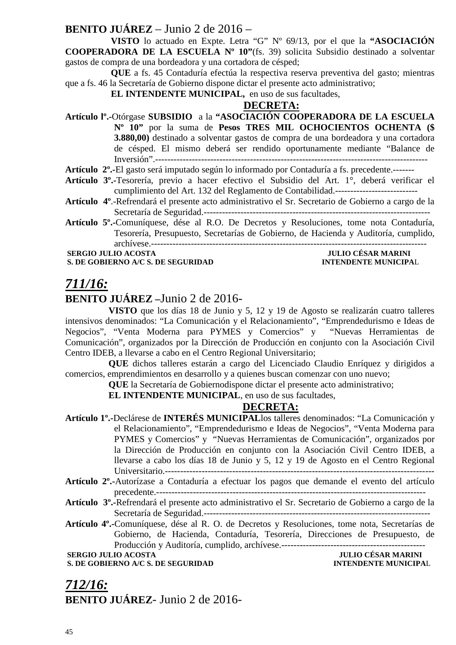### **BENITO JUÁREZ** – Junio 2 de 2016 –

 **VISTO** lo actuado en Expte. Letra "G" Nº 69/13, por el que la **"ASOCIACIÓN COOPERADORA DE LA ESCUELA Nº 10"**(fs. 39) solicita Subsidio destinado a solventar gastos de compra de una bordeadora y una cortadora de césped;

 **QUE** a fs. 45 Contaduría efectúa la respectiva reserva preventiva del gasto; mientras que a fs. 46 la Secretaría de Gobierno dispone dictar el presente acto administrativo;

#### **EL INTENDENTE MUNICIPAL,** en uso de sus facultades,

### **DECRETA:**

**Artículo lº.-**Otórgase **SUBSIDIO** a la **"ASOCIACIÓN COOPERADORA DE LA ESCUELA Nº 10"** por la suma de **Pesos TRES MIL OCHOCIENTOS OCHENTA (\$ 3.880,00)** destinado a solventar gastos de compra de una bordeadora y una cortadora de césped. El mismo deberá ser rendido oportunamente mediante "Balance de Inversión".-----------------------------------------------------------------------------------------

**Artículo 2º.-**El gasto será imputado según lo informado por Contaduría a fs. precedente.-------

- **Artículo 3º.-**Tesorería, previo a hacer efectivo el Subsidio del Art. 1°, deberá verificar el cumplimiento del Art. 132 del Reglamento de Contabilidad.---------------------------
- **Artículo 4º**.-Refrendará el presente acto administrativo el Sr. Secretario de Gobierno a cargo de la Secretaría de Seguridad.--------------------------------------------------------------------------
- **Artículo 5º.-**Comuníquese, dése al R.O. De Decretos y Resoluciones, tome nota Contaduría, Tesorería, Presupuesto, Secretarías de Gobierno, de Hacienda y Auditoría, cumplido, archívese.------------------------------------------------------------------------------------------

**S. DE GOBIERNO A/C S. DE SEGURIDAD INTENDENTE MUNICIPAL** 

# **SERGIO JULIO ACOSTA JULIO CÉSAR MARINI**

## *711/16:*

### **BENITO JUÁREZ –**Junio 2 de 2016-

**VISTO** que los días 18 de Junio y 5, 12 y 19 de Agosto se realizarán cuatro talleres intensivos denominados: "La Comunicación y el Relacionamiento", "Emprendedurismo e Ideas de Negocios", "Venta Moderna para PYMES y Comercios" y "Nuevas Herramientas de Comunicación", organizados por la Dirección de Producción en conjunto con la Asociación Civil Centro IDEB, a llevarse a cabo en el Centro Regional Universitario;

**QUE** dichos talleres estarán a cargo del Licenciado Claudio Enríquez y dirigidos a comercios, emprendimientos en desarrollo y a quienes buscan comenzar con uno nuevo;

**QUE** la Secretaría de Gobiernodispone dictar el presente acto administrativo;

**EL INTENDENTE MUNICIPAL**, en uso de sus facultades,

### **DECRETA:**

**Artículo 1º.-**Declárese de **INTERÉS MUNICIPAL**los talleres denominados: "La Comunicación y el Relacionamiento", "Emprendedurismo e Ideas de Negocios", "Venta Moderna para PYMES y Comercios" y "Nuevas Herramientas de Comunicación", organizados por la Dirección de Producción en conjunto con la Asociación Civil Centro IDEB, a llevarse a cabo los días 18 de Junio y 5, 12 y 19 de Agosto en el Centro Regional Universitario.---------------------------------------------------------------------------------------- **Artículo 2º.-**Autorízase a Contaduría a efectuar los pagos que demande el evento del artículo precedente.---------------------------------------------------------------------------------------- **Artículo 3º.-**Refrendará el presente acto administrativo el Sr. Secretario de Gobierno a cargo de la Secretaría de Seguridad.-------------------------------------------------------------------------- **Artículo 4º.-**Comuníquese, dése al R. O. de Decretos y Resoluciones, tome nota, Secretarías de

Gobierno, de Hacienda, Contaduría, Tesorería, Direcciones de Presupuesto, de Producción y Auditoría, cumplido, archívese.-----------------------------------------------

**SERGIO JULIO ACOSTA S. DE GOBIERNO A/C S. DE SEGURIDAD INTENDENTE MUNICIPAL** 

### *712/16:* **BENITO JUÁREZ**- Junio 2 de 2016-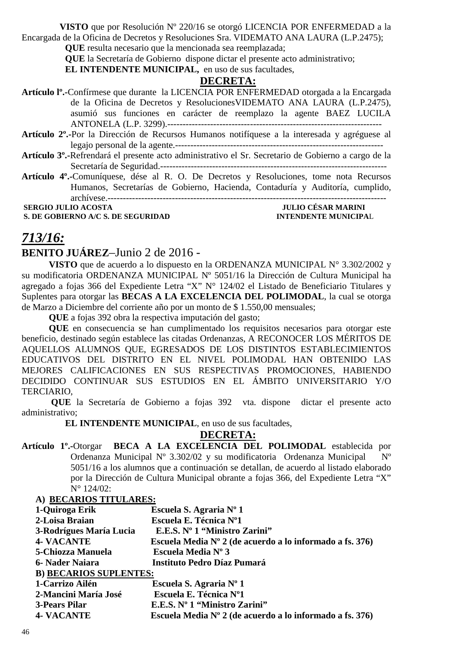**VISTO** que por Resolución Nº 220/16 se otorgó LICENCIA POR ENFERMEDAD a la Encargada de la Oficina de Decretos y Resoluciones Sra. VIDEMATO ANA LAURA (L.P.2475);

**QUE** resulta necesario que la mencionada sea reemplazada;

**QUE** la Secretaría de Gobierno dispone dictar el presente acto administrativo;

**EL INTENDENTE MUNICIPAL,** en uso de sus facultades,

### **DECRETA:**

| Artículo I <sup>o</sup> .-Confírmese que durante la LICENCIA POR ENFERMEDAD otorgada a la Encargada              |
|------------------------------------------------------------------------------------------------------------------|
| de la Oficina de Decretos y Resoluciones VIDEMATO ANA LAURA (L.P.2475),                                          |
| asumió sus funciones en carácter de reemplazo la agente BAEZ LUCILA                                              |
|                                                                                                                  |
| <b>Artículo 2<sup>°</sup>.</b> -Por la Dirección de Recursos Humanos notifíquese a la interesada y agréguese al  |
|                                                                                                                  |
| Artículo 3 <sup>o</sup> .-Refrendará el presente acto administrativo el Sr. Secretario de Gobierno a cargo de la |
|                                                                                                                  |
| Artículo 4 <sup>°</sup> -Comuníquese, dése al R. O. De Decretos y Resoluciones, tome nota Recursos               |
| Humanos, Secretarías de Gobierno, Hacienda, Contaduría y Auditoría, cumplido,                                    |
|                                                                                                                  |

**S. DE GOBIERNO A/C S. DE SEGURIDAD** 

 **SERGIO JULIO ACOSTA JULIO CÉSAR MARINI** 

### *713/16:*

### **BENITO JUÁREZ**–Junio 2 de 2016 -

**VISTO** que de acuerdo a lo dispuesto en la ORDENANZA MUNICIPAL N° 3.302/2002 y su modificatoria ORDENANZA MUNICIPAL Nº 5051/16 la Dirección de Cultura Municipal ha agregado a fojas 366 del Expediente Letra "X" N° 124/02 el Listado de Beneficiario Titulares y Suplentes para otorgar las **BECAS A LA EXCELENCIA DEL POLIMODAL**, la cual se otorga de Marzo a Diciembre del corriente año por un monto de \$ 1.550,00 mensuales;

**QUE** a fojas 392 obra la respectiva imputación del gasto;

**QUE** en consecuencia se han cumplimentado los requisitos necesarios para otorgar este beneficio, destinado según establece las citadas Ordenanzas, A RECONOCER LOS MÉRITOS DE AQUELLOS ALUMNOS QUE, EGRESADOS DE LOS DISTINTOS ESTABLECIMIENTOS EDUCATIVOS DEL DISTRITO EN EL NIVEL POLIMODAL HAN OBTENIDO LAS MEJORES CALIFICACIONES EN SUS RESPECTIVAS PROMOCIONES, HABIENDO DECIDIDO CONTINUAR SUS ESTUDIOS EN EL ÁMBITO UNIVERSITARIO Y/O TERCIARIO,

 **QUE** la Secretaría de Gobierno a fojas 392 vta. dispone dictar el presente acto administrativo;

**EL INTENDENTE MUNICIPAL**, en uso de sus facultades,

#### **DECRETA:**

**Artículo 1º.-**Otorgar **BECA A LA EXCELENCIA DEL POLIMODAL** establecida por Ordenanza Municipal Nº 3.302/02 y su modificatoria Ordenanza Municipal Nº 5051/16 a los alumnos que a continuación se detallan, de acuerdo al listado elaborado por la Dirección de Cultura Municipal obrante a fojas 366, del Expediente Letra "X" N° 124/02:

### **A) BECARIOS TITULARES: 1-Quiroga Erik Escuela S. Agraria Nº 1 2-Loisa Braian Escuela E. Técnica Nº1 3-Rodrígues María Lucia E.E.S. Nº 1 "Ministro Zarini" 4- VACANTE Escuela Media Nº 2 (de acuerdo a lo informado a fs. 376) 5-Chiozza Manuela Escuela Media Nº 3 6- Nader Naiara Instituto Pedro Díaz Pumará B) BECARIOS SUPLENTES: 1-Carrizo Ailén Escuela S. Agraria Nº 1 2-Mancini María José Escuela E. Técnica Nº1 3-Pears Pilar E.E.S. Nº 1 "Ministro Zarini" 4- VACANTE Escuela Media Nº 2 (de acuerdo a lo informado a fs. 376)**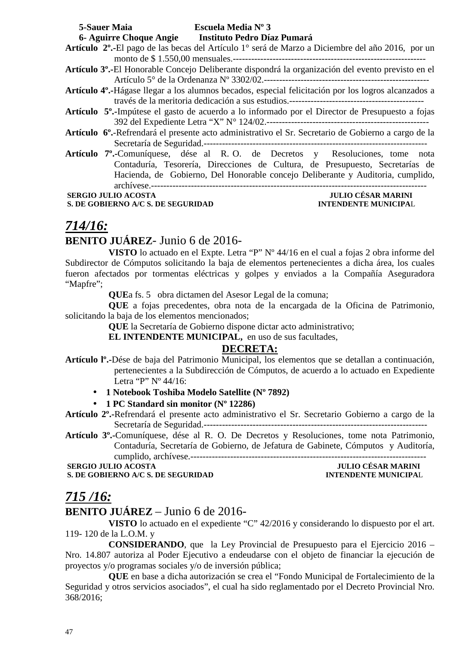| <b>5-Sauer Maia</b>                                                                  | Escuela Media Nº 3                                  |                                                                                                              |
|--------------------------------------------------------------------------------------|-----------------------------------------------------|--------------------------------------------------------------------------------------------------------------|
|                                                                                      | 6- Aguirre Choque Angie Instituto Pedro Díaz Pumará |                                                                                                              |
|                                                                                      |                                                     | <b>Artículo 2°.-</b> El pago de las becas del Artículo 1° será de Marzo a Diciembre del año 2016, por un     |
|                                                                                      |                                                     |                                                                                                              |
|                                                                                      |                                                     | Artículo 3º.-El Honorable Concejo Deliberante dispondrá la organización del evento previsto en el            |
|                                                                                      |                                                     |                                                                                                              |
|                                                                                      |                                                     | <b>Artículo 4°.-H</b> ágase llegar a los alumnos becados, especial felicitación por los logros alcanzados a  |
|                                                                                      |                                                     |                                                                                                              |
|                                                                                      |                                                     | Artículo 5 <sup>°</sup> .-Impútese el gasto de acuerdo a lo informado por el Director de Presupuesto a fojas |
|                                                                                      |                                                     |                                                                                                              |
|                                                                                      |                                                     | Artículo 6º.-Refrendará el presente acto administrativo el Sr. Secretario de Gobierno a cargo de la          |
|                                                                                      |                                                     |                                                                                                              |
| Artículo 7 <sup>°</sup> . Comuníquese, dése al R.O. de Decretos y Resoluciones, tome |                                                     | nota                                                                                                         |
|                                                                                      |                                                     | Contaduría, Tesorería, Direcciones de Cultura, de Presupuesto, Secretarías de                                |
|                                                                                      |                                                     | Hacienda, de Gobierno, Del Honorable concejo Deliberante y Auditoria, cumplido,                              |
|                                                                                      |                                                     |                                                                                                              |
| <b>SERGIO JULIO ACOSTA</b>                                                           |                                                     | <b>JULIO CÉSAR MARINI</b>                                                                                    |
| S. DE GOBIERNO A/C S. DE SEGURIDAD                                                   |                                                     | <b>INTENDENTE MUNICIPAL</b>                                                                                  |

### *714/16:*

### **BENITO JUÁREZ**- Junio 6 de 2016-

**VISTO** lo actuado en el Expte. Letra "P" Nº 44/16 en el cual a fojas 2 obra informe del Subdirector de Cómputos solicitando la baja de elementos pertenecientes a dicha área, los cuales fueron afectados por tormentas eléctricas y golpes y enviados a la Compañía Aseguradora "Mapfre";

**QUE**a fs. 5 obra dictamen del Asesor Legal de la comuna;

**QUE** a fojas precedentes, obra nota de la encargada de la Oficina de Patrimonio, solicitando la baja de los elementos mencionados;

**QUE** la Secretaría de Gobierno dispone dictar acto administrativo;

**EL INTENDENTE MUNICIPAL,** en uso de sus facultades,

### **DECRETA:**

- **Artículo lº.-**Dése de baja del Patrimonio Municipal, los elementos que se detallan a continuación, pertenecientes a la Subdirección de Cómputos, de acuerdo a lo actuado en Expediente Letra "P" Nº 44/16:
	- **1 Notebook Toshiba Modelo Satellite (Nº 7892)**
	- **1 PC Standard sin monitor (Nº 12286)**
- **Artículo 2º.-**Refrendará el presente acto administrativo el Sr. Secretario Gobierno a cargo de la Secretaría de Seguridad.-------------------------------------------------------------------------

**Artículo 3º.-**Comuníquese, dése al R. O. De Decretos y Resoluciones, tome nota Patrimonio, Contaduría, Secretaría de Gobierno, de Jefatura de Gabinete, Cómputos y Auditoría, cumplido, archívese.-----------------------------------------------------------------------------

 **SERGIO JULIO ACOSTA JULIO CÉSAR MARINI S. DE GOBIERNO A/C S. DE SEGURIDAD** 

### *715 /16:*

### **BENITO JUÁREZ** – Junio 6 de 2016-

**VISTO** lo actuado en el expediente "C" 42/2016 y considerando lo dispuesto por el art. 119- 120 de la L.O.M. y

**CONSIDERANDO**, que la Ley Provincial de Presupuesto para el Ejercicio 2016 – Nro. 14.807 autoriza al Poder Ejecutivo a endeudarse con el objeto de financiar la ejecución de proyectos y/o programas sociales y/o de inversión pública;

**QUE** en base a dicha autorización se crea el "Fondo Municipal de Fortalecimiento de la Seguridad y otros servicios asociados", el cual ha sido reglamentado por el Decreto Provincial Nro. 368/2016;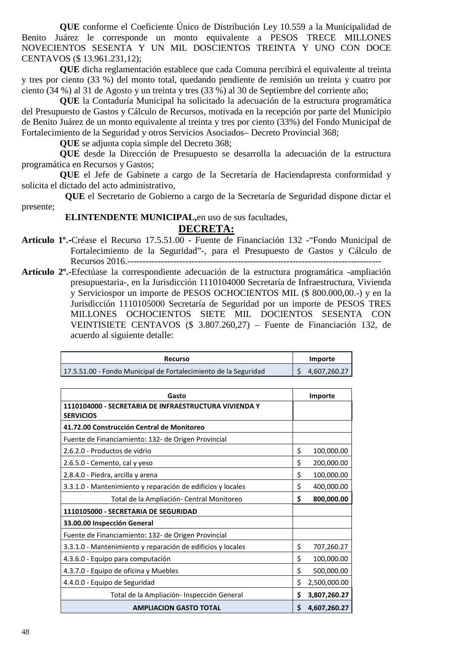**QUE** conforme el Coeficiente Único de Distribución Ley 10.559 a la Municipalidad de Benito Juárez le corresponde un monto equivalente a PESOS TRECE MILLONES NOVECIENTOS SESENTA Y UN MIL DOSCIENTOS TREINTA Y UNO CON DOCE CENTAVOS (\$ 13.961.231,12);

**QUE** dicha reglamentación establece que cada Comuna percibirá el equivalente al treinta y tres por ciento (33 %) del monto total, quedando pendiente de remisión un treinta y cuatro por ciento (34 %) al 31 de Agosto y un treinta y tres (33 %) al 30 de Septiembre del corriente año;

**QUE** la Contaduría Municipal ha solicitado la adecuación de la estructura programática del Presupuesto de Gastos y Cálculo de Recursos, motivada en la recepción por parte del Municipio de Benito Juárez de un monto equivalente al treinta y tres por ciento (33%) del Fondo Municipal de Fortalecimiento de la Seguridad y otros Servicios Asociados– Decreto Provincial 368;

**QUE** se adjunta copia simple del Decreto 368;

**QUE** desde la Dirección de Presupuesto se desarrolla la adecuación de la estructura programática en Recursos y Gastos;

**QUE** el Jefe de Gabinete a cargo de la Secretaría de Haciendapresta conformidad y solicita el dictado del acto administrativo,

**QUE** el Secretario de Gobierno a cargo de la Secretaría de Seguridad dispone dictar el presente;

**ELINTENDENTE MUNICIPAL,**en uso de sus facultades,

- **Articulo 1º.-**Créase el Recurso 17.5.51.00 Fuente de Financiación 132 -"Fondo Municipal de Fortalecimiento de la Seguridad"-, para el Presupuesto de Gastos y Cálculo de Recursos 2016.------------------
- **Artículo 2º.-**Efectúase la correspondiente adecuación de la estructura programática -ampliación presupuestaria-, en la Jurisdicción 1110104000 Secretaría de Infraestructura, Vivienda y Serviciospor un importe de PESOS OCHOCIENTOS MIL (\$ 800.000,00.-) y en la Jurisdicción 1110105000 Secretaría de Seguridad por un importe de PESOS TRES MILLONES OCHOCIENTOS SIETE MIL DOCIENTOS SESENTA CON VEINTISIETE CENTAVOS (\$ 3.807.260,27) – Fuente de Financiación 132, de acuerdo al siguiente detalle:

| <b>Recurso</b>                                                  | Importe      |
|-----------------------------------------------------------------|--------------|
| 17.5.51.00 - Fondo Municipal de Fortalecimiento de la Seguridad | 4,607,260.27 |

| Gasto                                                                     |    | Importe      |
|---------------------------------------------------------------------------|----|--------------|
| 1110104000 - SECRETARIA DE INFRAESTRUCTURA VIVIENDA Y<br><b>SERVICIOS</b> |    |              |
| 41.72.00 Construcción Central de Monitoreo                                |    |              |
| Fuente de Financiamiento: 132- de Origen Provincial                       |    |              |
| 2.6.2.0 - Productos de vidrio                                             | \$ | 100,000.00   |
| 2.6.5.0 - Cemento, cal y yeso                                             | \$ | 200,000.00   |
| 2.8.4.0 - Piedra, arcilla y arena                                         | \$ | 100,000.00   |
| 3.3.1.0 - Mantenimiento y reparación de edificios y locales               | \$ | 400,000.00   |
| Total de la Ampliación- Central Monitoreo                                 | \$ | 800,000.00   |
| 1110105000 - SECRETARIA DE SEGURIDAD                                      |    |              |
| 33.00.00 Inspección General                                               |    |              |
| Fuente de Financiamiento: 132- de Origen Provincial                       |    |              |
| 3.3.1.0 - Mantenimiento y reparación de edificios y locales               | \$ | 707,260.27   |
| 4.3.6.0 - Equipo para computación                                         | \$ | 100,000.00   |
| 4.3.7.0 - Equipo de oficina y Muebles                                     | \$ | 500,000.00   |
| 4.4.0.0 - Equipo de Seguridad                                             | \$ | 2,500,000.00 |
| Total de la Ampliación- Inspección General                                | \$ | 3,807,260.27 |
| <b>AMPLIACION GASTO TOTAL</b>                                             | Ś. | 4,607,260.27 |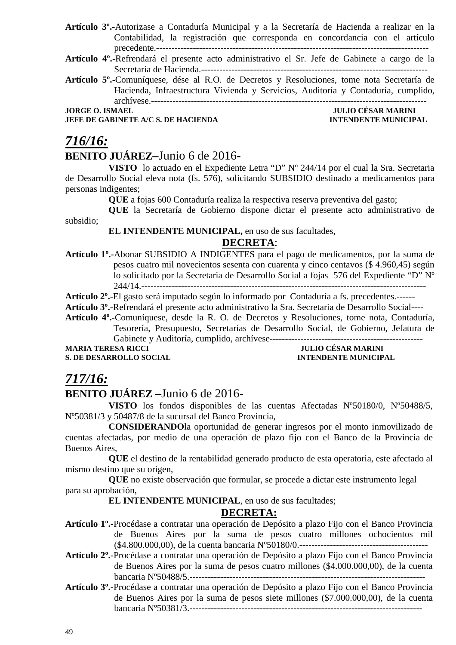- **Artículo 3º.-**Autorizase a Contaduría Municipal y a la Secretaría de Hacienda a realizar en la Contabilidad, la registración que corresponda en concordancia con el artículo precedente.-----------------------------------------------------------------------------------------
- **Artículo 4º.-**Refrendará el presente acto administrativo el Sr. Jefe de Gabinete a cargo de la Secretaría de Hacienda.--------------------------------------------------------------------------
- **Artículo 5º.-**Comuníquese, dése al R.O. de Decretos y Resoluciones, tome nota Secretaría de Hacienda, Infraestructura Vivienda y Servicios, Auditoría y Contaduría, cumplido, archívese.------------------------------------------------------------------------------------------

**JEFE DE GABINETE A/C S. DE HACIENDA INTENDENTE MUNICIPAL** 

**JORGE O. ISMAEL JULIO CÉSAR MARINI** 

# *716/16:*

### **BENITO JUÁREZ–**Junio 6 de 2016**-**

**VISTO** lo actuado en el Expediente Letra "D" Nº 244/14 por el cual la Sra. Secretaria de Desarrollo Social eleva nota (fs. 576), solicitando SUBSIDIO destinado a medicamentos para personas indigentes;

**QUE** a fojas 600 Contaduría realiza la respectiva reserva preventiva del gasto;

**QUE** la Secretaría de Gobierno dispone dictar el presente acto administrativo de subsidio;

#### **EL INTENDENTE MUNICIPAL,** en uso de sus facultades,

### **DECRETA**:

**Artículo 1º.-**Abonar SUBSIDIO A INDIGENTES para el pago de medicamentos, por la suma de pesos cuatro mil novecientos sesenta con cuarenta y cinco centavos (\$ 4.960,45) según lo solicitado por la Secretaria de Desarrollo Social a fojas 576 del Expediente "D" Nº 244/14.---------------------------------------------------------------------------------------------

**Artículo 2º.-**El gasto será imputado según lo informado por Contaduría a fs. precedentes.------

**Artículo 3º.-**Refrendará el presente acto administrativo la Sra. Secretaria de Desarrollo Social----

**Artículo 4º.-**Comuníquese, desde la R. O. de Decretos y Resoluciones, tome nota, Contaduría,

Tesorería, Presupuesto, Secretarías de Desarrollo Social, de Gobierno, Jefatura de Gabinete y Auditoría, cumplido, archívese--------------------------------------------------

**S. DE DESARROLLO SOCIAL** 

# **MULIO CÉSAR MARINI<br>INTENDENTE MUNICIPAL**

### *717/16:*

### **BENITO JUÁREZ** –Junio 6 de 2016-

**VISTO** los fondos disponibles de las cuentas Afectadas Nº50180/0, Nº50488/5, Nº50381/3 y 50487/8 de la sucursal del Banco Provincia,

**CONSIDERANDO**la oportunidad de generar ingresos por el monto inmovilizado de cuentas afectadas, por medio de una operación de plazo fijo con el Banco de la Provincia de Buenos Aires,

**QUE** el destino de la rentabilidad generado producto de esta operatoria, este afectado al mismo destino que su origen,

**QUE** no existe observación que formular, se procede a dictar este instrumento legal para su aprobación,

**EL INTENDENTE MUNICIPAL**, en uso de sus facultades;

- **Artículo 1º.-**Procédase a contratar una operación de Depósito a plazo Fijo con el Banco Provincia de Buenos Aires por la suma de pesos cuatro millones ochocientos mil (\$4.800.000,00), de la cuenta bancaria Nº50180/0.------------------------------------------
- **Artículo 2º.-**Procédase a contratar una operación de Depósito a plazo Fijo con el Banco Provincia de Buenos Aires por la suma de pesos cuatro millones (\$4.000.000,00), de la cuenta bancaria Nº50488/5.-----------------------------------------------------------------------------
- **Artículo 3º.-**Procédase a contratar una operación de Depósito a plazo Fijo con el Banco Provincia de Buenos Aires por la suma de pesos siete millones (\$7.000.000,00), de la cuenta bancaria Nº50381/3.----------------------------------------------------------------------------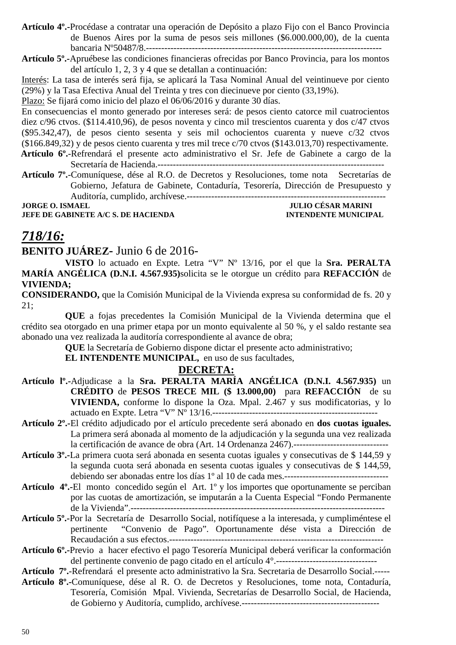**Artículo 4º.-**Procédase a contratar una operación de Depósito a plazo Fijo con el Banco Provincia de Buenos Aires por la suma de pesos seis millones (\$6.000.000,00), de la cuenta bancaria Nº50487/8.-----------------------------------------------------------------------------

**Artículo 5º.-**Apruébese las condiciones financieras ofrecidas por Banco Provincia, para los montos del artículo 1, 2, 3 y 4 que se detallan a continuación:

Interés: La tasa de interés será fija, se aplicará la Tasa Nominal Anual del veintinueve por ciento (29%) y la Tasa Efectiva Anual del Treinta y tres con diecinueve por ciento (33,19%).

Plazo: Se fijará como inicio del plazo el 06/06/2016 y durante 30 días.

En consecuencias el monto generado por intereses será: de pesos ciento catorce mil cuatrocientos diez c/96 ctvos. (\$114.410,96), de pesos noventa y cinco mil trescientos cuarenta y dos c/47 ctvos (\$95.342,47), de pesos ciento sesenta y seis mil ochocientos cuarenta y nueve c/32 ctvos (\$166.849,32) y de pesos ciento cuarenta y tres mil trece c/70 ctvos (\$143.013,70) respectivamente.  **Artículo 6º.**-Refrendará el presente acto administrativo el Sr. Jefe de Gabinete a cargo de la

Secretaría de Hacienda.--------------------------------------------------------------------------

**Artículo 7º.**-Comuníquese, dése al R.O. de Decretos y Resoluciones, tome nota Secretarías de Gobierno, Jefatura de Gabinete, Contaduría, Tesorería, Dirección de Presupuesto y Auditoría, cumplido, archívese.-----------------------------------------------------------------

**JEFE DE GABINETE A/C S. DE HACIENDA** 

**JULIO CESAR MARINE |**<br>INTENDENTE MUNICIPAL

### *718/16:*

### **BENITO JUÁREZ-** Junio 6 de 2016-

**VISTO** lo actuado en Expte. Letra "V" Nº 13/16, por el que la **Sra. PERALTA MARÍA ANGÉLICA (D.N.I. 4.567.935)**solicita se le otorgue un crédito para **REFACCIÓN** de **VIVIENDA;**

**CONSIDERANDO,** que la Comisión Municipal de la Vivienda expresa su conformidad de fs. 20 y 21;

**QUE** a fojas precedentes la Comisión Municipal de la Vivienda determina que el crédito sea otorgado en una primer etapa por un monto equivalente al 50 %, y el saldo restante sea abonado una vez realizada la auditoría correspondiente al avance de obra;

**QUE** la Secretaría de Gobierno dispone dictar el presente acto administrativo;

**EL INTENDENTE MUNICIPAL,** en uso de sus facultades,

- **Artículo lº.-**Adjudicase a la **Sra. PERALTA MARÍA ANGÉLICA (D.N.I. 4.567.935)** un **CRÉDITO** de **PESOS TRECE MIL (\$ 13.000,00)** para **REFACCIÓN** de su **VIVIENDA,** conforme lo dispone la Oza. Mpal. 2.467 y sus modificatorias, y lo actuado en Expte. Letra "V" Nº 13/16.------------------------------------------------------
- **Artículo 2º.-**El crédito adjudicado por el artículo precedente será abonado en **dos cuotas iguales.** La primera será abonada al momento de la adjudicación y la segunda una vez realizada la certificación de avance de obra (Art. 14 Ordenanza 2467).-------------------------------
- **Artículo 3º.-**La primera cuota será abonada en sesenta cuotas iguales y consecutivas de \$ 144,59 y la segunda cuota será abonada en sesenta cuotas iguales y consecutivas de \$ 144,59, debiendo ser abonadas entre los días 1º al 10 de cada mes.----------------------------------
- **Artículo 4º.-**El monto concedido según el Art. 1º y los importes que oportunamente se perciban por las cuotas de amortización, se imputarán a la Cuenta Especial "Fondo Permanente de la Vivienda".-----------------------------------------------------------------------------------
- **Artículo 5º.-**Por la Secretaría de Desarrollo Social, notifíquese a la interesada, y cumpliméntese el pertinente "Convenio de Pago". Oportunamente dése vista a Dirección de Recaudación a sus efectos.----------------------------------------------------------------------
- **Artículo 6º.-**Previo a hacer efectivo el pago Tesorería Municipal deberá verificar la conformación del pertinente convenio de pago citado en el artículo 4°.---------------------------------
- **Artículo 7º.**-Refrendará el presente acto administrativo la Sra. Secretaria de Desarrollo Social.-----
- **Artículo 8º.-**Comuníquese, dése al R. O. de Decretos y Resoluciones, tome nota, Contaduría, Tesorería, Comisión Mpal. Vivienda, Secretarías de Desarrollo Social, de Hacienda, de Gobierno y Auditoría, cumplido, archívese.---------------------------------------------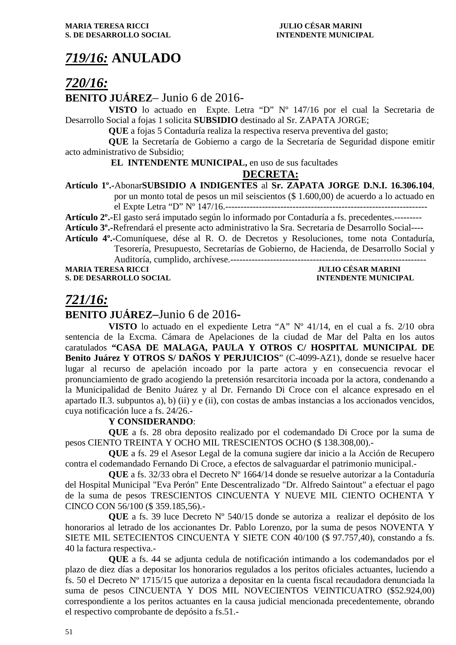### *719/16:* **ANULADO**

### *720/16:*

### **BENITO JUÁREZ**– Junio 6 de 2016-

**VISTO** lo actuado en Expte. Letra "D" Nº 147/16 por el cual la Secretaria de Desarrollo Social a fojas 1 solicita **SUBSIDIO** destinado al Sr. ZAPATA JORGE;

**QUE** a fojas 5 Contaduría realiza la respectiva reserva preventiva del gasto;

**QUE** la Secretaría de Gobierno a cargo de la Secretaría de Seguridad dispone emitir acto administrativo de Subsidio;

#### **EL INTENDENTE MUNICIPAL,** en uso de sus facultades

### **DECRETA:**

#### **Artículo 1º.-**Abonar**SUBSIDIO A INDIGENTES** al **Sr. ZAPATA JORGE D.N.I. 16.306.104**,

por un monto total de pesos un mil seiscientos (\$ 1.600,00) de acuerdo a lo actuado en

el Expte Letra "D" Nº 147/16.------------------------------------------------------------------

**Artículo 2º.-**El gasto será imputado según lo informado por Contaduría a fs. precedentes.---------

**Artículo 3º.-**Refrendará el presente acto administrativo la Sra. Secretaria de Desarrollo Social----

**Artículo 4º.-**Comuníquese, dése al R. O. de Decretos y Resoluciones, tome nota Contaduría, Tesorería, Presupuesto, Secretarías de Gobierno, de Hacienda, de Desarrollo Social y

Auditoría, cumplido, archívese.---------------------------------------------------------------- **MARIA TERESA RICCI JULIO CÉSAR MARINI** 

**S. DE DESARROLLO SOCIAL INTENDENTE MUNICIPAL** 

### *721/16:*

### **BENITO JUÁREZ–**Junio 6 de 2016**-**

**VISTO** lo actuado en el expediente Letra "A" Nº 41/14, en el cual a fs. 2/10 obra sentencia de la Excma. Cámara de Apelaciones de la ciudad de Mar del Palta en los autos caratulados **"CASA DE MALAGA, PAULA Y OTROS C/ HOSPITAL MUNICIPAL DE Benito Juárez Y OTROS S/ DAÑOS Y PERJUICIOS**" (C-4099-AZ1), donde se resuelve hacer lugar al recurso de apelación incoado por la parte actora y en consecuencia revocar el pronunciamiento de grado acogiendo la pretensión resarcitoria incoada por la actora, condenando a la Municipalidad de Benito Juárez y al Dr. Fernando Di Croce con el alcance expresado en el apartado II.3. subpuntos a), b) (ii) y e (ii), con costas de ambas instancias a los accionados vencidos, cuya notificación luce a fs. 24/26.-

#### **Y CONSIDERANDO**:

**QUE** a fs. 28 obra deposito realizado por el codemandado Di Croce por la suma de pesos CIENTO TREINTA Y OCHO MIL TRESCIENTOS OCHO (\$ 138.308,00).-

**QUE** a fs. 29 el Asesor Legal de la comuna sugiere dar inicio a la Acción de Recupero contra el codemandado Fernando Di Croce, a efectos de salvaguardar el patrimonio municipal.-

**QUE** a fs. 32/33 obra el Decreto Nº 1664/14 donde se resuelve autorizar a la Contaduría del Hospital Municipal "Eva Perón" Ente Descentralizado "Dr. Alfredo Saintout" a efectuar el pago de la suma de pesos TRESCIENTOS CINCUENTA Y NUEVE MIL CIENTO OCHENTA Y CINCO CON 56/100 (\$ 359.185,56).-

**QUE** a fs. 39 luce Decreto Nº 540/15 donde se autoriza a realizar el depósito de los honorarios al letrado de los accionantes Dr. Pablo Lorenzo, por la suma de pesos NOVENTA Y SIETE MIL SETECIENTOS CINCUENTA Y SIETE CON 40/100 (\$ 97.757,40), constando a fs. 40 la factura respectiva.-

**QUE** a fs. 44 se adjunta cedula de notificación intimando a los codemandados por el plazo de diez días a depositar los honorarios regulados a los peritos oficiales actuantes, luciendo a fs. 50 el Decreto Nº 1715/15 que autoriza a depositar en la cuenta fiscal recaudadora denunciada la suma de pesos CINCUENTA Y DOS MIL NOVECIENTOS VEINTICUATRO (\$52.924,00) correspondiente a los peritos actuantes en la causa judicial mencionada precedentemente, obrando el respectivo comprobante de depósito a fs.51.-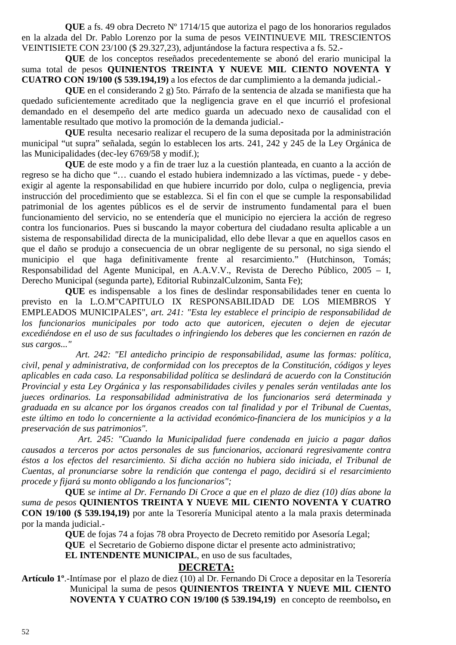**QUE** a fs. 49 obra Decreto Nº 1714/15 que autoriza el pago de los honorarios regulados en la alzada del Dr. Pablo Lorenzo por la suma de pesos VEINTINUEVE MIL TRESCIENTOS VEINTISIETE CON 23/100 (\$ 29.327,23), adjuntándose la factura respectiva a fs. 52.-

**QUE** de los conceptos reseñados precedentemente se abonó del erario municipal la suma total de pesos **QUINIENTOS TREINTA Y NUEVE MIL CIENTO NOVENTA Y CUATRO CON 19/100 (\$ 539.194,19)** a los efectos de dar cumplimiento a la demanda judicial.-

**QUE** en el considerando 2 g) 5to. Párrafo de la sentencia de alzada se manifiesta que ha quedado suficientemente acreditado que la negligencia grave en el que incurrió el profesional demandado en el desempeño del arte medico guarda un adecuado nexo de causalidad con el lamentable resultado que motivo la promoción de la demanda judicial.-

**QUE** resulta necesario realizar el recupero de la suma depositada por la administración municipal "ut supra" señalada, según lo establecen los arts. 241, 242 y 245 de la Ley Orgánica de las Municipalidades (dec-ley 6769/58 y modif.);

**QUE** de este modo y a fin de traer luz a la cuestión planteada, en cuanto a la acción de regreso se ha dicho que "… cuando el estado hubiera indemnizado a las víctimas, puede - y debeexigir al agente la responsabilidad en que hubiere incurrido por dolo, culpa o negligencia, previa instrucción del procedimiento que se establezca. Si el fin con el que se cumple la responsabilidad patrimonial de los agentes públicos es el de servir de instrumento fundamental para el buen funcionamiento del servicio, no se entendería que el municipio no ejerciera la acción de regreso contra los funcionarios. Pues si buscando la mayor cobertura del ciudadano resulta aplicable a un sistema de responsabilidad directa de la municipalidad, ello debe llevar a que en aquellos casos en que el daño se produjo a consecuencia de un obrar negligente de su personal, no siga siendo el municipio el que haga definitivamente frente al resarcimiento." (Hutchinson, Tomás; Responsabilidad del Agente Municipal, en A.A.V.V., Revista de Derecho Público, 2005 – I, Derecho Municipal (segunda parte), Editorial RubinzalCulzonim, Santa Fe);

 **QUE** es indispensable a los fines de deslindar responsabilidades tener en cuenta lo previsto en la L.O.M"CAPITULO IX RESPONSABILIDAD DE LOS MIEMBROS Y EMPLEADOS MUNICIPALES", *art. 241: "Esta ley establece el principio de responsabilidad de los funcionarios municipales por todo acto que autoricen, ejecuten o dejen de ejecutar excediéndose en el uso de sus facultades o infringiendo los deberes que les conciernen en razón de sus cargos..."* 

 *Art. 242: "El antedicho principio de responsabilidad, asume las formas: política, civil, penal y administrativa, de conformidad con los preceptos de la Constitución, códigos y leyes aplicables en cada caso. La responsabilidad política se deslindará de acuerdo con la Constitución Provincial y esta Ley Orgánica y las responsabilidades civiles y penales serán ventiladas ante los jueces ordinarios. La responsabilidad administrativa de los funcionarios será determinada y graduada en su alcance por los órganos creados con tal finalidad y por el Tribunal de Cuentas, este último en todo lo concerniente a la actividad económico-financiera de los municipios y a la preservación de sus patrimonios".* 

 *Art. 245: "Cuando la Municipalidad fuere condenada en juicio a pagar daños causados a terceros por actos personales de sus funcionarios, accionará regresivamente contra éstos a los efectos del resarcimiento. Si dicha acción no hubiera sido iniciada, el Tribunal de Cuentas, al pronunciarse sobre la rendición que contenga el pago, decidirá si el resarcimiento procede y fijará su monto obligando a los funcionarios";* 

**QUE** *se intime al Dr. Fernando Di Croce a que en el plazo de diez (10) días abone la suma de pesos* **QUINIENTOS TREINTA Y NUEVE MIL CIENTO NOVENTA Y CUATRO CON 19/100 (\$ 539.194,19)** por ante la Tesorería Municipal atento a la mala praxis determinada por la manda judicial.-

**QUE** de fojas 74 a fojas 78 obra Proyecto de Decreto remitido por Asesoría Legal;

**QUE** el Secretario de Gobierno dispone dictar el presente acto administrativo;

**EL INTENDENTE MUNICIPAL**, en uso de sus facultades,

#### **DECRETA:**

**Artículo 1º**.-Intímase por el plazo de diez (10) al Dr. Fernando Di Croce a depositar en la Tesorería Municipal la suma de pesos **QUINIENTOS TREINTA Y NUEVE MIL CIENTO NOVENTA Y CUATRO CON 19/100 (\$ 539.194,19)** en concepto de reembolso**,** en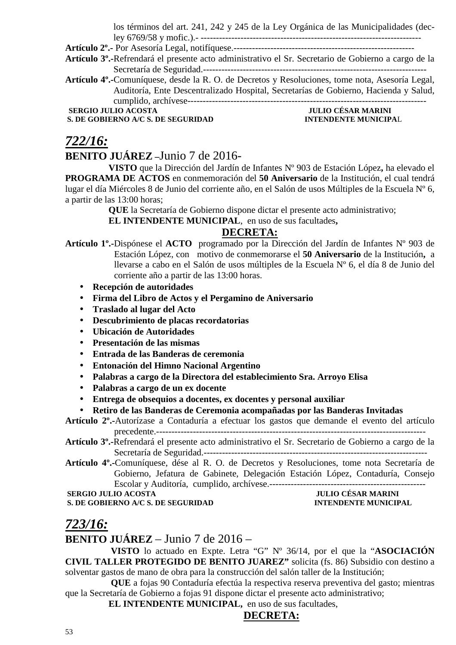los términos del art. 241, 242 y 245 de la Ley Orgánica de las Municipalidades (dec-

ley 6769/58 y mofic.).- ------------------------------------------------------------------------ **Artículo 2º.-** Por Asesoría Legal, notifíquese.-----------------------------------------------------------

**Artículo 3º.-**Refrendará el presente acto administrativo el Sr. Secretario de Gobierno a cargo de la

Secretaría de Seguridad.-------------------------------------------------------------------------

**Artículo 4º.-**Comuníquese, desde la R. O. de Decretos y Resoluciones, tome nota, Asesoría Legal, Auditoría, Ente Descentralizado Hospital, Secretarías de Gobierno, Hacienda y Salud, cumplido, archívese------------------------------------------------------------------------------

**SERGIO JULIO ACOSTA JULIO CÉSAR MARINI** 

**S. DE GOBIERNO A/C S. DE SEGURIDAD INTENDENTE MUNICIPAL** 

### *722/16:*

### **BENITO JUÁREZ –**Junio 7 de 2016-

**VISTO** que la Dirección del Jardín de Infantes Nº 903 de Estación López**,** ha elevado el **PROGRAMA DE ACTOS** en conmemoración del **50 Aniversario** de la Institución, el cual tendrá lugar el día Miércoles 8 de Junio del corriente año, en el Salón de usos Múltiples de la Escuela Nº 6, a partir de las 13:00 horas;

**QUE** la Secretaría de Gobierno dispone dictar el presente acto administrativo;

**EL INTENDENTE MUNICIPAL**, en uso de sus facultades**,** 

### **DECRETA:**

- **Artículo 1º.-**Dispónese el **ACTO** programado por la Dirección del Jardín de Infantes Nº 903 de Estación López, con motivo de conmemorarse el **50 Aniversario** de la Institución**,** a llevarse a cabo en el Salón de usos múltiples de la Escuela Nº 6, el día 8 de Junio del corriente año a partir de las 13:00 horas.
	- **Recepción de autoridades**
	- **Firma del Libro de Actos y el Pergamino de Aniversario**
	- **Traslado al lugar del Acto**
	- **Descubrimiento de placas recordatorias**
	- **Ubicación de Autoridades**
	- **Presentación de las mismas**
	- **Entrada de las Banderas de ceremonia**
	- **Entonación del Himno Nacional Argentino**
	- **Palabras a cargo de la Directora del establecimiento Sra. Arroyo Elisa**
	- **Palabras a cargo de un ex docente**
	- **Entrega de obsequios a docentes, ex docentes y personal auxiliar**

#### • **Retiro de las Banderas de Ceremonia acompañadas por las Banderas Invitadas**

**Artículo 2º.-**Autorízase a Contaduría a efectuar los gastos que demande el evento del artículo precedente.----------------------------------------------------------------------------------------

**Artículo 3º.-**Refrendará el presente acto administrativo el Sr. Secretario de Gobierno a cargo de la Secretaría de Seguridad.-------------------------------------------------------------------------

**Artículo 4º.-**Comuníquese, dése al R. O. de Decretos y Resoluciones, tome nota Secretaría de Gobierno, Jefatura de Gabinete, Delegación Estación López, Contaduría, Consejo Escolar y Auditoría, cumplido, archívese.---------------------------------------------------

#### **SERGIO JULIO ACOSTA** JULIO CÉSAR MARINI<br>
S. DE GOBIERNO A/C S. DE SEGURIDAD **INTENDENTE MUNICIP S. DE GOBIERNO A/C S. DE SEGURIDAD INTENDENTE MUNICIPAL**

### *723/16:*

**BENITO JUÁREZ** – Junio 7 de 2016 –

 **VISTO** lo actuado en Expte. Letra "G" Nº 36/14, por el que la "**ASOCIACIÓN CIVIL TALLER PROTEGIDO DE BENITO JUAREZ"** solicita (fs. 86) Subsidio con destino a solventar gastos de mano de obra para la construcción del salón taller de la Institución;

 **QUE** a fojas 90 Contaduría efectúa la respectiva reserva preventiva del gasto; mientras que la Secretaría de Gobierno a fojas 91 dispone dictar el presente acto administrativo;

**EL INTENDENTE MUNICIPAL,** en uso de sus facultades,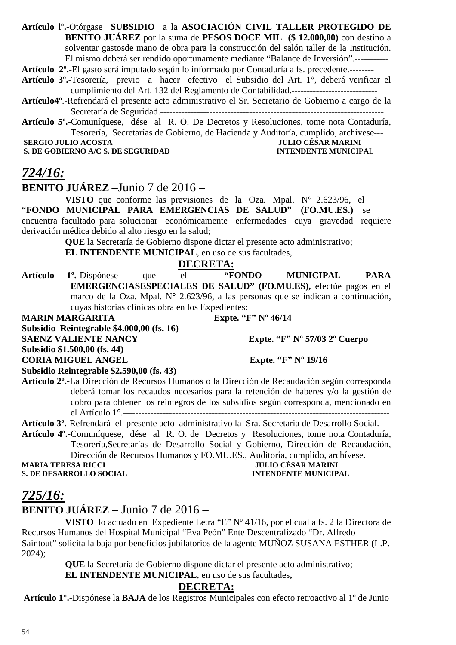**Artículo lº.-**Otórgase **SUBSIDIO** a la **ASOCIACIÓN CIVIL TALLER PROTEGIDO DE BENITO JUÁREZ** por la suma de **PESOS DOCE MIL (\$ 12.000,00)** con destino a solventar gastosde mano de obra para la construcción del salón taller de la Institución. El mismo deberá ser rendido oportunamente mediante "Balance de Inversión".-----------

**Artículo 2º.-**El gasto será imputado según lo informado por Contaduría a fs. precedente.--------

**Artículo 3º.-**Tesorería, previo a hacer efectivo el Subsidio del Art. 1°, deberá verificar el cumplimiento del Art. 132 del Reglamento de Contabilidad.----------------------------

**Artículo4º**.-Refrendará el presente acto administrativo el Sr. Secretario de Gobierno a cargo de la Secretaría de Seguridad.-------------------------------------------------------------------------

**Artículo 5º.-**Comuníquese, dése al R. O. De Decretos y Resoluciones, tome nota Contaduría, Tesorería, Secretarías de Gobierno, de Hacienda y Auditoría, cumplido, archívese---

**S. DE GOBIERNO A/C S. DE SEGURIDAD** 

# **SERGIO JULIO ACOSTA SERGIO JULIO ACOSTA JULIO CÉSAR MARINI**<br> **S. DE GOBIERNO A/C S. DE SEGURIDAD INTENDENTE MUNICIPAL**

### *724/16:*

**BENITO JUÁREZ –**Junio 7 de 2016 –

**VISTO** que conforme las previsiones de la Oza. Mpal. N° 2.623/96, el **"FONDO MUNICIPAL PARA EMERGENCIAS DE SALUD" (FO.MU.ES.)** se encuentra facultado para solucionar económicamente enfermedades cuya gravedad requiere derivación médica debido al alto riesgo en la salud;

**QUE** la Secretaría de Gobierno dispone dictar el presente acto administrativo;

**EL INTENDENTE MUNICIPAL**, en uso de sus facultades,

### **DECRETA:**

**Artículo 1º.-**Dispónese que el **"FONDO MUNICIPAL PARA EMERGENCIASESPECIALES DE SALUD" (FO.MU.ES),** efectúe pagos en el marco de la Oza. Mpal. N° 2.623/96, a las personas que se indican a continuación, cuyas historias clínicas obra en los Expedientes:

**MARIN MARGARITA Expte. "F" Nº 46/14 Subsidio Reintegrable \$4.000,00 (fs. 16) SAENZ VALIENTE NANCY** Expte. "F" N° 57/03 2° Cuerpo **Subsidio \$1.500,00 (fs. 44) CORIA MIGUEL ANGEL Expte. "F" Nº 19/16** 

**Subsidio Reintegrable \$2.590,00 (fs. 43)** 

**Artículo 2º.-**La Dirección de Recursos Humanos o la Dirección de Recaudación según corresponda deberá tomar los recaudos necesarios para la retención de haberes y/o la gestión de cobro para obtener los reintegros de los subsidios según corresponda, mencionado en el Artículo 1°.---------------------------------------------------------------------------------------

**Artículo 3º.-**Refrendará el presente acto administrativo la Sra. Secretaria de Desarrollo Social.---

**Artículo 4º.-**Comuníquese, dése al R. O. de Decretos y Resoluciones, tome nota Contaduría, Tesorería,Secretarías de Desarrollo Social y Gobierno, Dirección de Recaudación, Dirección de Recursos Humanos y FO.MU.ES., Auditoría, cumplido, archívese.<br>IULIO CÉSAR MARINI

**S. DE DESARROLLO SOCIAL** 

**MULIO CÉSAR MARINI<br>INTENDENTE MUNICIPAL** 

### *725/16:*

**BENITO JUÁREZ –** Junio 7 de 2016 –

**VISTO** lo actuado en Expediente Letra "E" Nº 41/16, por el cual a fs. 2 la Directora de Recursos Humanos del Hospital Municipal "Eva Peón" Ente Descentralizado "Dr. Alfredo Saintout" solicita la baja por beneficios jubilatorios de la agente MUÑOZ SUSANA ESTHER (L.P. 2024);

**QUE** la Secretaría de Gobierno dispone dictar el presente acto administrativo;

#### **EL INTENDENTE MUNICIPAL**, en uso de sus facultades**,**

### **DECRETA:**

**Artículo 1°.-**Dispónese la **BAJA** de los Registros Municipales con efecto retroactivo al 1º de Junio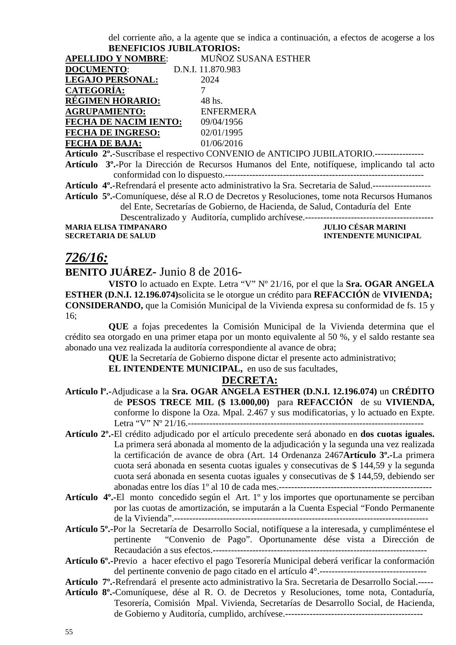del corriente año, a la agente que se indica a continuación, a efectos de acogerse a los **BENEFICIOS JUBILATORIOS:**

| <b>APELLIDO Y NOMBRE:</b>    | MUÑOZ SUSANA ESTHER |
|------------------------------|---------------------|
| <b>DOCUMENTO:</b>            | D.N.I. 11.870.983   |
| <b>LEGAJO PERSONAL:</b>      | 2024                |
| <b>CATEGORÍA:</b>            |                     |
| <b>RÉGIMEN HORARIO:</b>      | 48 hs.              |
| <b>AGRUPAMIENTO:</b>         | <b>ENFERMERA</b>    |
| <b>FECHA DE NACIM IENTO:</b> | 09/04/1956          |
| <b>FECHA DE INGRESO:</b>     | 02/01/1995          |
| <b>FECHA DE BAJA:</b>        | 01/06/2016          |

**Artículo 2º.-**Suscríbase el respectivo CONVENIO de ANTICIPO JUBILATORIO.----------------

**Artículo 3º.-**Por la Dirección de Recursos Humanos del Ente, notifíquese, implicando tal acto conformidad con lo dispuesto.-----------------------------------------------------------------

**Artículo 4º.-**Refrendará el presente acto administrativo la Sra. Secretaria de Salud.-------------------

**Artículo 5º.-**Comuníquese, dése al R.O de Decretos y Resoluciones, tome nota Recursos Humanos del Ente, Secretarías de Gobierno, de Hacienda, de Salud, Contaduría del Ente

Descentralizado y Auditoría, cumplido archívese.------------------------------------------

**MARIA ELISA TIMPANARO<br>SECRETARIA DE SALUD** 

**INTENDENTE MUNICIPAL** 

### *726/16:*

**BENITO JUÁREZ-** Junio 8 de 2016-

**VISTO** lo actuado en Expte. Letra "V" Nº 21/16, por el que la **Sra. OGAR ANGELA ESTHER (D.N.I. 12.196.074)**solicita se le otorgue un crédito para **REFACCIÓN** de **VIVIENDA; CONSIDERANDO,** que la Comisión Municipal de la Vivienda expresa su conformidad de fs. 15 y 16;

**QUE** a fojas precedentes la Comisión Municipal de la Vivienda determina que el crédito sea otorgado en una primer etapa por un monto equivalente al 50 %, y el saldo restante sea abonado una vez realizada la auditoría correspondiente al avance de obra;

**QUE** la Secretaría de Gobierno dispone dictar el presente acto administrativo;

**EL INTENDENTE MUNICIPAL,** en uso de sus facultades,

#### **DECRETA:**

- **Artículo lº.-**Adjudicase a la **Sra. OGAR ANGELA ESTHER (D.N.I. 12.196.074)** un **CRÉDITO** de **PESOS TRECE MIL (\$ 13.000,00)** para **REFACCIÓN** de su **VIVIENDA,** conforme lo dispone la Oza. Mpal. 2.467 y sus modificatorias, y lo actuado en Expte. Letra "V" Nº 21/16.-----------------------------------------------------------------------------
- **Artículo 2º.-**El crédito adjudicado por el artículo precedente será abonado en **dos cuotas iguales.** La primera será abonada al momento de la adjudicación y la segunda una vez realizada la certificación de avance de obra (Art. 14 Ordenanza 2467**Artículo 3º.-**La primera cuota será abonada en sesenta cuotas iguales y consecutivas de \$ 144,59 y la segunda cuota será abonada en sesenta cuotas iguales y consecutivas de \$ 144,59, debiendo ser abonadas entre los días 1º al 10 de cada mes.--------------------------------------------------
- **Artículo 4º.-**El monto concedido según el Art. 1º y los importes que oportunamente se perciban por las cuotas de amortización, se imputarán a la Cuenta Especial "Fondo Permanente de la Vivienda".-----------------------------------------------------------------------------------

**Artículo 5º.-**Por la Secretaría de Desarrollo Social, notifíquese a la interesada, y cumpliméntese el pertinente "Convenio de Pago". Oportunamente dése vista a Dirección de Recaudación a sus efectos.----------------------------------------------------------------------

**Artículo 6º.-**Previo a hacer efectivo el pago Tesorería Municipal deberá verificar la conformación del pertinente convenio de pago citado en el artículo 4°.-----------------------------------

- **Artículo 7º.**-Refrendará el presente acto administrativo la Sra. Secretaria de Desarrollo Social.-----
- **Artículo 8º.-**Comuníquese, dése al R. O. de Decretos y Resoluciones, tome nota, Contaduría, Tesorería, Comisión Mpal. Vivienda, Secretarías de Desarrollo Social, de Hacienda, de Gobierno y Auditoría, cumplido, archívese.---------------------------------------------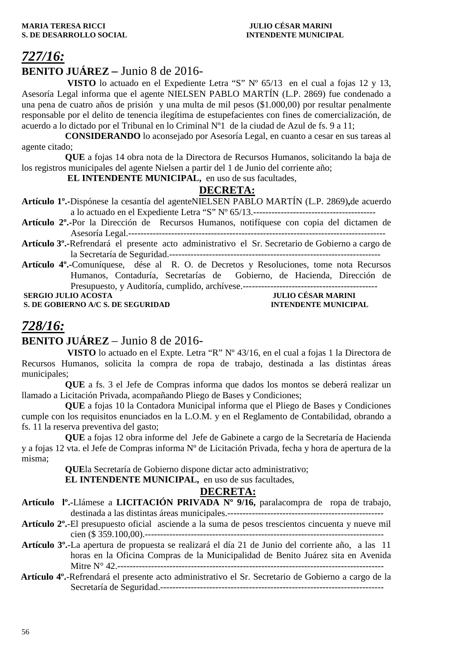# *727/16:*

### **BENITO JUÁREZ –** Junio 8 de 2016-

 **VISTO** lo actuado en el Expediente Letra "S" Nº 65/13 en el cual a fojas 12 y 13, Asesoría Legal informa que el agente NIELSEN PABLO MARTÍN (L.P. 2869) fue condenado a una pena de cuatro años de prisión y una multa de mil pesos (\$1.000,00) por resultar penalmente responsable por el delito de tenencia ilegítima de estupefacientes con fines de comercialización, de acuerdo a lo dictado por el Tribunal en lo Criminal Nº1 de la ciudad de Azul de fs. 9 a 11;

**CONSIDERANDO** lo aconsejado por Asesoría Legal, en cuanto a cesar en sus tareas al agente citado;

**QUE** a fojas 14 obra nota de la Directora de Recursos Humanos, solicitando la baja de los registros municipales del agente Nielsen a partir del 1 de Junio del corriente año;

 **EL INTENDENTE MUNICIPAL,** en uso de sus facultades,

### **DECRETA:**

- **Artículo 1º.-**Dispónese la cesantía del agenteNIELSEN PABLO MARTÍN (L.P. 2869)**,**de acuerdo a lo actuado en el Expediente Letra "S" Nº 65/13.----------------------------------------
- **Artículo 2º.-**Por la Dirección de Recursos Humanos, notifíquese con copia del dictamen de Asesoría Legal.------------------------------------------------------------------------------------
- **Artículo 3º.-**Refrendará el presente acto administrativo el Sr. Secretario de Gobierno a cargo de la Secretaría de Seguridad.---------------------------------------------------------------------
- **Artículo 4º.-**Comuníquese, dése al R. O. de Decretos y Resoluciones, tome nota Recursos Humanos, Contaduría, Secretarías de Gobierno, de Hacienda, Dirección de Presupuesto, y Auditoría, cumplido, archívese.--------------------------------------------  **SERGIO JULIO ACOSTA** JULIO CÉSAR MARINI

**S. DE GOBIERNO A/C S. DE SEGURIDAD INTENDENTE MUNICIPAL** 

### *728/16:*

### **BENITO JUÁREZ** – Junio 8 de 2016-

 **VISTO** lo actuado en el Expte. Letra "R" Nº 43/16, en el cual a fojas 1 la Directora de Recursos Humanos, solicita la compra de ropa de trabajo, destinada a las distintas áreas municipales;

**QUE** a fs. 3 el Jefe de Compras informa que dados los montos se deberá realizar un llamado a Licitación Privada, acompañando Pliego de Bases y Condiciones;

**QUE** a fojas 10 la Contadora Municipal informa que el Pliego de Bases y Condiciones cumple con los requisitos enunciados en la L.O.M. y en el Reglamento de Contabilidad, obrando a fs. 11 la reserva preventiva del gasto;

**QUE** a fojas 12 obra informe del Jefe de Gabinete a cargo de la Secretaría de Hacienda y a fojas 12 vta. el Jefe de Compras informa Nº de Licitación Privada, fecha y hora de apertura de la misma;

**QUE**la Secretaría de Gobierno dispone dictar acto administrativo;

**EL INTENDENTE MUNICIPAL,** en uso de sus facultades,

- **Artículo lº.-**Llámese a **LICITACIÓN PRIVADA Nº 9/16,** paralacompra de ropa de trabajo, destinada a las distintas áreas municipales.---------------------------------------------------
- **Artículo 2º.**-El presupuesto oficial asciende a la suma de pesos trescientos cincuenta y nueve mil cien (\$ 359.100,00).------------------------------------------------------------------------------
- **Artículo 3º.**-La apertura de propuesta se realizará el día 21 de Junio del corriente año, a las 11 horas en la Oficina Compras de la Municipalidad de Benito Juárez sita en Avenida Mitre N° 42.---------------------------------------------------------------------------------------
- **Artículo 4º.**-Refrendará el presente acto administrativo el Sr. Secretario de Gobierno a cargo de la Secretaría de Seguridad.-------------------------------------------------------------------------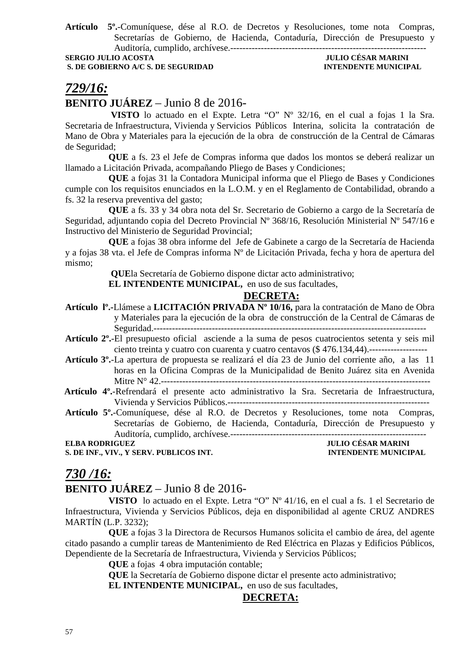**Artículo 5º.**-Comuníquese, dése al R.O. de Decretos y Resoluciones, tome nota Compras, Secretarías de Gobierno, de Hacienda, Contaduría, Dirección de Presupuesto y Auditoría, cumplido, archívese.----------------------------------------------------------------

**SERGIO JULIO ACOSTA JULIO CÉSAR MARINI** 

# **S. DE GOBIERNO A/C S. DE SEGURIDAD INTENDENTE MUNICIPAL**

## *729/16:*

### **BENITO JUÁREZ** – Junio 8 de 2016-

 **VISTO** lo actuado en el Expte. Letra "O" Nº 32/16, en el cual a fojas 1 la Sra. Secretaria de Infraestructura, Vivienda y Servicios Públicos Interina, solicita la contratación de Mano de Obra y Materiales para la ejecución de la obra de construcción de la Central de Cámaras de Seguridad;

**QUE** a fs. 23 el Jefe de Compras informa que dados los montos se deberá realizar un llamado a Licitación Privada, acompañando Pliego de Bases y Condiciones;

**QUE** a fojas 31 la Contadora Municipal informa que el Pliego de Bases y Condiciones cumple con los requisitos enunciados en la L.O.M. y en el Reglamento de Contabilidad, obrando a fs. 32 la reserva preventiva del gasto;

**QUE** a fs. 33 y 34 obra nota del Sr. Secretario de Gobierno a cargo de la Secretaría de Seguridad, adjuntando copia del Decreto Provincial Nº 368/16, Resolución Ministerial Nº 547/16 e Instructivo del Ministerio de Seguridad Provincial;

**QUE** a fojas 38 obra informe del Jefe de Gabinete a cargo de la Secretaría de Hacienda y a fojas 38 vta. el Jefe de Compras informa Nº de Licitación Privada, fecha y hora de apertura del mismo;

 **QUE**la Secretaría de Gobierno dispone dictar acto administrativo;

**EL INTENDENTE MUNICIPAL,** en uso de sus facultades,

### **DECRETA:**

- **Artículo lº.-**Llámese a **LICITACIÓN PRIVADA Nº 10/16,** para la contratación de Mano de Obra y Materiales para la ejecución de la obra de construcción de la Central de Cámaras de Seguridad.-----------------------------------------------------------------------------------------
- **Artículo 2º.**-El presupuesto oficial asciende a la suma de pesos cuatrocientos setenta y seis mil ciento treinta y cuatro con cuarenta y cuatro centavos (\$ 476.134,44).-------------------
- **Artículo 3º.**-La apertura de propuesta se realizará el día 23 de Junio del corriente año, a las 11 horas en la Oficina Compras de la Municipalidad de Benito Juárez sita en Avenida Mitre N° 42.----------------------------------------------------------------------------------------

 **Artículo 4º.**-Refrendará el presente acto administrativo la Sra. Secretaria de Infraestructura, Vivienda y Servicios Públicos.------------------------------------------------------------------

**Artículo 5º.**-Comuníquese, dése al R.O. de Decretos y Resoluciones, tome nota Compras, Secretarías de Gobierno, de Hacienda, Contaduría, Dirección de Presupuesto y Auditoría, cumplido, archívese.----------------------------------------------------------------

**S. DE INF., VIV., Y SERV. PUBLICOS INT. INTENDENTE MUNICIPAL** 

# **ELBA RODRIGUEZ JULIO CÉSAR MARINI**

### *730 /16:*

### **BENITO JUÁREZ** – Junio 8 de 2016-

**VISTO** lo actuado en el Expte. Letra "O" Nº 41/16, en el cual a fs. 1 el Secretario de Infraestructura, Vivienda y Servicios Públicos, deja en disponibilidad al agente CRUZ ANDRES MARTÍN (L.P. 3232);

**QUE** a fojas 3 la Directora de Recursos Humanos solicita el cambio de área, del agente citado pasando a cumplir tareas de Mantenimiento de Red Eléctrica en Plazas y Edificios Públicos, Dependiente de la Secretaría de Infraestructura, Vivienda y Servicios Públicos;

**QUE** a fojas 4 obra imputación contable;

**QUE** la Secretaría de Gobierno dispone dictar el presente acto administrativo;

**EL INTENDENTE MUNICIPAL,** en uso de sus facultades,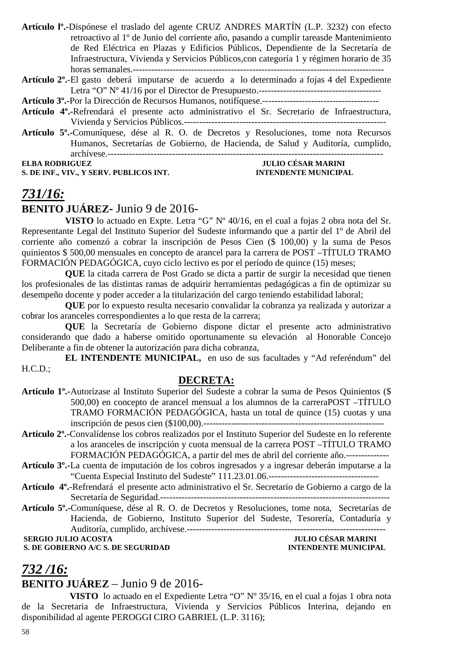**Artículo lº.-**Dispónese el traslado del agente CRUZ ANDRES MARTÍN (L.P. 3232) con efecto retroactivo al 1º de Junio del corriente año, pasando a cumplir tareasde Mantenimiento de Red Eléctrica en Plazas y Edificios Públicos, Dependiente de la Secretaría de Infraestructura, Vivienda y Servicios Públicos,con categoría 1 y régimen horario de 35 horas semanales.----------------------------------------------------------------------------------

**Artículo 2º.**-El gasto deberá imputarse de acuerdo a lo determinado a fojas 4 del Expediente Letra "O" Nº 41/16 por el Director de Presupuesto.----------------------------------------

**Artículo 3º.-**Por la Dirección de Recursos Humanos, notifíquese.--------------------------------------

- **Artículo 4º.-**Refrendará el presente acto administrativo el Sr. Secretario de Infraestructura, Vivienda y Servicios Públicos.------------------------------------------------------------------
- **Artículo 5º.-**Comuníquese, dése al R. O. de Decretos y Resoluciones, tome nota Recursos Humanos, Secretarías de Gobierno, de Hacienda, de Salud y Auditoría, cumplido, archívese.------------------------------------------------------------------------------------------ **ELBA RODRIGUEZ JULIO CÉSAR MARINI**

**S. DE INF., VIV., Y SERV. PUBLICOS INT.** 

### *731/16:* **BENITO JUÁREZ-** Junio 9 de 2016-

**VISTO** lo actuado en Expte. Letra "G" Nº 40/16, en el cual a fojas 2 obra nota del Sr. Representante Legal del Instituto Superior del Sudeste informando que a partir del 1º de Abril del corriente año comenzó a cobrar la inscripción de Pesos Cien (\$ 100,00) y la suma de Pesos quinientos \$ 500,00 mensuales en concepto de arancel para la carrera de POST –TÍTULO TRAMO FORMACIÓN PEDAGÓGICA, cuyo ciclo lectivo es por el período de quince (15) meses;

**QUE** la citada carrera de Post Grado se dicta a partir de surgir la necesidad que tienen los profesionales de las distintas ramas de adquirir herramientas pedagógicas a fin de optimizar su desempeño docente y poder acceder a la titularización del cargo teniendo estabilidad laboral;

**QUE** por lo expuesto resulta necesario convalidar la cobranza ya realizada y autorizar a cobrar los aranceles correspondientes a lo que resta de la carrera;

**QUE** la Secretaría de Gobierno dispone dictar el presente acto administrativo considerando que dado a haberse omitido oportunamente su elevación al Honorable Concejo Deliberante a fin de obtener la autorización para dicha cobranza,

**EL INTENDENTE MUNICIPAL,** en uso de sus facultades y "Ad referéndum" del H.C.D.;

### **DECRETA:**

- **Artículo 1º.-**Autorízase al Instituto Superior del Sudeste a cobrar la suma de Pesos Quinientos (\$ 500,00) en concepto de arancel mensual a los alumnos de la carreraPOST –TÍTULO TRAMO FORMACIÓN PEDAGÓGICA, hasta un total de quince (15) cuotas y una inscripción de pesos cien (\$100,00).-----------------------------------------------------------
- **Artículo 2º.-**Convalídense los cobros realizados por el Instituto Superior del Sudeste en lo referente a los aranceles de inscripción y cuota mensual de la carrera POST –TÍTULO TRAMO FORMACIÓN PEDAGÓGICA, a partir del mes de abril del corriente año.--------------
- **Artículo 3º.-**La cuenta de imputación de los cobros ingresados y a ingresar deberán imputarse a la "Cuenta Especial Instituto del Sudeste" 111.23.01.06.------------------------------------
- **Artículo 4º.**-Refrendará el presente acto administrativo el Sr. Secretario de Gobierno a cargo de la Secretaría de Seguridad.---------------------------------------------------------------------------
- **Artículo 5º.-**Comuníquese, dése al R. O. de Decretos y Resoluciones, tome nota, Secretarías de Hacienda, de Gobierno, Instituto Superior del Sudeste, Tesorería, Contaduría y Auditoría, cumplido, archívese.-----------------------------------------------------------------

**S. DE GOBIERNO A/C S. DE SEGURIDAD** 

**SERGIO JULIO ACOSTA**<br> **S. DE GOBIERNO A/C S. DE SEGURIDAD**<br> **S. DE GOBIERNO A/C S. DE SEGURIDAD**<br> **INTENDENTE MUNICIPAL** 

### *732 /16:*

### **BENITO JUÁREZ** – Junio 9 de 2016-

 **VISTO** lo actuado en el Expediente Letra "O" Nº 35/16, en el cual a fojas 1 obra nota de la Secretaria de Infraestructura, Vivienda y Servicios Públicos Interina, dejando en disponibilidad al agente PEROGGI CIRO GABRIEL (L.P. 3116);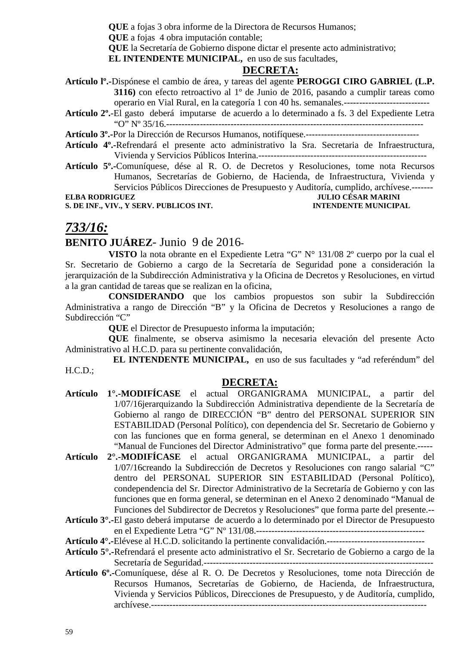**QUE** a fojas 3 obra informe de la Directora de Recursos Humanos;

**QUE** a fojas 4 obra imputación contable;

**QUE** la Secretaría de Gobierno dispone dictar el presente acto administrativo;

**EL INTENDENTE MUNICIPAL,** en uso de sus facultades,

#### **DECRETA:**

**Artículo lº.-**Dispónese el cambio de área, y tareas del agente **PEROGGI CIRO GABRIEL (L.P. 3116)** con efecto retroactivo al 1º de Junio de 2016, pasando a cumplir tareas como operario en Vial Rural, en la categoría 1 con 40 hs. semanales.----------------------------

**Artículo 2º.**-El gasto deberá imputarse de acuerdo a lo determinado a fs. 3 del Expediente Letra "O" Nº 35/16.------------------------------------------------------------------------------------

**Artículo 3º.-**Por la Dirección de Recursos Humanos, notifíquese.-------------------------------------

- **Artículo 4º.-**Refrendará el presente acto administrativo la Sra. Secretaria de Infraestructura, Vivienda y Servicios Públicos Interina.-------------------------------------------------------
- **Artículo 5º.-**Comuníquese, dése al R. O. de Decretos y Resoluciones, tome nota Recursos Humanos, Secretarías de Gobierno, de Hacienda, de Infraestructura, Vivienda y Servicios Públicos Direcciones de Presupuesto y Auditoría, cumplido, archívese.-------

## **S. DE INF., VIV., Y SERV. PUBLICOS INT.**

**ELBA RODRIGUEZ JULIO CÉSAR MARINI** 

### *733/16:*

### **BENITO JUÁREZ**- Junio 9 de 2016**-**

**VISTO** la nota obrante en el Expediente Letra "G" N° 131/08 2º cuerpo por la cual el Sr. Secretario de Gobierno a cargo de la Secretaría de Seguridad pone a consideración la jerarquización de la Subdirección Administrativa y la Oficina de Decretos y Resoluciones, en virtud a la gran cantidad de tareas que se realizan en la oficina,

**CONSIDERANDO** que los cambios propuestos son subir la Subdirección Administrativa a rango de Dirección "B" y la Oficina de Decretos y Resoluciones a rango de Subdirección "C"

**QUE** el Director de Presupuesto informa la imputación;

**QUE** finalmente, se observa asimismo la necesaria elevación del presente Acto Administrativo al H.C.D. para su pertinente convalidación,

 **EL INTENDENTE MUNICIPAL,** en uso de sus facultades y "ad referéndum" del H.C.D.;

### **DECRETA:**

- **Artículo 1°.-MODIFÍCASE** el actual ORGANIGRAMA MUNICIPAL, a partir del 1/07/16jerarquizando la Subdirección Administrativa dependiente de la Secretaría de Gobierno al rango de DIRECCIÓN "B" dentro del PERSONAL SUPERIOR SIN ESTABILIDAD (Personal Político), con dependencia del Sr. Secretario de Gobierno y con las funciones que en forma general, se determinan en el Anexo 1 denominado "Manual de Funciones del Director Administrativo" que forma parte del presente.-----
- **Artículo 2°.-MODIFÍCASE** el actual ORGANIGRAMA MUNICIPAL, a partir del 1/07/16creando la Subdirección de Decretos y Resoluciones con rango salarial "C" dentro del PERSONAL SUPERIOR SIN ESTABILIDAD (Personal Político), condependencia del Sr. Director Administrativo de la Secretaría de Gobierno y con las funciones que en forma general, se determinan en el Anexo 2 denominado "Manual de Funciones del Subdirector de Decretos y Resoluciones" que forma parte del presente.--
- **Artículo 3°.-**El gasto deberá imputarse de acuerdo a lo determinado por el Director de Presupuesto en el Expediente Letra "G" Nº 131/08.-------------------------------------------------------

**Artículo 4°.-**Elévese al H.C.D. solicitando la pertinente convalidación.--------------------------------

- **Artículo 5°.-**Refrendará el presente acto administrativo el Sr. Secretario de Gobierno a cargo de la Secretaría de Seguridad.---------------------------------------------------------------------------
- **Artículo 6º.-**Comuníquese, dése al R. O. De Decretos y Resoluciones, tome nota Dirección de Recursos Humanos, Secretarías de Gobierno, de Hacienda, de Infraestructura, Vivienda y Servicios Públicos, Direcciones de Presupuesto, y de Auditoría, cumplido, archívese.------------------------------------------------------------------------------------------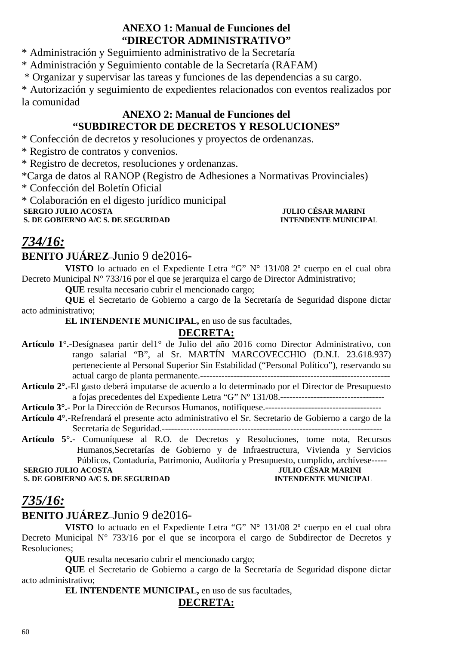### **ANEXO 1: Manual de Funciones del "DIRECTOR ADMINISTRATIVO"**

\* Administración y Seguimiento administrativo de la Secretaría

\* Administración y Seguimiento contable de la Secretaría (RAFAM)

\* Organizar y supervisar las tareas y funciones de las dependencias a su cargo.

\* Autorización y seguimiento de expedientes relacionados con eventos realizados por la comunidad

### **ANEXO 2: Manual de Funciones del "SUBDIRECTOR DE DECRETOS Y RESOLUCIONES"**

\* Confección de decretos y resoluciones y proyectos de ordenanzas.

\* Registro de contratos y convenios.

\* Registro de decretos, resoluciones y ordenanzas.

\*Carga de datos al RANOP (Registro de Adhesiones a Normativas Provinciales)

\* Confección del Boletín Oficial

\* Colaboración en el digesto jurídico municipal

 **SERGIO JULIO ACOSTA 1999 JULIO CÉSAR MARINI**<br> **S. DE GOBIERNO A/C S. DE SEGURIDAD CONTRAL INTENDENTE MUNICIPAL S. DE GOBIERNO A/C S. DE SEGURIDAD** 

## *734/16:*

### **BENITO JUÁREZ**–Junio 9 de2016-

**VISTO** lo actuado en el Expediente Letra "G" N° 131/08 2º cuerpo en el cual obra Decreto Municipal N° 733/16 por el que se jerarquiza el cargo de Director Administrativo;

**QUE** resulta necesario cubrir el mencionado cargo;

**QUE** el Secretario de Gobierno a cargo de la Secretaría de Seguridad dispone dictar acto administrativo;

**EL INTENDENTE MUNICIPAL,** en uso de sus facultades,

### **DECRETA:**

- **Artículo 1°.-**Desígnasea partir del1° de Julio del año 2016 como Director Administrativo, con rango salarial "B", al Sr. MARTÍN MARCOVECCHIO (D.N.I. 23.618.937) perteneciente al Personal Superior Sin Estabilidad ("Personal Político"), reservando su actual cargo de planta permanente.--------------------------------------------------------------
- **Artículo 2°.**-El gasto deberá imputarse de acuerdo a lo determinado por el Director de Presupuesto a fojas precedentes del Expediente Letra "G" Nº 131/08.----------------------------------

**Artículo 3°.-** Por la Dirección de Recursos Humanos, notifíquese.--------------------------------------

- **Artículo 4°.-**Refrendará el presente acto administrativo el Sr. Secretario de Gobierno a cargo de la Secretaría de Seguridad.------------------------------------------------------------------------
- **Artículo 5°.-** Comuníquese al R.O. de Decretos y Resoluciones, tome nota, Recursos Humanos,Secretarías de Gobierno y de Infraestructura, Vivienda y Servicios Públicos, Contaduría, Patrimonio, Auditoría y Presupuesto, cumplido, archívese-----<br>DACOSTA JULIO CÉSAR MARINI

 **SERGIO JULIO ACOSTA SERGIO JULIO ACOSTA JULIO CÉSAR MARINI**<br> **S. DE GOBIERNO A/C S. DE SEGURIDAD INTENDENTE MUNICIPAL S. DE GOBIERNO A/C S. DE SEGURIDAD** 

## *735/16:*

### **BENITO JUÁREZ**–Junio 9 de2016-

**VISTO** lo actuado en el Expediente Letra "G" N° 131/08 2º cuerpo en el cual obra Decreto Municipal N° 733/16 por el que se incorpora el cargo de Subdirector de Decretos y Resoluciones;

**QUE** resulta necesario cubrir el mencionado cargo;

**QUE** el Secretario de Gobierno a cargo de la Secretaría de Seguridad dispone dictar acto administrativo;

**EL INTENDENTE MUNICIPAL,** en uso de sus facultades,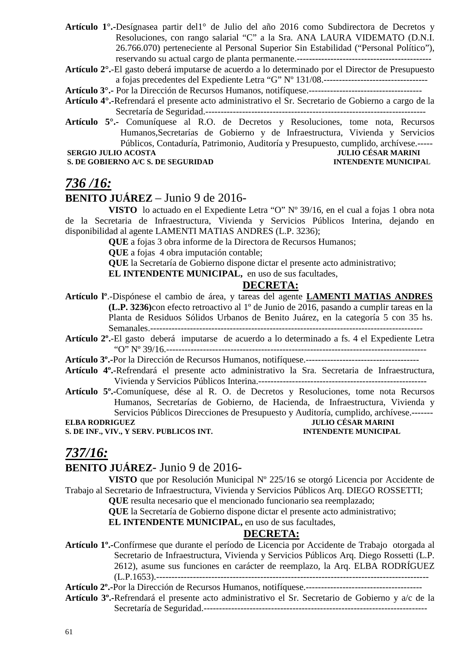- **Artículo 1°.-**Desígnasea partir del1° de Julio del año 2016 como Subdirectora de Decretos y Resoluciones, con rango salarial "C" a la Sra. ANA LAURA VIDEMATO (D.N.I. 26.766.070) perteneciente al Personal Superior Sin Estabilidad ("Personal Político"), reservando su actual cargo de planta permanente.--------------------------------------------
- **Artículo 2°.**-El gasto deberá imputarse de acuerdo a lo determinado por el Director de Presupuesto a fojas precedentes del Expediente Letra "G" Nº 131/08.----------------------------------
- **Artículo 3°.-** Por la Dirección de Recursos Humanos, notifíquese.-------------------------------------
- **Artículo 4°.-**Refrendará el presente acto administrativo el Sr. Secretario de Gobierno a cargo de la Secretaría de Seguridad.------------------------------------------------------------------------
- **Artículo 5°.-** Comuníquese al R.O. de Decretos y Resoluciones, tome nota, Recursos Humanos,Secretarías de Gobierno y de Infraestructura, Vivienda y Servicios Públicos, Contaduría, Patrimonio, Auditoría y Presupuesto, cumplido, archívese.-----  **SERGIO JULIO ACOSTA JULIO CÉSAR MARINI**

#### **S. DE GOBIERNO A/C S. DE SEGURIDAD INTENDENTE MUNICIPAL**

### *736 /16:*

### **BENITO JUÁREZ** – Junio 9 de 2016-

**VISTO** lo actuado en el Expediente Letra "O" Nº 39/16, en el cual a fojas 1 obra nota de la Secretaria de Infraestructura, Vivienda y Servicios Públicos Interina, dejando en disponibilidad al agente LAMENTI MATIAS ANDRES (L.P. 3236);

**QUE** a fojas 3 obra informe de la Directora de Recursos Humanos;

**QUE** a fojas 4 obra imputación contable;

**QUE** la Secretaría de Gobierno dispone dictar el presente acto administrativo;

**EL INTENDENTE MUNICIPAL,** en uso de sus facultades,

### **DECRETA:**

- **Artículo lº**.-Dispónese el cambio de área, y tareas del agente **LAMENTI MATIAS ANDRES (L.P. 3236)**con efecto retroactivo al 1º de Junio de 2016, pasando a cumplir tareas en la Planta de Residuos Sólidos Urbanos de Benito Juárez, en la categoría 5 con 35 hs. Semanales.-----------------------------------------------------------------------------------------
- **Artículo 2º.**-El gasto deberá imputarse de acuerdo a lo determinado a fs. 4 el Expediente Letra "O" Nº 39/16.-------------------------------------------------------------------------------------
- **Artículo 3º.-**Por la Dirección de Recursos Humanos, notifíquese.-------------------------------------
- **Artículo 4º.-**Refrendará el presente acto administrativo la Sra. Secretaria de Infraestructura, Vivienda y Servicios Públicos Interina.-------------------------------------------------------
- **Artículo 5º.-**Comuníquese, dése al R. O. de Decretos y Resoluciones, tome nota Recursos Humanos, Secretarías de Gobierno, de Hacienda, de Infraestructura, Vivienda y Servicios Públicos Direcciones de Presupuesto y Auditoría, cumplido, archívese.-------

**S. DE INF., VIV., Y SERV. PUBLICOS INT. INTENDENTE MUNICIPAL** 

# **ELBA RODRIGUEZ JULIO CÉSAR MARINI**

## *737/16:*

### **BENITO JUÁREZ**- Junio 9 de 2016-

**VISTO** que por Resolución Municipal Nº 225/16 se otorgó Licencia por Accidente de Trabajo al Secretario de Infraestructura, Vivienda y Servicios Públicos Arq. DIEGO ROSSETTI;

**QUE** resulta necesario que el mencionado funcionario sea reemplazado;

**QUE** la Secretaría de Gobierno dispone dictar el presente acto administrativo;

**EL INTENDENTE MUNICIPAL,** en uso de sus facultades,

### **DECRETA:**

**Artículo 1º.-**Confírmese que durante el período de Licencia por Accidente de Trabajo otorgada al Secretario de Infraestructura, Vivienda y Servicios Públicos Arq. Diego Rossetti (L.P. 2612), asume sus funciones en carácter de reemplazo, la Arq. ELBA RODRÍGUEZ (L.P.1653).-----------------------------------------------------------------------------------------

**Artículo 2º.-**Por la Dirección de Recursos Humanos, notifíquese.--------------------------------------

**Artículo 3º.-**Refrendará el presente acto administrativo el Sr. Secretario de Gobierno y a/c de la Secretaría de Seguridad.-------------------------------------------------------------------------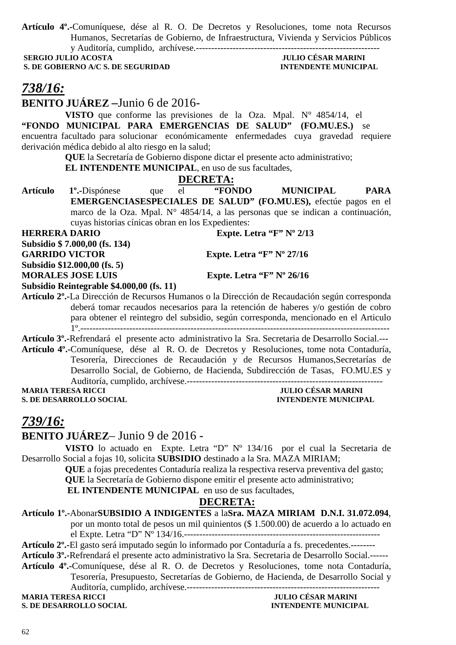**Artículo 4º.-**Comuníquese, dése al R. O. De Decretos y Resoluciones, tome nota Recursos Humanos, Secretarías de Gobierno, de Infraestructura, Vivienda y Servicios Públicos y Auditoría, cumplido, archívese.------------------------------------------------------------

**S. DE GOBIERNO A/C S. DE SEGURIDAD** 

# **JULIO CÉSAR MARINI<br>INTENDENTE MUNICIPAL**

# *738/16:*

**BENITO JUÁREZ –**Junio 6 de 2016-

**VISTO** que conforme las previsiones de la Oza. Mpal. N° 4854/14, el **"FONDO MUNICIPAL PARA EMERGENCIAS DE SALUD" (FO.MU.ES.)** se encuentra facultado para solucionar económicamente enfermedades cuya gravedad requiere derivación médica debido al alto riesgo en la salud;

**QUE** la Secretaría de Gobierno dispone dictar el presente acto administrativo; **EL INTENDENTE MUNICIPAL**, en uso de sus facultades,

### **DECRETA:**

**Artículo 1º.-**Dispónese que el **"FONDO MUNICIPAL PARA EMERGENCIASESPECIALES DE SALUD" (FO.MU.ES),** efectúe pagos en el marco de la Oza. Mpal. N° 4854/14, a las personas que se indican a continuación, cuyas historias cínicas obran en los Expedientes:

**HERRERA DARIO** Expte. Letra "F" Nº 2/13

**Subsidio \$ 7.000,00 (fs. 134)** 

GARRIDO VICTOR Expte. Letra "F" Nº 27/16

**Subsidio \$12.000,00 (fs. 5)** 

**MORALES JOSE LUIS Expte. Letra "F" Nº 26/16** 

**Subsidio Reintegrable \$4.000,00 (fs. 11) Artículo 2º.-**La Dirección de Recursos Humanos o la Dirección de Recaudación según corresponda deberá tomar recaudos necesarios para la retención de haberes y/o gestión de cobro para obtener el reintegro del subsidio, según corresponda, mencionado en el Articulo

1º.-----------------------------------------------------------------------------------------------------

**Artículo 3º.-**Refrendará el presente acto administrativo la Sra. Secretaria de Desarrollo Social.--- **Artículo 4º.-**Comuníquese, dése al R. O. de Decretos y Resoluciones, tome nota Contaduría, Tesorería, Direcciones de Recaudación y de Recursos Humanos,Secretarías de Desarrollo Social, de Gobierno, de Hacienda, Subdirección de Tasas, FO.MU.ES y Auditoría, cumplido, archívese.----------------------------------------------------------------

**S. DE DESARROLLO SOCIAL INTENDENTE MUNICIPAL** 

**MARIA TERESA RICCI JULIO CÉSAR MARINI** 

### *739/16:*

### **BENITO JUÁREZ**– Junio 9 de 2016 -

**VISTO** lo actuado en Expte. Letra "D" Nº 134/16 por el cual la Secretaria de Desarrollo Social a fojas 10, solicita **SUBSIDIO** destinado a la Sra. MAZA MIRIAM;

**QUE** a fojas precedentes Contaduría realiza la respectiva reserva preventiva del gasto; **QUE** la Secretaría de Gobierno dispone emitir el presente acto administrativo;

 **EL INTENDENTE MUNICIPAL** en uso de sus facultades,

### **DECRETA:**

#### **Artículo 1º.-**Abonar**SUBSIDIO A INDIGENTES** a la**Sra. MAZA MIRIAM D.N.I. 31.072.094**,

por un monto total de pesos un mil quinientos (\$ 1.500.00) de acuerdo a lo actuado en el Expte. Letra "D" Nº 134/16.----------------------------------------------------------------

**Artículo 2º.-**El gasto será imputado según lo informado por Contaduría a fs. precedentes.--------

**Artículo 3º.-**Refrendará el presente acto administrativo la Sra. Secretaria de Desarrollo Social.------

**Artículo 4º.-**Comuníquese, dése al R. O. de Decretos y Resoluciones, tome nota Contaduría, Tesorería, Presupuesto, Secretarías de Gobierno, de Hacienda, de Desarrollo Social y Auditoría, cumplido, archívese.---------------------------------------------------------------

**MARIA TERESA RICCI JULIO CÉSAR MARINI**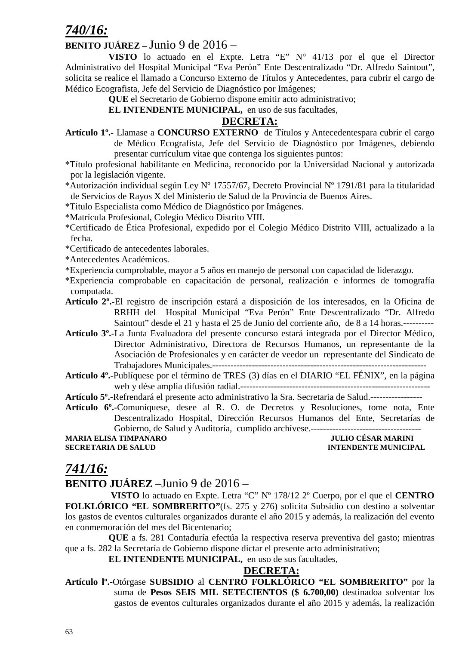## *740/16:*

### **BENITO JUÁREZ –** Junio 9 de 2016 –

**VISTO** lo actuado en el Expte. Letra "E" N° 41/13 por el que el Director Administrativo del Hospital Municipal "Eva Perón" Ente Descentralizado "Dr. Alfredo Saintout", solicita se realice el llamado a Concurso Externo de Títulos y Antecedentes, para cubrir el cargo de Médico Ecografista, Jefe del Servicio de Diagnóstico por Imágenes;

**QUE** el Secretario de Gobierno dispone emitir acto administrativo;

**EL INTENDENTE MUNICIPAL,** en uso de sus facultades,

### **DECRETA:**

- **Artículo 1º.-** Llamase a **CONCURSO EXTERNO** de Títulos y Antecedentespara cubrir el cargo de Médico Ecografista, Jefe del Servicio de Diagnóstico por Imágenes, debiendo presentar currículum vitae que contenga los siguientes puntos:
- \*Título profesional habilitante en Medicina, reconocido por la Universidad Nacional y autorizada por la legislación vigente.
- \*Autorización individual según Ley Nº 17557/67, Decreto Provincial Nº 1791/81 para la titularidad de Servicios de Rayos X del Ministerio de Salud de la Provincia de Buenos Aires.
- \*Titulo Especialista como Médico de Diagnóstico por Imágenes.
- \*Matrícula Profesional, Colegio Médico Distrito VIII.
- \*Certificado de Ética Profesional, expedido por el Colegio Médico Distrito VIII, actualizado a la fecha.
- \*Certificado de antecedentes laborales.
- \*Antecedentes Académicos.
- \*Experiencia comprobable, mayor a 5 años en manejo de personal con capacidad de liderazgo.
- \*Experiencia comprobable en capacitación de personal, realización e informes de tomografía computada.
- **Artículo 2º.-**El registro de inscripción estará a disposición de los interesados, en la Oficina de RRHH del Hospital Municipal "Eva Perón" Ente Descentralizado "Dr. Alfredo Saintout" desde el 21 y hasta el 25 de Junio del corriente año, de 8 a 14 horas.----------
- **Artículo 3º.-**La Junta Evaluadora del presente concurso estará integrada por el Director Médico, Director Administrativo, Directora de Recursos Humanos, un representante de la Asociación de Profesionales y en carácter de veedor un representante del Sindicato de Trabajadores Municipales.----------------------------------------------------------------------
- **Artículo 4º.**-Publíquese por el término de TRES (3) días en el DIARIO "EL FÉNIX", en la página web y dése amplia difusión radial.--------------------------------------------------------------

**Artículo 5º.-**Refrendará el presente acto administrativo la Sra. Secretaria de Salud.-----------------

**Artículo 6º.-**Comuníquese, desee al R. O. de Decretos y Resoluciones, tome nota, Ente Descentralizado Hospital, Dirección Recursos Humanos del Ente, Secretarías de Gobierno, de Salud y Auditoría, cumplido archívese.------------------------------------

**MARIA ELISA TIMPANARO JULIO CÉSAR MARINI SECRETARIA DE SALUD INTENDENTE MUNICIPAL** 

### *741/16:*

### **BENITO JUÁREZ** –Junio 9 de 2016 –

 **VISTO** lo actuado en Expte. Letra "C" Nº 178/12 2º Cuerpo, por el que el **CENTRO FOLKLÓRICO "EL SOMBRERITO"**(fs. 275 y 276) solicita Subsidio con destino a solventar los gastos de eventos culturales organizados durante el año 2015 y además, la realización del evento en conmemoración del mes del Bicentenario;

**QUE** a fs. 281 Contaduría efectúa la respectiva reserva preventiva del gasto; mientras que a fs. 282 la Secretaría de Gobierno dispone dictar el presente acto administrativo;

**EL INTENDENTE MUNICIPAL,** en uso de sus facultades,

#### **DECRETA:**

**Artículo lº.-**Otórgase **SUBSIDIO** al **CENTRO FOLKLÓRICO "EL SOMBRERITO"** por la suma de **Pesos SEIS MIL SETECIENTOS (\$ 6.700,00)** destinadoa solventar los gastos de eventos culturales organizados durante el año 2015 y además, la realización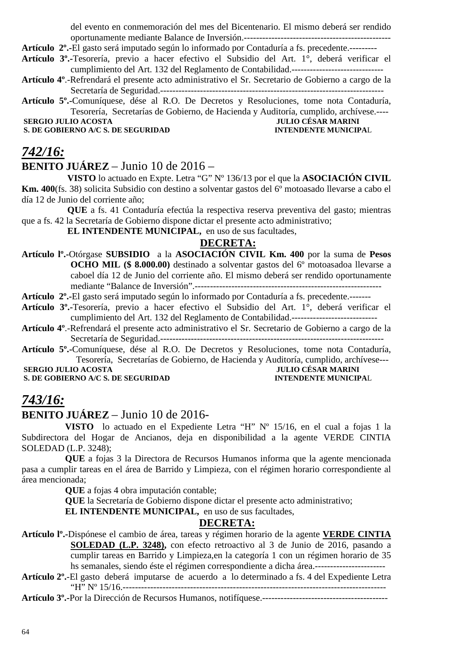del evento en conmemoración del mes del Bicentenario. El mismo deberá ser rendido oportunamente mediante Balance de Inversión.------------------------------------------------

**Artículo 2º.-**El gasto será imputado según lo informado por Contaduría a fs. precedente.---------

- **Artículo 3º.-**Tesorería, previo a hacer efectivo el Subsidio del Art. 1°, deberá verificar el cumplimiento del Art. 132 del Reglamento de Contabilidad.------------------------------
- **Artículo 4º**.-Refrendará el presente acto administrativo el Sr. Secretario de Gobierno a cargo de la Secretaría de Seguridad.-------------------------------------------------------------------------

**Artículo 5º.-**Comuníquese, dése al R.O. De Decretos y Resoluciones, tome nota Contaduría, Tesorería, Secretarías de Gobierno, de Hacienda y Auditoría, cumplido, archívese.----

**S. DE GOBIERNO A/C S. DE SEGURIDAD** 

# **SERGIO JULIO ACOSTA JULIO CÉSAR MARINI**<br> **S. DE GOBIERNO A/C S. DE SEGURIDAD INTENDENTE MUNICIPAL**

### *742/16:*

### **BENITO JUÁREZ** – Junio 10 de 2016 –

 **VISTO** lo actuado en Expte. Letra "G" Nº 136/13 por el que la **ASOCIACIÓN CIVIL Km. 400**(fs. 38) solicita Subsidio con destino a solventar gastos del 6<sup>°</sup> motoasado llevarse a cabo el día 12 de Junio del corriente año;

 **QUE** a fs. 41 Contaduría efectúa la respectiva reserva preventiva del gasto; mientras que a fs. 42 la Secretaría de Gobierno dispone dictar el presente acto administrativo;

 **EL INTENDENTE MUNICIPAL,** en uso de sus facultades,

### **DECRETA:**

**Artículo lº.-**Otórgase **SUBSIDIO** a la **ASOCIACIÓN CIVIL Km. 400** por la suma de **Pesos OCHO MIL (\$ 8.000.00)** destinado a solventar gastos del 6º motoasadoa llevarse a caboel día 12 de Junio del corriente año. El mismo deberá ser rendido oportunamente mediante "Balance de Inversión".-------------------------------------------------------------

**Artículo 2º.-**El gasto será imputado según lo informado por Contaduría a fs. precedente.-------

**Artículo 3º.-**Tesorería, previo a hacer efectivo el Subsidio del Art. 1°, deberá verificar el cumplimiento del Art. 132 del Reglamento de Contabilidad.----------------------------

**Artículo 4º**.-Refrendará el presente acto administrativo el Sr. Secretario de Gobierno a cargo de la Secretaría de Seguridad.-------------------------------------------------------------------------

**Artículo 5º.-**Comuníquese, dése al R.O. De Decretos y Resoluciones, tome nota Contaduría, Tesorería, Secretarías de Gobierno, de Hacienda y Auditoría, cumplido, archívese---  **SERGIO JULIO ACOSTA**<br> **S. DE GOBIERNO A/C S. DE SEGURIDAD S. DE SEGURIDAD INTENDENTE MUNICIPAL** 

**S. DE GOBIERNO A/C S. DE SEGURIDAD** 

### *743/16:*

### **BENITO JUÁREZ** – Junio 10 de 2016-

**VISTO** lo actuado en el Expediente Letra "H" Nº 15/16, en el cual a fojas 1 la Subdirectora del Hogar de Ancianos, deja en disponibilidad a la agente VERDE CINTIA SOLEDAD (L.P. 3248);

**QUE** a fojas 3 la Directora de Recursos Humanos informa que la agente mencionada pasa a cumplir tareas en el área de Barrido y Limpieza, con el régimen horario correspondiente al área mencionada;

**QUE** a fojas 4 obra imputación contable;

**QUE** la Secretaría de Gobierno dispone dictar el presente acto administrativo;

**EL INTENDENTE MUNICIPAL,** en uso de sus facultades,

### **DECRETA:**

**Artículo lº.-**Dispónese el cambio de área, tareas y régimen horario de la agente **VERDE CINTIA** 

**SOLEDAD (L.P. 3248),** con efecto retroactivo al 3 de Junio de 2016, pasando a cumplir tareas en Barrido y Limpieza,en la categoría 1 con un régimen horario de 35 hs semanales, siendo éste el régimen correspondiente a dicha área.-----------------------

**Artículo 2º.**-El gasto deberá imputarse de acuerdo a lo determinado a fs. 4 del Expediente Letra "H" Nº 15/16.--------------------------------------------------------------------------------------

**Artículo 3º.-**Por la Dirección de Recursos Humanos, notifíquese.-----------------------------------------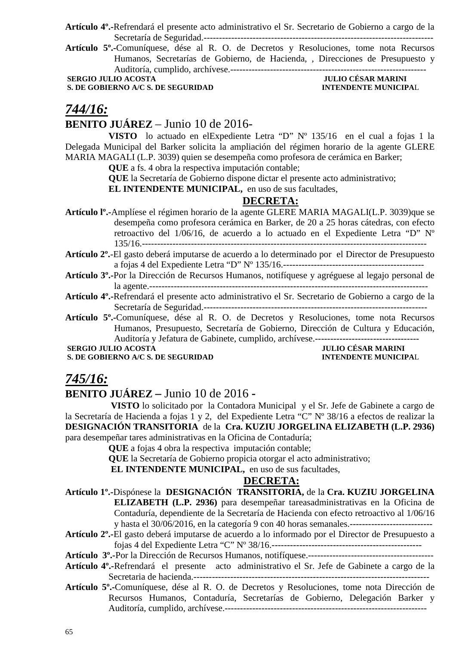**Artículo 4º.-**Refrendará el presente acto administrativo el Sr. Secretario de Gobierno a cargo de la Secretaría de Seguridad.---------------------------------------------------------------------------

**Artículo 5º.-**Comuníquese, dése al R. O. de Decretos y Resoluciones, tome nota Recursos Humanos, Secretarías de Gobierno, de Hacienda, , Direcciones de Presupuesto y Auditoría, cumplido, archívese.----------------------------------------------------------------

**S. DE GOBIERNO A/C S. DE SEGURIDAD** 

 **SERGIO JULIO ACOSTA JULIO CÉSAR MARINI** 

### *744/16:*

### **BENITO JUÁREZ** – Junio 10 de 2016-

**VISTO** lo actuado en elExpediente Letra "D" Nº 135/16 en el cual a fojas 1 la Delegada Municipal del Barker solicita la ampliación del régimen horario de la agente GLERE MARIA MAGALI (L.P. 3039) quien se desempeña como profesora de cerámica en Barker;

**QUE** a fs. 4 obra la respectiva imputación contable;

**QUE** la Secretaría de Gobierno dispone dictar el presente acto administrativo;

**EL INTENDENTE MUNICIPAL,** en uso de sus facultades,

### **DECRETA:**

**Artículo lº.-**Amplíese el régimen horario de la agente GLERE MARIA MAGALI(L.P. 3039)que se desempeña como profesora cerámica en Barker, de 20 a 25 horas cátedras, con efecto retroactivo del 1/06/16, de acuerdo a lo actuado en el Expediente Letra "D" Nº 135/16.---------------------------------------------------------------------------------------------

- **Artículo 2º.**-El gasto deberá imputarse de acuerdo a lo determinado por el Director de Presupuesto a fojas 4 del Expediente Letra "D" Nº 135/16.----------------------------------------------
- **Artículo 3º.-**Por la Dirección de Recursos Humanos, notifíquese y agréguese al legajo personal de la agente.-------------------------------------------------------------------------------------------
- **Artículo 4º.-**Refrendará el presente acto administrativo el Sr. Secretario de Gobierno a cargo de la Secretaría de Seguridad.-------------------------------------------------------------------------
- **Artículo 5º.-**Comuníquese, dése al R. O. de Decretos y Resoluciones, tome nota Recursos Humanos, Presupuesto, Secretaría de Gobierno, Dirección de Cultura y Educación, Auditoría y Jefatura de Gabinete, cumplido, archívese.----------------------------------

**S. DE GOBIERNO A/C S. DE SEGURIDAD** 

 **SERGIO JULIO ACOSTA**<br> **S. DE GOBIERNO A/C S. DE SEGURIDAD**<br> **INTENDENTE MUNICIPAL** 

### *745/16:*

### **BENITO JUÁREZ –** Junio 10 de 2016 **-**

 **VISTO** lo solicitado por la Contadora Municipal y el Sr. Jefe de Gabinete a cargo de la Secretaría de Hacienda a fojas 1 y 2, del Expediente Letra "C" Nº 38/16 a efectos de realizar la **DESIGNACIÓN TRANSITORIA** de la **Cra. KUZIU JORGELINA ELIZABETH (L.P. 2936)** para desempeñar tares administrativas en la Oficina de Contaduría;

**QUE** a fojas 4 obra la respectiva imputación contable;

**QUE** la Secretaría de Gobierno propicia otorgar el acto administrativo;

 **EL INTENDENTE MUNICIPAL,** en uso de sus facultades,

#### **DECRETA:**

- **Artículo 1º.-**Dispónese la **DESIGNACIÓN TRANSITORIA,** de la **Cra. KUZIU JORGELINA ELIZABETH (L.P. 2936)** para desempeñar tareasadministrativas en la Oficina de Contaduría, dependiente de la Secretaría de Hacienda con efecto retroactivo al 1/06/16 y hasta el 30/06/2016, en la categoría 9 con 40 horas semanales.---------------------------
- **Artículo 2º.-**El gasto deberá imputarse de acuerdo a lo informado por el Director de Presupuesto a fojas 4 del Expediente Letra "C" Nº 38/16.-------------------------------------------------

**Artículo 3º.-**Por la Dirección de Recursos Humanos, notifíquese.-----------------------------------------

- **Artículo 4º.-**Refrendará el presente acto administrativo el Sr. Jefe de Gabinete a cargo de la Secretaria de hacienda.-----------------------------------------------------------------------------
- **Artículo 5º.-**Comuníquese, dése al R. O. de Decretos y Resoluciones, tome nota Dirección de Recursos Humanos, Contaduría, Secretarías de Gobierno, Delegación Barker y Auditoría, cumplido, archívese.------------------------------------------------------------------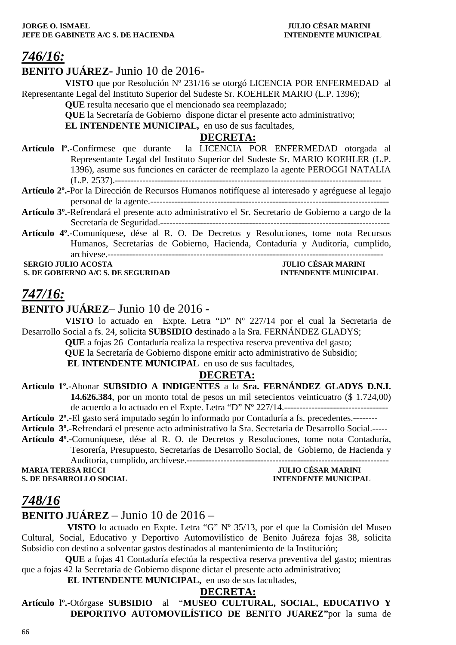### *746/16:*

### **BENITO JUÁREZ**- Junio 10 de 2016-

**VISTO** que por Resolución Nº 231/16 se otorgó LICENCIA POR ENFERMEDAD al Representante Legal del Instituto Superior del Sudeste Sr. KOEHLER MARIO (L.P. 1396);

**QUE** resulta necesario que el mencionado sea reemplazado;

**QUE** la Secretaría de Gobierno dispone dictar el presente acto administrativo;

**EL INTENDENTE MUNICIPAL**, en uso de sus facultades,

### **DECRETA:**

- **Artículo lº.-**Confírmese que durante la LICENCIA POR ENFERMEDAD otorgada al Representante Legal del Instituto Superior del Sudeste Sr. MARIO KOEHLER (L.P. 1396), asume sus funciones en carácter de reemplazo la agente PEROGGI NATALIA (L.P. 2537).---------------------------------------------------------------------------------------
- **Artículo 2º.-**Por la Dirección de Recursos Humanos notifíquese al interesado y agréguese al legajo personal de la agente.------------------------------------------------------------------------------
- **Artículo 3º.-**Refrendará el presente acto administrativo el Sr. Secretario de Gobierno a cargo de la Secretaría de Seguridad.---------------------------------------------------------------------------
- **Artículo 4º.-**Comuníquese, dése al R. O. De Decretos y Resoluciones, tome nota Recursos Humanos, Secretarías de Gobierno, Hacienda, Contaduría y Auditoría, cumplido, archívese.------------------------------------------------------------------------------------------

**S. DE GOBIERNO A/C S. DE SEGURIDAD** 

# **SERGIO JULIO ACOSTA JULIO CÉSAR MARINI**

### *747/16:*

**BENITO JUÁREZ**– Junio 10 de 2016 -

**VISTO** lo actuado en Expte. Letra "D" Nº 227/14 por el cual la Secretaria de Desarrollo Social a fs. 24, solicita **SUBSIDIO** destinado a la Sra. FERNÁNDEZ GLADYS;

**QUE** a fojas 26 Contaduría realiza la respectiva reserva preventiva del gasto;

 **QUE** la Secretaría de Gobierno dispone emitir acto administrativo de Subsidio;

**EL INTENDENTE MUNICIPAL** en uso de sus facultades,

### **DECRETA:**

### **Artículo 1º.-**Abonar **SUBSIDIO A INDIGENTES** a la **Sra. FERNÁNDEZ GLADYS D.N.I. 14.626.384**, por un monto total de pesos un mil setecientos veinticuatro (\$ 1.724,00) de acuerdo a lo actuado en el Expte. Letra "D" Nº 227/14.----------------------------------

- **Artículo 2º.-**El gasto será imputado según lo informado por Contaduría a fs. precedentes.--------
- **Artículo 3º.-**Refrendará el presente acto administrativo la Sra. Secretaria de Desarrollo Social.-----
- **Artículo 4º.-**Comuníquese, dése al R. O. de Decretos y Resoluciones, tome nota Contaduría, Tesorería, Presupuesto, Secretarías de Desarrollo Social, de Gobierno, de Hacienda y Auditoría, cumplido, archívese.------------------------------------------------------------------

**S. DE DESARROLLO SOCIAL** 

**JULIO CÉSAR MARINI<br>INTENDENTE MUNICIPAL** 

### *748/16*

### **BENITO JUÁREZ** – Junio 10 de 2016 –

 **VISTO** lo actuado en Expte. Letra "G" Nº 35/13, por el que la Comisión del Museo Cultural, Social, Educativo y Deportivo Automovilístico de Benito Juáreza fojas 38, solicita Subsidio con destino a solventar gastos destinados al mantenimiento de la Institución;

**QUE** a fojas 41 Contaduría efectúa la respectiva reserva preventiva del gasto; mientras que a fojas 42 la Secretaría de Gobierno dispone dictar el presente acto administrativo;

 **EL INTENDENTE MUNICIPAL,** en uso de sus facultades,

#### **DECRETA:**

**Artículo lº.-**Otórgase **SUBSIDIO** al "**MUSEO CULTURAL, SOCIAL, EDUCATIVO Y DEPORTIVO AUTOMOVILÍSTICO DE BENITO JUAREZ"**por la suma de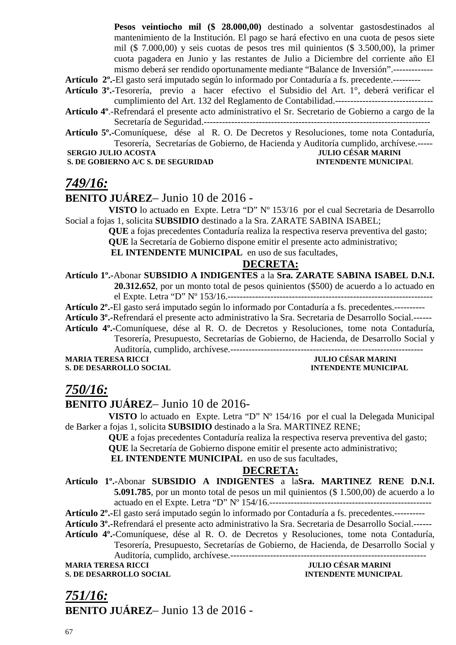**Pesos veintiocho mil (\$ 28.000,00)** destinado a solventar gastosdestinados al mantenimiento de la Institución. El pago se hará efectivo en una cuota de pesos siete mil (\$ 7.000,00) y seis cuotas de pesos tres mil quinientos (\$ 3.500,00), la primer cuota pagadera en Junio y las restantes de Julio a Diciembre del corriente año El mismo deberá ser rendido oportunamente mediante "Balance de Inversión".-------------

**Artículo 2º.-**El gasto será imputado según lo informado por Contaduría a fs. precedente.---------

- **Artículo 3º.-**Tesorería, previo a hacer efectivo el Subsidio del Art. 1°, deberá verificar el cumplimiento del Art. 132 del Reglamento de Contabilidad.--------------------------------
- **Artículo 4º**.-Refrendará el presente acto administrativo el Sr. Secretario de Gobierno a cargo de la Secretaría de Seguridad.--------------------------------------------------------------------------

**Artículo 5º.-**Comuníquese, dése al R. O. De Decretos y Resoluciones, tome nota Contaduría, Tesorería, Secretarías de Gobierno, de Hacienda y Auditoría cumplido, archívese.-----

#### **S. DE GOBIERNO A/C S. DE SEGURIDAD INTENDENTE MUNICIPAL**

# **SERGIO JULIO ACOSTA JULIO CÉSAR MARINI**

### *749/16:*

### **BENITO JUÁREZ**– Junio 10 de 2016 -

**VISTO** lo actuado en Expte. Letra "D" Nº 153/16 por el cual Secretaria de Desarrollo Social a fojas 1, solicita **SUBSIDIO** destinado a la Sra. ZARATE SABINA ISABEL;

> **QUE** a fojas precedentes Contaduría realiza la respectiva reserva preventiva del gasto; **QUE** la Secretaría de Gobierno dispone emitir el presente acto administrativo;

 **EL INTENDENTE MUNICIPAL** en uso de sus facultades,

#### **DECRETA:**

**Artículo 1º.-**Abonar **SUBSIDIO A INDIGENTES** a la **Sra. ZARATE SABINA ISABEL D.N.I. 20.312.652**, por un monto total de pesos quinientos (\$500) de acuerdo a lo actuado en

el Expte. Letra "D" Nº 153/16.-------------------------------------------------------------------

**Artículo 2º.-**El gasto será imputado según lo informado por Contaduría a fs. precedentes.----------

**Artículo 3º.-**Refrendará el presente acto administrativo la Sra. Secretaria de Desarrollo Social.------

**Artículo 4º.-**Comuníquese, dése al R. O. de Decretos y Resoluciones, tome nota Contaduría, Tesorería, Presupuesto, Secretarías de Gobierno, de Hacienda, de Desarrollo Social y Auditoría, cumplido, archívese.---------------------------------------------------------------

**MARIA TERESA RICCI JULIO CÉSAR MARINI** 

**S. DE DESARROLLO SOCIAL INTENDENTE MUNICIPAL** 

### *750/16:*

### **BENITO JUÁREZ**– Junio 10 de 2016-

**VISTO** lo actuado en Expte. Letra "D" Nº 154/16 por el cual la Delegada Municipal de Barker a fojas 1, solicita **SUBSIDIO** destinado a la Sra. MARTINEZ RENE;

**QUE** a fojas precedentes Contaduría realiza la respectiva reserva preventiva del gasto;

**QUE** la Secretaría de Gobierno dispone emitir el presente acto administrativo;

 **EL INTENDENTE MUNICIPAL** en uso de sus facultades,

#### **DECRETA:**

**Artículo 1º.-**Abonar **SUBSIDIO A INDIGENTES** a la**Sra. MARTINEZ RENE D.N.I. 5.091.785**, por un monto total de pesos un mil quinientos (\$ 1.500,00) de acuerdo a lo actuado en el Expte. Letra "D" Nº 154/16.-----------------------------------------------------

**Artículo 2º.-**El gasto será imputado según lo informado por Contaduría a fs. precedentes.----------

**Artículo 3º.-**Refrendará el presente acto administrativo la Sra. Secretaria de Desarrollo Social.------

**Artículo 4º.-**Comuníquese, dése al R. O. de Decretos y Resoluciones, tome nota Contaduría, Tesorería, Presupuesto, Secretarías de Gobierno, de Hacienda, de Desarrollo Social y

Auditoría, cumplido, archívese.----------------------------------------------------------------

**MARIA TERESA RICCI JULIO CÉSAR MARINI** 

**S. DE DESARROLLO SOCIAL INTENDENTE MUNICIPAL** 

*751/16:* **BENITO JUÁREZ**– Junio 13 de 2016 -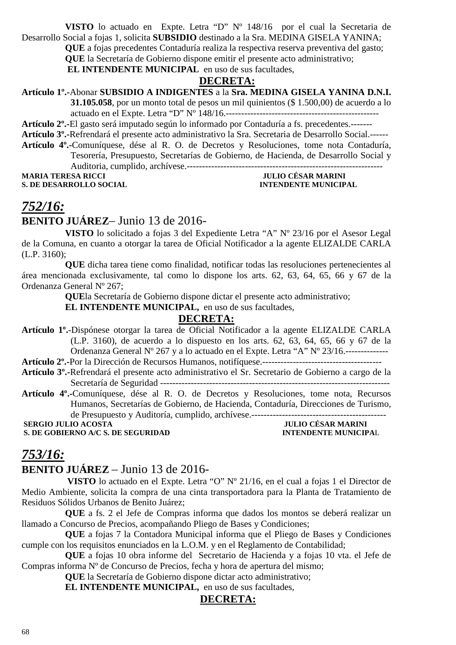**VISTO** lo actuado en Expte. Letra "D" Nº 148/16 por el cual la Secretaria de Desarrollo Social a fojas 1, solicita **SUBSIDIO** destinado a la Sra. MEDINA GISELA YANINA;

**QUE** a fojas precedentes Contaduría realiza la respectiva reserva preventiva del gasto;

**QUE** la Secretaría de Gobierno dispone emitir el presente acto administrativo;

 **EL INTENDENTE MUNICIPAL** en uso de sus facultades,

### **DECRETA:**

**Artículo 1º.-**Abonar **SUBSIDIO A INDIGENTES** a la **Sra. MEDINA GISELA YANINA D.N.I.** 

**31.105.058**, por un monto total de pesos un mil quinientos (\$ 1.500,00) de acuerdo a lo actuado en el Expte. Letra "D" Nº 148/16.--------------------------------------------------

**Artículo 2º.-**El gasto será imputado según lo informado por Contaduría a fs. precedentes.-------

**Artículo 3º.-**Refrendará el presente acto administrativo la Sra. Secretaria de Desarrollo Social.------

**Artículo 4º.-**Comuníquese, dése al R. O. de Decretos y Resoluciones, tome nota Contaduría, Tesorería, Presupuesto, Secretarías de Gobierno, de Hacienda, de Desarrollo Social y Auditoria, cumplido, archívese.----------------------------------------------------------------

**MARIA TERESA RICCI JULIO CÉSAR MARINI S. DE DESARROLLO SOCIAL INTENDENTE MUNICIPAL** 

## *752/16:*

### **BENITO JUÁREZ**– Junio 13 de 2016-

**VISTO** lo solicitado a fojas 3 del Expediente Letra "A" Nº 23/16 por el Asesor Legal de la Comuna, en cuanto a otorgar la tarea de Oficial Notificador a la agente ELIZALDE CARLA (L.P. 3160);

**QUE** dicha tarea tiene como finalidad, notificar todas las resoluciones pertenecientes al área mencionada exclusivamente, tal como lo dispone los arts. 62, 63, 64, 65, 66 y 67 de la Ordenanza General Nº 267;

**QUE**la Secretaría de Gobierno dispone dictar el presente acto administrativo;

**EL INTENDENTE MUNICIPAL,** en uso de sus facultades,

### **DECRETA:**

**Artículo 1º.**-Dispónese otorgar la tarea de Oficial Notificador a la agente ELIZALDE CARLA (L.P. 3160), de acuerdo a lo dispuesto en los arts. 62, 63, 64, 65, 66 y 67 de la Ordenanza General Nº 267 y a lo actuado en el Expte. Letra "A" Nº 23/16.--------------

**Artículo 2º.-**Por la Dirección de Recursos Humanos, notifíquese.---------------------------------------

- **Artículo 3º.-**Refrendará el presente acto administrativo el Sr. Secretario de Gobierno a cargo de la Secretaría de Seguridad ---------------------------------------------------------------------------
- **Artículo 4º.-**Comuníquese, dése al R. O. de Decretos y Resoluciones, tome nota, Recursos Humanos, Secretarías de Gobierno, de Hacienda, Contaduría, Direcciones de Turismo, de Presupuesto y Auditoría, cumplido, archívese.--------------------------------------------

 **SERGIO JULIO ACOSTA JULIO CÉSAR MARINI**<br> **S. DE GOBIERNO A/C S. DE SEGURIDAD ENTENDENTE MUNICIPAL S. DE GOBIERNO A/C S. DE SEGURIDAD** 

### *753/16:*

### **BENITO JUÁREZ** – Junio 13 de 2016-

 **VISTO** lo actuado en el Expte. Letra "O" Nº 21/16, en el cual a fojas 1 el Director de Medio Ambiente, solicita la compra de una cinta transportadora para la Planta de Tratamiento de Residuos Sólidos Urbanos de Benito Juárez;

**QUE** a fs. 2 el Jefe de Compras informa que dados los montos se deberá realizar un llamado a Concurso de Precios, acompañando Pliego de Bases y Condiciones;

**QUE** a fojas 7 la Contadora Municipal informa que el Pliego de Bases y Condiciones cumple con los requisitos enunciados en la L.O.M. y en el Reglamento de Contabilidad;

**QUE** a fojas 10 obra informe del Secretario de Hacienda y a fojas 10 vta. el Jefe de Compras informa Nº de Concurso de Precios, fecha y hora de apertura del mismo;

**QUE** la Secretaría de Gobierno dispone dictar acto administrativo;

**EL INTENDENTE MUNICIPAL,** en uso de sus facultades,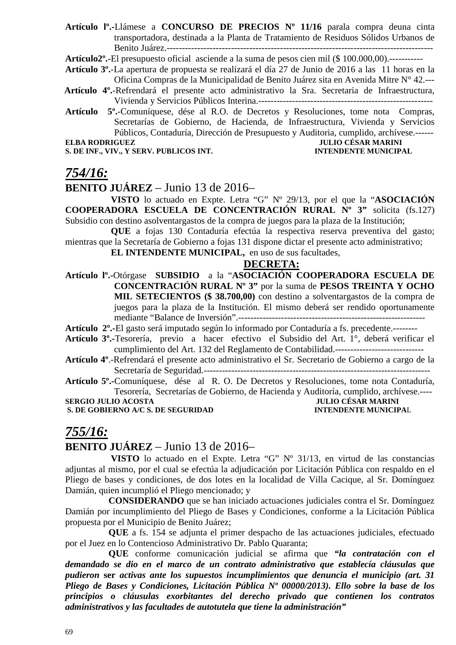**Artículo lº.-**Llámese a **CONCURSO DE PRECIOS Nº 11/16** parala compra deuna cinta transportadora, destinada a la Planta de Tratamiento de Residuos Sólidos Urbanos de Benito Juárez.---------------------------------------------------------------------------------------

**Artículo2º.**-El presupuesto oficial asciende a la suma de pesos cien mil (\$ 100.000,00).-----------

**Artículo 3º.**-La apertura de propuesta se realizará el día 27 de Junio de 2016 a las 11 horas en la Oficina Compras de la Municipalidad de Benito Juárez sita en Avenida Mitre N° 42.---

- **Artículo 4º.**-Refrendará el presente acto administrativo la Sra. Secretaria de Infraestructura, Vivienda y Servicios Públicos Interina.---------------------------------------------------------
- **Artículo 5º.**-Comuníquese, dése al R.O. de Decretos y Resoluciones, tome nota Compras, Secretarías de Gobierno, de Hacienda, de Infraestructura, Vivienda y Servicios Públicos, Contaduría, Dirección de Presupuesto y Auditoria, cumplido, archívese.------ **ELBA RODRIGUEZ JULIO CÉSAR MARINI**

**S. DE INF., VIV., Y SERV. PUBLICOS INT. INTENDENTE MUNICIPAL** 

### *754/16:*

### **BENITO JUÁREZ** – Junio 13 de 2016–

 **VISTO** lo actuado en Expte. Letra "G" Nº 29/13, por el que la "**ASOCIACIÓN COOPERADORA ESCUELA DE CONCENTRACIÓN RURAL Nº 3"** solicita (fs.127) Subsidio con destino asolventargastos de la compra de juegos para la plaza de la Institución;

 **QUE** a fojas 130 Contaduría efectúa la respectiva reserva preventiva del gasto; mientras que la Secretaría de Gobierno a fojas 131 dispone dictar el presente acto administrativo;

#### **EL INTENDENTE MUNICIPAL,** en uso de sus facultades,

### **DECRETA:**

**Artículo lº.-**Otórgase **SUBSIDIO** a la "**ASOCIACIÓN COOPERADORA ESCUELA DE CONCENTRACIÓN RURAL Nº 3"** por la suma de **PESOS TREINTA Y OCHO MIL SETECIENTOS (\$ 38.700,00)** con destino a solventargastos de la compra de juegos para la plaza de la Institución. El mismo deberá ser rendido oportunamente mediante "Balance de Inversión".-------------------------------------------------------------

**Artículo 2º.-**El gasto será imputado según lo informado por Contaduría a fs. precedente.--------

- **Artículo 3º.-**Tesorería, previo a hacer efectivo el Subsidio del Art. 1°, deberá verificar el cumplimiento del Art. 132 del Reglamento de Contabilidad.-----------------------------
- **Artículo 4º**.-Refrendará el presente acto administrativo el Sr. Secretario de Gobierno a cargo de la Secretaría de Seguridad.--------------------------------------------------------------------------

**Artículo 5º.-**Comuníquese, dése al R. O. De Decretos y Resoluciones, tome nota Contaduría, Tesorería, Secretarías de Gobierno, de Hacienda y Auditoría, cumplido, archívese.----

**S. DE GOBIERNO A/C S. DE SEGURIDAD** 

## **SULIO CÉSAR MARINI<br>INTENDENTE MUNICIPAL**

### *755/16:*

### **BENITO JUÁREZ** – Junio 13 de 2016–

 **VISTO** lo actuado en el Expte. Letra "G" Nº 31/13, en virtud de las constancias adjuntas al mismo, por el cual se efectúa la adjudicación por Licitación Pública con respaldo en el Pliego de bases y condiciones, de dos lotes en la localidad de Villa Cacique, al Sr. Domínguez Damián, quien incumplió el Pliego mencionado; y

**CONSIDERANDO** que se han iniciado actuaciones judiciales contra el Sr. Domínguez Damián por incumplimiento del Pliego de Bases y Condiciones, conforme a la Licitación Pública propuesta por el Municipio de Benito Juárez;

**QUE** a fs. 154 se adjunta el primer despacho de las actuaciones judiciales, efectuado por el Juez en lo Contencioso Administrativo Dr. Pablo Quaranta;

**QUE** conforme comunicación judicial se afirma que *"la contratación con el demandado se dio en el marco de un contrato administrativo que establecía cláusulas que pudieron* **ser** *activas ante los supuestos incumplimientos que denuncia el municipio (art. 31 Pliego de Bases y Condiciones, Licitación Pública Nº 00000/2013). Ello sobre la base de los principios o cláusulas exorbitantes del derecho privado que contienen los contratos administrativos y las facultades de autotutela que tiene la administración"*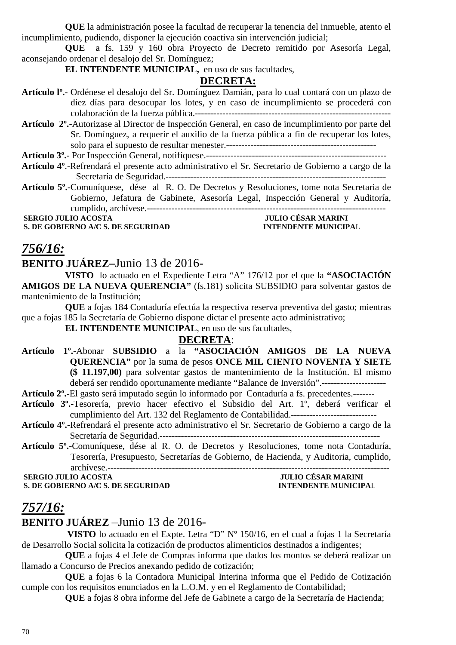**QUE** la administración posee la facultad de recuperar la tenencia del inmueble, atento el incumplimiento, pudiendo, disponer la ejecución coactiva sin intervención judicial;

**QUE** a fs. 159 y 160 obra Proyecto de Decreto remitido por Asesoría Legal, aconsejando ordenar el desalojo del Sr. Domínguez;

**EL INTENDENTE MUNICIPAL,** en uso de sus facultades,

### **DECRETA:**

- **Artículo lº.-** Ordénese el desalojo del Sr. Domínguez Damián, para lo cual contará con un plazo de diez días para desocupar los lotes, y en caso de incumplimiento se procederá con colaboración de la fuerza pública.----------------------------------------------------------------
- **Artículo 2º.-**Autorizase al Director de Inspección General, en caso de incumplimiento por parte del Sr. Domínguez, a requerir el auxilio de la fuerza pública a fin de recuperar los lotes, solo para el supuesto de resultar menester.-------------------------------------------------

**Artículo 3º.-** Por Inspección General, notifíquese.-----------------------------------------------------------

- **Artículo 4º**.-Refrendará el presente acto administrativo el Sr. Secretario de Gobierno a cargo de la Secretaría de Seguridad.------------------------------------------------------------------------
- **Artículo 5º.-**Comuníquese, dése al R. O. De Decretos y Resoluciones, tome nota Secretaria de Gobierno, Jefatura de Gabinete, Asesoría Legal, Inspección General y Auditoría, cumplido, archívese.------------------------------------------------------------------------------

**S. DE GOBIERNO A/C S. DE SEGURIDAD** 

# **SERGIO JULIO ACOSTA JULIO CÉSAR MARINI**

### *756/16:*

### **BENITO JUÁREZ–**Junio 13 de 2016**-**

**VISTO** lo actuado en el Expediente Letra "A" 176/12 por el que la **"ASOCIACIÓN AMIGOS DE LA NUEVA QUERENCIA"** (fs.181) solicita SUBSIDIO para solventar gastos de mantenimiento de la Institución;

**QUE** a fojas 184 Contaduría efectúa la respectiva reserva preventiva del gasto; mientras que a fojas 185 la Secretaría de Gobierno dispone dictar el presente acto administrativo;

**EL INTENDENTE MUNICIPAL**, en uso de sus facultades,

### **DECRETA**:

- **Artículo 1º.-**Abonar **SUBSIDIO** a la **"ASOCIACIÓN AMIGOS DE LA NUEVA QUERENCIA"** por la suma de pesos **ONCE MIL CIENTO NOVENTA Y SIETE (\$ 11.197,00)** para solventar gastos de mantenimiento de la Institución. El mismo deberá ser rendido oportunamente mediante "Balance de Inversión".---------------------
- **Artículo 2º.-**El gasto será imputado según lo informado por Contaduría a fs. precedentes.-------
- **Artículo 3º.-**Tesorería, previo hacer efectivo el Subsidio del Art. 1º, deberá verificar el cumplimiento del Art. 132 del Reglamento de Contabilidad.----------------------------
- **Artículo 4º.-**Refrendará el presente acto administrativo el Sr. Secretario de Gobierno a cargo de la Secretaría de Seguridad.------------------------------------------------------------------------
- **Artículo 5º.-**Comuníquese, dése al R. O. de Decretos y Resoluciones, tome nota Contaduría, Tesorería, Presupuesto, Secretarías de Gobierno, de Hacienda, y Auditoria, cumplido, archívese.--------------------------------------------------------------------------------------------

**SERGIO JULIO ACOSTA** 

## **S. DE GOBIERNO A/C S. DE SEGURIDAD INTENDENTE MUNICIPAL**

# *757/16:*

### **BENITO JUÁREZ** –Junio 13 de 2016-

 **VISTO** lo actuado en el Expte. Letra "D" Nº 150/16, en el cual a fojas 1 la Secretaría de Desarrollo Social solicita la cotización de productos alimenticios destinados a indigentes;

**QUE** a fojas 4 el Jefe de Compras informa que dados los montos se deberá realizar un llamado a Concurso de Precios anexando pedido de cotización;

**QUE** a fojas 6 la Contadora Municipal Interina informa que el Pedido de Cotización cumple con los requisitos enunciados en la L.O.M. y en el Reglamento de Contabilidad;

**QUE** a fojas 8 obra informe del Jefe de Gabinete a cargo de la Secretaría de Hacienda;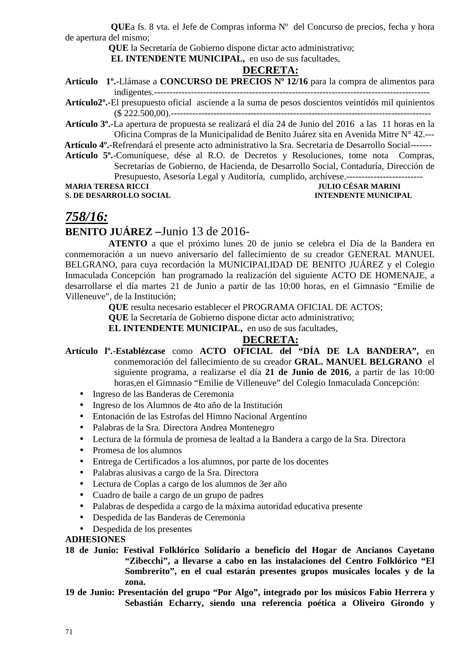**QUE**a fs. 8 vta. el Jefe de Compras informa Nº del Concurso de precios, fecha y hora de apertura del mismo;

**QUE** la Secretaría de Gobierno dispone dictar acto administrativo;

 **EL INTENDENTE MUNICIPAL,** en uso de sus facultades,

### **DECRETA:**

- **Artículo 1º.-**Llámase a **CONCURSO DE PRECIOS Nº 12/16** para la compra de alimentos para indigentes.------------------------------------------------------------------------------------------
- **Artículo2º.**-El presupuesto oficial asciende a la suma de pesos doscientos veintidós mil quinientos (\$ 222.500,00).-------------------------------------------------------------------------------------
- **Artículo 3º.**-La apertura de propuesta se realizará el día 24 de Junio del 2016 a las 11 horas en la Oficina Compras de la Municipalidad de Benito Juárez sita en Avenida Mitre N° 42.---
- **Artículo 4º.**-Refrendará el presente acto administrativo la Sra. Secretaria de Desarrollo Social-------
- **Artículo 5º.**-Comuníquese, dése al R.O. de Decretos y Resoluciones, tome nota Compras, Secretarías de Gobierno, de Hacienda, de Desarrollo Social, Contaduría, Dirección de Presupuesto, Asesoría Legal y Auditoría, cumplido, archívese.--------------------------

**MARIA TERESA RICCI DE L'ORIGIA DE L'ORIGIA DE L'ORIGIANA DE L'ORIGIANA DE L'ORIGIANA DE L'ORIGIANA DE L'ORIGIA S. DE DESARROLLO SOCIAL INTENDENTE MUNICIPAL** 

### *758/16:*

### **BENITO JUÁREZ –**Junio 13 de 2016-

**ATENTO** a que el próximo lunes 20 de junio se celebra el Día de la Bandera en conmemoración a un nuevo aniversario del fallecimiento de su creador GENERAL MANUEL BELGRANO, para cuya recordación la MUNICIPALIDAD DE BENITO JUÁREZ y el Colegio Inmaculada Concepción han programado la realización del siguiente ACTO DE HOMENAJE, a desarrollarse el día martes 21 de Junio a partir de las 10:00 horas, en el Gimnasio "Emilie de Villeneuve", de la Institución;

**QUE** resulta necesario establecer el PROGRAMA OFICIAL DE ACTOS;

**QUE** la Secretaría de Gobierno dispone dictar acto administrativo;

**EL INTENDENTE MUNICIPAL,** en uso de sus facultades,

### **DECRETA:**

- **Artículo lº.-Establézcase** como **ACTO OFICIAL del "DÍA DE LA BANDERA",** en conmemoración del fallecimiento de su creador **GRAL. MANUEL BELGRANO** el siguiente programa, a realizarse el día **21 de Junio de 2016**, a partir de las 10:00 horas,en el Gimnasio "Emilie de Villeneuve" del Colegio Inmaculada Concepción:
	- Ingreso de las Banderas de Ceremonia
	- Ingreso de los Alumnos de 4to año de la Institución
	- Entonación de las Estrofas del Himno Nacional Argentino
	- Palabras de la Sra. Directora Andrea Montenegro
	- Lectura de la fórmula de promesa de lealtad a la Bandera a cargo de la Sra. Directora
	- Promesa de los alumnos
	- Entrega de Certificados a los alumnos, por parte de los docentes
	- Palabras alusivas a cargo de la Sra. Directora
	- Lectura de Coplas a cargo de los alumnos de 3er año
	- Cuadro de baile a cargo de un grupo de padres
	- Palabras de despedida a cargo de la máxima autoridad educativa presente
	- Despedida de las Banderas de Ceremonia
	- Despedida de los presentes

#### **ADHESIONES**

- **18 de Junio: Festival Folklórico Solidario a beneficio del Hogar de Ancianos Cayetano "Zibecchi", a llevarse a cabo en las instalaciones del Centro Folklórico "El Sombrerito", en el cual estarán presentes grupos musicales locales y de la zona.**
- **19 de Junio: Presentación del grupo "Por Algo", integrado por los músicos Fabio Herrera y Sebastián Echarry, siendo una referencia poética a Oliveiro Girondo y**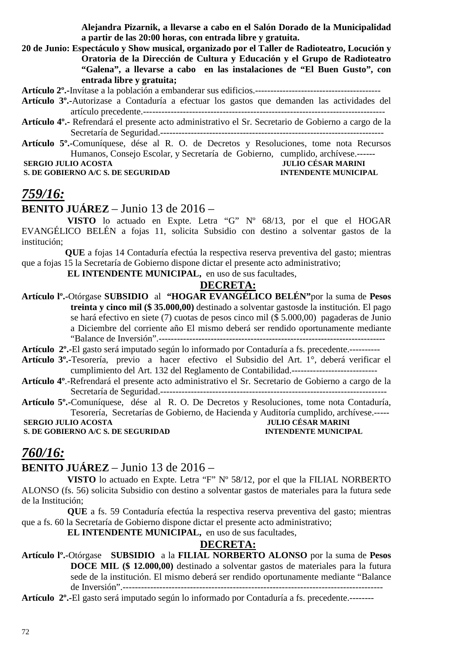**Alejandra Pizarnik, a llevarse a cabo en el Salón Dorado de la Municipalidad a partir de las 20:00 horas, con entrada libre y gratuita.** 

**20 de Junio: Espectáculo y Show musical, organizado por el Taller de Radioteatro, Locución y Oratoria de la Dirección de Cultura y Educación y el Grupo de Radioteatro "Galena", a llevarse a cabo en las instalaciones de "El Buen Gusto", con entrada libre y gratuita;** 

**Artículo 2º.-**Invítase a la población a embanderar sus edificios.-----------------------------------------

- **Artículo 3º.-**Autorizase a Contaduría a efectuar los gastos que demanden las actividades del artículo precedente.-------------------------------------------------------------------------------
- **Artículo 4º.-** Refrendará el presente acto administrativo el Sr. Secretario de Gobierno a cargo de la Secretaría de Seguridad.-------------------------------------------------------------------------
- **Artículo 5º.-**Comuníquese, dése al R. O. de Decretos y Resoluciones, tome nota Recursos Humanos, Consejo Escolar, y Secretaría de Gobierno, cumplido, archívese.-------<br>JULIO CÉSAR MARINI

**S. DE GOBIERNO A/C S. DE SEGURIDAD** 

# **SERGIO JULIO ACOSTA JULIO CÉSAR MARINI**<br> **S. DE GOBIERNO A/C S. DE SEGURIDAD INTENDENTE MUNICIPAL**

## *759/16:*

**BENITO JUÁREZ** – Junio 13 de 2016 –

 **VISTO** lo actuado en Expte. Letra "G" Nº 68/13, por el que el HOGAR EVANGÉLICO BELÉN a fojas 11, solicita Subsidio con destino a solventar gastos de la institución;

**QUE** a fojas 14 Contaduría efectúa la respectiva reserva preventiva del gasto; mientras que a fojas 15 la Secretaría de Gobierno dispone dictar el presente acto administrativo;

 **EL INTENDENTE MUNICIPAL,** en uso de sus facultades,

#### **DECRETA:**

**Artículo lº.-**Otórgase **SUBSIDIO** al **"HOGAR EVANGÉLICO BELÉN"**por la suma de **Pesos treinta y cinco mil (\$ 35.000,00)** destinado a solventar gastosde la institución. El pago se hará efectivo en siete (7) cuotas de pesos cinco mil (\$ 5.000,00) pagaderas de Junio a Diciembre del corriente año El mismo deberá ser rendido oportunamente mediante "Balance de Inversión".--------------------------------------------------------------------------

**Artículo 2º.-**El gasto será imputado según lo informado por Contaduría a fs. precedente.----------

- **Artículo 3º.-**Tesorería, previo a hacer efectivo el Subsidio del Art. 1°, deberá verificar el cumplimiento del Art. 132 del Reglamento de Contabilidad.----------------------------
- **Artículo 4º**.-Refrendará el presente acto administrativo el Sr. Secretario de Gobierno a cargo de la Secretaría de Seguridad.--------------------------------------------------------------------------
- **Artículo 5º.-**Comuníquese, dése al R. O. De Decretos y Resoluciones, tome nota Contaduría, Tesorería, Secretarías de Gobierno, de Hacienda y Auditoría cumplido, archívese.-----  **SERGIO JULIO ACOSTA**  *JULIO CÉSAR MARINI*

**S. DE GOBIERNO A/C S. DE SEGURIDAD INTENDENTE MUNICIPAL** 

### *760/16:*

### **BENITO JUÁREZ** – Junio 13 de 2016 –

 **VISTO** lo actuado en Expte. Letra "F" Nº 58/12, por el que la FILIAL NORBERTO ALONSO (fs. 56) solicita Subsidio con destino a solventar gastos de materiales para la futura sede de la Institución;

 **QUE** a fs. 59 Contaduría efectúa la respectiva reserva preventiva del gasto; mientras que a fs. 60 la Secretaría de Gobierno dispone dictar el presente acto administrativo;

 **EL INTENDENTE MUNICIPAL,** en uso de sus facultades,

### **DECRETA:**

**Artículo lº.-**Otórgase **SUBSIDIO** a la **FILIAL NORBERTO ALONSO** por la suma de **Pesos DOCE MIL (\$ 12.000,00)** destinado a solventar gastos de materiales para la futura sede de la institución. El mismo deberá ser rendido oportunamente mediante "Balance de Inversión".-------------------------------------------------------------------------------------

**Artículo 2º.-**El gasto será imputado según lo informado por Contaduría a fs. precedente.--------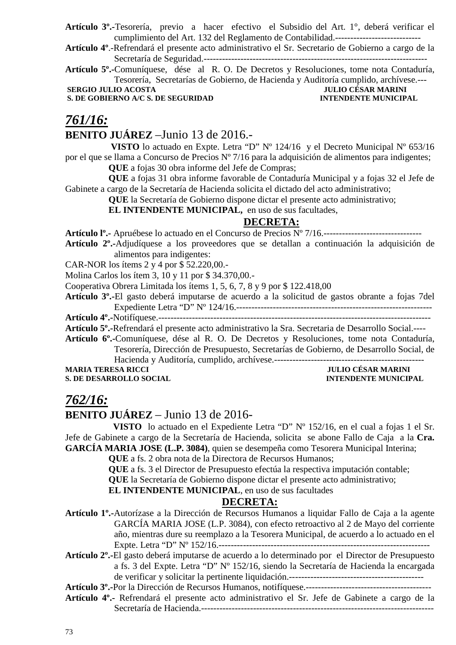- **Artículo 3º.-**Tesorería, previo a hacer efectivo el Subsidio del Art. 1°, deberá verificar el cumplimiento del Art. 132 del Reglamento de Contabilidad.----------------------------
- **Artículo 4º**.-Refrendará el presente acto administrativo el Sr. Secretario de Gobierno a cargo de la Secretaría de Seguridad.-------------------------------------------------------------------------
- **Artículo 5º.-**Comuníquese, dése al R. O. De Decretos y Resoluciones, tome nota Contaduría, Tesorería, Secretarías de Gobierno, de Hacienda y Auditoría cumplido, archívese.---

**SERGIO JULIO ACOSTA** 

**S. DE GOBIERNO A/C S. DE SEGURIDAD INTENDENTE MUNICIPAL** 

## *761/16:* **BENITO JUÁREZ** –Junio 13 de 2016.-

 **VISTO** lo actuado en Expte. Letra "D" Nº 124/16 y el Decreto Municipal Nº 653/16 por el que se llama a Concurso de Precios Nº 7/16 para la adquisición de alimentos para indigentes; **QUE** a fojas 30 obra informe del Jefe de Compras;

**QUE** a fojas 31 obra informe favorable de Contaduría Municipal y a fojas 32 el Jefe de Gabinete a cargo de la Secretaría de Hacienda solicita el dictado del acto administrativo;

**QUE** la Secretaría de Gobierno dispone dictar el presente acto administrativo;

**EL INTENDENTE MUNICIPAL,** en uso de sus facultades,

## **DECRETA:**

**Artículo lº.-** Apruébese lo actuado en el Concurso de Precios Nº 7/16.--------------------------------

**Artículo 2º.-**Adjudíquese a los proveedores que se detallan a continuación la adquisición de alimentos para indigentes:

CAR-NOR los ítems 2 y 4 por \$ 52.220,00.-

Molina Carlos los ítem 3, 10 y 11 por \$ 34.370,00.-

Cooperativa Obrera Limitada los ítems 1, 5, 6, 7, 8 y 9 por \$ 122.418,00

**Artículo 3º.-**El gasto deberá imputarse de acuerdo a la solicitud de gastos obrante a fojas 7del Expediente Letra "D" Nº 124/16.----------------------------------------------------------------

**Artículo 4º.-**Notifíquese.-----------------------------------------------------------------------------------------

**Artículo 5º.-**Refrendará el presente acto administrativo la Sra. Secretaria de Desarrollo Social.----

**Artículo 6º.-**Comuníquese, dése al R. O. De Decretos y Resoluciones, tome nota Contaduría, Tesorería, Dirección de Presupuesto, Secretarías de Gobierno, de Desarrollo Social, de Hacienda y Auditoría, cumplido, archívese.-------------------------------------------------

#### **MARIA TERESA RICCI TERESA RICCI TERESA RICCI JULIO CÉSAR MARINI S. DE DESARROLLO SOCIAL INTENDENTE MUNICIPAL**

## *762/16:*

## **BENITO JUÁREZ** – Junio 13 de 2016-

 **VISTO** lo actuado en el Expediente Letra "D" Nº 152/16, en el cual a fojas 1 el Sr. Jefe de Gabinete a cargo de la Secretaría de Hacienda, solicita se abone Fallo de Caja a la **Cra. GARCÍA MARIA JOSE (L.P. 3084)**, quien se desempeña como Tesorera Municipal Interina;

**QUE** a fs. 2 obra nota de la Directora de Recursos Humanos;

**QUE** a fs. 3 el Director de Presupuesto efectúa la respectiva imputación contable;

**QUE** la Secretaría de Gobierno dispone dictar el presente acto administrativo;

**EL INTENDENTE MUNICIPAL**, en uso de sus facultades

## **DECRETA:**

**Artículo 1º.-**Autorízase a la Dirección de Recursos Humanos a liquidar Fallo de Caja a la agente GARCÍA MARIA JOSE (L.P. 3084), con efecto retroactivo al 2 de Mayo del corriente año, mientras dure su reemplazo a la Tesorera Municipal, de acuerdo a lo actuado en el Expte. Letra "D" Nº 152/16.---------------------------------------------------------------------

**Artículo 2º.-**El gasto deberá imputarse de acuerdo a lo determinado por el Director de Presupuesto a fs. 3 del Expte. Letra "D" Nº 152/16, siendo la Secretaría de Hacienda la encargada de verificar y solicitar la pertinente liquidación.--------------------------------------------

**Artículo 3º.-**Por la Dirección de Recursos Humanos, notifíquese.-----------------------------------------

**Artículo 4º.-** Refrendará el presente acto administrativo el Sr. Jefe de Gabinete a cargo de la Secretaría de Hacienda.----------------------------------------------------------------------------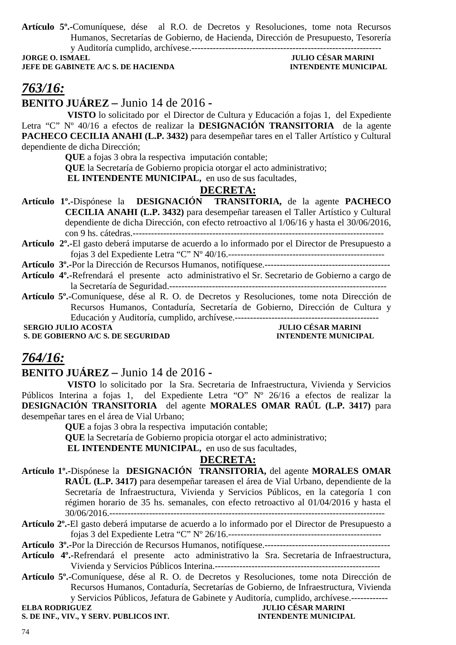**Artículo 5º.-**Comuníquese, dése al R.O. de Decretos y Resoluciones, tome nota Recursos Humanos, Secretarías de Gobierno, de Hacienda, Dirección de Presupuesto, Tesorería y Auditoría cumplido, archívese.--------------------------------------------------------------

**JEFE DE GABINETE A/C S. DE HACIENDA** 

# JULIO CÉSAR MARINI<br>INTENDENTE MUNICIPAL

# *763/16:*

**BENITO JUÁREZ –** Junio 14 de 2016 **-** 

 **VISTO** lo solicitado por el Director de Cultura y Educación a fojas 1, del Expediente Letra "C" Nº 40/16 a efectos de realizar la **DESIGNACIÓN TRANSITORIA** de la agente **PACHECO CECILIA ANAHI (L.P. 3432)** para desempeñar tares en el Taller Artístico y Cultural dependiente de dicha Dirección;

**QUE** a fojas 3 obra la respectiva imputación contable;

**QUE** la Secretaría de Gobierno propicia otorgar el acto administrativo;

 **EL INTENDENTE MUNICIPAL,** en uso de sus facultades,

## **DECRETA:**

- **Artículo 1º.-**Dispónese la **DESIGNACIÓN TRANSITORIA,** de la agente **PACHECO CECILIA ANAHI (L.P. 3432)** para desempeñar tareasen el Taller Artístico y Cultural dependiente de dicha Dirección, con efecto retroactivo al 1/06/16 y hasta el 30/06/2016, con 9 hs. cátedras.----------------------------------------------------------------------------------
- **Artículo 2º.-**El gasto deberá imputarse de acuerdo a lo informado por el Director de Presupuesto a fojas 3 del Expediente Letra "C" Nº 40/16.---------------------------------------------------

**Artículo 3º.-**Por la Dirección de Recursos Humanos, notifíquese.-----------------------------------------

- **Artículo 4º.-**Refrendará el presente acto administrativo el Sr. Secretario de Gobierno a cargo de la Secretaría de Seguridad.-----------------------------------------------------------------------
- **Artículo 5º.-**Comuníquese, dése al R. O. de Decretos y Resoluciones, tome nota Dirección de Recursos Humanos, Contaduría, Secretaría de Gobierno, Dirección de Cultura y Educación y Auditoría, cumplido, archívese.-----------------------------------------------

**S. DE GOBIERNO A/C S. DE SEGURIDAD** 

# **JULIO CÉSAR MARINI<br>INTENDENTE MUNICIPAL**

## *764/16:*

**BENITO JUÁREZ –** Junio 14 de 2016 **-** 

 **VISTO** lo solicitado por la Sra. Secretaria de Infraestructura, Vivienda y Servicios Públicos Interina a fojas 1, del Expediente Letra "O" Nº 26/16 a efectos de realizar la **DESIGNACIÓN TRANSITORIA** del agente **MORALES OMAR RAÚL (L.P. 3417)** para desempeñar tares en el área de Vial Urbano;

**QUE** a fojas 3 obra la respectiva imputación contable;

**QUE** la Secretaría de Gobierno propicia otorgar el acto administrativo;

 **EL INTENDENTE MUNICIPAL,** en uso de sus facultades,

## **DECRETA:**

- **Artículo 1º.-**Dispónese la **DESIGNACIÓN TRANSITORIA,** del agente **MORALES OMAR RAÚL (L.P. 3417)** para desempeñar tareasen el área de Vial Urbano, dependiente de la Secretaría de Infraestructura, Vivienda y Servicios Públicos, en la categoría 1 con régimen horario de 35 hs. semanales, con efecto retroactivo al 01/04/2016 y hasta el 30/06/2016.------------------------------------------------------------------------------------------
- **Artículo 2º.-**El gasto deberá imputarse de acuerdo a lo informado por el Director de Presupuesto a fojas 3 del Expediente Letra "C" Nº 26/16.--------------------------------------------------

**Artículo 3º.-**Por la Dirección de Recursos Humanos, notifíquese.-----------------------------------------

- **Artículo 4º.-**Refrendará el presente acto administrativo la Sra. Secretaria de Infraestructura, Vivienda y Servicios Públicos Interina.------------------------------------------------------
- **Artículo 5º.-**Comuníquese, dése al R. O. de Decretos y Resoluciones, tome nota Dirección de Recursos Humanos, Contaduría, Secretarías de Gobierno, de Infraestructura, Vivienda y Servicios Públicos, Jefatura de Gabinete y Auditoría, cumplido, archívese.------------

**ELBA RODRIGUEZ JULIO CÉSAR MARINI S. DE INF., VIV., Y SERV. PUBLICOS INT. INTENDENTE MUNICIPAL**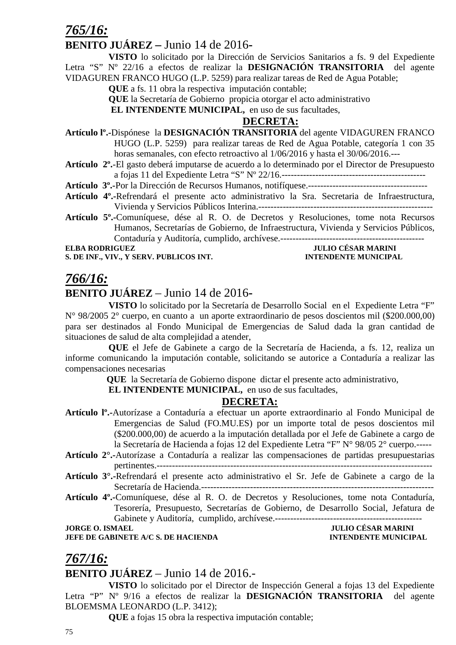## *765/16:*

## **BENITO JUÁREZ –** Junio 14 de 2016**-**

**VISTO** lo solicitado por la Dirección de Servicios Sanitarios a fs. 9 del Expediente Letra "S" Nº 22/16 a efectos de realizar la **DESIGNACIÓN TRANSITORIA** del agente VIDAGUREN FRANCO HUGO (L.P. 5259) para realizar tareas de Red de Agua Potable;

**QUE** a fs. 11 obra la respectiva imputación contable;

**QUE** la Secretaría de Gobierno propicia otorgar el acto administrativo

 **EL INTENDENTE MUNICIPAL,** en uso de sus facultades,

## **DECRETA:**

- **Artículo lº.-**Dispónese la **DESIGNACIÓN TRANSITORIA** del agente VIDAGUREN FRANCO HUGO (L.P. 5259) para realizar tareas de Red de Agua Potable, categoría 1 con 35 horas semanales, con efecto retroactivo al 1/06/2016 y hasta el 30/06/2016.---
- **Artículo 2º.**-El gasto deberá imputarse de acuerdo a lo determinado por el Director de Presupuesto a fojas 11 del Expediente Letra "S" Nº 22/16.-----------------------------------------------

**Artículo 3º.-**Por la Dirección de Recursos Humanos, notifíquese.---------------------------------------

- **Artículo 4º.-**Refrendará el presente acto administrativo la Sra. Secretaria de Infraestructura, Vivienda y Servicios Públicos Interina.---------------------------------------------------------
- **Artículo 5º.-**Comuníquese, dése al R. O. de Decretos y Resoluciones, tome nota Recursos Humanos, Secretarías de Gobierno, de Infraestructura, Vivienda y Servicios Públicos, Contaduría y Auditoría, cumplido, archívese.-----------------------------------------------

**S. DE INF., VIV., Y SERV. PUBLICOS INT.** 

# **ELLIO CÉSAR MARINI<br>ENTENDENTE MUNICIPAL**

## *766/16:*

## **BENITO JUÁREZ** – Junio 14 de 2016**-**

**VISTO** lo solicitado por la Secretaría de Desarrollo Social en el Expediente Letra "F" N° 98/2005 2° cuerpo, en cuanto a un aporte extraordinario de pesos doscientos mil (\$200.000,00) para ser destinados al Fondo Municipal de Emergencias de Salud dada la gran cantidad de situaciones de salud de alta complejidad a atender,

**QUE** el Jefe de Gabinete a cargo de la Secretaría de Hacienda, a fs. 12, realiza un informe comunicando la imputación contable, solicitando se autorice a Contaduría a realizar las compensaciones necesarias

 **QUE** la Secretaría de Gobierno dispone dictar el presente acto administrativo,

**EL INTENDENTE MUNICIPAL,** en uso de sus facultades,

## **DECRETA:**

- **Artículo lº.-**Autorízase a Contaduría a efectuar un aporte extraordinario al Fondo Municipal de Emergencias de Salud (FO.MU.ES) por un importe total de pesos doscientos mil (\$200.000,00) de acuerdo a la imputación detallada por el Jefe de Gabinete a cargo de la Secretaría de Hacienda a fojas 12 del Expediente Letra "F" N° 98/05 2° cuerpo.-----
- **Artículo 2°.-**Autorízase a Contaduría a realizar las compensaciones de partidas presupuestarias pertinentes.------------------------------------------------------------------------------------------
- **Artículo 3°.-**Refrendará el presente acto administrativo el Sr. Jefe de Gabinete a cargo de la Secretaría de Hacienda.----------------------------------------------------------------------------
- **Artículo 4º.-**Comuníquese, dése al R. O. de Decretos y Resoluciones, tome nota Contaduría, Tesorería, Presupuesto, Secretarías de Gobierno, de Desarrollo Social, Jefatura de Gabinete y Auditoría, cumplido, archívese.------------------------------------------------

**JEFE DE GABINETE A/C S. DE HACIENDA INTENDENTE MUNICIPAL** 

**JULIO CÉSAR MARINI<br>INTENDENTE MARIATA** 

## *767/16:*

## **BENITO JUÁREZ** – Junio 14 de 2016.-

**VISTO** lo solicitado por el Director de Inspección General a fojas 13 del Expediente Letra "P" Nº 9/16 a efectos de realizar la **DESIGNACIÓN TRANSITORIA** del agente BLOEMSMA LEONARDO (L.P. 3412);

**QUE** a fojas 15 obra la respectiva imputación contable;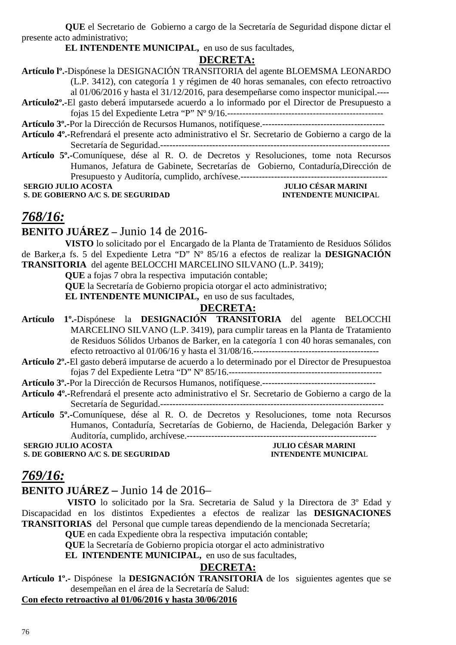**QUE** el Secretario de Gobierno a cargo de la Secretaría de Seguridad dispone dictar el presente acto administrativo;

**EL INTENDENTE MUNICIPAL,** en uso de sus facultades,

#### **DECRETA:**

Secretaría de Seguridad.---------------------------------------------------------------------------

**Artículo 5º.-**Comuníquese, dése al R. O. de Decretos y Resoluciones, tome nota Recursos Humanos, Jefatura de Gabinete, Secretarías de Gobierno, Contaduría,Dirección de Presupuesto y Auditoría, cumplido, archívese.------------------------------------------------

**S. DE GOBIERNO A/C S. DE SEGURIDAD** 

 **JULIO CÉSAR MARINI<br>INTENDENTE MUNICIPAL** 

## *768/16:*

## **BENITO JUÁREZ –** Junio 14 de 2016-

**VISTO** lo solicitado por el Encargado de la Planta de Tratamiento de Residuos Sólidos de Barker,a fs. 5 del Expediente Letra "D" Nº 85/16 a efectos de realizar la **DESIGNACIÓN TRANSITORIA** del agente BELOCCHI MARCELINO SILVANO (L.P. 3419);

**QUE** a fojas 7 obra la respectiva imputación contable;

**QUE** la Secretaría de Gobierno propicia otorgar el acto administrativo;

**EL INTENDENTE MUNICIPAL,** en uso de sus facultades,

#### **DECRETA:**

- **Artículo 1º.-**Dispónese la **DESIGNACIÓN TRANSITORIA** del agente BELOCCHI MARCELINO SILVANO (L.P. 3419), para cumplir tareas en la Planta de Tratamiento de Residuos Sólidos Urbanos de Barker, en la categoría 1 con 40 horas semanales, con efecto retroactivo al 01/06/16 y hasta el 31/08/16.-----------------------------------------
- **Artículo 2º.-**El gasto deberá imputarse de acuerdo a lo determinado por el Director de Presupuestoa fojas 7 del Expediente Letra "D" Nº 85/16.--------------------------------------------------

**Artículo 3º.-**Por la Dirección de Recursos Humanos, notifíquese.-------------------------------------

- **Artículo 4º.-**Refrendará el presente acto administrativo el Sr. Secretario de Gobierno a cargo de la Secretaría de Seguridad.-------------------------------------------------------------------------
- **Artículo 5º.-**Comuníquese, dése al R. O. de Decretos y Resoluciones, tome nota Recursos Humanos, Contaduría, Secretarías de Gobierno, de Hacienda, Delegación Barker y Auditoría, cumplido, archívese.--------------------------------------------------------------

**S. DE GOBIERNO A/C S. DE SEGURIDAD** 

 **SERGIO JULIO ACOSTA** JULIO CÉSAR MARINI<br> **S. DE GOBIERNO A/C S. DE SEGURIDAD** INTENDENTE MUNICIPAL

## *769/16:*

## **BENITO JUÁREZ –** Junio 14 de 2016–

 **VISTO** lo solicitado por la Sra. Secretaria de Salud y la Directora de 3º Edad y Discapacidad en los distintos Expedientes a efectos de realizar las **DESIGNACIONES TRANSITORIAS** del Personal que cumple tareas dependiendo de la mencionada Secretaría;

**QUE** en cada Expediente obra la respectiva imputación contable;

**QUE** la Secretaría de Gobierno propicia otorgar el acto administrativo

**EL INTENDENTE MUNICIPAL,** en uso de sus facultades,

## **DECRETA:**

**Artículo 1º.-** Dispónese la **DESIGNACIÓN TRANSITORIA** de los siguientes agentes que se desempeñan en el área de la Secretaría de Salud:

## **Con efecto retroactivo al 01/06/2016 y hasta 30/06/2016**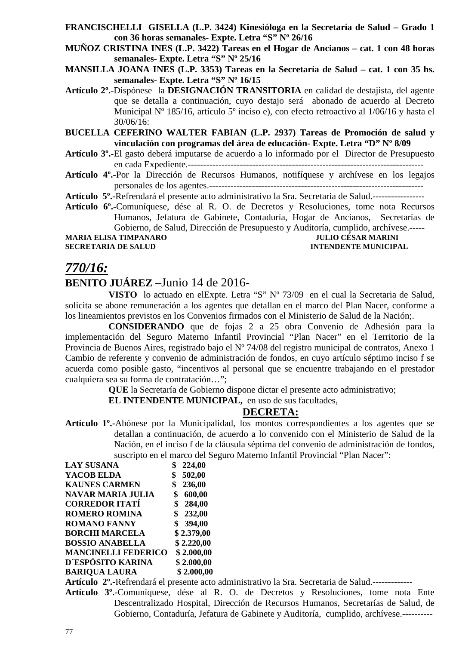- **FRANCISCHELLI GISELLA (L.P. 3424) Kinesióloga en la Secretaría de Salud Grado 1 con 36 horas semanales- Expte. Letra "S" Nº 26/16**
- **MUÑOZ CRISTINA INES (L.P. 3422) Tareas en el Hogar de Ancianos cat. 1 con 48 horas semanales- Expte. Letra "S" Nº 25/16**
- **MANSILLA JOANA INES (L.P. 3353) Tareas en la Secretaría de Salud cat. 1 con 35 hs. semanales- Expte. Letra "S" Nº 16/15**
- **Artículo 2º.-**Dispónese la **DESIGNACIÓN TRANSITORIA** en calidad de destajista, del agente que se detalla a continuación, cuyo destajo será abonado de acuerdo al Decreto Municipal Nº 185/16, artículo 5º inciso e), con efecto retroactivo al 1/06/16 y hasta el 30/06/16:
- **BUCELLA CEFERINO WALTER FABIAN (L.P. 2937) Tareas de Promoción de salud y vinculación con programas del área de educación- Expte. Letra "D" Nº 8/09**
- **Artículo 3º.-**El gasto deberá imputarse de acuerdo a lo informado por el Director de Presupuesto en cada Expediente.-----------------------------------------------------------------------------
- **Artículo 4º.-**Por la Dirección de Recursos Humanos, notifíquese y archívese en los legajos personales de los agentes.----------------------------------------------------------------------
- **Artículo 5º.-**Refrendará el presente acto administrativo la Sra. Secretaria de Salud.-----------------
- **Artículo 6º.-**Comuníquese, dése al R. O. de Decretos y Resoluciones, tome nota Recursos Humanos, Jefatura de Gabinete, Contaduría, Hogar de Ancianos, Secretarías de Gobierno, de Salud, Dirección de Presupuesto y Auditoría, cumplido, archívese.-----

**MARIA ELISA TIMPANARO JULIO CÉSAR MARINI** 

# **SECRETARIA DE SALUD INTENDENTE MUNICIPAL**

## *770/16:*

## **BENITO JUÁREZ** –Junio 14 de 2016-

**VISTO** lo actuado en elExpte. Letra "S" Nº 73/09 en el cual la Secretaria de Salud, solicita se abone remuneración a los agentes que detallan en el marco del Plan Nacer, conforme a los lineamientos previstos en los Convenios firmados con el Ministerio de Salud de la Nación;.

**CONSIDERANDO** que de fojas 2 a 25 obra Convenio de Adhesión para la implementación del Seguro Materno Infantil Provincial "Plan Nacer" en el Territorio de la Provincia de Buenos Aires, registrado bajo el Nº 74/08 del registro municipal de contratos, Anexo 1 Cambio de referente y convenio de administración de fondos, en cuyo artículo séptimo inciso f se acuerda como posible gasto, "incentivos al personal que se encuentre trabajando en el prestador cualquiera sea su forma de contratación…";

**QUE** la Secretaría de Gobierno dispone dictar el presente acto administrativo;

**EL INTENDENTE MUNICIPAL,** en uso de sus facultades,

## **DECRETA:**

**Artículo 1º.-**Abónese por la Municipalidad, los montos correspondientes a los agentes que se detallan a continuación, de acuerdo a lo convenido con el Ministerio de Salud de la Nación, en el inciso f de la cláusula séptima del convenio de administración de fondos, suscripto en el marco del Seguro Materno Infantil Provincial "Plan Nacer":

| <b>LAY SUSANA</b>          | 224,00       |
|----------------------------|--------------|
| YACOB ELDA                 | 502,00<br>\$ |
| <b>KAUNES CARMEN</b>       | 236,00<br>\$ |
| <b>NAVAR MARIA JULIA</b>   | 600,00<br>\$ |
| <b>CORREDOR ITATÍ</b>      | 284,00<br>\$ |
| <b>ROMERO ROMINA</b>       | \$232,00     |
| <b>ROMANO FANNY</b>        | \$394,00     |
| <b>BORCHI MARCELA</b>      | \$2.379,00   |
| <b>BOSSIO ANABELLA</b>     | \$2.220,00   |
| <b>MANCINELLI FEDERICO</b> | \$2.000,00   |
| D'ESPÓSITO KARINA          | \$2.000,00   |
| <b>BARIQUA LAURA</b>       | \$2.000,00   |

**Artículo 2º.-**Refrendará el presente acto administrativo la Sra. Secretaria de Salud.-------------

**Artículo 3º.-**Comuníquese, dése al R. O. de Decretos y Resoluciones, tome nota Ente Descentralizado Hospital, Dirección de Recursos Humanos, Secretarías de Salud, de Gobierno, Contaduría, Jefatura de Gabinete y Auditoría, cumplido, archívese.----------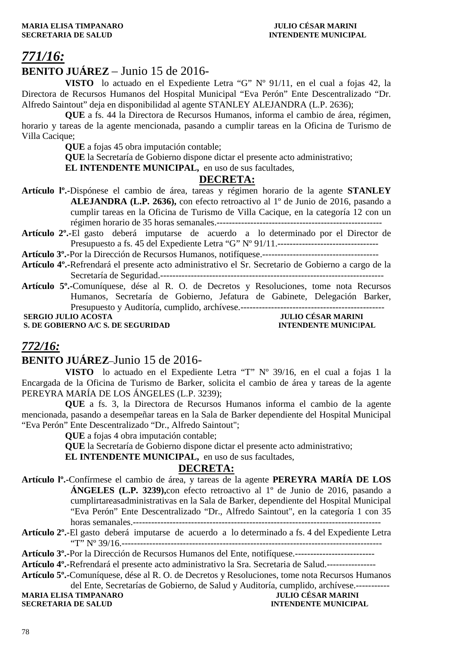#### **MARIA ELISA TIMPANARO JULIO CÉSAR MARINI SECRETARIA DE SALUD INTENDENTE MUNICIPAL**

# *771/16:*

## **BENITO JUÁREZ** – Junio 15 de 2016-

**VISTO** lo actuado en el Expediente Letra "G" Nº 91/11, en el cual a fojas 42, la Directora de Recursos Humanos del Hospital Municipal "Eva Perón" Ente Descentralizado "Dr. Alfredo Saintout" deja en disponibilidad al agente STANLEY ALEJANDRA (L.P. 2636);

**QUE** a fs. 44 la Directora de Recursos Humanos, informa el cambio de área, régimen, horario y tareas de la agente mencionada, pasando a cumplir tareas en la Oficina de Turismo de Villa Cacique;

**QUE** a fojas 45 obra imputación contable;

**QUE** la Secretaría de Gobierno dispone dictar el presente acto administrativo;

**EL INTENDENTE MUNICIPAL,** en uso de sus facultades,

## **DECRETA:**

- **Artículo lº.-**Dispónese el cambio de área, tareas y régimen horario de la agente **STANLEY ALEJANDRA (L.P. 2636),** con efecto retroactivo al 1º de Junio de 2016, pasando a cumplir tareas en la Oficina de Turismo de Villa Cacique, en la categoría 12 con un régimen horario de 35 horas semanales.------------------------------------------------------
- **Artículo 2º.-**El gasto deberá imputarse de acuerdo a lo determinado por el Director de Presupuesto a fs. 45 del Expediente Letra "G" Nº 91/11.---------------------------------

**Artículo 3º.-**Por la Dirección de Recursos Humanos, notifíquese.--------------------------------------

**Artículo 4º.-**Refrendará el presente acto administrativo el Sr. Secretario de Gobierno a cargo de la Secretaría de Seguridad.-------------------------------------------------------------------------

**Artículo 5º.-**Comuníquese, dése al R. O. de Decretos y Resoluciones, tome nota Recursos Humanos, Secretaría de Gobierno, Jefatura de Gabinete, Delegación Barker, Presupuesto y Auditoría, cumplido, archívese.-----------------------------------------------

**S. DE GOBIERNO A/C S. DE SEGURIDAD** 

 **SULIO CÉSAR MARINI<br>INTENDENTE MUNICIPAL** 

## *772/16:*

## **BENITO JUÁREZ**–Junio 15 de 2016-

**VISTO** lo actuado en el Expediente Letra "T" Nº 39/16, en el cual a fojas 1 la Encargada de la Oficina de Turismo de Barker, solicita el cambio de área y tareas de la agente PEREYRA MARÍA DE LOS ÁNGELES (L.P. 3239);

**QUE** a fs. 3, la Directora de Recursos Humanos informa el cambio de la agente mencionada, pasando a desempeñar tareas en la Sala de Barker dependiente del Hospital Municipal "Eva Perón" Ente Descentralizado "Dr., Alfredo Saintout";

**QUE** a fojas 4 obra imputación contable;

**QUE** la Secretaría de Gobierno dispone dictar el presente acto administrativo;

**EL INTENDENTE MUNICIPAL,** en uso de sus facultades,

#### **DECRETA:**

- **Artículo lº.-**Confírmese el cambio de área, y tareas de la agente **PEREYRA MARÍA DE LOS ÁNGELES (L.P. 3239),**con efecto retroactivo al 1º de Junio de 2016, pasando a cumplirtareasadministrativas en la Sala de Barker, dependiente del Hospital Municipal "Eva Perón" Ente Descentralizado "Dr., Alfredo Saintout", en la categoría 1 con 35 horas semanales.---------------------------------------------------------------------------------
- **Artículo 2º.**-El gasto deberá imputarse de acuerdo a lo determinado a fs. 4 del Expediente Letra "T" Nº 39/16.-------------------------------------------------------------------------------------
- **Artículo 3º.-**Por la Dirección de Recursos Humanos del Ente, notifíquese.--------------------------

**Artículo 4º.-**Refrendará el presente acto administrativo la Sra. Secretaria de Salud.----------------

**Artículo 5º.-**Comuníquese, dése al R. O. de Decretos y Resoluciones, tome nota Recursos Humanos

del Ente, Secretarías de Gobierno, de Salud y Auditoría, cumplido, archívese.------------<br>JULIO CÉSAR MARINI **MARIA ELISA TIMPANARO SECRETARIA DE SALUD INTENDENTE MUNICIPAL**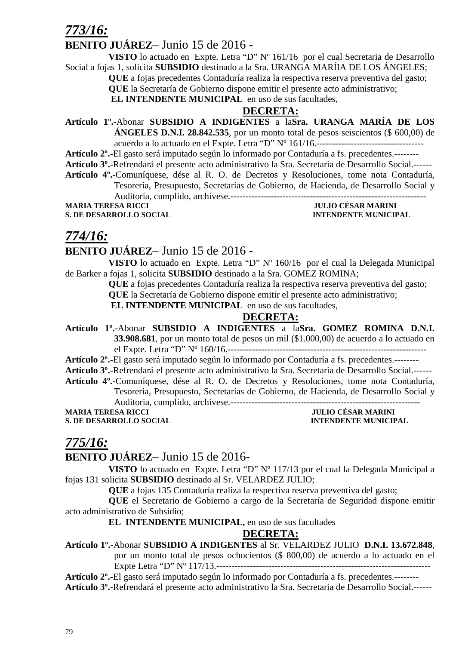## *773/16:*

## **BENITO JUÁREZ**– Junio 15 de 2016 -

**VISTO** lo actuado en Expte. Letra "D" Nº 161/16 por el cual Secretaria de Desarrollo Social a fojas 1, solicita **SUBSIDIO** destinado a la Sra. URANGA MARÍIA DE LOS ÁNGELES;

**QUE** a fojas precedentes Contaduría realiza la respectiva reserva preventiva del gasto;

**QUE** la Secretaría de Gobierno dispone emitir el presente acto administrativo;

 **EL INTENDENTE MUNICIPAL** en uso de sus facultades,

## **DECRETA:**

**Artículo 1º.-**Abonar **SUBSIDIO A INDIGENTES** a la**Sra. URANGA MARÍA DE LOS ÁNGELES D.N.I. 28.842.535**, por un monto total de pesos seiscientos (\$ 600,00) de acuerdo a lo actuado en el Expte. Letra "D" Nº 161/16.-----------------------------------

**Artículo 2º.-**El gasto será imputado según lo informado por Contaduría a fs. precedentes.--------

**Artículo 3º.-**Refrendará el presente acto administrativo la Sra. Secretaria de Desarrollo Social.------

**Artículo 4º.-**Comuníquese, dése al R. O. de Decretos y Resoluciones, tome nota Contaduría,

Tesorería, Presupuesto, Secretarías de Gobierno, de Hacienda, de Desarrollo Social y

Auditoría, cumplido, archívese.----------------------------------------------------------------

**S. DE DESARROLLO SOCIAL DESARROLLO SOCIAL DESARROLLO SOCIAL DESARROLLO SOCIAL DESARROLLO SOCIAL DESARROLLO SOCIAL DE SOCIAL DE SOCIAL DE SOCIAL DE SOCIAL DE SOCIAL DE SOCIAL DE SOCIAL DE SOCIAL DE SOCIAL DE SOCIAL DE SOCI** 

**JULIO CÉSAR MARINI** 

## *774/16:*

## **BENITO JUÁREZ**– Junio 15 de 2016 -

**VISTO** lo actuado en Expte. Letra "D" Nº 160/16 por el cual la Delegada Municipal de Barker a fojas 1, solicita **SUBSIDIO** destinado a la Sra. GOMEZ ROMINA;

**QUE** a fojas precedentes Contaduría realiza la respectiva reserva preventiva del gasto;

**QUE** la Secretaría de Gobierno dispone emitir el presente acto administrativo;

 **EL INTENDENTE MUNICIPAL** en uso de sus facultades,

## **DECRETA:**

**Artículo 1º.-**Abonar **SUBSIDIO A INDIGENTES** a la**Sra. GOMEZ ROMINA D.N.I. 33.908.681**, por un monto total de pesos un mil (\$1.000,00) de acuerdo a lo actuado en el Expte. Letra "D" Nº 160/16.-----------------------------------------------------------------

**Artículo 2º.-**El gasto será imputado según lo informado por Contaduría a fs. precedentes.--------

**Artículo 3º.-**Refrendará el presente acto administrativo la Sra. Secretaria de Desarrollo Social.------

**Artículo 4º.-**Comuníquese, dése al R. O. de Decretos y Resoluciones, tome nota Contaduría, Tesorería, Presupuesto, Secretarías de Gobierno, de Hacienda, de Desarrollo Social y Auditoria, cumplido, archívese.--------------------------------------------------------------

**MARIA TERESA RICCI JULIO CÉSAR MARINI** 

**S. DE DESARROLLO SOCIAL INTENDENTE MUNICIPAL** 

## *775/16:*

## **BENITO JUÁREZ**– Junio 15 de 2016-

**VISTO** lo actuado en Expte. Letra "D" Nº 117/13 por el cual la Delegada Municipal a fojas 131 solicita **SUBSIDIO** destinado al Sr. VELARDEZ JULIO;

**QUE** a fojas 135 Contaduría realiza la respectiva reserva preventiva del gasto;

**QUE** el Secretario de Gobierno a cargo de la Secretaría de Seguridad dispone emitir acto administrativo de Subsidio;

**EL INTENDENTE MUNICIPAL,** en uso de sus facultades

## **DECRETA:**

**Artículo 1º.-**Abonar **SUBSIDIO A INDIGENTES** al Sr. VELARDEZ JULIO **D.N.I. 13.672.848**, por un monto total de pesos ochocientos (\$ 800,00) de acuerdo a lo actuado en el Expte Letra "D" Nº 117/13.----------------------------------------------------------------------

**Artículo 2º.-**El gasto será imputado según lo informado por Contaduría a fs. precedentes.--------

**Artículo 3º.-**Refrendará el presente acto administrativo la Sra. Secretaria de Desarrollo Social.------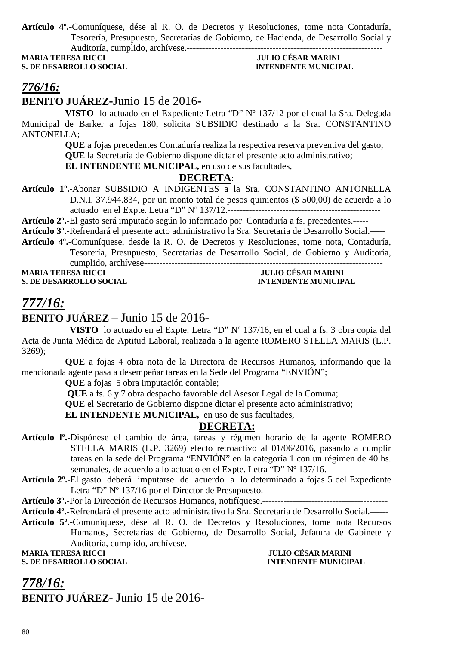**Artículo 4º.-**Comuníquese, dése al R. O. de Decretos y Resoluciones, tome nota Contaduría, Tesorería, Presupuesto, Secretarías de Gobierno, de Hacienda, de Desarrollo Social y Auditoría, cumplido, archívese.----------------------------------------------------------------

**MARIA TERESA RICCI JULIO CÉSAR MARINI** 

# **S. DE DESARROLLO SOCIAL EXECUTE:** INTENDENTE MUNICIPAL

## *776/16:*

## **BENITO JUÁREZ-**Junio 15 de 2016**-**

**VISTO** lo actuado en el Expediente Letra "D" Nº 137/12 por el cual la Sra. Delegada Municipal de Barker a fojas 180, solicita SUBSIDIO destinado a la Sra. CONSTANTINO ANTONELLA;

> **QUE** a fojas precedentes Contaduría realiza la respectiva reserva preventiva del gasto; **QUE** la Secretaría de Gobierno dispone dictar el presente acto administrativo; **EL INTENDENTE MUNICIPAL,** en uso de sus facultades,

**DECRETA**:

**Artículo 1º.-**Abonar SUBSIDIO A INDIGENTES a la Sra. CONSTANTINO ANTONELLA D.N.I. 37.944.834, por un monto total de pesos quinientos (\$ 500,00) de acuerdo a lo actuado en el Expte. Letra "D" Nº 137/12.--------------------------------------------------

**Artículo 2º.-**El gasto será imputado según lo informado por Contaduría a fs. precedentes.-----

**Artículo 3º.-**Refrendará el presente acto administrativo la Sra. Secretaria de Desarrollo Social.-----

**Artículo 4º.-**Comuníquese, desde la R. O. de Decretos y Resoluciones, tome nota, Contaduría, Tesorería, Presupuesto, Secretarias de Desarrollo Social, de Gobierno y Auditoría, cumplido, archívese------------------------------------------------------------------------------ **MARIA TERESA RICCI JULIO CÉSAR MARINI** 

**S. DE DESARROLLO SOCIAL INTENDENTE MUNICIPAL** 

# *777/16:*

## **BENITO JUÁREZ** – Junio 15 de 2016-

 **VISTO** lo actuado en el Expte. Letra "D" Nº 137/16, en el cual a fs. 3 obra copia del Acta de Junta Médica de Aptitud Laboral, realizada a la agente ROMERO STELLA MARIS (L.P. 3269);

**QUE** a fojas 4 obra nota de la Directora de Recursos Humanos, informando que la mencionada agente pasa a desempeñar tareas en la Sede del Programa "ENVIÓN";

**QUE** a fojas 5 obra imputación contable;

 **QUE** a fs. 6 y 7 obra despacho favorable del Asesor Legal de la Comuna;

**QUE** el Secretario de Gobierno dispone dictar el presente acto administrativo;

**EL INTENDENTE MUNICIPAL,** en uso de sus facultades,

## **DECRETA:**

- **Artículo lº.-**Dispónese el cambio de área, tareas y régimen horario de la agente ROMERO STELLA MARIS (L.P. 3269) efecto retroactivo al 01/06/2016, pasando a cumplir tareas en la sede del Programa "ENVIÓN" en la categoría 1 con un régimen de 40 hs. semanales, de acuerdo a lo actuado en el Expte. Letra "D" Nº 137/16.
- **Artículo 2º.**-El gasto deberá imputarse de acuerdo a lo determinado a fojas 5 del Expediente Letra "D" Nº 137/16 por el Director de Presupuesto.--------------------------------------
- **Artículo 3º.-**Por la Dirección de Recursos Humanos, notifíquese.-----------------------------------------
- **Artículo 4º.-**Refrendará el presente acto administrativo la Sra. Secretaria de Desarrollo Social.------
- **Artículo 5º.-**Comuníquese, dése al R. O. de Decretos y Resoluciones, tome nota Recursos
	- Humanos, Secretarías de Gobierno, de Desarrollo Social, Jefatura de Gabinete y

Auditoría, cumplido, archívese.----------------------------------------------------------------

**MARIA TERESA RICCI JULIO CÉSAR MARINI S. DE DESARROLLO SOCIAL DESPESSION DE L'ALGERIE DE L'ALGERIE MUNICIPAL DE L'ALGERIE MUNICIPAL** 

*778/16:* **BENITO JUÁREZ**- Junio 15 de 2016-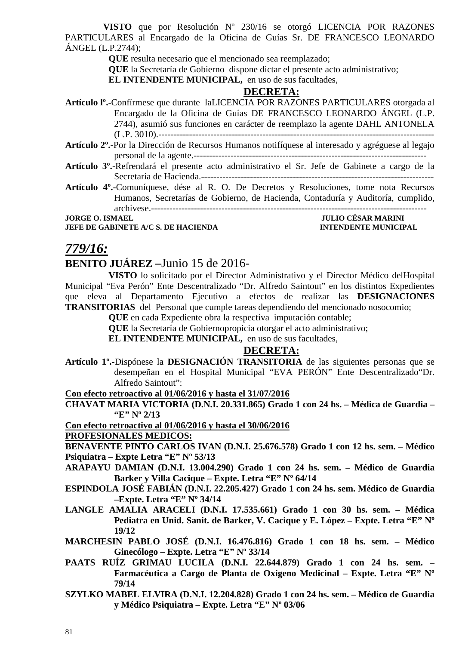**VISTO** que por Resolución Nº 230/16 se otorgó LICENCIA POR RAZONES PARTICULARES al Encargado de la Oficina de Guías Sr. DE FRANCESCO LEONARDO ÁNGEL (L.P.2744);

**QUE** resulta necesario que el mencionado sea reemplazado;

**QUE** la Secretaría de Gobierno dispone dictar el presente acto administrativo;

**EL INTENDENTE MUNICIPAL,** en uso de sus facultades,

#### **DECRETA:**

- **Artículo lº.-**Confírmese que durante laLICENCIA POR RAZONES PARTICULARES otorgada al Encargado de la Oficina de Guías DE FRANCESCO LEONARDO ÁNGEL (L.P. 2744), asumió sus funciones en carácter de reemplazo la agente DAHL ANTONELA (L.P. 3010).------------------------------------------------------------------------------------------
- **Artículo 2º.-**Por la Dirección de Recursos Humanos notifíquese al interesado y agréguese al legajo personal de la agente.----------------------------------------------------------------------------
- **Artículo 3º.-**Refrendará el presente acto administrativo el Sr. Jefe de Gabinete a cargo de la Secretaría de Hacienda.----------------------------------------------------------------------------
- **Artículo 4º.-**Comuníquese, dése al R. O. De Decretos y Resoluciones, tome nota Recursos Humanos, Secretarías de Gobierno, de Hacienda, Contaduría y Auditoría, cumplido, archívese.------------------------------------------------------------------------------------------

**JEFE DE GABINETE A/C S. DE HACIENDA INTENDENTE MUNICIPAL** 

# **JORGE O. ISMAEL JORGE O. ISMAEL**

## *779/16:*

## **BENITO JUÁREZ –**Junio 15 de 2016-

**VISTO** lo solicitado por el Director Administrativo y el Director Médico delHospital Municipal "Eva Perón" Ente Descentralizado "Dr. Alfredo Saintout" en los distintos Expedientes que eleva al Departamento Ejecutivo a efectos de realizar las **DESIGNACIONES TRANSITORIAS** del Personal que cumple tareas dependiendo del mencionado nosocomio;

**QUE** en cada Expediente obra la respectiva imputación contable;

**QUE** la Secretaría de Gobiernopropicia otorgar el acto administrativo;

**EL INTENDENTE MUNICIPAL,** en uso de sus facultades,

#### **DECRETA:**

**Artículo 1º.-**Dispónese la **DESIGNACIÓN TRANSITORIA** de las siguientes personas que se desempeñan en el Hospital Municipal "EVA PERÓN" Ente Descentralizado"Dr. Alfredo Saintout":

**Con efecto retroactivo al 01/06/2016 y hasta el 31/07/2016**

**CHAVAT MARIA VICTORIA (D.N.I. 20.331.865) Grado 1 con 24 hs. – Médica de Guardia – "E" Nº 2/13** 

**Con efecto retroactivo al 01/06/2016 y hasta el 30/06/2016**

#### **PROFESIONALES MEDICOS:**

**BENAVENTE PINTO CARLOS IVAN (D.N.I. 25.676.578) Grado 1 con 12 hs. sem. – Médico Psiquiatra – Expte Letra "E" Nº 53/13** 

- **ARAPAYU DAMIAN (D.N.I. 13.004.290) Grado 1 con 24 hs. sem. Médico de Guardia Barker y Villa Cacique – Expte. Letra "E" Nº 64/14**
- **ESPINDOLA JOSÉ FABIÁN (D.N.I. 22.205.427) Grado 1 con 24 hs. sem. Médico de Guardia –Expte. Letra "E" Nº 34/14**
- **LANGLE AMALIA ARACELI (D.N.I. 17.535.661) Grado 1 con 30 hs. sem. Médica Pediatra en Unid. Sanit. de Barker, V. Cacique y E. López – Expte. Letra "E" Nº 19/12**
- **MARCHESIN PABLO JOSÉ (D.N.I. 16.476.816) Grado 1 con 18 hs. sem. Médico Ginecólogo – Expte. Letra "E" Nº 33/14**
- **PAATS RUÍZ GRIMAU LUCILA (D.N.I. 22.644.879) Grado 1 con 24 hs. sem. Farmacéutica a Cargo de Planta de Oxígeno Medicinal – Expte. Letra "E" Nº 79/14**
- **SZYLKO MABEL ELVIRA (D.N.I. 12.204.828) Grado 1 con 24 hs. sem. Médico de Guardia y Médico Psiquiatra – Expte. Letra "E" Nº 03/06**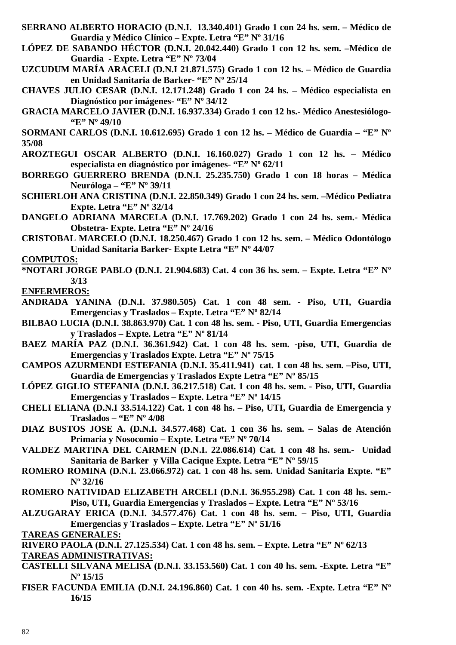- **SERRANO ALBERTO HORACIO (D.N.I. 13.340.401) Grado 1 con 24 hs. sem. Médico de Guardia y Médico Clínico – Expte. Letra "E" Nº 31/16**
- **LÓPEZ DE SABANDO HÉCTOR (D.N.I. 20.042.440) Grado 1 con 12 hs. sem. –Médico de Guardia - Expte. Letra "E" Nº 73/04**
- **UZCUDUM MARÍA ARACELI (D.N.I 21.871.575) Grado 1 con 12 hs. Médico de Guardia en Unidad Sanitaria de Barker- "E" Nº 25/14**
- **CHAVES JULIO CESAR (D.N.I. 12.171.248) Grado 1 con 24 hs. Médico especialista en Diagnóstico por imágenes- "E" Nº 34/12**
- **GRACIA MARCELO JAVIER (D.N.I. 16.937.334) Grado 1 con 12 hs.- Médico Anestesiólogo- "E" Nº 49/10**

**SORMANI CARLOS (D.N.I. 10.612.695) Grado 1 con 12 hs. – Médico de Guardia – "E" Nº 35/08** 

- **AROZTEGUI OSCAR ALBERTO (D.N.I. 16.160.027) Grado 1 con 12 hs. Médico especialista en diagnóstico por imágenes- "E" Nº 62/11**
- **BORREGO GUERRERO BRENDA (D.N.I. 25.235.750) Grado 1 con 18 horas Médica Neuróloga – "E" Nº 39/11**
- **SCHIERLOH ANA CRISTINA (D.N.I. 22.850.349) Grado 1 con 24 hs. sem. –Médico Pediatra Expte. Letra "E" Nº 32/14**
- **DANGELO ADRIANA MARCELA (D.N.I. 17.769.202) Grado 1 con 24 hs. sem.- Médica Obstetra- Expte. Letra "E" Nº 24/16**
- **CRISTOBAL MARCELO (D.N.I. 18.250.467) Grado 1 con 12 hs. sem. Médico Odontólogo Unidad Sanitaria Barker- Expte Letra "E" Nº 44/07**

**COMPUTOS:** 

**\*NOTARI JORGE PABLO (D.N.I. 21.904.683) Cat. 4 con 36 hs. sem. – Expte. Letra "E" Nº 3/13** 

**ENFERMEROS:**

- **ANDRADA YANINA (D.N.I. 37.980.505) Cat. 1 con 48 sem. Piso, UTI, Guardia Emergencias y Traslados – Expte. Letra "E" Nº 82/14**
- **BILBAO LUCIA (D.N.I. 38.863.970) Cat. 1 con 48 hs. sem. Piso, UTI, Guardia Emergencias y Traslados – Expte. Letra "E" Nº 81/14**
- **BAEZ MARÍA PAZ (D.N.I. 36.361.942) Cat. 1 con 48 hs. sem. -piso, UTI, Guardia de Emergencias y Traslados Expte. Letra "E" Nº 75/15**
- **CAMPOS AZURMENDI ESTEFANIA (D.N.I. 35.411.941) cat. 1 con 48 hs. sem. –Piso, UTI, Guardia de Emergencias y Traslados Expte Letra "E" Nº 85/15**
- **LÓPEZ GIGLIO STEFANIA (D.N.I. 36.217.518) Cat. 1 con 48 hs. sem. Piso, UTI, Guardia Emergencias y Traslados – Expte. Letra "E" Nº 14/15**
- **CHELI ELIANA (D.N.I 33.514.122) Cat. 1 con 48 hs. Piso, UTI, Guardia de Emergencia y Traslados – "E" Nº 4/08**
- **DIAZ BUSTOS JOSE A. (D.N.I. 34.577.468) Cat. 1 con 36 hs. sem. Salas de Atención Primaria y Nosocomio – Expte. Letra "E" Nº 70/14**
- **VALDEZ MARTINA DEL CARMEN (D.N.I. 22.086.614) Cat. 1 con 48 hs. sem.- Unidad Sanitaria de Barker y Villa Cacique Expte. Letra "E" Nº 59/15**
- **ROMERO ROMINA (D.N.I. 23.066.972) cat. 1 con 48 hs. sem. Unidad Sanitaria Expte. "E" Nº 32/16**
- **ROMERO NATIVIDAD ELIZABETH ARCELI (D.N.I. 36.955.298) Cat. 1 con 48 hs. sem.- Piso, UTI, Guardia Emergencias y Traslados – Expte. Letra "E" Nº 53/16**
- **ALZUGARAY ERICA (D.N.I. 34.577.476) Cat. 1 con 48 hs. sem. Piso, UTI, Guardia Emergencias y Traslados – Expte. Letra "E" Nº 51/16**

**TAREAS GENERALES:**

- **RIVERO PAOLA (D.N.I. 27.125.534) Cat. 1 con 48 hs. sem. Expte. Letra "E" Nº 62/13 TAREAS ADMINISTRATIVAS:**
- **CASTELLI SILVANA MELISA (D.N.I. 33.153.560) Cat. 1 con 40 hs. sem. -Expte. Letra "E" Nº 15/15**
- **FISER FACUNDA EMILIA (D.N.I. 24.196.860) Cat. 1 con 40 hs. sem. -Expte. Letra "E" Nº 16/15**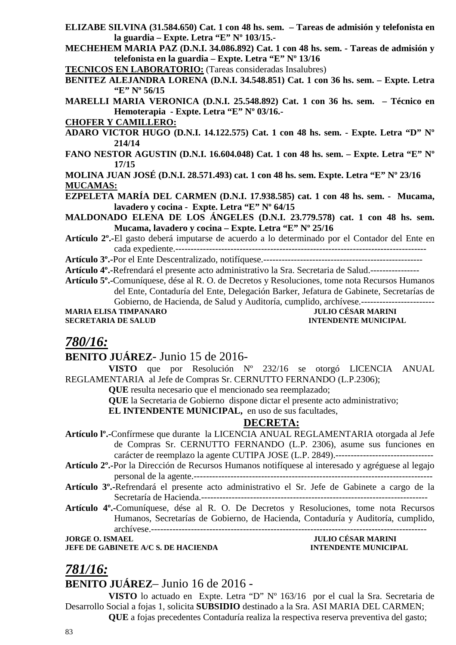- **ELIZABE SILVINA (31.584.650) Cat. 1 con 48 hs. sem. Tareas de admisión y telefonista en la guardia – Expte. Letra "E" Nº 103/15.-**
- **MECHEHEM MARIA PAZ (D.N.I. 34.086.892) Cat. 1 con 48 hs. sem. Tareas de admisión y telefonista en la guardia – Expte. Letra "E" Nº 13/16**

**TECNICOS EN LABORATORIO:** (Tareas consideradas Insalubres)

**BENITEZ ALEJANDRA LORENA (D.N.I. 34.548.851) Cat. 1 con 36 hs. sem. – Expte. Letra "E" Nº 56/15** 

**MARELLI MARIA VERONICA (D.N.I. 25.548.892) Cat. 1 con 36 hs. sem. – Técnico en Hemoterapia - Expte. Letra "E" Nº 03/16.-** 

- **CHOFER Y CAMILLERO:**
- **ADARO VICTOR HUGO (D.N.I. 14.122.575) Cat. 1 con 48 hs. sem. Expte. Letra "D" Nº 214/14**
- **FANO NESTOR AGUSTIN (D.N.I. 16.604.048) Cat. 1 con 48 hs. sem. Expte. Letra "E" Nº 17/15**

**MOLINA JUAN JOSÉ (D.N.I. 28.571.493) cat. 1 con 48 hs. sem. Expte. Letra "E" Nº 23/16 MUCAMAS:**

- **EZPELETA MARÍA DEL CARMEN (D.N.I. 17.938.585) cat. 1 con 48 hs. sem. Mucama, lavadero y cocina - Expte. Letra "E" Nº 64/15**
- **MALDONADO ELENA DE LOS ÁNGELES (D.N.I. 23.779.578) cat. 1 con 48 hs. sem. Mucama, lavadero y cocina – Expte. Letra "E" Nº 25/16**
- **Artículo 2º.-**El gasto deberá imputarse de acuerdo a lo determinado por el Contador del Ente en cada expediente.----------------------------------------------------------------------------------

**Artículo 3º.-**Por el Ente Descentralizado, notifíquese.----------------------------------------------------

**Artículo 4º.-**Refrendará el presente acto administrativo la Sra. Secretaria de Salud.----------------

**Artículo 5º.-**Comuníquese, dése al R. O. de Decretos y Resoluciones, tome nota Recursos Humanos del Ente, Contaduría del Ente, Delegación Barker, Jefatura de Gabinete, Secretarías de

Gobierno, de Hacienda, de Salud y Auditoría, cumplido, archívese.------------------------ **MARIA ELISA TIMPANARO** 

**SECRETARIA DE SALUD INTENDENTE MUNICIPAL** 

## *780/16:*

## **BENITO JUÁREZ**- Junio 15 de 2016-

**VISTO** que por Resolución Nº 232/16 se otorgó LICENCIA ANUAL REGLAMENTARIA al Jefe de Compras Sr. CERNUTTO FERNANDO (L.P.2306);

**QUE** resulta necesario que el mencionado sea reemplazado;

**QUE** la Secretaria de Gobierno dispone dictar el presente acto administrativo;

**EL INTENDENTE MUNICIPAL,** en uso de sus facultades,

## **DECRETA:**

- **Artículo lº.-**Confírmese que durante la LICENCIA ANUAL REGLAMENTARIA otorgada al Jefe de Compras Sr. CERNUTTO FERNANDO (L.P. 2306), asume sus funciones en carácter de reemplazo la agente CUTIPA JOSE (L.P. 2849).--------------------------------
- **Artículo 2º.-**Por la Dirección de Recursos Humanos notifíquese al interesado y agréguese al legajo personal de la agente.------------------------------------------------------------------------------
- **Artículo 3º.-**Refrendará el presente acto administrativo el Sr. Jefe de Gabinete a cargo de la Secretaría de Hacienda.--------------------------------------------------------------------------
- **Artículo 4º.-**Comuníquese, dése al R. O. De Decretos y Resoluciones, tome nota Recursos Humanos, Secretarías de Gobierno, de Hacienda, Contaduría y Auditoría, cumplido, archívese.------------------------------------------------------------------------------------------

**JEFE DE GABINETE A/C S. DE HACIENDA INTENDENTE MUNICIPAL** 

**JORGE O. ISMAEL JULIO CÉSAR MARINI** 

## *781/16:*

**BENITO JUÁREZ**– Junio 16 de 2016 -

**VISTO** lo actuado en Expte. Letra "D" Nº 163/16 por el cual la Sra. Secretaria de Desarrollo Social a fojas 1, solicita **SUBSIDIO** destinado a la Sra. ASI MARIA DEL CARMEN; **QUE** a fojas precedentes Contaduría realiza la respectiva reserva preventiva del gasto;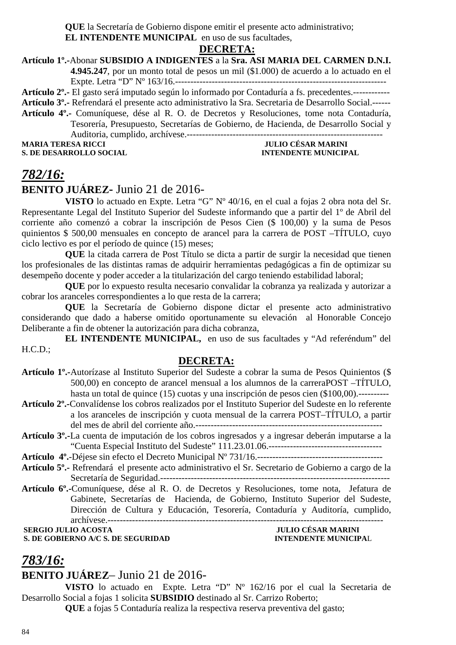**QUE** la Secretaría de Gobierno dispone emitir el presente acto administrativo;

**EL INTENDENTE MUNICIPAL** en uso de sus facultades,

## **DECRETA:**

#### **Artículo 1º.-**Abonar **SUBSIDIO A INDIGENTES** a la **Sra. ASI MARIA DEL CARMEN D.N.I. 4.945.247**, por un monto total de pesos un mil (\$1.000) de acuerdo a lo actuado en el

Expte. Letra "D" Nº 163/16.---------------------------------------------------------------------

**Artículo 2º.-** El gasto será imputado según lo informado por Contaduría a fs. precedentes.------------

**Artículo 3º.-** Refrendará el presente acto administrativo la Sra. Secretaria de Desarrollo Social.------

**Artículo 4º.-** Comuníquese, dése al R. O. de Decretos y Resoluciones, tome nota Contaduría, Tesorería, Presupuesto, Secretarías de Gobierno, de Hacienda, de Desarrollo Social y Auditoria, cumplido, archívese.---------------------------------------------------------------- **MARIA TERESA RICCI JULIO CÉSAR MARINI** 

**S. DE DESARROLLO SOCIAL INTENDENTE MUNICIPAL** 

## *782/16:* **BENITO JUÁREZ-** Junio 21 de 2016-

**VISTO** lo actuado en Expte. Letra "G" Nº 40/16, en el cual a fojas 2 obra nota del Sr. Representante Legal del Instituto Superior del Sudeste informando que a partir del 1º de Abril del corriente año comenzó a cobrar la inscripción de Pesos Cien (\$ 100,00) y la suma de Pesos quinientos \$ 500,00 mensuales en concepto de arancel para la carrera de POST –TÍTULO, cuyo ciclo lectivo es por el período de quince (15) meses;

**QUE** la citada carrera de Post Título se dicta a partir de surgir la necesidad que tienen los profesionales de las distintas ramas de adquirir herramientas pedagógicas a fin de optimizar su desempeño docente y poder acceder a la titularización del cargo teniendo estabilidad laboral;

**QUE** por lo expuesto resulta necesario convalidar la cobranza ya realizada y autorizar a cobrar los aranceles correspondientes a lo que resta de la carrera;

**QUE** la Secretaría de Gobierno dispone dictar el presente acto administrativo considerando que dado a haberse omitido oportunamente su elevación al Honorable Concejo Deliberante a fin de obtener la autorización para dicha cobranza,

**EL INTENDENTE MUNICIPAL,** en uso de sus facultades y "Ad referéndum" del  $H.C.D.:$ 

#### **DECRETA:**

- **Artículo 1º.-**Autorízase al Instituto Superior del Sudeste a cobrar la suma de Pesos Quinientos (\$ 500,00) en concepto de arancel mensual a los alumnos de la carreraPOST –TÍTULO, hasta un total de quince (15) cuotas y una inscripción de pesos cien (\$100,00).----------
- **Artículo 2º.-**Convalídense los cobros realizados por el Instituto Superior del Sudeste en lo referente a los aranceles de inscripción y cuota mensual de la carrera POST–TÍTULO, a partir del mes de abril del corriente año.-------------------------------------------------------------
- **Artículo 3º.-**La cuenta de imputación de los cobros ingresados y a ingresar deberán imputarse a la "Cuenta Especial Instituto del Sudeste" 111.23.01.06.-------------------------------------

**Artículo 4º.**-Déjese sin efecto el Decreto Municipal Nº 731/16.-----------------------------------------

- **Artículo 5º.-** Refrendará el presente acto administrativo el Sr. Secretario de Gobierno a cargo de la Secretaría de Seguridad.---------------------------------------------------------------------------
- **Artículo 6º.-**Comuníquese, dése al R. O. de Decretos y Resoluciones, tome nota, Jefatura de Gabinete, Secretarías de Hacienda, de Gobierno, Instituto Superior del Sudeste, Dirección de Cultura y Educación, Tesorería, Contaduría y Auditoría, cumplido, archívese.------------------------------------------------------------------------------------------

 **SERGIO JULIO ACOSTA JULIO CÉSAR MARINI** 

**S. DE GOBIERNO A/C S. DE SEGURIDAD** 

## *783/16:*

## **BENITO JUÁREZ**– Junio 21 de 2016-

**VISTO** lo actuado en Expte. Letra "D" Nº 162/16 por el cual la Secretaria de Desarrollo Social a fojas 1 solicita **SUBSIDIO** destinado al Sr. Carrizo Roberto;

**QUE** a fojas 5 Contaduría realiza la respectiva reserva preventiva del gasto;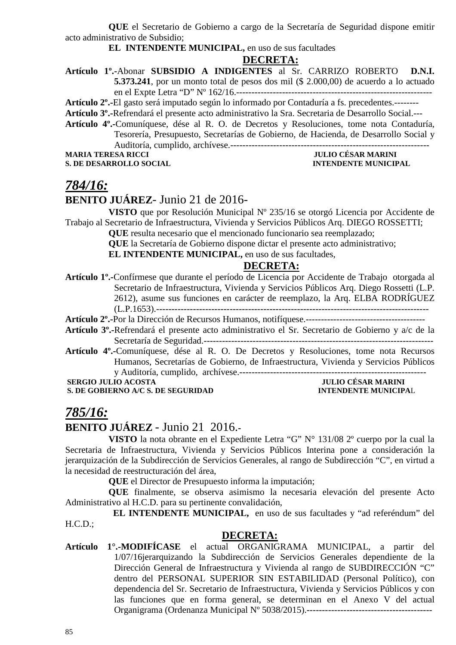**QUE** el Secretario de Gobierno a cargo de la Secretaría de Seguridad dispone emitir acto administrativo de Subsidio;

#### **EL INTENDENTE MUNICIPAL,** en uso de sus facultades

#### **DECRETA:**

**Artículo 1º.-**Abonar **SUBSIDIO A INDIGENTES** al Sr. CARRIZO ROBERTO **D.N.I. 5.373.241**, por un monto total de pesos dos mil (\$ 2.000,00) de acuerdo a lo actuado en el Expte Letra "D" Nº 162/16.----------------------------------------------------------------

**Artículo 2º.-**El gasto será imputado según lo informado por Contaduría a fs. precedentes.--------

**Artículo 3º.-**Refrendará el presente acto administrativo la Sra. Secretaria de Desarrollo Social.---

**Artículo 4º.-**Comuníquese, dése al R. O. de Decretos y Resoluciones, tome nota Contaduría, Tesorería, Presupuesto, Secretarías de Gobierno, de Hacienda, de Desarrollo Social y

Auditoría, cumplido, archívese.-----------------------------------------------------------------

**S. DE DESARROLLO SOCIAL INTENDENTE MUNICIPAL** 

# **MARIA TERESA RICCI JULIO CÉSAR MARINI**

## *784/16:*

## **BENITO JUÁREZ**- Junio 21 de 2016-

**VISTO** que por Resolución Municipal Nº 235/16 se otorgó Licencia por Accidente de Trabajo al Secretario de Infraestructura, Vivienda y Servicios Públicos Arq. DIEGO ROSSETTI;

**QUE** resulta necesario que el mencionado funcionario sea reemplazado;

**QUE** la Secretaría de Gobierno dispone dictar el presente acto administrativo;

**EL INTENDENTE MUNICIPAL,** en uso de sus facultades,

#### **DECRETA:**

**Artículo 1º.-**Confírmese que durante el período de Licencia por Accidente de Trabajo otorgada al Secretario de Infraestructura, Vivienda y Servicios Públicos Arq. Diego Rossetti (L.P. 2612), asume sus funciones en carácter de reemplazo, la Arq. ELBA RODRÍGUEZ (L.P.1653).-----------------------------------------------------------------------------------------

**Artículo 2º.-**Por la Dirección de Recursos Humanos, notifíquese.---------------------------------------

- **Artículo 3º.-**Refrendará el presente acto administrativo el Sr. Secretario de Gobierno y a/c de la Secretaría de Seguridad.---------------------------------------------------------------------------
- **Artículo 4º.-**Comuníquese, dése al R. O. De Decretos y Resoluciones, tome nota Recursos Humanos, Secretarías de Gobierno, de Infraestructura, Vivienda y Servicios Públicos y Auditoría, cumplido, archívese.-------------------------------------------------------------

#### **SERGIO JULIO ACOSTA JULIO CÉSAR MARINI S. DE GOBIERNO A/C S. DE SEGURIDAD INTENDENTE MUNICIPAL**

## *785/16:*

## **BENITO JUÁREZ** - Junio 21 2016.**-**

**VISTO** la nota obrante en el Expediente Letra "G" N° 131/08 2º cuerpo por la cual la Secretaria de Infraestructura, Vivienda y Servicios Públicos Interina pone a consideración la jerarquización de la Subdirección de Servicios Generales, al rango de Subdirección "C", en virtud a la necesidad de reestructuración del área,

**QUE** el Director de Presupuesto informa la imputación;

**QUE** finalmente, se observa asimismo la necesaria elevación del presente Acto Administrativo al H.C.D. para su pertinente convalidación,

 **EL INTENDENTE MUNICIPAL,** en uso de sus facultades y "ad referéndum" del H.C.D.;

#### **DECRETA:**

**Artículo 1°.-MODIFÍCASE** el actual ORGANIGRAMA MUNICIPAL, a partir del 1/07/16jerarquizando la Subdirección de Servicios Generales dependiente de la Dirección General de Infraestructura y Vivienda al rango de SUBDIRECCIÓN "C" dentro del PERSONAL SUPERIOR SIN ESTABILIDAD (Personal Político), con dependencia del Sr. Secretario de Infraestructura, Vivienda y Servicios Públicos y con las funciones que en forma general, se determinan en el Anexo V del actual Organigrama (Ordenanza Municipal Nº 5038/2015).-----------------------------------------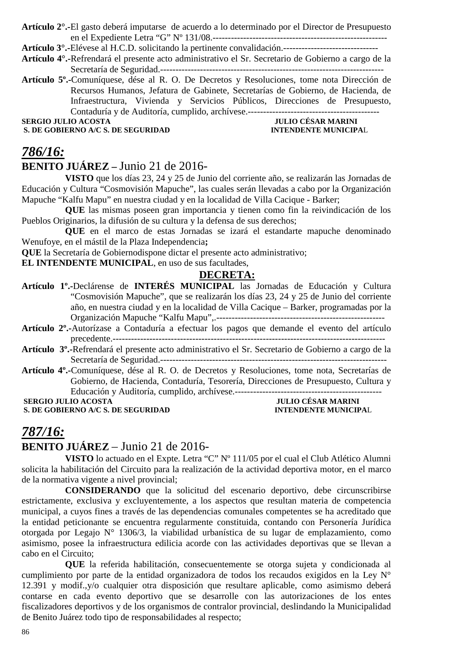**Artículo 2°.-**El gasto deberá imputarse de acuerdo a lo determinado por el Director de Presupuesto en el Expediente Letra "G" Nº 131/08.---------------------------------------------------------

**Artículo 3°.-**Elévese al H.C.D. solicitando la pertinente convalidación.-------------------------------

**Artículo 4°.-**Refrendará el presente acto administrativo el Sr. Secretario de Gobierno a cargo de la Secretaría de Seguridad.-------------------------------------------------------------------------

**Artículo 5º.-**Comuníquese, dése al R. O. De Decretos y Resoluciones, tome nota Dirección de Recursos Humanos, Jefatura de Gabinete, Secretarías de Gobierno, de Hacienda, de Infraestructura, Vivienda y Servicios Públicos, Direcciones de Presupuesto, Contaduría y de Auditoría, cumplido, archívese.-------------------------------------------

**S. DE GOBIERNO A/C S. DE SEGURIDAD** 

**SERGIO JULIO ACOSTA JULIO CÉSAR MARINI<br>
S. DE GOBIERNO A/C S. DE SEGURIDAD INTENDENTE MUNICIPAL** 

## *786/16:*

## **BENITO JUÁREZ –** Junio 21 de 2016-

**VISTO** que los días 23, 24 y 25 de Junio del corriente año, se realizarán las Jornadas de Educación y Cultura "Cosmovisión Mapuche", las cuales serán llevadas a cabo por la Organización Mapuche "Kalfu Mapu" en nuestra ciudad y en la localidad de Villa Cacique - Barker;

**QUE** las mismas poseen gran importancia y tienen como fin la reivindicación de los Pueblos Originarios, la difusión de su cultura y la defensa de sus derechos;

**QUE** en el marco de estas Jornadas se izará el estandarte mapuche denominado Wenufoye, en el mástil de la Plaza Independencia**;** 

**QUE** la Secretaría de Gobiernodispone dictar el presente acto administrativo;

**EL INTENDENTE MUNICIPAL**, en uso de sus facultades,

#### **DECRETA:**

- **Artículo 1º.-**Declárense de **INTERÉS MUNICIPAL** las Jornadas de Educación y Cultura "Cosmovisión Mapuche", que se realizarán los días 23, 24 y 25 de Junio del corriente año, en nuestra ciudad y en la localidad de Villa Cacique – Barker, programadas por la Organización Mapuche "Kalfu Mapu",.-------------------------------------------------------
- **Artículo 2º.-**Autorízase a Contaduría a efectuar los pagos que demande el evento del artículo precedente.-----------------------------------------------------------------------------------------
- **Artículo 3º.-**Refrendará el presente acto administrativo el Sr. Secretario de Gobierno a cargo de la Secretaría de Seguridad.--------------------------------------------------------------------------
- **Artículo 4º.-**Comuníquese, dése al R. O. de Decretos y Resoluciones, tome nota, Secretarías de Gobierno, de Hacienda, Contaduría, Tesorería, Direcciones de Presupuesto, Cultura y Educación y Auditoría, cumplido, archívese.------------------------------------------------

**S. DE GOBIERNO A/C S. DE SEGURIDAD** 

 **JULIO CÉSAR MARINI<br>INTENDENTE MUNICIPAL** 

## *787/16:*

## **BENITO JUÁREZ** – Junio 21 de 2016-

**VISTO** lo actuado en el Expte. Letra "C" Nº 111/05 por el cual el Club Atlético Alumni solicita la habilitación del Circuito para la realización de la actividad deportiva motor, en el marco de la normativa vigente a nivel provincial;

**CONSIDERANDO** que la solicitud del escenario deportivo, debe circunscribirse estrictamente, exclusiva y excluyentemente, a los aspectos que resultan materia de competencia municipal, a cuyos fines a través de las dependencias comunales competentes se ha acreditado que la entidad peticionante se encuentra regularmente constituida, contando con Personería Jurídica otorgada por Legajo N° 1306/3, la viabilidad urbanística de su lugar de emplazamiento, como asimismo, posee la infraestructura edilicia acorde con las actividades deportivas que se llevan a cabo en el Circuito;

**QUE** la referida habilitación, consecuentemente se otorga sujeta y condicionada al cumplimiento por parte de la entidad organizadora de todos los recaudos exigidos en la Ley N° 12.391 y modif.,y/o cualquier otra disposición que resultare aplicable, como asimismo deberá contarse en cada evento deportivo que se desarrolle con las autorizaciones de los entes fiscalizadores deportivos y de los organismos de contralor provincial, deslindando la Municipalidad de Benito Juárez todo tipo de responsabilidades al respecto;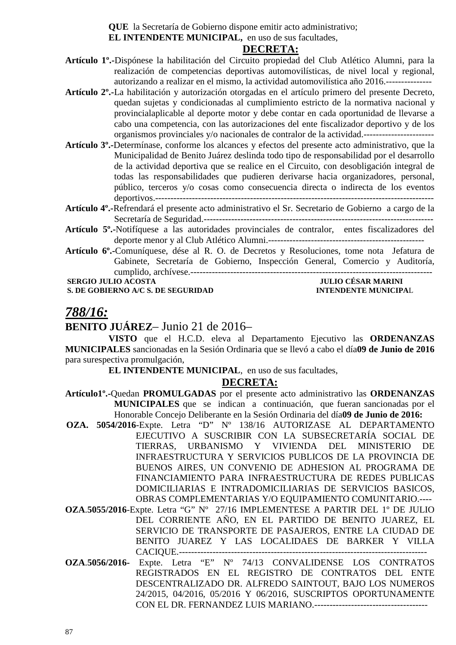**QUE** la Secretaría de Gobierno dispone emitir acto administrativo;

**EL INTENDENTE MUNICIPAL,** en uso de sus facultades,

#### **DECRETA:**

- **Artículo 1º.-**Dispónese la habilitación del Circuito propiedad del Club Atlético Alumni, para la realización de competencias deportivas automovilísticas, de nivel local y regional, autorizando a realizar en el mismo, la actividad automovilística año 2016.---------------
- **Artículo 2º.-**La habilitación y autorización otorgadas en el artículo primero del presente Decreto, quedan sujetas y condicionadas al cumplimiento estricto de la normativa nacional y provincialaplicable al deporte motor y debe contar en cada oportunidad de llevarse a cabo una competencia, con las autorizaciones del ente fiscalizador deportivo y de los organismos provinciales y/o nacionales de contralor de la actividad.-----------------------
- **Artículo 3º.-**Determínase, conforme los alcances y efectos del presente acto administrativo, que la Municipalidad de Benito Juárez deslinda todo tipo de responsabilidad por el desarrollo de la actividad deportiva que se realice en el Circuito, con desobligación integral de todas las responsabilidades que pudieren derivarse hacia organizadores, personal, público, terceros y/o cosas como consecuencia directa o indirecta de los eventos deportivos.-------------------------------------------------------------------------------------------
- **Artículo 4º.-**Refrendará el presente acto administrativo el Sr. Secretario de Gobierno a cargo de la Secretaría de Seguridad.---------------------------------------------------------------------------
- **Artículo 5º.-**Notifíquese a las autoridades provinciales de contralor, entes fiscalizadores del deporte menor y al Club Atlético Alumni.---------------------------------------------------
- **Artículo 6º.-**Comuníquese, dése al R. O. de Decretos y Resoluciones, tome nota Jefatura de Gabinete, Secretaría de Gobierno, Inspección General, Comercio y Auditoría, cumplido, archívese.-------------------------------------------------------------------------------

**S. DE GOBIERNO A/C S. DE SEGURIDAD** 

 **SULIO CÉSAR MARINI<br>INTENDENTE MUNICIPAL** 

## *788/16:*

## **BENITO JUÁREZ**– Junio 21 de 2016–

**VISTO** que el H.C.D. eleva al Departamento Ejecutivo las **ORDENANZAS MUNICIPALES** sancionadas en la Sesión Ordinaria que se llevó a cabo el día**09 de Junio de 2016** para surespectiva promulgación,

**EL INTENDENTE MUNICIPAL**, en uso de sus facultades,

#### **DECRETA:**

- **Artículo1º.-**Quedan **PROMULGADAS** por el presente acto administrativo las **ORDENANZAS MUNICIPALES** que se indican a continuación, que fueran sancionadas por el Honorable Concejo Deliberante en la Sesión Ordinaria del día**09 de Junio de 2016:**
- **OZA. 5054/2016**-Expte. Letra "D" Nº 138/16 AUTORIZASE AL DEPARTAMENTO EJECUTIVO A SUSCRIBIR CON LA SUBSECRETARÍA SOCIAL DE TIERRAS, URBANISMO Y VIVIENDA DEL MINISTERIO DE INFRAESTRUCTURA Y SERVICIOS PUBLICOS DE LA PROVINCIA DE BUENOS AIRES, UN CONVENIO DE ADHESION AL PROGRAMA DE FINANCIAMIENTO PARA INFRAESTRUCTURA DE REDES PUBLICAS DOMICILIARIAS E INTRADOMICILIARIAS DE SERVICIOS BASICOS, OBRAS COMPLEMENTARIAS Y/O EQUIPAMIENTO COMUNITARIO.----
- **OZA**.**5055/2016**-Expte. Letra "G" Nº 27/16 IMPLEMENTESE A PARTIR DEL 1º DE JULIO DEL CORRIENTE AÑO, EN EL PARTIDO DE BENITO JUAREZ, EL SERVICIO DE TRANSPORTE DE PASAJEROS, ENTRE LA CIUDAD DE BENITO JUAREZ Y LAS LOCALIDAES DE BARKER Y VILLA CACIQUE.---------------------------------------------------------------------------------
- **OZA**.**5056/2016-** Expte. Letra "E" Nº 74/13 CONVALIDENSE LOS CONTRATOS REGISTRADOS EN EL REGISTRO DE CONTRATOS DEL ENTE DESCENTRALIZADO DR. ALFREDO SAINTOUT, BAJO LOS NUMEROS 24/2015, 04/2016, 05/2016 Y 06/2016, SUSCRIPTOS OPORTUNAMENTE CON EL DR. FERNANDEZ LUIS MARIANO.-------------------------------------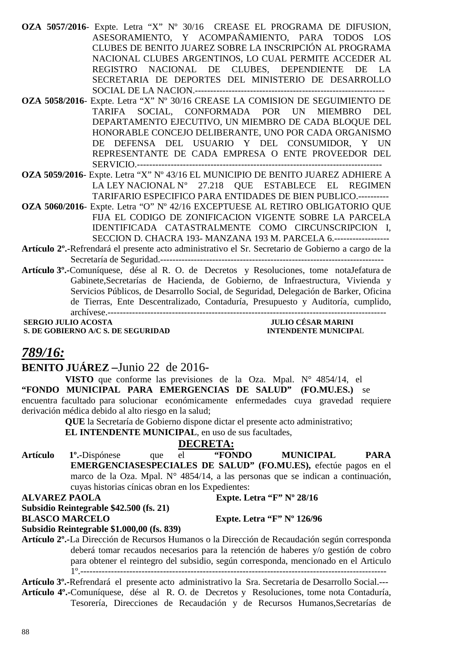88

- **OZA 5057/2016** Expte. Letra "X" Nº 30/16 CREASE EL PROGRAMA DE DIFUSION, ASESORAMIENTO, Y ACOMPAÑAMIENTO, PARA TODOS LOS CLUBES DE BENITO JUAREZ SOBRE LA INSCRIPCIÓN AL PROGRAMA NACIONAL CLUBES ARGENTINOS, LO CUAL PERMITE ACCEDER AL REGISTRO NACIONAL DE CLUBES, DEPENDIENTE DE LA SECRETARIA DE DEPORTES DEL MINISTERIO DE DESARROLLO SOCIAL DE LA NACION.--------------------------------------------------------------
- **OZA 5058/2016** Expte. Letra "X" Nº 30/16 CREASE LA COMISION DE SEGUIMIENTO DE TARIFA SOCIAL, CONFORMADA POR UN MIEMBRO DEL DEPARTAMENTO EJECUTIVO, UN MIEMBRO DE CADA BLOQUE DEL HONORABLE CONCEJO DELIBERANTE, UNO POR CADA ORGANISMO DE DEFENSA DEL USUARIO Y DEL CONSUMIDOR, Y UN REPRESENTANTE DE CADA EMPRESA O ENTE PROVEEDOR DEL SERVICIO.--------------------------------------------------------------------------------
- **OZA 5059/2016** Expte. Letra "X" Nº 43/16 EL MUNICIPIO DE BENITO JUAREZ ADHIERE A LA LEY NACIONAL  $N^{\circ}$  27.218 QUE ESTABLECE EL REGIMEN TARIFARIO ESPECIFICO PARA ENTIDADES DE BIEN PUBLICO.----------
- **OZA 5060/2016** Expte. Letra "O" Nº 42/16 EXCEPTUESE AL RETIRO OBLIGATORIO QUE FIJA EL CODIGO DE ZONIFICACION VIGENTE SOBRE LA PARCELA IDENTIFICADA CATASTRALMENTE COMO CIRCUNSCRIPCION I, SECCION D. CHACRA 193- MANZANA 193 M. PARCELA 6.------------------
- **Artículo 2º.-**Refrendará el presente acto administrativo el Sr. Secretario de Gobierno a cargo de la Secretaría de Seguridad.-------------------------------------------------------------------------
- **Artículo 3º.-**Comuníquese, dése al R. O. de Decretos y Resoluciones, tome notaJefatura de Gabinete,Secretarías de Hacienda, de Gobierno, de Infraestructura, Vivienda y Servicios Públicos, de Desarrollo Social, de Seguridad, Delegación de Barker, Oficina de Tierras, Ente Descentralizado, Contaduría, Presupuesto y Auditoría, cumplido, archívese.-------------------------------------------------------------------------------------------

**S. DE GOBIERNO A/C S. DE SEGURIDAD** 

## *789/16:*

## **BENITO JUÁREZ –**Junio 22 de 2016-

**VISTO** que conforme las previsiones de la Oza. Mpal. N° 4854/14, el **"FONDO MUNICIPAL PARA EMERGENCIAS DE SALUD" (FO.MU.ES.)** se encuentra facultado para solucionar económicamente enfermedades cuya gravedad requiere derivación médica debido al alto riesgo en la salud;

> **QUE** la Secretaría de Gobierno dispone dictar el presente acto administrativo; **EL INTENDENTE MUNICIPAL**, en uso de sus facultades,

## **DECRETA:**

**Artículo 1º.-**Dispónese que el **"FONDO MUNICIPAL PARA EMERGENCIASESPECIALES DE SALUD" (FO.MU.ES),** efectúe pagos en el marco de la Oza. Mpal. N° 4854/14, a las personas que se indican a continuación, cuyas historias cínicas obran en los Expedientes:

#### **ALVAREZ PAOLA Expte. Letra "F" Nº 28/16**

## **Subsidio Reintegrable \$42.500 (fs. 21) BLASCO MARCELO Expte. Letra "F" Nº 126/96**

#### **Subsidio Reintegrable \$1.000,00 (fs. 839)**

**Artículo 2º.-**La Dirección de Recursos Humanos o la Dirección de Recaudación según corresponda deberá tomar recaudos necesarios para la retención de haberes y/o gestión de cobro para obtener el reintegro del subsidio, según corresponda, mencionado en el Articulo 1º.----------------------------------------------------------------------------------------------------

**Artículo 3º.-**Refrendará el presente acto administrativo la Sra. Secretaria de Desarrollo Social.--- **Artículo 4º.-**Comuníquese, dése al R. O. de Decretos y Resoluciones, tome nota Contaduría, Tesorería, Direcciones de Recaudación y de Recursos Humanos,Secretarías de

# **SERGIO JULIO ACOSTA JULIO CÉSAR MARINI**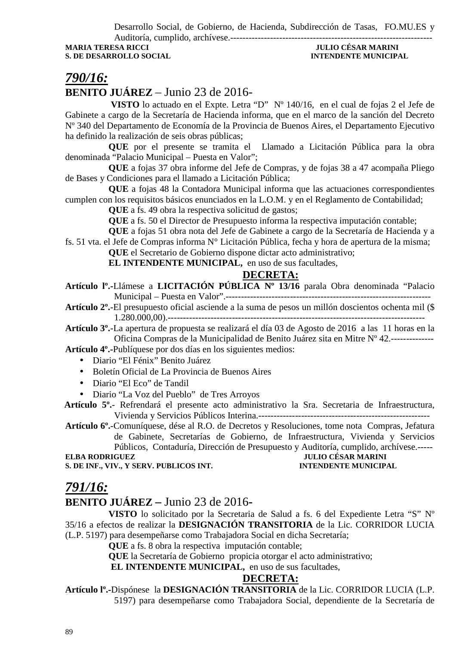Desarrollo Social, de Gobierno, de Hacienda, Subdirección de Tasas, FO.MU.ES y

Auditoría, cumplido, archívese.------------------------------------------------------------------ **S. DE DESARROLLO SOCIAL INTENDENTE MUNICIPAL** 

# **MULIO CÉSAR MARINI**

## *790/16:*

## **BENITO JUÁREZ** – Junio 23 de 2016-

 **VISTO** lo actuado en el Expte. Letra "D" Nº 140/16, en el cual de fojas 2 el Jefe de Gabinete a cargo de la Secretaría de Hacienda informa, que en el marco de la sanción del Decreto Nº 340 del Departamento de Economía de la Provincia de Buenos Aires, el Departamento Ejecutivo ha definido la realización de seis obras públicas;

**QUE** por el presente se tramita el Llamado a Licitación Pública para la obra denominada "Palacio Municipal – Puesta en Valor";

**QUE** a fojas 37 obra informe del Jefe de Compras, y de fojas 38 a 47 acompaña Pliego de Bases y Condiciones para el llamado a Licitación Pública;

**QUE** a fojas 48 la Contadora Municipal informa que las actuaciones correspondientes cumplen con los requisitos básicos enunciados en la L.O.M. y en el Reglamento de Contabilidad;

**QUE** a fs. 49 obra la respectiva solicitud de gastos;

**QUE** a fs. 50 el Director de Presupuesto informa la respectiva imputación contable;

**QUE** a fojas 51 obra nota del Jefe de Gabinete a cargo de la Secretaría de Hacienda y a fs. 51 vta. el Jefe de Compras informa N° Licitación Pública, fecha y hora de apertura de la misma;

**QUE** el Secretario de Gobierno dispone dictar acto administrativo;

**EL INTENDENTE MUNICIPAL,** en uso de sus facultades,

## **DECRETA:**

**Artículo lº.-**Llámese a **LICITACIÓN PÚBLICA Nº 13/16** parala Obra denominada "Palacio Municipal – Puesta en Valor".-------------------------------------------------------------------

**Artículo 2º.**-El presupuesto oficial asciende a la suma de pesos un millón doscientos ochenta mil (\$ 1.280.000,00).------------------------------------------------------------------------------------

**Artículo 3º.**-La apertura de propuesta se realizará el día 03 de Agosto de 2016 a las 11 horas en la Oficina Compras de la Municipalidad de Benito Juárez sita en Mitre Nº 42.--------------

**Artículo 4º.-**Publíquese por dos días en los siguientes medios:

- Diario "El Fénix" Benito Juárez
- Boletín Oficial de La Provincia de Buenos Aires
- Diario "El Eco" de Tandil
- Diario "La Voz del Pueblo" de Tres Arroyos

 **Artículo 5º.**- Refrendará el presente acto administrativo la Sra. Secretaria de Infraestructura, Vivienda y Servicios Públicos Interina.--------------------------------------------------------

**Artículo 6º.**-Comuníquese, dése al R.O. de Decretos y Resoluciones, tome nota Compras, Jefatura de Gabinete, Secretarías de Gobierno, de Infraestructura, Vivienda y Servicios Públicos, Contaduría, Dirección de Presupuesto y Auditoría, cumplido, archívese.-----<br>IULIO CÉSAR MARINI

**S. DE INF., VIV., Y SERV. PUBLICOS INT.** 

## *791/16:*

## **BENITO JUÁREZ –** Junio 23 de 2016**-**

**VISTO** lo solicitado por la Secretaria de Salud a fs. 6 del Expediente Letra "S" Nº 35/16 a efectos de realizar la **DESIGNACIÓN TRANSITORIA** de la Lic. CORRIDOR LUCIA (L.P. 5197) para desempeñarse como Trabajadora Social en dicha Secretaría;

**QUE** a fs. 8 obra la respectiva imputación contable;

**QUE** la Secretaría de Gobierno propicia otorgar el acto administrativo;

 **EL INTENDENTE MUNICIPAL,** en uso de sus facultades,

#### **DECRETA:**

**Artículo lº.-**Dispónese la **DESIGNACIÓN TRANSITORIA** de la Lic. CORRIDOR LUCIA (L.P. 5197) para desempeñarse como Trabajadora Social, dependiente de la Secretaría de

**ELECTRA RODRIGUEZ JULIO CÉSAR MARINI INTENDENTE MUNICIPAL**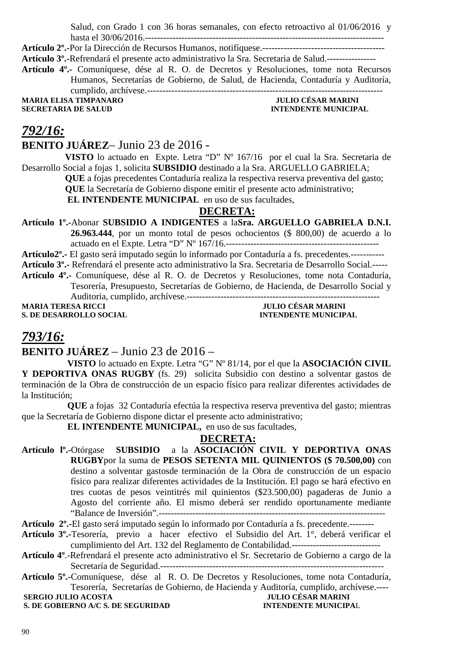Salud, con Grado 1 con 36 horas semanales, con efecto retroactivo al 01/06/2016 y

hasta el 30/06/2016.------------------------------------------------------------------------------ **Artículo 2º.-**Por la Dirección de Recursos Humanos, notifíquese.----------------------------------------

**Artículo 3º.-**Refrendará el presente acto administrativo la Sra. Secretaria de Salud.----------------

**Artículo 4º.-** Comuníquese, dése al R. O. de Decretos y Resoluciones, tome nota Recursos Humanos, Secretarías de Gobierno, de Salud, de Hacienda, Contaduría y Auditoría, cumplido, archívese.-----------------------------------------------------------------------------

**MARIA ELISA TIMPANARO<br>SECRETARIA DE SALUD** 

# **INTENDENTE MUNICIPAL**

## *792/16:*

## **BENITO JUÁREZ**– Junio 23 de 2016 -

**VISTO** lo actuado en Expte. Letra "D" Nº 167/16 por el cual la Sra. Secretaria de Desarrollo Social a fojas 1, solicita **SUBSIDIO** destinado a la Sra. ARGUELLO GABRIELA;

> **QUE** a fojas precedentes Contaduría realiza la respectiva reserva preventiva del gasto; **QUE** la Secretaría de Gobierno dispone emitir el presente acto administrativo;

**EL INTENDENTE MUNICIPAL** en uso de sus facultades,

## **DECRETA:**

**Artículo 1º.-**Abonar **SUBSIDIO A INDIGENTES** a la**Sra. ARGUELLO GABRIELA D.N.I. 26.963.444**, por un monto total de pesos ochocientos (\$ 800,00) de acuerdo a lo

actuado en el Expte. Letra "D" Nº 167/16.--------------------------------------------------

**Artículo2º.-** El gasto será imputado según lo informado por Contaduría a fs. precedentes.-----------

**Artículo 3º.-** Refrendará el presente acto administrativo la Sra. Secretaria de Desarrollo Social.-----

**Artículo 4º.-** Comuníquese, dése al R. O. de Decretos y Resoluciones, tome nota Contaduría, Tesorería, Presupuesto, Secretarías de Gobierno, de Hacienda, de Desarrollo Social y Auditoria, cumplido, archívese.---------------------------------------------------------------

**S. DE DESARROLLO SOCIAL** 

**MARIA TERESA RICCI JULIO CÉSAR MARINI** 

## *793/16:*

## **BENITO JUÁREZ** – Junio 23 de 2016 –

 **VISTO** lo actuado en Expte. Letra "G" Nº 81/14, por el que la **ASOCIACIÓN CIVIL Y DEPORTIVA ONAS RUGBY** (fs. 29) solicita Subsidio con destino a solventar gastos de terminación de la Obra de construcción de un espacio físico para realizar diferentes actividades de la Institución;

 **QUE** a fojas 32 Contaduría efectúa la respectiva reserva preventiva del gasto; mientras que la Secretaría de Gobierno dispone dictar el presente acto administrativo;

 **EL INTENDENTE MUNICIPAL,** en uso de sus facultades,

## **DECRETA:**

**Artículo lº.-**Otórgase **SUBSIDIO** a la **ASOCIACIÓN CIVIL Y DEPORTIVA ONAS RUGBY**por la suma de **PESOS SETENTA MIL QUINIENTOS (\$ 70.500,00)** con destino a solventar gastosde terminación de la Obra de construcción de un espacio físico para realizar diferentes actividades de la Institución. El pago se hará efectivo en tres cuotas de pesos veintitrés mil quinientos (\$23.500,00) pagaderas de Junio a Agosto del corriente año. El mismo deberá ser rendido oportunamente mediante "Balance de Inversión".--------------------------------------------------------------------------

- **Artículo 3º.-**Tesorería, previo a hacer efectivo el Subsidio del Art. 1°, deberá verificar el cumplimiento del Art. 132 del Reglamento de Contabilidad.-----------------------------
- **Artículo 4º**.-Refrendará el presente acto administrativo el Sr. Secretario de Gobierno a cargo de la Secretaría de Seguridad.-------------------------------------------------------------------------
- **Artículo 5º.-**Comuníquese, dése al R. O. De Decretos y Resoluciones, tome nota Contaduría, Tesorería, Secretarías de Gobierno, de Hacienda y Auditoría, cumplido, archívese.---- **SERGIO JULIO ACOSTA**

#### **S. DE GOBIERNO A/C S. DE SEGURIDAD INTENDENTE MUNICIPAL**

**Artículo 2º.-**El gasto será imputado según lo informado por Contaduría a fs. precedente.--------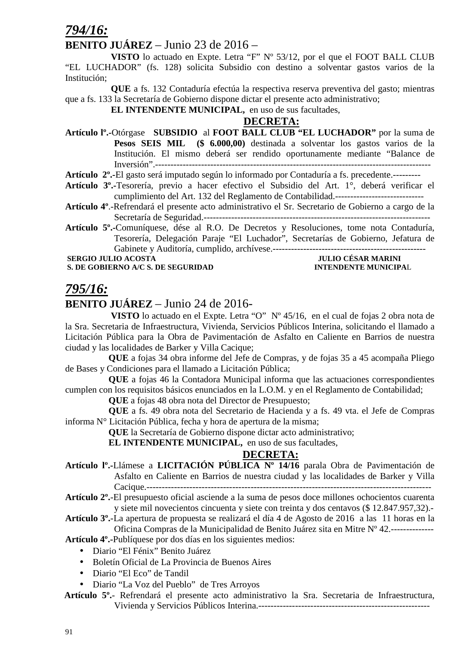## *794/16:*

## **BENITO JUÁREZ** – Junio 23 de 2016 –

 **VISTO** lo actuado en Expte. Letra "F" Nº 53/12, por el que el FOOT BALL CLUB "EL LUCHADOR" (fs. 128) solicita Subsidio con destino a solventar gastos varios de la Institución;

 **QUE** a fs. 132 Contaduría efectúa la respectiva reserva preventiva del gasto; mientras que a fs. 133 la Secretaría de Gobierno dispone dictar el presente acto administrativo;

 **EL INTENDENTE MUNICIPAL,** en uso de sus facultades,

#### **DECRETA:**

**Artículo lº.-**Otórgase **SUBSIDIO** al **FOOT BALL CLUB "EL LUCHADOR"** por la suma de **Pesos SEIS MIL (\$ 6.000,00)** destinada a solventar los gastos varios de la Institución. El mismo deberá ser rendido oportunamente mediante "Balance de Inversión".------------------------------------------------------------------------------------------

**Artículo 2º.-**El gasto será imputado según lo informado por Contaduría a fs. precedente.---------

- **Artículo 3º.-**Tesorería, previo a hacer efectivo el Subsidio del Art. 1°, deberá verificar el cumplimiento del Art. 132 del Reglamento de Contabilidad.-----------------------------
- **Artículo 4º**.-Refrendará el presente acto administrativo el Sr. Secretario de Gobierno a cargo de la Secretaría de Seguridad.--------------------------------------------------------------------------
- **Artículo 5º.-**Comuníquese, dése al R.O. De Decretos y Resoluciones, tome nota Contaduría, Tesorería, Delegación Paraje "El Luchador", Secretarías de Gobierno, Jefatura de Gabinete y Auditoría, cumplido, archívese.--------------------------------------------------

 **SERGIO SERGIO DE SERGIO DE SURGIO DE SURGIO DE LA GARANTINIA EN 1889.**<br> **INTENDE DE SURGIO DE LA GARANTINIA DE LA GARANTINIA DE LA GARANTINIA DE LA GARANTINIA DE LA GARANTINIA DE LA S. DE GOBIERNO A/C S. DE SEGURIDAD INTENDENTE MUNICIPAL** 

## *795/16:*

## **BENITO JUÁREZ** – Junio 24 de 2016-

 **VISTO** lo actuado en el Expte. Letra "O" Nº 45/16, en el cual de fojas 2 obra nota de la Sra. Secretaria de Infraestructura, Vivienda, Servicios Públicos Interina, solicitando el llamado a Licitación Pública para la Obra de Pavimentación de Asfalto en Caliente en Barrios de nuestra ciudad y las localidades de Barker y Villa Cacique;

**QUE** a fojas 34 obra informe del Jefe de Compras, y de fojas 35 a 45 acompaña Pliego de Bases y Condiciones para el llamado a Licitación Pública;

**QUE** a fojas 46 la Contadora Municipal informa que las actuaciones correspondientes cumplen con los requisitos básicos enunciados en la L.O.M. y en el Reglamento de Contabilidad;

**QUE** a fojas 48 obra nota del Director de Presupuesto;

**QUE** a fs. 49 obra nota del Secretario de Hacienda y a fs. 49 vta. el Jefe de Compras informa N° Licitación Pública, fecha y hora de apertura de la misma;

**QUE** la Secretaría de Gobierno dispone dictar acto administrativo;

**EL INTENDENTE MUNICIPAL,** en uso de sus facultades,

## **DECRETA:**

**Artículo lº.-**Llámese a **LICITACIÓN PÚBLICA Nº 14/16** parala Obra de Pavimentación de Asfalto en Caliente en Barrios de nuestra ciudad y las localidades de Barker y Villa Cacique.---------------------------------------------------------------------------------------------

**Artículo 2º.**-El presupuesto oficial asciende a la suma de pesos doce millones ochocientos cuarenta y siete mil novecientos cincuenta y siete con treinta y dos centavos (\$ 12.847.957,32).-

**Artículo 3º.**-La apertura de propuesta se realizará el día 4 de Agosto de 2016 a las 11 horas en la Oficina Compras de la Municipalidad de Benito Juárez sita en Mitre Nº 42.--------------

**Artículo 4º.-**Publíquese por dos días en los siguientes medios:

- Diario "El Fénix" Benito Juárez
- Boletín Oficial de La Provincia de Buenos Aires
- Diario "El Eco" de Tandil
- Diario "La Voz del Pueblo" de Tres Arroyos
- **Artículo 5º.** Refrendará el presente acto administrativo la Sra. Secretaria de Infraestructura, Vivienda y Servicios Públicos Interina.--------------------------------------------------------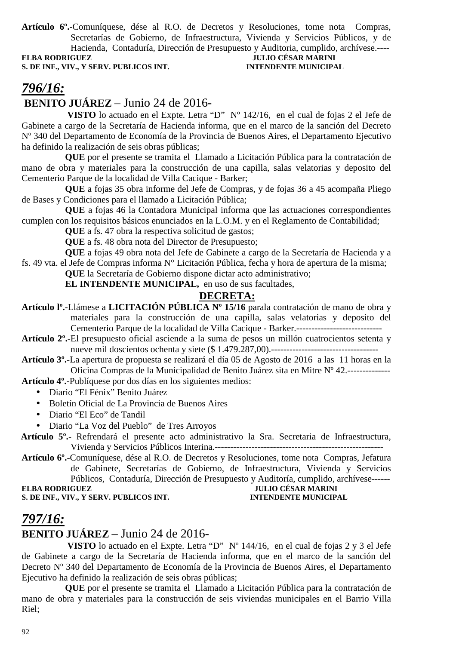**Artículo 6º.**-Comuníquese, dése al R.O. de Decretos y Resoluciones, tome nota Compras, Secretarías de Gobierno, de Infraestructura, Vivienda y Servicios Públicos, y de Hacienda, Contaduría, Dirección de Presupuesto y Auditoria, cumplido, archívese.----

**S. DE INF., VIV., Y SERV. PUBLICOS INT. INTENDENTE MUNICIPAL**

# **ELECTE DE LA FORTA RODRIGUEZ DE LA FINITATIVITATIVITATIVITATIVITATIVITATIVITATIVITATIVITATIVITATIVITATIVITATIV**

# *796/16:*

 **BENITO JUÁREZ** – Junio 24 de 2016-

 **VISTO** lo actuado en el Expte. Letra "D" Nº 142/16, en el cual de fojas 2 el Jefe de Gabinete a cargo de la Secretaría de Hacienda informa, que en el marco de la sanción del Decreto Nº 340 del Departamento de Economía de la Provincia de Buenos Aires, el Departamento Ejecutivo ha definido la realización de seis obras públicas;

**QUE** por el presente se tramita el Llamado a Licitación Pública para la contratación de mano de obra y materiales para la construcción de una capilla, salas velatorias y deposito del Cementerio Parque de la localidad de Villa Cacique - Barker;

**QUE** a fojas 35 obra informe del Jefe de Compras, y de fojas 36 a 45 acompaña Pliego de Bases y Condiciones para el llamado a Licitación Pública;

**QUE** a fojas 46 la Contadora Municipal informa que las actuaciones correspondientes cumplen con los requisitos básicos enunciados en la L.O.M. y en el Reglamento de Contabilidad;

**QUE** a fs. 47 obra la respectiva solicitud de gastos;

**QUE** a fs. 48 obra nota del Director de Presupuesto;

**QUE** a fojas 49 obra nota del Jefe de Gabinete a cargo de la Secretaría de Hacienda y a fs. 49 vta. el Jefe de Compras informa N° Licitación Pública, fecha y hora de apertura de la misma;

**QUE** la Secretaría de Gobierno dispone dictar acto administrativo;

**EL INTENDENTE MUNICIPAL,** en uso de sus facultades,

#### **DECRETA:**

**Artículo lº.-**Llámese a **LICITACIÓN PÚBLICA Nº 15/16** parala contratación de mano de obra y materiales para la construcción de una capilla, salas velatorias y deposito del Cementerio Parque de la localidad de Villa Cacique - Barker.----------------------------

**Artículo 2º.**-El presupuesto oficial asciende a la suma de pesos un millón cuatrocientos setenta y nueve mil doscientos ochenta y siete (\$ 1.479.287,00).-----------------------------------

**Artículo 3º.**-La apertura de propuesta se realizará el día 05 de Agosto de 2016 a las 11 horas en la Oficina Compras de la Municipalidad de Benito Juárez sita en Mitre Nº 42.--------------

**Artículo 4º.-**Publíquese por dos días en los siguientes medios:

- Diario "El Fénix" Benito Juárez
- Boletín Oficial de La Provincia de Buenos Aires
- Diario "El Eco" de Tandil
- Diario "La Voz del Pueblo" de Tres Arroyos

 **Artículo 5º.**- Refrendará el presente acto administrativo la Sra. Secretaria de Infraestructura, Vivienda y Servicios Públicos Interina.-------------------------------------------------------

**Artículo 6º.**-Comuníquese, dése al R.O. de Decretos y Resoluciones, tome nota Compras, Jefatura de Gabinete, Secretarías de Gobierno, de Infraestructura, Vivienda y Servicios Públicos, Contaduría, Dirección de Presupuesto y Auditoría, cumplido, archívese------ **ELBA RODRIGUEZ JULIO CÉSAR MARINI** 

**S. DE INF., VIV., Y SERV. PUBLICOS INT. INTENDENTE MUNICIPAL**

# *797/16:*

## **BENITO JUÁREZ** – Junio 24 de 2016-

 **VISTO** lo actuado en el Expte. Letra "D" Nº 144/16, en el cual de fojas 2 y 3 el Jefe de Gabinete a cargo de la Secretaría de Hacienda informa, que en el marco de la sanción del Decreto Nº 340 del Departamento de Economía de la Provincia de Buenos Aires, el Departamento Ejecutivo ha definido la realización de seis obras públicas;

**QUE** por el presente se tramita el Llamado a Licitación Pública para la contratación de mano de obra y materiales para la construcción de seis viviendas municipales en el Barrio Villa Riel;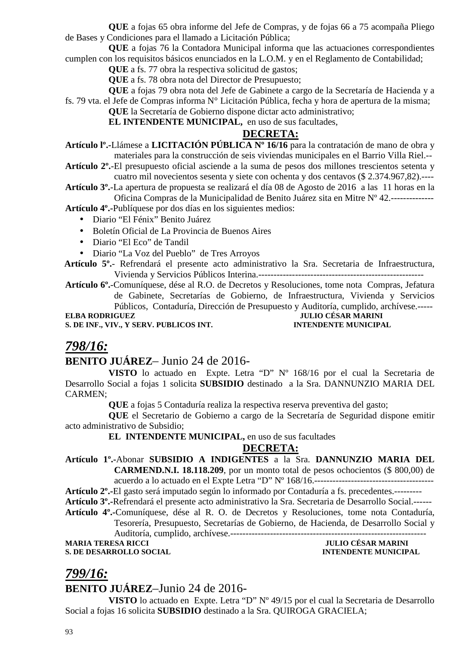**QUE** a fojas 65 obra informe del Jefe de Compras, y de fojas 66 a 75 acompaña Pliego de Bases y Condiciones para el llamado a Licitación Pública;

**QUE** a fojas 76 la Contadora Municipal informa que las actuaciones correspondientes cumplen con los requisitos básicos enunciados en la L.O.M. y en el Reglamento de Contabilidad;

**QUE** a fs. 77 obra la respectiva solicitud de gastos;

**QUE** a fs. 78 obra nota del Director de Presupuesto;

**QUE** a fojas 79 obra nota del Jefe de Gabinete a cargo de la Secretaría de Hacienda y a fs. 79 vta. el Jefe de Compras informa N° Licitación Pública, fecha y hora de apertura de la misma;

**QUE** la Secretaría de Gobierno dispone dictar acto administrativo;

#### **EL INTENDENTE MUNICIPAL,** en uso de sus facultades,

## **DECRETA:**

**Artículo lº.-**Llámese a **LICITACIÓN PÚBLICA Nº 16/16** para la contratación de mano de obra y materiales para la construcción de seis viviendas municipales en el Barrio Villa Riel.--

**Artículo 2º.**-El presupuesto oficial asciende a la suma de pesos dos millones trescientos setenta y cuatro mil novecientos sesenta y siete con ochenta y dos centavos (\$ 2.374.967,82).----

**Artículo 3º.**-La apertura de propuesta se realizará el día 08 de Agosto de 2016 a las 11 horas en la Oficina Compras de la Municipalidad de Benito Juárez sita en Mitre Nº 42.--------------

**Artículo 4º.-**Publíquese por dos días en los siguientes medios:

- Diario "El Fénix" Benito Juárez
- Boletín Oficial de La Provincia de Buenos Aires
- Diario "El Eco" de Tandil
- Diario "La Voz del Pueblo" de Tres Arroyos

 **Artículo 5º.**- Refrendará el presente acto administrativo la Sra. Secretaria de Infraestructura, Vivienda y Servicios Públicos Interina.------------------------------------------------------

**Artículo 6º.**-Comuníquese, dése al R.O. de Decretos y Resoluciones, tome nota Compras, Jefatura de Gabinete, Secretarías de Gobierno, de Infraestructura, Vivienda y Servicios Públicos, Contaduría, Dirección de Presupuesto y Auditoría, cumplido, archívese.----- **ELBA RODRIGUEZ JULIO CÉSAR MARINI** 

**S. DE INF., VIV., Y SERV. PUBLICOS INT. INTENDENTE MUNICIPAL**

## *798/16:*

## **BENITO JUÁREZ**– Junio 24 de 2016-

**VISTO** lo actuado en Expte. Letra "D" Nº 168/16 por el cual la Secretaria de Desarrollo Social a fojas 1 solicita **SUBSIDIO** destinado a la Sra. DANNUNZIO MARIA DEL CARMEN;

**QUE** a fojas 5 Contaduría realiza la respectiva reserva preventiva del gasto;

**QUE** el Secretario de Gobierno a cargo de la Secretaría de Seguridad dispone emitir acto administrativo de Subsidio;

#### **EL INTENDENTE MUNICIPAL,** en uso de sus facultades

#### **DECRETA:**

**Artículo 1º.-**Abonar **SUBSIDIO A INDIGENTES** a la Sra. **DANNUNZIO MARIA DEL CARMEND.N.I. 18.118.209**, por un monto total de pesos ochocientos (\$ 800,00) de acuerdo a lo actuado en el Expte Letra "D" Nº 168/16.---------------------------------------

**Artículo 2º.-**El gasto será imputado según lo informado por Contaduría a fs. precedentes.---------

**Artículo 3º.-**Refrendará el presente acto administrativo la Sra. Secretaria de Desarrollo Social.------

**Artículo 4º.-**Comuníquese, dése al R. O. de Decretos y Resoluciones, tome nota Contaduría, Tesorería, Presupuesto, Secretarías de Gobierno, de Hacienda, de Desarrollo Social y

Auditoría, cumplido, archívese.----------------------------------------------------------------

## **MARIA TERESA RICCI JULIO CÉSAR MARINI**

# **S. DE DESARROLLO SOCIAL INTENDENTE MUNICIPAL**

## *799/16:*

**BENITO JUÁREZ**–Junio 24 de 2016-

**VISTO** lo actuado en Expte. Letra "D" Nº 49/15 por el cual la Secretaria de Desarrollo Social a fojas 16 solicita **SUBSIDIO** destinado a la Sra. QUIROGA GRACIELA;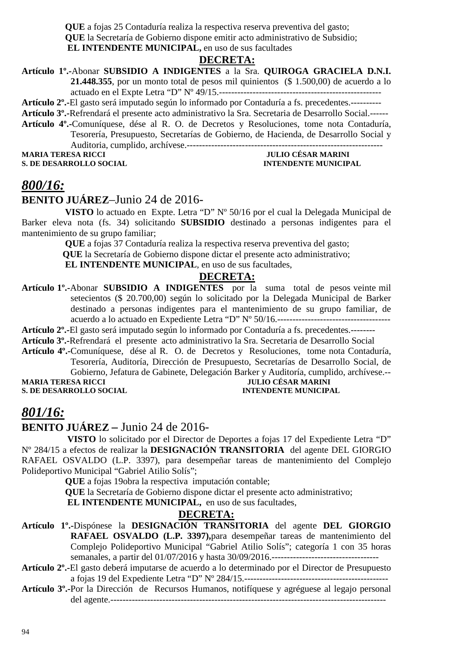**QUE** a fojas 25 Contaduría realiza la respectiva reserva preventiva del gasto; **QUE** la Secretaría de Gobierno dispone emitir acto administrativo de Subsidio;  **EL INTENDENTE MUNICIPAL,** en uso de sus facultades

#### **DECRETA:**

**Artículo 1º.-**Abonar **SUBSIDIO A INDIGENTES** a la Sra. **QUIROGA GRACIELA D.N.I. 21.448.355**, por un monto total de pesos mil quinientos (\$ 1.500,00) de acuerdo a lo actuado en el Expte Letra "D" Nº 49/15.-----------------------------------------------------

**Artículo 2º.-**El gasto será imputado según lo informado por Contaduría a fs. precedentes.----------

**Artículo 3º.-**Refrendará el presente acto administrativo la Sra. Secretaria de Desarrollo Social.------

**Artículo 4º.-**Comuníquese, dése al R. O. de Decretos y Resoluciones, tome nota Contaduría, Tesorería, Presupuesto, Secretarías de Gobierno, de Hacienda, de Desarrollo Social y Auditoria, cumplido, archívese.----------------------------------------------------------------

#### **MARIA TERESA RICCI JULIO CÉSAR MARINI S. DE DESARROLLO SOCIAL INTENDENTE MUNICIPAL**

## *800/16:*

#### **BENITO JUÁREZ**–Junio 24 de 2016-

**VISTO** lo actuado en Expte. Letra "D" Nº 50/16 por el cual la Delegada Municipal de Barker eleva nota (fs. 34) solicitando **SUBSIDIO** destinado a personas indigentes para el mantenimiento de su grupo familiar;

> **QUE** a fojas 37 Contaduría realiza la respectiva reserva preventiva del gasto;  **QUE** la Secretaría de Gobierno dispone dictar el presente acto administrativo;

**EL INTENDENTE MUNICIPAL**, en uso de sus facultades,

#### **DECRETA:**

**Artículo 1º.-**Abonar **SUBSIDIO A INDIGENTES** por la suma total de pesos veinte mil setecientos (\$ 20.700,00) según lo solicitado por la Delegada Municipal de Barker destinado a personas indigentes para el mantenimiento de su grupo familiar, de acuerdo a lo actuado en Expediente Letra "D" Nº 50/16.-------------------------------------

**Artículo 2º.-**El gasto será imputado según lo informado por Contaduría a fs. precedentes.--------

**Artículo 3º.-**Refrendará el presente acto administrativo la Sra. Secretaria de Desarrollo Social

**Artículo 4º.-**Comuníquese, dése al R. O. de Decretos y Resoluciones, tome nota Contaduría, Tesorería, Auditoría, Dirección de Presupuesto, Secretarías de Desarrollo Social, de Gobierno, Jefatura de Gabinete, Delegación Barker y Auditoría, cumplido, archívese.--

**S. DE DESARROLLO SOCIAL** 

# **MARIA TERESA RICCIPAL INTENDENTE MUNICIPAL**

## *801/16:*

**BENITO JUÁREZ –** Junio 24 de 2016-

 **VISTO** lo solicitado por el Director de Deportes a fojas 17 del Expediente Letra "D" Nº 284/15 a efectos de realizar la **DESIGNACIÓN TRANSITORIA** del agente DEL GIORGIO RAFAEL OSVALDO (L.P. 3397), para desempeñar tareas de mantenimiento del Complejo Polideportivo Municipal "Gabriel Atilio Solís";

**QUE** a fojas 19obra la respectiva imputación contable;

**QUE** la Secretaría de Gobierno dispone dictar el presente acto administrativo;

 **EL INTENDENTE MUNICIPAL,** en uso de sus facultades,

## **DECRETA:**

- **Artículo 1º.-**Dispónese la **DESIGNACIÓN TRANSITORIA** del agente **DEL GIORGIO RAFAEL OSVALDO (L.P. 3397),**para desempeñar tareas de mantenimiento del Complejo Polideportivo Municipal "Gabriel Atilio Solís"; categoría 1 con 35 horas semanales, a partir del 01/07/2016 y hasta 30/09/2016.-----------------------------------
- **Artículo 2º.-**El gasto deberá imputarse de acuerdo a lo determinado por el Director de Presupuesto a fojas 19 del Expediente Letra "D" Nº 284/15.-----------------------------------------------
- **Artículo 3º.-**Por la Dirección de Recursos Humanos, notifíquese y agréguese al legajo personal del agente.------------------------------------------------------------------------------------------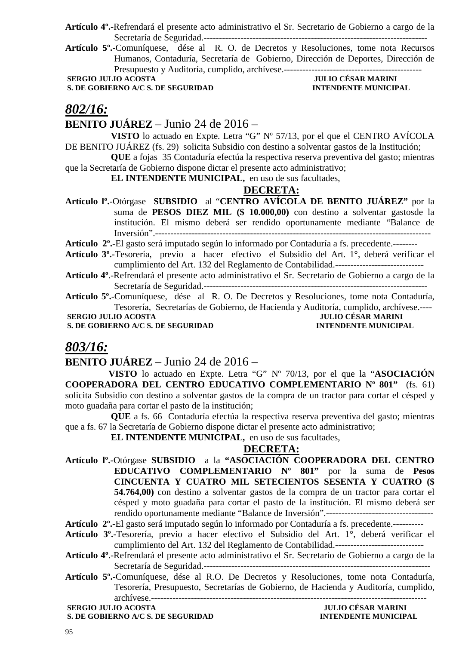**Artículo 4º.-**Refrendará el presente acto administrativo el Sr. Secretario de Gobierno a cargo de la Secretaría de Seguridad.-------------------------------------------------------------------------

**Artículo 5º.-**Comuníquese, dése al R. O. de Decretos y Resoluciones, tome nota Recursos Humanos, Contaduría, Secretaría de Gobierno, Dirección de Deportes, Dirección de Presupuesto y Auditoría, cumplido, archívese.---------------------------------------------

**S. DE GOBIERNO A/C S. DE SEGURIDAD** 

# **SERGIO JULIO ACOSTA JULIO CÉSAR MARINI**

## *802/16:*

#### **BENITO JUÁREZ** – Junio 24 de 2016 –

 **VISTO** lo actuado en Expte. Letra "G" Nº 57/13, por el que el CENTRO AVÍCOLA DE BENITO JUÁREZ (fs. 29) solicita Subsidio con destino a solventar gastos de la Institución;

 **QUE** a fojas 35 Contaduría efectúa la respectiva reserva preventiva del gasto; mientras que la Secretaría de Gobierno dispone dictar el presente acto administrativo;

 **EL INTENDENTE MUNICIPAL,** en uso de sus facultades,

#### **DECRETA:**

**Artículo lº.-**Otórgase **SUBSIDIO** al "**CENTRO AVÍCOLA DE BENITO JUÁREZ"** por la suma de **PESOS DIEZ MIL (\$ 10.000,00)** con destino a solventar gastosde la institución. El mismo deberá ser rendido oportunamente mediante "Balance de Inversión".------------------------------------------------------------------------------------------

**Artículo 2º.-**El gasto será imputado según lo informado por Contaduría a fs. precedente.--------

**Artículo 3º.-**Tesorería, previo a hacer efectivo el Subsidio del Art. 1°, deberá verificar el cumplimiento del Art. 132 del Reglamento de Contabilidad.-----------------------------

**Artículo 4º**.-Refrendará el presente acto administrativo el Sr. Secretario de Gobierno a cargo de la Secretaría de Seguridad.-------------------------------------------------------------------------

**Artículo 5º.-**Comuníquese, dése al R. O. De Decretos y Resoluciones, tome nota Contaduría, Tesorería, Secretarías de Gobierno, de Hacienda y Auditoría, cumplido, archívese.----

**S. DE GOBIERNO A/C S. DE SEGURIDAD** 

 **SERGIO JULIO ACOSTA JULIO CÉSAR MARINI<br>
S. DE GOBIERNO A/C S. DE SEGURIDAD DE LA PROPENTIVIOL DE LA PROPENTE MUNICIPAL** 

## *803/16:*

#### **BENITO JUÁREZ** – Junio 24 de 2016 –

**VISTO** lo actuado en Expte. Letra "G" Nº 70/13, por el que la "**ASOCIACIÓN COOPERADORA DEL CENTRO EDUCATIVO COMPLEMENTARIO Nº 801"** (fs. 61) solicita Subsidio con destino a solventar gastos de la compra de un tractor para cortar el césped y moto guadaña para cortar el pasto de la institución;

 **QUE** a fs. 66 Contaduría efectúa la respectiva reserva preventiva del gasto; mientras que a fs. 67 la Secretaría de Gobierno dispone dictar el presente acto administrativo;

 **EL INTENDENTE MUNICIPAL,** en uso de sus facultades,

#### **DECRETA:**

- **Artículo lº.-**Otórgase **SUBSIDIO** a la **"ASOCIACIÓN COOPERADORA DEL CENTRO EDUCATIVO COMPLEMENTARIO Nº 801"** por la suma de **Pesos CINCUENTA Y CUATRO MIL SETECIENTOS SESENTA Y CUATRO (\$ 54.764,00)** con destino a solventar gastos de la compra de un tractor para cortar el césped y moto guadaña para cortar el pasto de la institución. El mismo deberá ser rendido oportunamente mediante "Balance de Inversión".-----------------------------------
- **Artículo 2º.-**El gasto será imputado según lo informado por Contaduría a fs. precedente.----------
- **Artículo 3º.-**Tesorería, previo a hacer efectivo el Subsidio del Art. 1°, deberá verificar el cumplimiento del Art. 132 del Reglamento de Contabilidad.-----------------------------
- **Artículo 4º**.-Refrendará el presente acto administrativo el Sr. Secretario de Gobierno a cargo de la Secretaría de Seguridad.--------------------------------------------------------------------------
- **Artículo 5º.-**Comuníquese, dése al R.O. De Decretos y Resoluciones, tome nota Contaduría, Tesorería, Presupuesto, Secretarías de Gobierno, de Hacienda y Auditoría, cumplido, archívese.------------------------------------------------------------------------------------------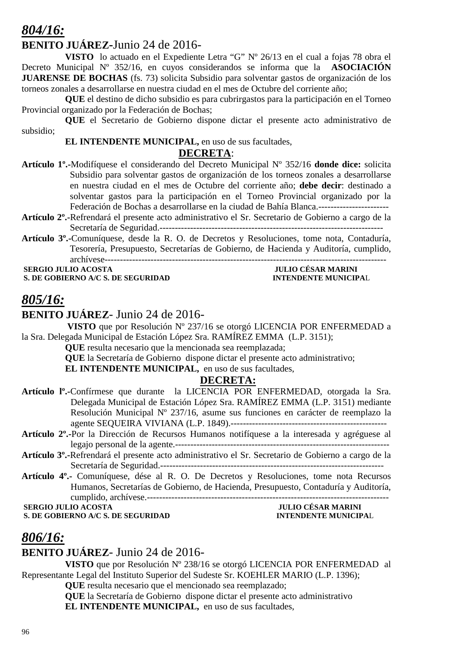## *804/16:*

## **BENITO JUÁREZ-**Junio 24 de 2016-

**VISTO** lo actuado en el Expediente Letra "G" Nº 26/13 en el cual a fojas 78 obra el Decreto Municipal Nº 352/16, en cuyos considerandos se informa que la **ASOCIACIÓN JUARENSE DE BOCHAS** (fs. 73) solicita Subsidio para solventar gastos de organización de los torneos zonales a desarrollarse en nuestra ciudad en el mes de Octubre del corriente año;

**QUE** el destino de dicho subsidio es para cubrirgastos para la participación en el Torneo Provincial organizado por la Federación de Bochas;

**QUE** el Secretario de Gobierno dispone dictar el presente acto administrativo de subsidio;

#### **EL INTENDENTE MUNICIPAL,** en uso de sus facultades,

#### **DECRETA**:

- **Artículo 1º.-**Modifíquese el considerando del Decreto Municipal Nº 352/16 **donde dice:** solicita Subsidio para solventar gastos de organización de los torneos zonales a desarrollarse en nuestra ciudad en el mes de Octubre del corriente año; **debe decir**: destinado a solventar gastos para la participación en el Torneo Provincial organizado por la Federación de Bochas a desarrollarse en la ciudad de Bahía Blanca.-----------------------
- **Artículo 2º.-**Refrendará el presente acto administrativo el Sr. Secretario de Gobierno a cargo de la Secretaría de Seguridad.-------------------------------------------------------------------------
- **Artículo 3º.-**Comuníquese, desde la R. O. de Decretos y Resoluciones, tome nota, Contaduría, Tesorería, Presupuesto, Secretarías de Gobierno, de Hacienda y Auditoría, cumplido, archívese--------------------------------------------------------------------------------------------

 **SERGIO JULIO ACOSTA JULIO CÉSAR MARINI S. DE GOBIERNO A/C S. DE SEGURIDAD** 

## *805/16:*

## **BENITO JUÁREZ**- Junio 24 de 2016-

 **VISTO** que por Resolución Nº 237/16 se otorgó LICENCIA POR ENFERMEDAD a la Sra. Delegada Municipal de Estación López Sra. RAMÍREZ EMMA (L.P. 3151);

**QUE** resulta necesario que la mencionada sea reemplazada;

**QUE** la Secretaría de Gobierno dispone dictar el presente acto administrativo; **EL INTENDENTE MUNICIPAL,** en uso de sus facultades,

## **DECRETA:**

- **Artículo lº.-**Confírmese que durante la LICENCIA POR ENFERMEDAD, otorgada la Sra. Delegada Municipal de Estación López Sra. RAMÍREZ EMMA (L.P. 3151) mediante Resolución Municipal Nº 237/16, asume sus funciones en carácter de reemplazo la agente SEQUEIRA VIVIANA (L.P. 1849).---------------------------------------------------
- **Artículo 2º.-**Por la Dirección de Recursos Humanos notifíquese a la interesada y agréguese al legajo personal de la agente.----------------------------------------------------------------------
- **Artículo 3º.-**Refrendará el presente acto administrativo el Sr. Secretario de Gobierno a cargo de la Secretaría de Seguridad.-------------------------------------------------------------------------
- **Artículo 4º.-** Comuníquese, dése al R. O. De Decretos y Resoluciones, tome nota Recursos Humanos, Secretarías de Gobierno, de Hacienda, Presupuesto, Contaduría y Auditoría, cumplido, archívese.-------------------------------------------------------------------------------

**SERGIO JULIO ACOSTA** 

**S. DE GOBIERNO A/C S. DE SEGURIDAD INTENDENTE MUNICIPAL** 

## *806/16:*

## **BENITO JUÁREZ**- Junio 24 de 2016-

**VISTO** que por Resolución Nº 238/16 se otorgó LICENCIA POR ENFERMEDAD al Representante Legal del Instituto Superior del Sudeste Sr. KOEHLER MARIO (L.P. 1396);

**QUE** resulta necesario que el mencionado sea reemplazado;

**QUE** la Secretaría de Gobierno dispone dictar el presente acto administrativo **EL INTENDENTE MUNICIPAL,** en uso de sus facultades,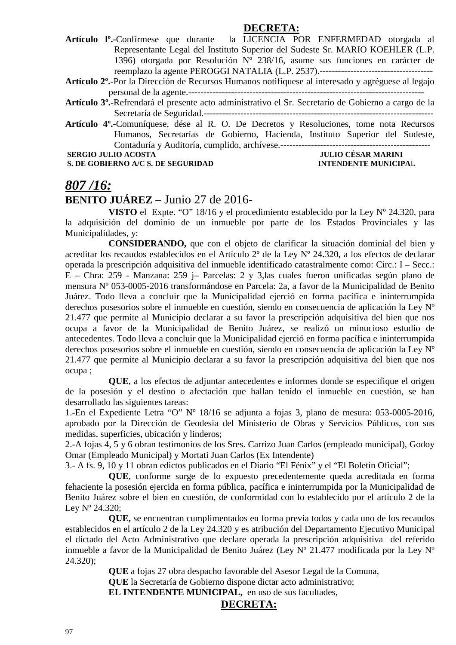#### **DECRETA:**

- **Artículo lº.-**Confírmese que durante la LICENCIA POR ENFERMEDAD otorgada al Representante Legal del Instituto Superior del Sudeste Sr. MARIO KOEHLER (L.P. 1396) otorgada por Resolución Nº 238/16, asume sus funciones en carácter de reemplazo la agente PEROGGI NATALIA (L.P. 2537).-------------------------------------
- **Artículo 2º.-**Por la Dirección de Recursos Humanos notifíquese al interesado y agréguese al legajo personal de la agente.-----------------------------------------------------------------------------
- **Artículo 3º.-**Refrendará el presente acto administrativo el Sr. Secretario de Gobierno a cargo de la Secretaría de Seguridad.---------------------------------------------------------------------------
- **Artículo 4º.-**Comuníquese, dése al R. O. De Decretos y Resoluciones, tome nota Recursos Humanos, Secretarías de Gobierno, Hacienda, Instituto Superior del Sudeste, Contaduría y Auditoría, cumplido, archívese.-------------------------------------------------

 **SERGIO JULIO ACOSTA JULIO CÉSAR MARINI** 

**S. DE GOBIERNO A/C S. DE SEGURIDAD INTENDENTE MUNICIPAL** 

## *807 /16:*

## **BENITO JUÁREZ** – Junio 27 de 2016-

**VISTO** el Expte. "O" 18/16 y el procedimiento establecido por la Ley Nº 24.320, para la adquisición del dominio de un inmueble por parte de los Estados Provinciales y las Municipalidades, y:

**CONSIDERANDO,** que con el objeto de clarificar la situación dominial del bien y acreditar los recaudos establecidos en el Artículo 2º de la Ley Nº 24.320, a los efectos de declarar operada la prescripción adquisitiva del inmueble identificado catastralmente como: Circ.: I – Secc.: E – Chra: 259 - Manzana: 259 j– Parcelas: 2 y 3,las cuales fueron unificadas según plano de mensura Nº 053-0005-2016 transformándose en Parcela: 2a, a favor de la Municipalidad de Benito Juárez. Todo lleva a concluir que la Municipalidad ejerció en forma pacífica e ininterrumpida derechos posesorios sobre el inmueble en cuestión, siendo en consecuencia de aplicación la Ley Nº 21.477 que permite al Municipio declarar a su favor la prescripción adquisitiva del bien que nos ocupa a favor de la Municipalidad de Benito Juárez, se realizó un minucioso estudio de antecedentes. Todo lleva a concluir que la Municipalidad ejerció en forma pacífica e ininterrumpida derechos posesorios sobre el inmueble en cuestión, siendo en consecuencia de aplicación la Ley Nº 21.477 que permite al Municipio declarar a su favor la prescripción adquisitiva del bien que nos ocupa ;

**QUE**, a los efectos de adjuntar antecedentes e informes donde se especifique el origen de la posesión y el destino o afectación que hallan tenido el inmueble en cuestión, se han desarrollado las siguientes tareas:

1.-En el Expediente Letra "O" Nº 18/16 se adjunta a fojas 3, plano de mesura: 053-0005-2016, aprobado por la Dirección de Geodesia del Ministerio de Obras y Servicios Públicos, con sus medidas, superficies, ubicación y linderos;

2.-A fojas 4, 5 y 6 obran testimonios de los Sres. Carrizo Juan Carlos (empleado municipal), Godoy Omar (Empleado Municipal) y Mortati Juan Carlos (Ex Intendente)

3.- A fs. 9, 10 y 11 obran edictos publicados en el Diario "El Fénix" y el "El Boletín Oficial";

**QUE**, conforme surge de lo expuesto precedentemente queda acreditada en forma fehaciente la posesión ejercida en forma pública, pacífica e ininterrumpida por la Municipalidad de Benito Juárez sobre el bien en cuestión, de conformidad con lo establecido por el artículo 2 de la Ley Nº 24.320;

**QUE,** se encuentran cumplimentados en forma previa todos y cada uno de los recaudos establecidos en el artículo 2 de la Ley 24.320 y es atribución del Departamento Ejecutivo Municipal el dictado del Acto Administrativo que declare operada la prescripción adquisitiva del referido inmueble a favor de la Municipalidad de Benito Juárez (Ley Nº 21.477 modificada por la Ley Nº 24.320);

> **QUE** a fojas 27 obra despacho favorable del Asesor Legal de la Comuna, **QUE** la Secretaría de Gobierno dispone dictar acto administrativo; **EL INTENDENTE MUNICIPAL,** en uso de sus facultades,

## **DECRETA:**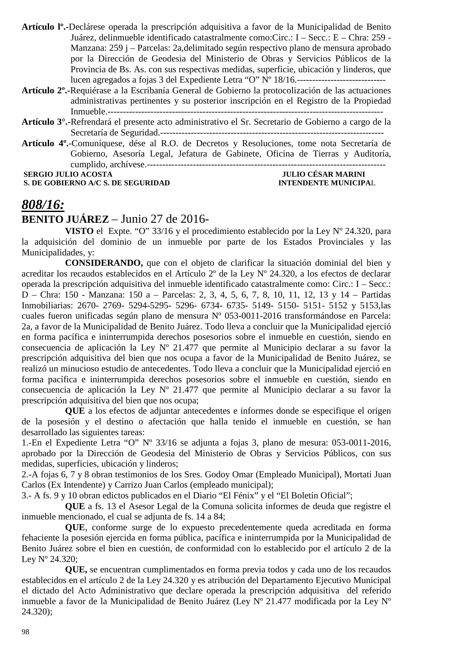**Artículo lº.-**Declárese operada la prescripción adquisitiva a favor de la Municipalidad de Benito Juárez, delinmueble identificado catastralmente como:Circ.: I – Secc.: E – Chra: 259 - Manzana: 259 j – Parcelas: 2a,delimitado según respectivo plano de mensura aprobado por la Dirección de Geodesia del Ministerio de Obras y Servicios Públicos de la Provincia de Bs. As. con sus respectivas medidas, superficie, ubicación y linderos, que lucen agregados a fojas 3 del Expediente Letra "O" Nº 18/16.-----------------------------

- **Artículo 2º.-**Requiérase a la Escribanía General de Gobierno la protocolización de las actuaciones administrativas pertinentes y su posterior inscripción en el Registro de la Propiedad Inmueble.------------------------------------------------------------------------------------------
- **Artículo 3°.-**Refrendará el presente acto administrativo el Sr. Secretario de Gobierno a cargo de la Secretaría de Seguridad.-------------------------------------------------------------------------

**Artículo 4º.**-Comuníquese, dése al R.O. de Decretos y Resoluciones, tome nota Secretaría de Gobierno, Asesoría Legal, Jefatura de Gabinete, Oficina de Tierras y Auditoría, cumplido, archívese.------------------------------------------------------------------------------  **SERGIO JULIO ACOSTA JULIO CÉSAR MARINI** 

**S. DE GOBIERNO A/C S. DE SEGURIDAD INTENDENTE MUNICIPAL** 

# *808/16:*

## **BENITO JUÁREZ** – Junio 27 de 2016-

**VISTO** el Expte. "O" 33/16 y el procedimiento establecido por la Ley Nº 24.320, para la adquisición del dominio de un inmueble por parte de los Estados Provinciales y las Municipalidades, y:

**CONSIDERANDO,** que con el objeto de clarificar la situación dominial del bien y acreditar los recaudos establecidos en el Artículo 2º de la Ley Nº 24.320, a los efectos de declarar operada la prescripción adquisitiva del inmueble identificado catastralmente como: Circ.: I – Secc.: D – Chra: 150 - Manzana: 150 a – Parcelas: 2, 3, 4, 5, 6, 7, 8, 10, 11, 12, 13 y 14 – Partidas Inmobiliarias: 2670- 2769- 5294-5295- 5296- 6734- 6735- 5149- 5150- 5151- 5152 y 5153,las cuales fueron unificadas según plano de mensura Nº 053-0011-2016 transformándose en Parcela: 2a, a favor de la Municipalidad de Benito Juárez. Todo lleva a concluir que la Municipalidad ejerció en forma pacífica e ininterrumpida derechos posesorios sobre el inmueble en cuestión, siendo en consecuencia de aplicación la Ley Nº 21.477 que permite al Municipio declarar a su favor la prescripción adquisitiva del bien que nos ocupa a favor de la Municipalidad de Benito Juárez, se realizó un minucioso estudio de antecedentes. Todo lleva a concluir que la Municipalidad ejerció en forma pacífica e ininterrumpida derechos posesorios sobre el inmueble en cuestión, siendo en consecuencia de aplicación la Ley Nº 21.477 que permite al Municipio declarar a su favor la prescripción adquisitiva del bien que nos ocupa;

**QUE** a los efectos de adjuntar antecedentes e informes donde se especifique el origen de la posesión y el destino o afectación que halla tenido el inmueble en cuestión, se han desarrollado las siguientes tareas:

1.-En el Expediente Letra "O" Nº 33/16 se adjunta a fojas 3, plano de mesura: 053-0011-2016, aprobado por la Dirección de Geodesia del Ministerio de Obras y Servicios Públicos, con sus medidas, superficies, ubicación y linderos;

2.-A fojas 6, 7 y 8 obran testimonios de los Sres. Godoy Omar (Empleado Municipal), Mortati Juan Carlos (Ex Intendente) y Carrizo Juan Carlos (empleado municipal);

3.- A fs. 9 y 10 obran edictos publicados en el Diario "El Fénix" y el "El Boletín Oficial";

**QUE** a fs. 13 el Asesor Legal de la Comuna solicita informes de deuda que registre el inmueble mencionado, el cual se adjunta de fs. 14 a 84;

**QUE**, conforme surge de lo expuesto precedentemente queda acreditada en forma fehaciente la posesión ejercida en forma pública, pacífica e ininterrumpida por la Municipalidad de Benito Juárez sobre el bien en cuestión, de conformidad con lo establecido por el artículo 2 de la Ley Nº 24.320;

**QUE,** se encuentran cumplimentados en forma previa todos y cada uno de los recaudos establecidos en el artículo 2 de la Ley 24.320 y es atribución del Departamento Ejecutivo Municipal el dictado del Acto Administrativo que declare operada la prescripción adquisitiva del referido inmueble a favor de la Municipalidad de Benito Juárez (Ley Nº 21.477 modificada por la Ley Nº 24.320);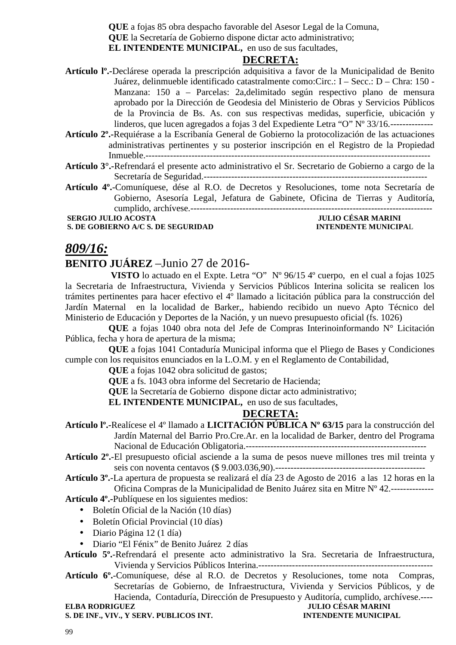**QUE** a fojas 85 obra despacho favorable del Asesor Legal de la Comuna, **QUE** la Secretaría de Gobierno dispone dictar acto administrativo; **EL INTENDENTE MUNICIPAL,** en uso de sus facultades,

## **DECRETA:**

- **Artículo lº.-**Declárese operada la prescripción adquisitiva a favor de la Municipalidad de Benito Juárez, delinmueble identificado catastralmente como:Circ.: I – Secc.: D – Chra: 150 - Manzana: 150 a – Parcelas: 2a,delimitado según respectivo plano de mensura aprobado por la Dirección de Geodesia del Ministerio de Obras y Servicios Públicos de la Provincia de Bs. As. con sus respectivas medidas, superficie, ubicación y linderos, que lucen agregados a fojas 3 del Expediente Letra "O" Nº 33/16.--------------
- **Artículo 2º.-**Requiérase a la Escribanía General de Gobierno la protocolización de las actuaciones administrativas pertinentes y su posterior inscripción en el Registro de la Propiedad Inmueble.---------------------------------------------------------------------------------------------
- **Artículo 3°.-**Refrendará el presente acto administrativo el Sr. Secretario de Gobierno a cargo de la Secretaría de Seguridad.-------------------------------------------------------------------------
- **Artículo 4º.**-Comuníquese, dése al R.O. de Decretos y Resoluciones, tome nota Secretaría de Gobierno, Asesoría Legal, Jefatura de Gabinete, Oficina de Tierras y Auditoría, cumplido, archívese.-------------------------------------------------------------------------------

**S. DE GOBIERNO A/C S. DE SEGURIDAD** 

# **SERGIO JULIO ACOSTA JULIO CÉSAR MARINI**

# *809/16:*

## **BENITO JUÁREZ** –Junio 27 de 2016-

 **VISTO** lo actuado en el Expte. Letra "O" Nº 96/15 4º cuerpo, en el cual a fojas 1025 la Secretaria de Infraestructura, Vivienda y Servicios Públicos Interina solicita se realicen los trámites pertinentes para hacer efectivo el 4º llamado a licitación pública para la construcción del Jardín Maternal en la localidad de Barker,, habiendo recibido un nuevo Apto Técnico del Ministerio de Educación y Deportes de la Nación, y un nuevo presupuesto oficial (fs. 1026)

**QUE** a fojas 1040 obra nota del Jefe de Compras Interinoinformando N° Licitación Pública, fecha y hora de apertura de la misma;

**QUE** a fojas 1041 Contaduría Municipal informa que el Pliego de Bases y Condiciones cumple con los requisitos enunciados en la L.O.M. y en el Reglamento de Contabilidad,

**QUE** a fojas 1042 obra solicitud de gastos;

**QUE** a fs. 1043 obra informe del Secretario de Hacienda;

**QUE** la Secretaría de Gobierno dispone dictar acto administrativo;

**EL INTENDENTE MUNICIPAL,** en uso de sus facultades,

## **DECRETA:**

- **Artículo lº.-**Realícese el 4º llamado a **LICITACIÓN PÚBLICA Nº 63/15** para la construcción del Jardín Maternal del Barrio Pro.Cre.Ar. en la localidad de Barker, dentro del Programa Nacional de Educación Obligatoria.-----------------------------------------------------------
- **Artículo 2º.**-El presupuesto oficial asciende a la suma de pesos nueve millones tres mil treinta y seis con noventa centavos (\$ 9.003.036,90).-------------------------------------------------

**Artículo 3º.**-La apertura de propuesta se realizará el día 23 de Agosto de 2016 a las 12 horas en la Oficina Compras de la Municipalidad de Benito Juárez sita en Mitre Nº 42.--------------

**Artículo 4º.-**Publíquese en los siguientes medios:

- Boletín Oficial de la Nación (10 días)
- Boletín Oficial Provincial (10 días)
- Diario Página 12 (1 día)
- Diario "El Fénix" de Benito Juárez 2 días

 **Artículo 5º.**-Refrendará el presente acto administrativo la Sra. Secretaria de Infraestructura, Vivienda y Servicios Públicos Interina.---------------------------------------------------------

**Artículo 6º.**-Comuníquese, dése al R.O. de Decretos y Resoluciones, tome nota Compras, Secretarías de Gobierno, de Infraestructura, Vivienda y Servicios Públicos, y de Hacienda, Contaduría, Dirección de Presupuesto y Auditoría, cumplido, archívese.---- **JULIO CÉSAR MARINI** 

| -LLBA KUDKRIJULZ                      |  |  |
|---------------------------------------|--|--|
| S. DE INF., VIV., Y SERV. PUBLICOS IN |  |  |

## **ST. SERV. INTENDENTE MUNICIPAL**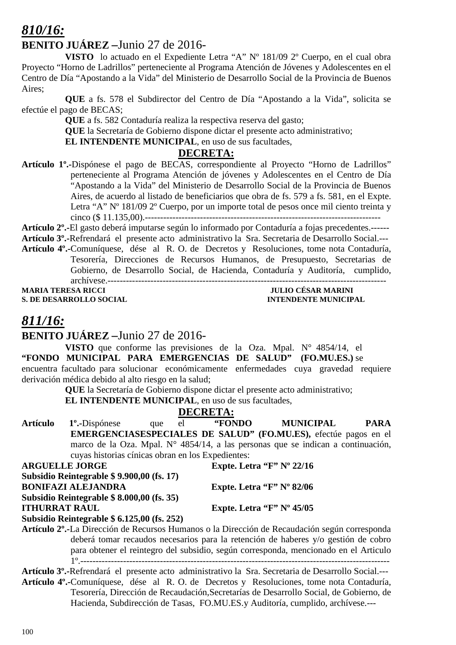## *810/16:*

## **BENITO JUÁREZ –**Junio 27 de 2016-

**VISTO** lo actuado en el Expediente Letra "A" Nº 181/09 2º Cuerpo, en el cual obra Proyecto "Horno de Ladrillos" perteneciente al Programa Atención de Jóvenes y Adolescentes en el Centro de Día "Apostando a la Vida" del Ministerio de Desarrollo Social de la Provincia de Buenos Aires;

**QUE** a fs. 578 el Subdirector del Centro de Día "Apostando a la Vida", solicita se efectúe el pago de BECAS;

**QUE** a fs. 582 Contaduría realiza la respectiva reserva del gasto;

**QUE** la Secretaría de Gobierno dispone dictar el presente acto administrativo;

**EL INTENDENTE MUNICIPAL**, en uso de sus facultades,

## **DECRETA:**

**Artículo 1º.-**Dispónese el pago de BECAS, correspondiente al Proyecto "Horno de Ladrillos" perteneciente al Programa Atención de jóvenes y Adolescentes en el Centro de Día "Apostando a la Vida" del Ministerio de Desarrollo Social de la Provincia de Buenos Aires, de acuerdo al listado de beneficiarios que obra de fs. 579 a fs. 581, en el Expte. Letra "A" Nº 181/09 2º Cuerpo, por un importe total de pesos once mil ciento treinta y cinco (\$ 11.135,00).-----------------------------------------------------------------------------

**Artículo 2º.-**El gasto deberá imputarse según lo informado por Contaduría a fojas precedentes.------

**Artículo 3º.-**Refrendará el presente acto administrativo la Sra. Secretaria de Desarrollo Social.---

**Artículo 4º.-**Comuníquese, dése al R. O. de Decretos y Resoluciones, tome nota Contaduría, Tesorería, Direcciones de Recursos Humanos, de Presupuesto, Secretarias de Gobierno, de Desarrollo Social, de Hacienda, Contaduría y Auditoría, cumplido, archívese.-------------------------------------------------------------------------------------------

**S. DE DESARROLLO SOCIAL** 

# **MARIA TERESA RICCIPAL INTENDENTE MUNICIPAL**

## *811/16:*

**BENITO JUÁREZ –**Junio 27 de 2016-

**VISTO** que conforme las previsiones de la Oza. Mpal. N° 4854/14, el **"FONDO MUNICIPAL PARA EMERGENCIAS DE SALUD" (FO.MU.ES.)** se encuentra facultado para solucionar económicamente enfermedades cuya gravedad requiere derivación médica debido al alto riesgo en la salud;

**QUE** la Secretaría de Gobierno dispone dictar el presente acto administrativo;

**EL INTENDENTE MUNICIPAL**, en uso de sus facultades,

## **DECRETA:**

**Artículo 1º.-**Dispónese que el **"FONDO MUNICIPAL PARA EMERGENCIASESPECIALES DE SALUD" (FO.MU.ES),** efectúe pagos en el marco de la Oza. Mpal. N° 4854/14, a las personas que se indican a continuación, cuyas historias cínicas obran en los Expedientes:<br>ARGUELLE JORGE<br>Expte. Let **Expte. Letra "F" Nº 22/16** 

| Subsidio Reintegrable \$9.900,00 (fs. 17)  |                               |
|--------------------------------------------|-------------------------------|
| <b>BONIFAZI ALEJANDRA</b>                  | Expte. Letra " $F$ " N° 82/06 |
| Subsidio Reintegrable \$ 8.000,00 (fs. 35) |                               |
| <b>ITHURRAT RAUL</b>                       | Expte. Letra " $F$ " N° 45/05 |

**Subsidio Reintegrable \$ 6.125,00 (fs. 252)** 

**Artículo 2º.-**La Dirección de Recursos Humanos o la Dirección de Recaudación según corresponda deberá tomar recaudos necesarios para la retención de haberes y/o gestión de cobro para obtener el reintegro del subsidio, según corresponda, mencionado en el Articulo 1º.-----------------------------------------------------------------------------------------------------

**Artículo 3º.-**Refrendará el presente acto administrativo la Sra. Secretaria de Desarrollo Social.---

**Artículo 4º.-**Comuníquese, dése al R. O. de Decretos y Resoluciones, tome nota Contaduría, Tesorería, Dirección de Recaudación,Secretarías de Desarrollo Social, de Gobierno, de Hacienda, Subdirección de Tasas, FO.MU.ES.y Auditoría, cumplido, archívese.---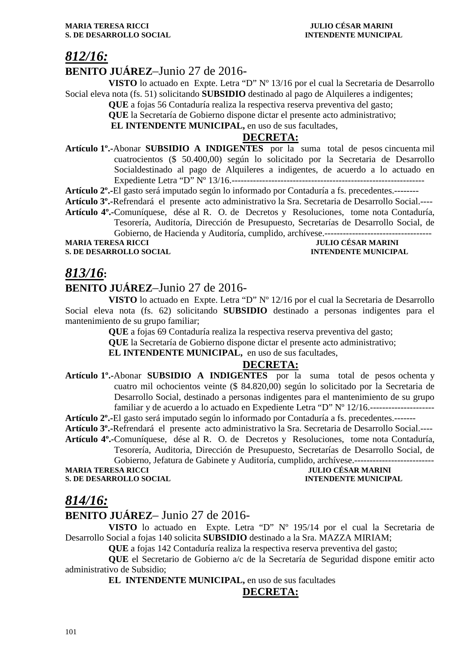## *812/16:*

## **BENITO JUÁREZ**–Junio 27 de 2016-

**VISTO** lo actuado en Expte. Letra "D" Nº 13/16 por el cual la Secretaria de Desarrollo Social eleva nota (fs. 51) solicitando **SUBSIDIO** destinado al pago de Alquileres a indigentes;

**QUE** a fojas 56 Contaduría realiza la respectiva reserva preventiva del gasto;

**QUE** la Secretaría de Gobierno dispone dictar el presente acto administrativo;

 **EL INTENDENTE MUNICIPAL,** en uso de sus facultades,

#### **DECRETA:**

**Artículo 1º.-**Abonar **SUBSIDIO A INDIGENTES** por la suma total de pesos cincuenta mil cuatrocientos (\$ 50.400,00) según lo solicitado por la Secretaria de Desarrollo Socialdestinado al pago de Alquileres a indigentes, de acuerdo a lo actuado en Expediente Letra "D" Nº 13/16.---------------------------------------------------------------

**Artículo 2º.-**El gasto será imputado según lo informado por Contaduría a fs. precedentes.--------

**Artículo 3º.-**Refrendará el presente acto administrativo la Sra. Secretaria de Desarrollo Social.---- **Artículo 4º.-**Comuníquese, dése al R. O. de Decretos y Resoluciones, tome nota Contaduría,

Tesorería, Auditoría, Dirección de Presupuesto, Secretarías de Desarrollo Social, de Gobierno, de Hacienda y Auditoría, cumplido, archívese.-----------------------------------

**MARIA TERESA RICCI IULIO CÉSAR MARINI** 

**S. DE DESARROLLO SOCIAL INTENDENTE MUNICIPAL** 

## *813/16***:**

## **BENITO JUÁREZ**–Junio 27 de 2016-

**VISTO** lo actuado en Expte. Letra "D" Nº 12/16 por el cual la Secretaria de Desarrollo Social eleva nota (fs. 62) solicitando **SUBSIDIO** destinado a personas indigentes para el mantenimiento de su grupo familiar;

**QUE** a fojas 69 Contaduría realiza la respectiva reserva preventiva del gasto;

**QUE** la Secretaría de Gobierno dispone dictar el presente acto administrativo;

**EL INTENDENTE MUNICIPAL,** en uso de sus facultades,

## **DECRETA:**

**Artículo 1º.-**Abonar **SUBSIDIO A INDIGENTES** por la suma total de pesos ochenta y cuatro mil ochocientos veinte (\$ 84.820,00) según lo solicitado por la Secretaria de Desarrollo Social, destinado a personas indigentes para el mantenimiento de su grupo familiar y de acuerdo a lo actuado en Expediente Letra "D" Nº 12/16.--------------------------------

**Artículo 2º.-**El gasto será imputado según lo informado por Contaduría a fs. precedentes.-------

**Artículo 3º.-**Refrendará el presente acto administrativo la Sra. Secretaria de Desarrollo Social.---- **Artículo 4º.-**Comuníquese, dése al R. O. de Decretos y Resoluciones, tome nota Contaduría,

Tesorería, Auditoria, Dirección de Presupuesto, Secretarías de Desarrollo Social, de Gobierno, Jefatura de Gabinete y Auditoría, cumplido, archívese.--------------------------

**JULIO CÉSAR MARINI** 

## **S. DE DESARROLLO SOCIAL DESARROLLO SOCIAL DESARROLLO SOCIAL DESARROLLO SOCIAL DESARROLLO SOCIAL DE LA PERIODICIPAL DE LA PERIODICIPAL DE LA PERIODICIPAL DE LA PERIODICIPAL DE LA PERIODICIPAL DE LA PERIODICIPAL DE LA PERIO**

## *814/16:*

## **BENITO JUÁREZ**– Junio 27 de 2016-

**VISTO** lo actuado en Expte. Letra "D" Nº 195/14 por el cual la Secretaria de Desarrollo Social a fojas 140 solicita **SUBSIDIO** destinado a la Sra. MAZZA MIRIAM;

**QUE** a fojas 142 Contaduría realiza la respectiva reserva preventiva del gasto;

**QUE** el Secretario de Gobierno a/c de la Secretaría de Seguridad dispone emitir acto administrativo de Subsidio;

**EL INTENDENTE MUNICIPAL,** en uso de sus facultades

## **DECRETA:**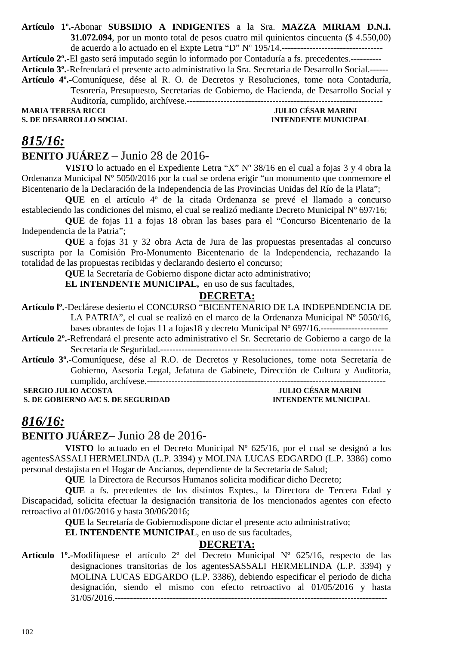#### **Artículo 1º.-**Abonar **SUBSIDIO A INDIGENTES** a la Sra. **MAZZA MIRIAM D.N.I. 31.072.094**, por un monto total de pesos cuatro mil quinientos cincuenta (\$ 4.550,00) de acuerdo a lo actuado en el Expte Letra "D" Nº 195/14.---------------------------------

**Artículo 2º.-**El gasto será imputado según lo informado por Contaduría a fs. precedentes.---------- **Artículo 3º.-**Refrendará el presente acto administrativo la Sra. Secretaria de Desarrollo Social.------ **Artículo 4º.-**Comuníquese, dése al R. O. de Decretos y Resoluciones, tome nota Contaduría, Tesorería, Presupuesto, Secretarías de Gobierno, de Hacienda, de Desarrollo Social y

Auditoría, cumplido, archívese.----------------------------------------------------------------

**S. DE DESARROLLO SOCIAL** 

**MULIO CÉSAR MARINI<br>INTENDENTE MUNICIPAL** 

# *815/16:*

## **BENITO JUÁREZ** – Junio 28 de 2016-

**VISTO** lo actuado en el Expediente Letra "X" Nº 38/16 en el cual a fojas 3 y 4 obra la Ordenanza Municipal Nº 5050/2016 por la cual se ordena erigir "un monumento que conmemore el Bicentenario de la Declaración de la Independencia de las Provincias Unidas del Río de la Plata";

**QUE** en el artículo 4º de la citada Ordenanza se prevé el llamado a concurso estableciendo las condiciones del mismo, el cual se realizó mediante Decreto Municipal Nº 697/16;

**QUE** de fojas 11 a fojas 18 obran las bases para el "Concurso Bicentenario de la Independencia de la Patria";

**QUE** a fojas 31 y 32 obra Acta de Jura de las propuestas presentadas al concurso suscripta por la Comisión Pro-Monumento Bicentenario de la Independencia, rechazando la totalidad de las propuestas recibidas y declarando desierto el concurso;

**QUE** la Secretaría de Gobierno dispone dictar acto administrativo;

**EL INTENDENTE MUNICIPAL,** en uso de sus facultades,

## **DECRETA:**

**Artículo lº.-**Declárese desierto el CONCURSO "BICENTENARIO DE LA INDEPENDENCIA DE LA PATRIA", el cual se realizó en el marco de la Ordenanza Municipal Nº 5050/16,

bases obrantes de fojas 11 a fojas18 y decreto Municipal N° 697/16.--------------------------------

**Artículo 2º.-**Refrendará el presente acto administrativo el Sr. Secretario de Gobierno a cargo de la Secretaría de Seguridad.-------------------------------------------------------------------------

**Artículo 3º.**-Comuníquese, dése al R.O. de Decretos y Resoluciones, tome nota Secretaría de Gobierno, Asesoría Legal, Jefatura de Gabinete, Dirección de Cultura y Auditoría, cumplido, archívese.------------------------------------------------------------------------------

**SERGIO JULIO ACOSTA** 

**S. DE GOBIERNO A/C S. DE SEGURIDAD INTENDENTE MUNICIPAL** 

## *816/16:*

## **BENITO JUÁREZ**– Junio 28 de 2016-

**VISTO** lo actuado en el Decreto Municipal Nº 625/16, por el cual se designó a los agentesSASSALI HERMELINDA (L.P. 3394) y MOLINA LUCAS EDGARDO (L.P. 3386) como personal destajista en el Hogar de Ancianos, dependiente de la Secretaría de Salud;

**QUE** la Directora de Recursos Humanos solicita modificar dicho Decreto;

**QUE** a fs. precedentes de los distintos Exptes., la Directora de Tercera Edad y Discapacidad, solicita efectuar la designación transitoria de los mencionados agentes con efecto retroactivo al 01/06/2016 y hasta 30/06/2016;

**QUE** la Secretaría de Gobiernodispone dictar el presente acto administrativo;

**EL INTENDENTE MUNICIPAL**, en uso de sus facultades,

## **DECRETA:**

**Artículo 1º.-**Modifíquese el artículo 2º del Decreto Municipal Nº 625/16, respecto de las designaciones transitorias de los agentesSASSALI HERMELINDA (L.P. 3394) y MOLINA LUCAS EDGARDO (L.P. 3386), debiendo especificar el periodo de dicha designación, siendo el mismo con efecto retroactivo al 01/05/2016 y hasta 31/05/2016.-----------------------------------------------------------------------------------------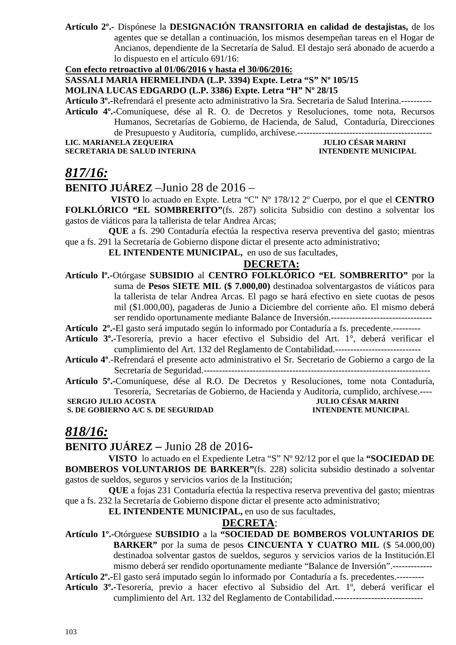**Artículo 2º.-** Dispónese la **DESIGNACIÓN TRANSITORIA en calidad de destajistas,** de los agentes que se detallan a continuación, los mismos desempeñan tareas en el Hogar de Ancianos, dependiente de la Secretaría de Salud. El destajo será abonado de acuerdo a lo dispuesto en el artículo 691/16:

**Con efecto retroactivo al 01/06/2016 y hasta el 30/06/2016:**

**SASSALI MARIA HERMELINDA (L.P. 3394) Expte. Letra "S" Nº 105/15** 

**MOLINA LUCAS EDGARDO (L.P. 3386) Expte. Letra "H" Nº 28/15** 

**Artículo 3º.-**Refrendará el presente acto administrativo la Sra. Secretaria de Salud Interina.---------- **Artículo 4º.-**Comuníquese, dése al R. O. de Decretos y Resoluciones, tome nota, Recursos Humanos, Secretarías de Gobierno, de Hacienda, de Salud, Contaduría, Direcciones de Presupuesto y Auditoría, cumplido, archívese.--------------------------------------------

**LIC. MARIANELA ZEQUEIRA JULIO CÉSAR MARINI SECRETARIA DE SALUD INTERINA INTENDENTE MUNICIPAL** 

## *817/16:*

## **BENITO JUÁREZ** –Junio 28 de 2016 –

 **VISTO** lo actuado en Expte. Letra "C" Nº 178/12 2º Cuerpo, por el que el **CENTRO FOLKLÓRICO "EL SOMBRERITO"**(fs. 287) solicita Subsidio con destino a solventar los gastos de viáticos para la tallerista de telar Andrea Arcas;

**QUE** a fs. 290 Contaduría efectúa la respectiva reserva preventiva del gasto; mientras que a fs. 291 la Secretaría de Gobierno dispone dictar el presente acto administrativo;

**EL INTENDENTE MUNICIPAL,** en uso de sus facultades,

#### **DECRETA:**

**Artículo lº.-**Otórgase **SUBSIDIO** al **CENTRO FOLKLÓRICO "EL SOMBRERITO"** por la suma de **Pesos SIETE MIL (\$ 7.000,00)** destinadoa solventargastos de viáticos para la tallerista de telar Andrea Arcas. El pago se hará efectivo en siete cuotas de pesos mil (\$1.000,00), pagaderas de Junio a Diciembre del corriente año. El mismo deberá ser rendido oportunamente mediante Balance de Inversión.---------------------------------

**Artículo 2º.-**El gasto será imputado según lo informado por Contaduría a fs. precedente.---------

- **Artículo 3º.-**Tesorería, previo a hacer efectivo el Subsidio del Art. 1°, deberá verificar el cumplimiento del Art. 132 del Reglamento de Contabilidad.----------------------------
- **Artículo 4º**.-Refrendará el presente acto administrativo el Sr. Secretario de Gobierno a cargo de la Secretaría de Seguridad.--------------------------------------------------------------------------
- **Artículo 5º.-**Comuníquese, dése al R.O. De Decretos y Resoluciones, tome nota Contaduría, Tesorería, Secretarías de Gobierno, de Hacienda y Auditoría, cumplido, archívese.----  **SERGIO JULIO ACOSTA JULIO CÉSAR MARINI<br>
S. DE GOBIERNO A/C S. DE SEGURIDAD DE L'ANTENDENTE MUNICIPAL**

**S. DE GOBIERNO A/C S. DE SEGURIDAD** 

## *818/16:*

**BENITO JUÁREZ –** Junio 28 de 2016**-** 

**VISTO** lo actuado en el Expediente Letra "S" Nº 92/12 por el que la **"SOCIEDAD DE BOMBEROS VOLUNTARIOS DE BARKER"**(fs. 228) solicita subsidio destinado a solventar gastos de sueldos, seguros y servicios varios de la Institución;

**QUE** a fojas 231 Contaduría efectúa la respectiva reserva preventiva del gasto; mientras que a fs. 232 la Secretaría de Gobierno dispone dictar el presente acto administrativo;

**EL INTENDENTE MUNICIPAL,** en uso de sus facultades,

## **DECRETA**:

**Artículo 1º.-**Otórguese **SUBSIDIO** a la **"SOCIEDAD DE BOMBEROS VOLUNTARIOS DE BARKER"** por la suma de pesos **CINCUENTA Y CUATRO MIL** (\$ 54.000,00) destinadoa solventar gastos de sueldos, seguros y servicios varios de la Institución.El mismo deberá ser rendido oportunamente mediante "Balance de Inversión".-------------

**Artículo 2º.-**El gasto será imputado según lo informado por Contaduría a fs. precedentes.---------

**Artículo 3º.-**Tesorería, previo a hacer efectivo al Subsidio del Art. 1º, deberá verificar el cumplimiento del Art. 132 del Reglamento de Contabilidad.-----------------------------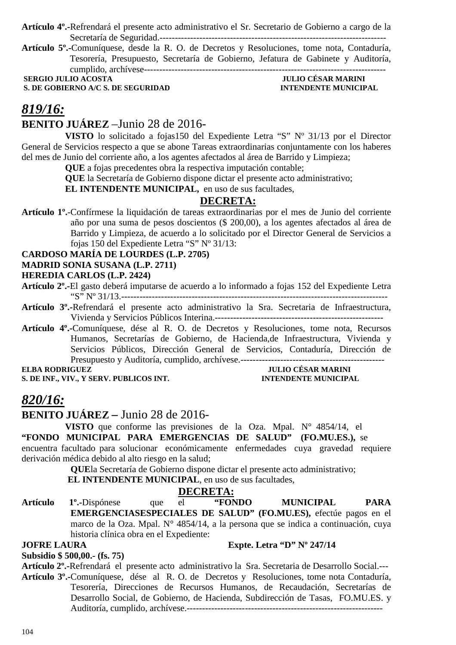**Artículo 4º.-**Refrendará el presente acto administrativo el Sr. Secretario de Gobierno a cargo de la Secretaría de Seguridad.--------------------------------------------------------------------------

**Artículo 5º.-**Comuníquese, desde la R. O. de Decretos y Resoluciones, tome nota, Contaduría, Tesorería, Presupuesto, Secretaría de Gobierno, Jefatura de Gabinete y Auditoría, cumplido, archívese-------------------------------------------------------------------------------

 **SERGIO JULIO ACOSTA** JULIO CÉSAR MARINI<br> **S. DE GOBIERNO A/C S. DE SEGURIDAD INTENDENTE MUNICIPAL S. DE GOBIERNO A/C S. DE SEGURIDAD** 

## *819/16:*

## **BENITO JUÁREZ** –Junio 28 de 2016-

**VISTO** lo solicitado a fojas150 del Expediente Letra "S" Nº 31/13 por el Director General de Servicios respecto a que se abone Tareas extraordinarias conjuntamente con los haberes del mes de Junio del corriente año, a los agentes afectados al área de Barrido y Limpieza;

**QUE** a fojas precedentes obra la respectiva imputación contable;

**QUE** la Secretaría de Gobierno dispone dictar el presente acto administrativo;

**EL INTENDENTE MUNICIPAL,** en uso de sus facultades,

## **DECRETA:**

**Artículo 1º.**-Confírmese la liquidación de tareas extraordinarias por el mes de Junio del corriente año por una suma de pesos doscientos (\$ 200,00), a los agentes afectados al área de Barrido y Limpieza, de acuerdo a lo solicitado por el Director General de Servicios a fojas 150 del Expediente Letra "S" Nº 31/13:

#### **CARDOSO MARÍA DE LOURDES (L.P. 2705)**

#### **MADRID SONIA SUSANA (L.P. 2711)**

#### **HEREDIA CARLOS (L.P. 2424)**

- **Artículo 2º.-**El gasto deberá imputarse de acuerdo a lo informado a fojas 152 del Expediente Letra "S" Nº 31/13.---------------------------------------------------------------------------------------
- **Artículo 3º.-**Refrendará el presente acto administrativo la Sra. Secretaria de Infraestructura, Vivienda y Servicios Públicos Interina.-------------------------------------------------------

**Artículo 4º.-**Comuníquese, dése al R. O. de Decretos y Resoluciones, tome nota, Recursos Humanos, Secretarías de Gobierno, de Hacienda,de Infraestructura, Vivienda y Servicios Públicos, Dirección General de Servicios, Contaduría, Dirección de Presupuesto y Auditoría, cumplido, archívese.-----------------------------------------------

**S. DE INF., VIV., Y SERV. PUBLICOS INT.** 

# **ELLIO CÉSAR MARINI<br>ENTENDENTE MUNICIPAL**

## *820/16:*

**BENITO JUÁREZ –** Junio 28 de 2016-

**VISTO** que conforme las previsiones de la Oza. Mpal. N° 4854/14, el **"FONDO MUNICIPAL PARA EMERGENCIAS DE SALUD" (FO.MU.ES.),** se encuentra facultado para solucionar económicamente enfermedades cuya gravedad requiere derivación médica debido al alto riesgo en la salud;

**QUE**la Secretaría de Gobierno dispone dictar el presente acto administrativo;

 **EL INTENDENTE MUNICIPAL**, en uso de sus facultades,

#### **DECRETA:**

**Artículo 1º.-**Dispónese que el **"FONDO MUNICIPAL PARA EMERGENCIASESPECIALES DE SALUD" (FO.MU.ES),** efectúe pagos en el marco de la Oza. Mpal. N° 4854/14, a la persona que se indica a continuación, cuya historia clínica obra en el Expediente:

**JOFRE LAURA** Expte. Letra "D" Nº 247/14

#### **Subsidio \$ 500,00.- (fs. 75)**

**Artículo 2º.-**Refrendará el presente acto administrativo la Sra. Secretaria de Desarrollo Social.--- **Artículo 3º.-**Comuníquese, dése al R. O. de Decretos y Resoluciones, tome nota Contaduría, Tesorería, Direcciones de Recursos Humanos, de Recaudación, Secretarías de Desarrollo Social, de Gobierno, de Hacienda, Subdirección de Tasas, FO.MU.ES. y Auditoría, cumplido, archívese.----------------------------------------------------------------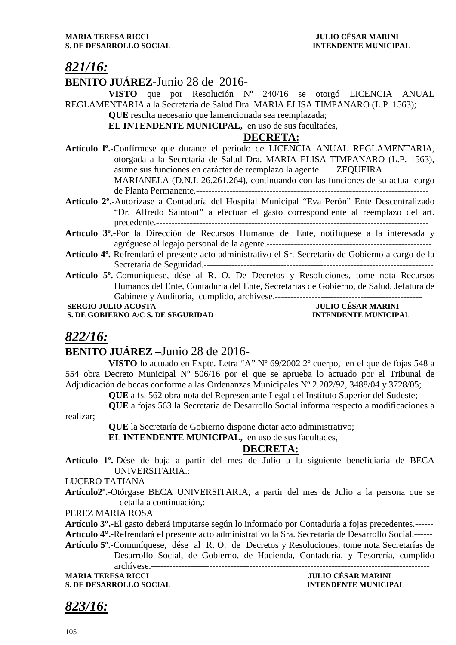## *821/16:*

## **BENITO JUÁREZ**-Junio 28 de 2016-

**VISTO** que por Resolución Nº 240/16 se otorgó LICENCIA ANUAL REGLAMENTARIA a la Secretaria de Salud Dra. MARIA ELISA TIMPANARO (L.P. 1563);

**QUE** resulta necesario que lamencionada sea reemplazada;

**EL INTENDENTE MUNICIPAL,** en uso de sus facultades,

#### **DECRETA:**

- **Artículo lº.-**Confírmese que durante el período de LICENCIA ANUAL REGLAMENTARIA, otorgada a la Secretaria de Salud Dra. MARIA ELISA TIMPANARO (L.P. 1563), asume sus funciones en carácter de reemplazo la agente ZEQUEIRA MARIANELA (D.N.I. 26.261.264), continuando con las funciones de su actual cargo de Planta Permanente.----------------------------------------------------------------------------
- **Artículo 2º.-**Autorizase a Contaduría del Hospital Municipal "Eva Perón" Ente Descentralizado "Dr. Alfredo Saintout" a efectuar el gasto correspondiente al reemplazo del art. precedente.-----------------------------------------------------------------------------------------
- **Artículo 3º.-**Por la Dirección de Recursos Humanos del Ente, notifíquese a la interesada y agréguese al legajo personal de la agente.------------------------------------------------------
- **Artículo 4º.-**Refrendará el presente acto administrativo el Sr. Secretario de Gobierno a cargo de la Secretaría de Seguridad.---------------------------------------------------------------------------
- **Artículo 5º.-**Comuníquese, dése al R. O. De Decretos y Resoluciones, tome nota Recursos Humanos del Ente, Contaduría del Ente, Secretarías de Gobierno, de Salud, Jefatura de Gabinete y Auditoría, cumplido, archívese.------------------------------------------------

**S. DE GOBIERNO A/C S. DE SEGURIDAD** 

# **JULIO CÉSAR MARINI<br>INTENDENTE MUNICIPAL**

## *822/16:*

## **BENITO JUÁREZ –**Junio 28 de 2016-

**VISTO** lo actuado en Expte. Letra "A" Nº 69/2002 2º cuerpo, en el que de fojas 548 a 554 obra Decreto Municipal Nº 506/16 por el que se aprueba lo actuado por el Tribunal de Adjudicación de becas conforme a las Ordenanzas Municipales Nº 2.202/92, 3488/04 y 3728/05;

**QUE** a fs. 562 obra nota del Representante Legal del Instituto Superior del Sudeste;

**QUE** a fojas 563 la Secretaria de Desarrollo Social informa respecto a modificaciones a realizar;

**QUE** la Secretaría de Gobierno dispone dictar acto administrativo;

**EL INTENDENTE MUNICIPAL,** en uso de sus facultades,

## **DECRETA:**

**Artículo 1º.-**Dése de baja a partir del mes de Julio a la siguiente beneficiaria de BECA UNIVERSITARIA.:

LUCERO TATIANA

**Artículo2º.-**Otórgase BECA UNIVERSITARIA, a partir del mes de Julio a la persona que se detalla a continuación,:

PEREZ MARIA ROSA

**Artículo 3°.-**El gasto deberá imputarse según lo informado por Contaduría a fojas precedentes.------

**Artículo 4°.-**Refrendará el presente acto administrativo la Sra. Secretaria de Desarrollo Social.------

**Artículo 5º.-**Comuníquese, dése al R. O. de Decretos y Resoluciones, tome nota Secretarías de Desarrollo Social, de Gobierno, de Hacienda, Contaduría, y Tesorería, cumplido archívese.-------------------------------------------------------------------------------------------

**S. DE DESARROLLO SOCIAL INTENDENTE MUNICIPAL** 

**MARIA TERESA RICCI JULIO CÉSAR MARINI** 

*823/16:*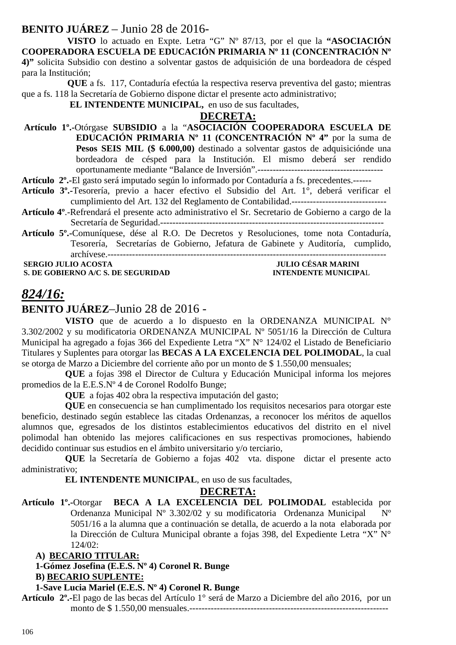## **BENITO JUÁREZ** – Junio 28 de 2016-

 **VISTO** lo actuado en Expte. Letra "G" Nº 87/13, por el que la **"ASOCIACIÓN COOPERADORA ESCUELA DE EDUCACIÓN PRIMARIA Nº 11 (CONCENTRACIÓN Nº 4)"** solicita Subsidio con destino a solventar gastos de adquisición de una bordeadora de césped para la Institución;

 **QUE** a fs. 117, Contaduría efectúa la respectiva reserva preventiva del gasto; mientras que a fs. 118 la Secretaría de Gobierno dispone dictar el presente acto administrativo;

 **EL INTENDENTE MUNICIPAL,** en uso de sus facultades,

#### **DECRETA:**

 **Artículo 1º.-**Otórgase **SUBSIDIO** a la "**ASOCIACIÓN COOPERADORA ESCUELA DE EDUCACIÓN PRIMARIA Nº 11 (CONCENTRACIÓN Nº 4"** por la suma de Pesos SEIS MIL (\$ 6.000,00) destinado a solventar gastos de adquisiciónde una bordeadora de césped para la Institución. El mismo deberá ser rendido oportunamente mediante "Balance de Inversión".-----------------------------------------

**Artículo 2º.-**El gasto será imputado según lo informado por Contaduría a fs. precedentes.------

- **Artículo 3º.-**Tesorería, previo a hacer efectivo el Subsidio del Art. 1°, deberá verificar el cumplimiento del Art. 132 del Reglamento de Contabilidad.-------------------------------
- **Artículo 4º**.-Refrendará el presente acto administrativo el Sr. Secretario de Gobierno a cargo de la Secretaría de Seguridad.-------------------------------------------------------------------------

## **Artículo 5º.-**Comuníquese, dése al R.O. De Decretos y Resoluciones, tome nota Contaduría, Tesorería, Secretarías de Gobierno, Jefatura de Gabinete y Auditoría, cumplido, archívese.-------------------------------------------------------------------------------------------

**S. DE GOBIERNO A/C S. DE SEGURIDAD** 

# **SERGIO JULIO ACOSTA JULIO CÉSAR MARINI<br>
S. DE GOBIERNO A/C S. DE SEGURIDAD INTENDENTE MUNICIPAL**

## *824/16:*

**BENITO JUÁREZ**–Junio 28 de 2016 -

**VISTO** que de acuerdo a lo dispuesto en la ORDENANZA MUNICIPAL N° 3.302/2002 y su modificatoria ORDENANZA MUNICIPAL Nº 5051/16 la Dirección de Cultura Municipal ha agregado a fojas 366 del Expediente Letra "X" N° 124/02 el Listado de Beneficiario Titulares y Suplentes para otorgar las **BECAS A LA EXCELENCIA DEL POLIMODAL**, la cual se otorga de Marzo a Diciembre del corriente año por un monto de \$ 1.550,00 mensuales;

**QUE** a fojas 398 el Director de Cultura y Educación Municipal informa los mejores promedios de la E.E.S.Nº 4 de Coronel Rodolfo Bunge;

**QUE** a fojas 402 obra la respectiva imputación del gasto;

**QUE** en consecuencia se han cumplimentado los requisitos necesarios para otorgar este beneficio, destinado según establece las citadas Ordenanzas, a reconocer los méritos de aquellos alumnos que, egresados de los distintos establecimientos educativos del distrito en el nivel polimodal han obtenido las mejores calificaciones en sus respectivas promociones, habiendo decidido continuar sus estudios en el ámbito universitario y/o terciario,

**QUE** la Secretaría de Gobierno a fojas 402 vta. dispone dictar el presente acto administrativo;

**EL INTENDENTE MUNICIPAL**, en uso de sus facultades,

#### **DECRETA:**

**Artículo 1º.-**Otorgar **BECA A LA EXCELENCIA DEL POLIMODAL** establecida por Ordenanza Municipal Nº 3.302/02 y su modificatoria Ordenanza Municipal Nº 5051/16 a la alumna que a continuación se detalla, de acuerdo a la nota elaborada por la Dirección de Cultura Municipal obrante a fojas 398, del Expediente Letra "X" N° 124/02:

## **A) BECARIO TITULAR:**

## **1-Gómez Josefina (E.E.S. Nº 4) Coronel R. Bunge**

#### **B) BECARIO SUPLENTE:**

#### **1-Save Lucia Mariel (E.E.S. Nº 4) Coronel R. Bunge**

**Artículo 2º.-**El pago de las becas del Artículo 1° será de Marzo a Diciembre del año 2016, por un monto de \$ 1.550,00 mensuales.-----------------------------------------------------------------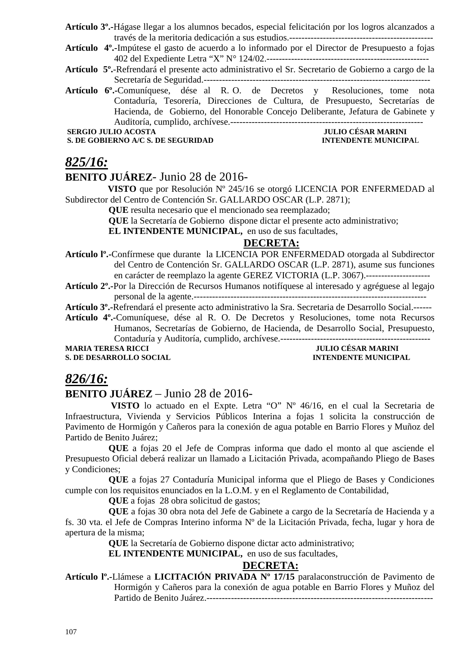- **Artículo 3º.-**Hágase llegar a los alumnos becados, especial felicitación por los logros alcanzados a través de la meritoria dedicación a sus estudios.-----------------------------------------------
- **Artículo 4º.-**Impútese el gasto de acuerdo a lo informado por el Director de Presupuesto a fojas 402 del Expediente Letra "X" N° 124/02.-----------------------------------------------------
- **Artículo 5º.**-Refrendará el presente acto administrativo el Sr. Secretario de Gobierno a cargo de la Secretaría de Seguridad.--------------------------------------------------------------------------
- **Artículo 6º.-**Comuníquese, dése al R. O. de Decretos y Resoluciones, tome nota Contaduría, Tesorería, Direcciones de Cultura, de Presupuesto, Secretarías de Hacienda, de Gobierno, del Honorable Concejo Deliberante, Jefatura de Gabinete y Auditoría, cumplido, archívese.---------------------------------------------------------------

**S. DE GOBIERNO A/C S. DE SEGURIDAD** 

# ---------------<br>JULIO CÉSAR MARINI<br>INTENDENTE MUNICIPAL

## *825/16:*

## **BENITO JUÁREZ**- Junio 28 de 2016-

 **VISTO** que por Resolución Nº 245/16 se otorgó LICENCIA POR ENFERMEDAD al Subdirector del Centro de Contención Sr. GALLARDO OSCAR (L.P. 2871);

**QUE** resulta necesario que el mencionado sea reemplazado;

**QUE** la Secretaría de Gobierno dispone dictar el presente acto administrativo;

**EL INTENDENTE MUNICIPAL,** en uso de sus facultades,

#### **DECRETA:**

**Artículo lº.-**Confírmese que durante la LICENCIA POR ENFERMEDAD otorgada al Subdirector del Centro de Contención Sr. GALLARDO OSCAR (L.P. 2871), asume sus funciones en carácter de reemplazo la agente GEREZ VICTORIA (L.P. 3067).---------------------

**Artículo 2º.-**Por la Dirección de Recursos Humanos notifíquese al interesado y agréguese al legajo personal de la agente.----------------------------------------------------------------------------

**Artículo 3º.-**Refrendará el presente acto administrativo la Sra. Secretaria de Desarrollo Social.------

**Artículo 4º.-**Comuníquese, dése al R. O. De Decretos y Resoluciones, tome nota Recursos

Humanos, Secretarías de Gobierno, de Hacienda, de Desarrollo Social, Presupuesto, Contaduría y Auditoría, cumplido, archívese.-------------------------------------------------

**S. DE DESARROLLO SOCIAL INTENDENTE MUNICIPAL** 

# **JULIO CÉSAR MARINI**

## *826/16:*

## **BENITO JUÁREZ** – Junio 28 de 2016-

 **VISTO** lo actuado en el Expte. Letra "O" Nº 46/16, en el cual la Secretaria de Infraestructura, Vivienda y Servicios Públicos Interina a fojas 1 solicita la construcción de Pavimento de Hormigón y Cañeros para la conexión de agua potable en Barrio Flores y Muñoz del Partido de Benito Juárez;

**QUE** a fojas 20 el Jefe de Compras informa que dado el monto al que asciende el Presupuesto Oficial deberá realizar un llamado a Licitación Privada, acompañando Pliego de Bases y Condiciones;

**QUE** a fojas 27 Contaduría Municipal informa que el Pliego de Bases y Condiciones cumple con los requisitos enunciados en la L.O.M. y en el Reglamento de Contabilidad,

**QUE** a fojas 28 obra solicitud de gastos;

**QUE** a fojas 30 obra nota del Jefe de Gabinete a cargo de la Secretaría de Hacienda y a fs. 30 vta. el Jefe de Compras Interino informa Nº de la Licitación Privada, fecha, lugar y hora de apertura de la misma;

**QUE** la Secretaría de Gobierno dispone dictar acto administrativo;

**EL INTENDENTE MUNICIPAL,** en uso de sus facultades,

## **DECRETA:**

**Artículo lº.-**Llámese a **LICITACIÓN PRIVADA Nº 17/15** paralaconstrucción de Pavimento de Hormigón y Cañeros para la conexión de agua potable en Barrio Flores y Muñoz del Partido de Benito Juárez.--------------------------------------------------------------------------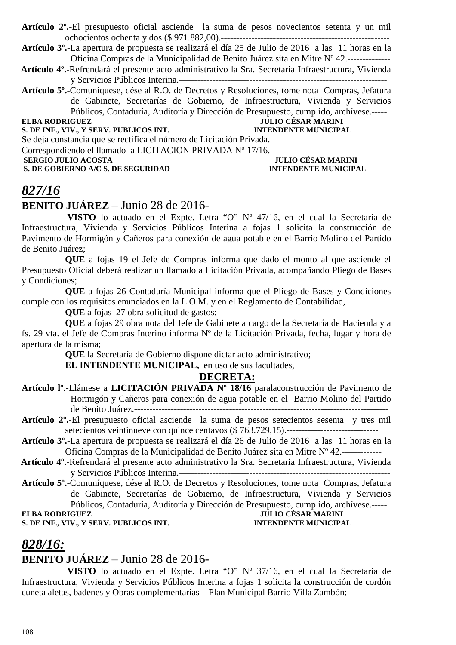**Artículo 2º.**-El presupuesto oficial asciende la suma de pesos novecientos setenta y un mil ochocientos ochenta y dos (\$ 971.882,00).-------------------------------------------------- -----

**Artículo 3º.**-La apertura de propuesta se realizará el día 25 de Julio de 2016 a las 11 horas en la Oficina Compras de la Municipalidad de Benito Juárez sita en Mitre Nº 42.--------------

 **Artículo 4º.**-Refrendará el presente acto administrativo la Sra. Secretaria Infraestructura, Vivienda y Servicios Públicos Interina.--------------------------------------------------------------------

**Artículo 5º.**-Comuníquese, dése al R.O. de Decretos y Resoluciones, tome nota Compras, Jefatura de Gabinete, Secretarías de Gobierno, de Infraestructura, Vivienda y Servicios Públicos, Contaduría, Auditoría y Dirección de Presupuesto, cumplido, archívese.-----

## **S. DE INF., VIV., Y SERV. PUBLICOS INT.**

## **ELBA RODRIGUEZ JULIO CÉSAR MARINI**

Se deja constancia que se rectifica el número de Licitación Privada. Correspondiendo el llamado a LICITACION PRIVADA Nº 17/16.  **SERGIO JULIO ACOSTA JULIO CÉSAR MARINI<br>
S. DE GOBIERNO A/C S. DE SEGURIDAD DE L'ON DISPONSE DE L'ON DISPONENTE MUNICIPAL S. DE GOBIERNO A/C S. DE SEGURIDAD** 

## *827/16*

#### **BENITO JUÁREZ** – Junio 28 de 2016-

 **VISTO** lo actuado en el Expte. Letra "O" Nº 47/16, en el cual la Secretaria de Infraestructura, Vivienda y Servicios Públicos Interina a fojas 1 solicita la construcción de Pavimento de Hormigón y Cañeros para conexión de agua potable en el Barrio Molino del Partido de Benito Juárez;

**QUE** a fojas 19 el Jefe de Compras informa que dado el monto al que asciende el Presupuesto Oficial deberá realizar un llamado a Licitación Privada, acompañando Pliego de Bases y Condiciones;

**QUE** a fojas 26 Contaduría Municipal informa que el Pliego de Bases y Condiciones cumple con los requisitos enunciados en la L.O.M. y en el Reglamento de Contabilidad,

**QUE** a fojas 27 obra solicitud de gastos;

**QUE** a fojas 29 obra nota del Jefe de Gabinete a cargo de la Secretaría de Hacienda y a fs. 29 vta. el Jefe de Compras Interino informa Nº de la Licitación Privada, fecha, lugar y hora de apertura de la misma;

**QUE** la Secretaría de Gobierno dispone dictar acto administrativo;

**EL INTENDENTE MUNICIPAL,** en uso de sus facultades,

## **DECRETA:**

| Artículo I <sup>o</sup> .-Llámese a LICITACIÓN PRIVADA Nº 18/16 paralaconstrucción de Pavimento de |  |  |
|----------------------------------------------------------------------------------------------------|--|--|
| Hormigón y Cañeros para conexión de agua potable en el Barrio Molino del Partido                   |  |  |
|                                                                                                    |  |  |

**Artículo 2º.**-El presupuesto oficial asciende la suma de pesos setecientos sesenta y tres mil setecientos veintinueve con quince centavos (\$ 763.729,15).------------------------------

**Artículo 3º.**-La apertura de propuesta se realizará el día 26 de Julio de 2016 a las 11 horas en la Oficina Compras de la Municipalidad de Benito Juárez sita en Mitre Nº 42.-------------

 **Artículo 4º.**-Refrendará el presente acto administrativo la Sra. Secretaria Infraestructura, Vivienda y Servicios Públicos Interina.---------------------------------------------------------------------

**Artículo 5º.**-Comuníquese, dése al R.O. de Decretos y Resoluciones, tome nota Compras, Jefatura de Gabinete, Secretarías de Gobierno, de Infraestructura, Vivienda y Servicios Públicos, Contaduría, Auditoría y Dirección de Presupuesto, cumplido, archívese.-----

#### **ELBA RODRIGUEZ JULIO CÉSAR MARINI S. DE INF., VIV., Y SERV. PUBLICOS INT. INTENDENTE MUNICIPAL**

## *828/16:*

#### **BENITO JUÁREZ** – Junio 28 de 2016-

 **VISTO** lo actuado en el Expte. Letra "O" Nº 37/16, en el cual la Secretaria de Infraestructura, Vivienda y Servicios Públicos Interina a fojas 1 solicita la construcción de cordón cuneta aletas, badenes y Obras complementarias – Plan Municipal Barrio Villa Zambón;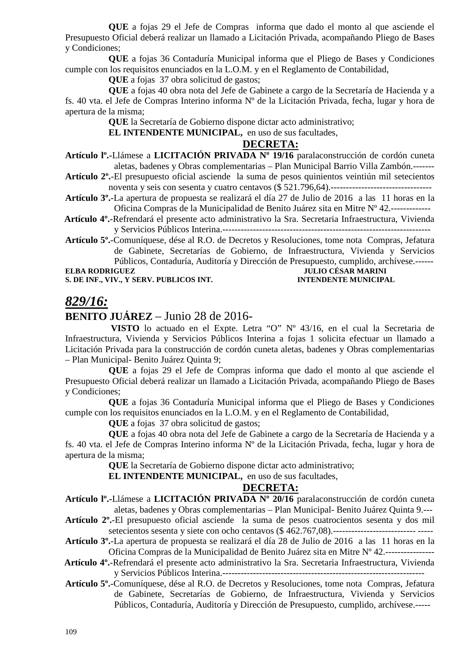**QUE** a fojas 29 el Jefe de Compras informa que dado el monto al que asciende el Presupuesto Oficial deberá realizar un llamado a Licitación Privada, acompañando Pliego de Bases y Condiciones;

**QUE** a fojas 36 Contaduría Municipal informa que el Pliego de Bases y Condiciones cumple con los requisitos enunciados en la L.O.M. y en el Reglamento de Contabilidad,

**QUE** a fojas 37 obra solicitud de gastos;

**QUE** a fojas 40 obra nota del Jefe de Gabinete a cargo de la Secretaría de Hacienda y a fs. 40 vta. el Jefe de Compras Interino informa Nº de la Licitación Privada, fecha, lugar y hora de apertura de la misma;

**QUE** la Secretaría de Gobierno dispone dictar acto administrativo;

**EL INTENDENTE MUNICIPAL,** en uso de sus facultades,

#### **DECRETA:**

**Artículo lº.-**Llámese a **LICITACIÓN PRIVADA Nº 19/16** paralaconstrucción de cordón cuneta aletas, badenes y Obras complementarias – Plan Municipal Barrio Villa Zambón.-------

**Artículo 2º.**-El presupuesto oficial asciende la suma de pesos quinientos veintiún mil setecientos noventa y seis con sesenta y cuatro centavos (\$ 521.796,64).---------------------------------

- **Artículo 3º.**-La apertura de propuesta se realizará el día 27 de Julio de 2016 a las 11 horas en la Oficina Compras de la Municipalidad de Benito Juárez sita en Mitre Nº 42.-------------
- **Artículo 4º.**-Refrendará el presente acto administrativo la Sra. Secretaria Infraestructura, Vivienda y Servicios Públicos Interina.--------------------------------------------------------------------

**Artículo 5º.**-Comuníquese, dése al R.O. de Decretos y Resoluciones, tome nota Compras, Jefatura de Gabinete, Secretarías de Gobierno, de Infraestructura, Vivienda y Servicios Públicos, Contaduría, Auditoría y Dirección de Presupuesto, cumplido, archívese.------ **ELBA RODRIGUEZ JULIO CÉSAR MARINI** 

**S. DE INF., VIV., Y SERV. PUBLICOS INT. INTENDENTE MUNICIPAL** 

## *829/16:*

## **BENITO JUÁREZ** – Junio 28 de 2016-

 **VISTO** lo actuado en el Expte. Letra "O" Nº 43/16, en el cual la Secretaria de Infraestructura, Vivienda y Servicios Públicos Interina a fojas 1 solicita efectuar un llamado a Licitación Privada para la construcción de cordón cuneta aletas, badenes y Obras complementarias – Plan Municipal- Benito Juárez Quinta 9;

**QUE** a fojas 29 el Jefe de Compras informa que dado el monto al que asciende el Presupuesto Oficial deberá realizar un llamado a Licitación Privada, acompañando Pliego de Bases y Condiciones;

**QUE** a fojas 36 Contaduría Municipal informa que el Pliego de Bases y Condiciones cumple con los requisitos enunciados en la L.O.M. y en el Reglamento de Contabilidad,

**QUE** a foias 37 obra solicitud de gastos:

**QUE** a fojas 40 obra nota del Jefe de Gabinete a cargo de la Secretaría de Hacienda y a fs. 40 vta. el Jefe de Compras Interino informa Nº de la Licitación Privada, fecha, lugar y hora de apertura de la misma;

**QUE** la Secretaría de Gobierno dispone dictar acto administrativo;

**EL INTENDENTE MUNICIPAL,** en uso de sus facultades,

#### **DECRETA:**

**Artículo lº.-**Llámese a **LICITACIÓN PRIVADA Nº 20/16** paralaconstrucción de cordón cuneta aletas, badenes y Obras complementarias – Plan Municipal- Benito Juárez Quinta 9.---

**Artículo 2º.**-El presupuesto oficial asciende la suma de pesos cuatrocientos sesenta y dos mil setecientos sesenta y siete con ocho centavos (\$ 462.767,08).--------------------------- -----

**Artículo 3º.**-La apertura de propuesta se realizará el día 28 de Julio de 2016 a las 11 horas en la Oficina Compras de la Municipalidad de Benito Juárez sita en Mitre Nº 42.----------------

 **Artículo 4º.**-Refrendará el presente acto administrativo la Sra. Secretaria Infraestructura, Vivienda y Servicios Públicos Interina.------------------------------------------------------------------

**Artículo 5º.**-Comuníquese, dése al R.O. de Decretos y Resoluciones, tome nota Compras, Jefatura de Gabinete, Secretarías de Gobierno, de Infraestructura, Vivienda y Servicios Públicos, Contaduría, Auditoría y Dirección de Presupuesto, cumplido, archívese.-----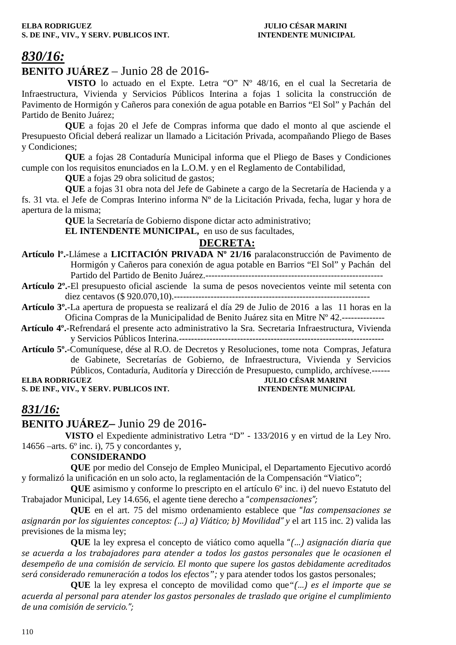# *830/16:*

## **BENITO JUÁREZ** – Junio 28 de 2016-

 **VISTO** lo actuado en el Expte. Letra "O" Nº 48/16, en el cual la Secretaria de Infraestructura, Vivienda y Servicios Públicos Interina a fojas 1 solicita la construcción de Pavimento de Hormigón y Cañeros para conexión de agua potable en Barrios "El Sol" y Pachán del Partido de Benito Juárez;

**QUE** a fojas 20 el Jefe de Compras informa que dado el monto al que asciende el Presupuesto Oficial deberá realizar un llamado a Licitación Privada, acompañando Pliego de Bases y Condiciones;

**QUE** a fojas 28 Contaduría Municipal informa que el Pliego de Bases y Condiciones cumple con los requisitos enunciados en la L.O.M. y en el Reglamento de Contabilidad,

**QUE** a fojas 29 obra solicitud de gastos;

**QUE** a fojas 31 obra nota del Jefe de Gabinete a cargo de la Secretaría de Hacienda y a fs. 31 vta. el Jefe de Compras Interino informa Nº de la Licitación Privada, fecha, lugar y hora de apertura de la misma;

**QUE** la Secretaría de Gobierno dispone dictar acto administrativo;

**EL INTENDENTE MUNICIPAL,** en uso de sus facultades,

## **DECRETA:**

- **Artículo lº.-**Llámese a **LICITACIÓN PRIVADA Nº 21/16** paralaconstrucción de Pavimento de Hormigón y Cañeros para conexión de agua potable en Barrios "El Sol" y Pachán del Partido del Partido de Benito Juárez.----------------------------------------------------------
- **Artículo 2º.**-El presupuesto oficial asciende la suma de pesos novecientos veinte mil setenta con diez centavos (\$ 920.070,10).----------------------------------------------------------------
- **Artículo 3º.**-La apertura de propuesta se realizará el día 29 de Julio de 2016 a las 11 horas en la Oficina Compras de la Municipalidad de Benito Juárez sita en Mitre Nº 42.--------------
- **Artículo 4º.**-Refrendará el presente acto administrativo la Sra. Secretaria Infraestructura, Vivienda y Servicios Públicos Interina.-------------------------------------------------------------------
- **Artículo 5º.**-Comuníquese, dése al R.O. de Decretos y Resoluciones, tome nota Compras, Jefatura de Gabinete, Secretarías de Gobierno, de Infraestructura, Vivienda y Servicios Públicos, Contaduría, Auditoría y Dirección de Presupuesto, cumplido, archívese.------

**S. DE INF., VIV., Y SERV. PUBLICOS INT. INTENDENTE MUNICIPAL**

**ELBA RODRIGUEZ JULIO CÉSAR MARINI** 

## *831/16:*

## **BENITO JUÁREZ–** Junio 29 de 2016**-**

**VISTO** el Expediente administrativo Letra "D" - 133/2016 y en virtud de la Ley Nro. 14656 –arts.  $6^{\circ}$  inc. i), 75 y concordantes y,

#### **CONSIDERANDO**

**QUE** por medio del Consejo de Empleo Municipal, el Departamento Ejecutivo acordó y formalizó la unificación en un solo acto, la reglamentación de la Compensación "Viatico";

**QUE** asimismo y conforme lo prescripto en el artículo 6º inc. i) del nuevo Estatuto del Trabajador Municipal, Ley 14.656, el agente tiene derecho a "*compensaciones";* 

**QUE** en el art. 75 del mismo ordenamiento establece que "*las compensaciones se asignarán por los siguientes conceptos: (…) a) Viático; b) Movilidad" y* el art 115 inc. 2) valida las previsiones de la misma ley;

**QUE** la ley expresa el concepto de viático como aquella "*(…) asignación diaria que se acuerda a los trabajadores para atender a todos los gastos personales que le ocasionen el desempeño de una comisión de servicio. El monto que supere los gastos debidamente acreditados será considerado remuneración a todos los efectos";* y para atender todos los gastos personales;

**QUE** la ley expresa el concepto de movilidad como que*"(…) es el importe que se acuerda al personal para atender los gastos personales de traslado que origine el cumplimiento de una comisión de servicio.";*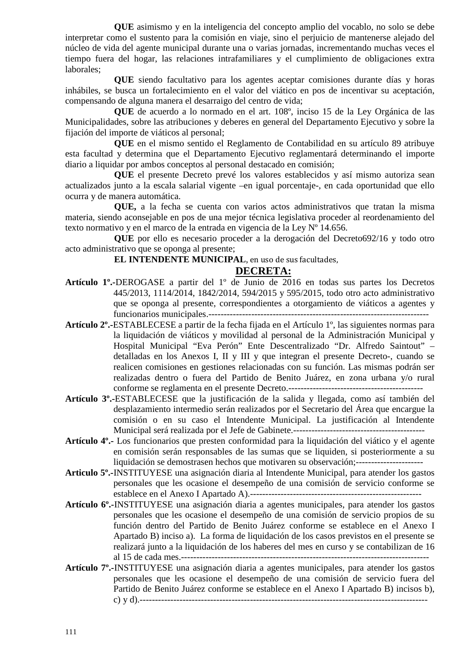**QUE** asimismo y en la inteligencia del concepto amplio del vocablo, no solo se debe interpretar como el sustento para la comisión en viaje, sino el perjuicio de mantenerse alejado del núcleo de vida del agente municipal durante una o varias jornadas, incrementando muchas veces el tiempo fuera del hogar, las relaciones intrafamiliares y el cumplimiento de obligaciones extra laborales;

**QUE** siendo facultativo para los agentes aceptar comisiones durante días y horas inhábiles, se busca un fortalecimiento en el valor del viático en pos de incentivar su aceptación, compensando de alguna manera el desarraigo del centro de vida;

**QUE** de acuerdo a lo normado en el art. 108º, inciso 15 de la Ley Orgánica de las Municipalidades, sobre las atribuciones y deberes en general del Departamento Ejecutivo y sobre la fijación del importe de viáticos al personal;

**QUE** en el mismo sentido el Reglamento de Contabilidad en su artículo 89 atribuye esta facultad y determina que el Departamento Ejecutivo reglamentará determinando el importe diario a liquidar por ambos conceptos al personal destacado en comisión;

**QUE** el presente Decreto prevé los valores establecidos y así mismo autoriza sean actualizados junto a la escala salarial vigente –en igual porcentaje-, en cada oportunidad que ello ocurra y de manera automática.

**QUE,** a la fecha se cuenta con varios actos administrativos que tratan la misma materia, siendo aconsejable en pos de una mejor técnica legislativa proceder al reordenamiento del texto normativo y en el marco de la entrada en vigencia de la Ley Nº 14.656.

**QUE** por ello es necesario proceder a la derogación del Decreto692/16 y todo otro acto administrativo que se oponga al presente;

#### **EL INTENDENTE MUNICIPAL**, en uso de sus facultades,

### **DECRETA:**

- **Artículo 1º.-**DEROGASE a partir del 1º de Junio de 2016 en todas sus partes los Decretos 445/2013, 1114/2014, 1842/2014, 594/2015 y 595/2015, todo otro acto administrativo que se oponga al presente, correspondientes a otorgamiento de viáticos a agentes y funcionarios municipales.------------------------------------------------------------------------
- **Artículo 2º.-**ESTABLECESE a partir de la fecha fijada en el Artículo 1º, las siguientes normas para la liquidación de viáticos y movilidad al personal de la Administración Municipal y Hospital Municipal "Eva Perón" Ente Descentralizado "Dr. Alfredo Saintout" – detalladas en los Anexos I, II y III y que integran el presente Decreto-, cuando se realicen comisiones en gestiones relacionadas con su función. Las mismas podrán ser realizadas dentro o fuera del Partido de Benito Juárez, en zona urbana y/o rural conforme se reglamenta en el presente Decreto.--------------------------------------------
- **Artículo 3º.-**ESTABLECESE que la justificación de la salida y llegada, como así también del desplazamiento intermedio serán realizados por el Secretario del Área que encargue la comisión o en su caso el Intendente Municipal. La justificación al Intendente Municipal será realizada por el Jefe de Gabinete.-------------------------------------------
- **Artículo 4º.-** Los funcionarios que presten conformidad para la liquidación del viático y el agente en comisión serán responsables de las sumas que se liquiden, si posteriormente a su liquidación se demostrasen hechos que motivaren su observación;----------------------
- **Articulo 5º.-**INSTITUYESE una asignación diaria al Intendente Municipal, para atender los gastos personales que les ocasione el desempeño de una comisión de servicio conforme se establece en el Anexo I Apartado A).--------------------------------------------------------
- **Artículo 6º.-**INSTITUYESE una asignación diaria a agentes municipales, para atender los gastos personales que les ocasione el desempeño de una comisión de servicio propios de su función dentro del Partido de Benito Juárez conforme se establece en el Anexo I Apartado B) inciso a). La forma de liquidación de los casos previstos en el presente se realizará junto a la liquidación de los haberes del mes en curso y se contabilizan de 16 al 15 de cada mes.---------------------------------------------------------------------------------
- **Artículo 7º.-**INSTITUYESE una asignación diaria a agentes municipales, para atender los gastos personales que les ocasione el desempeño de una comisión de servicio fuera del Partido de Benito Juárez conforme se establece en el Anexo I Apartado B) incisos b), c) y d).----------------------------------------------------------------------------------------------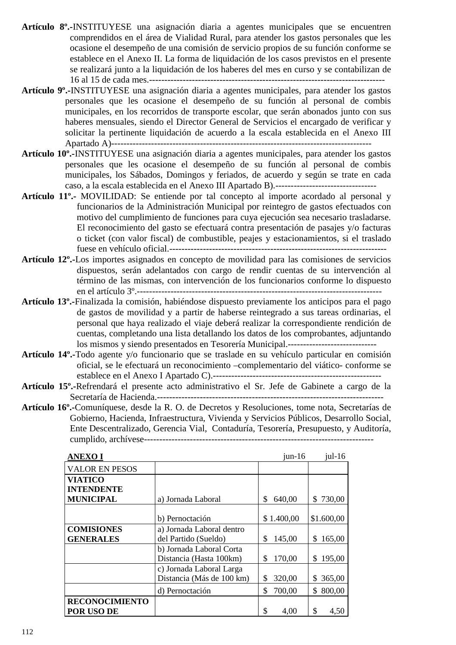- **Artículo 8º.-**INSTITUYESE una asignación diaria a agentes municipales que se encuentren comprendidos en el área de Vialidad Rural, para atender los gastos personales que les ocasione el desempeño de una comisión de servicio propios de su función conforme se establece en el Anexo II. La forma de liquidación de los casos previstos en el presente se realizará junto a la liquidación de los haberes del mes en curso y se contabilizan de 16 al 15 de cada mes.-----------------------------------------------------------------------------
- **Artículo 9º.-**INSTITUYESE una asignación diaria a agentes municipales, para atender los gastos personales que les ocasione el desempeño de su función al personal de combis municipales, en los recorridos de transporte escolar, que serán abonados junto con sus haberes mensuales, siendo el Director General de Servicios el encargado de verificar y solicitar la pertinente liquidación de acuerdo a la escala establecida en el Anexo III Apartado A)-------------------------------------------------------------------------------------
- **Artículo 10º.-**INSTITUYESE una asignación diaria a agentes municipales, para atender los gastos personales que les ocasione el desempeño de su función al personal de combis municipales, los Sábados, Domingos y feriados, de acuerdo y según se trate en cada caso, a la escala establecida en el Anexo III Apartado B).---------------------------------
- **Artículo 11º.-** MOVILIDAD: Se entiende por tal concepto al importe acordado al personal y funcionarios de la Administración Municipal por reintegro de gastos efectuados con motivo del cumplimiento de funciones para cuya ejecución sea necesario trasladarse. El reconocimiento del gasto se efectuará contra presentación de pasajes y/o facturas o ticket (con valor fiscal) de combustible, peajes y estacionamientos, si el traslado fuese en vehículo oficial.-----------------------------------------------------------------------
- **Artículo 12º.-**Los importes asignados en concepto de movilidad para las comisiones de servicios dispuestos, serán adelantados con cargo de rendir cuentas de su intervención al término de las mismas, con intervención de los funcionarios conforme lo dispuesto en el artículo 3º.--------------------------------------------------------------------------------
- **Artículo 13º.-**Finalizada la comisión, habiéndose dispuesto previamente los anticipos para el pago de gastos de movilidad y a partir de haberse reintegrado a sus tareas ordinarias, el personal que haya realizado el viaje deberá realizar la correspondiente rendición de cuentas, completando una lista detallando los datos de los comprobantes, adjuntando los mismos y siendo presentados en Tesorería Municipal.-----------------------------
- **Artículo 14º.-**Todo agente y/o funcionario que se traslade en su vehículo particular en comisión oficial, se le efectuará un reconocimiento –complementario del viático- conforme se establece en el Anexo I Apartado C).-------------------------------------------------------
- **Artículo 15º.-**Refrendará el presente acto administrativo el Sr. Jefe de Gabinete a cargo de la Secretaría de Hacienda.--------------------------------------------------------------------------
- **Artículo 16º.-**Comuníquese, desde la R. O. de Decretos y Resoluciones, tome nota, Secretarías de Gobierno, Hacienda, Infraestructura, Vivienda y Servicios Públicos, Desarrollo Social, Ente Descentralizado, Gerencia Vial, Contaduría, Tesorería, Presupuesto, y Auditoría, cumplido, archívese---------------------------------------------------------------------------

| <b>ANEXOI</b>         |                           | $jun-16$     | $j$ ul-16     |
|-----------------------|---------------------------|--------------|---------------|
| <b>VALOR EN PESOS</b> |                           |              |               |
| <b>VIATICO</b>        |                           |              |               |
| <b>INTENDENTE</b>     |                           |              |               |
| <b>MUNICIPAL</b>      | a) Jornada Laboral        | \$<br>640,00 | \$730,00      |
|                       |                           |              |               |
|                       | b) Pernoctación           | \$1.400,00   | \$1.600,00    |
| <b>COMISIONES</b>     | a) Jornada Laboral dentro |              |               |
| <b>GENERALES</b>      | del Partido (Sueldo)      | \$<br>145,00 | 165,00<br>\$  |
|                       | b) Jornada Laboral Corta  |              |               |
|                       | Distancia (Hasta 100km)   | 170,00<br>\$ | 195,00<br>\$  |
|                       | c) Jornada Laboral Larga  |              |               |
|                       | Distancia (Más de 100 km) | \$<br>320,00 | 365,00<br>\$  |
|                       | d) Pernoctación           | \$<br>700,00 | 800,00<br>\$. |
| <b>RECONOCIMIENTO</b> |                           |              |               |
| POR USO DE            |                           | \$<br>4,00   | \$<br>4,50    |

112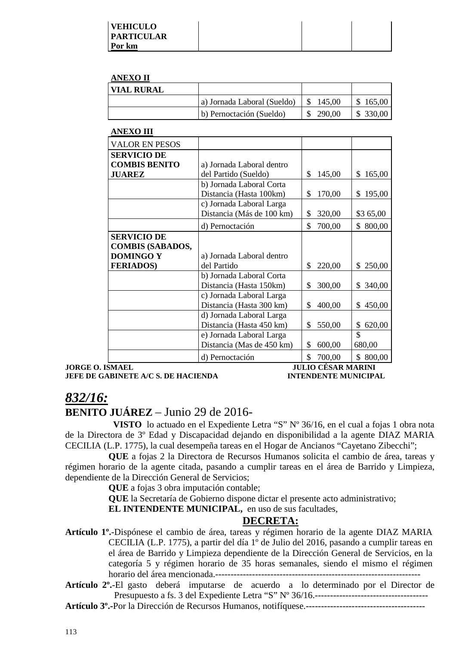#### **ANEXO II**

| <b>VIAL RURAL</b> |                             |        |          |
|-------------------|-----------------------------|--------|----------|
|                   | a) Jornada Laboral (Sueldo) | 145.00 | \$165,00 |
|                   | b) Pernoctación (Sueldo)    | 290.00 | \$330,00 |

#### **ANEXO III**

| <b>VALOR EN PESOS</b>   |                           |              |              |
|-------------------------|---------------------------|--------------|--------------|
| <b>SERVICIO DE</b>      |                           |              |              |
| <b>COMBIS BENITO</b>    | a) Jornada Laboral dentro |              |              |
| <b>JUAREZ</b>           | del Partido (Sueldo)      | \$<br>145,00 | \$<br>165,00 |
|                         | b) Jornada Laboral Corta  |              |              |
|                         | Distancia (Hasta 100km)   | \$<br>170,00 | 195,00<br>\$ |
|                         | c) Jornada Laboral Larga  |              |              |
|                         | Distancia (Más de 100 km) | \$<br>320,00 | \$3 65,00    |
|                         | d) Pernoctación           | \$<br>700,00 | \$800,00     |
| <b>SERVICIO DE</b>      |                           |              |              |
| <b>COMBIS (SABADOS,</b> |                           |              |              |
| <b>DOMINGO Y</b>        | a) Jornada Laboral dentro |              |              |
| <b>FERIADOS)</b>        | del Partido               | \$<br>220,00 | \$250,00     |
|                         | b) Jornada Laboral Corta  |              |              |
|                         | Distancia (Hasta 150km)   | \$<br>300,00 | 340,00<br>\$ |
|                         | c) Jornada Laboral Larga  |              |              |
|                         | Distancia (Hasta 300 km)  | \$<br>400,00 | 450,00<br>\$ |
|                         | d) Jornada Laboral Larga  |              |              |
|                         | Distancia (Hasta 450 km)  | \$<br>550,00 | 620,00<br>\$ |
|                         | e) Jornada Laboral Larga  |              | \$           |
|                         | Distancia (Mas de 450 km) | \$<br>600,00 | 680,00       |
|                         | d) Pernoctación           | \$<br>700,00 | 800,00<br>\$ |

**JORGE O. ISMAEL JULIO CÉSAR MARINI JEFE DE GABINETE A/C S. DE HACIENDA INTENDENTE MUNICIPAL** 

## *832/16:*

## **BENITO JUÁREZ** – Junio 29 de 2016-

 **VISTO** lo actuado en el Expediente Letra "S" Nº 36/16, en el cual a fojas 1 obra nota de la Directora de 3º Edad y Discapacidad dejando en disponibilidad a la agente DIAZ MARIA CECILIA (L.P. 1775), la cual desempeña tareas en el Hogar de Ancianos "Cayetano Zibecchi";

**QUE** a fojas 2 la Directora de Recursos Humanos solicita el cambio de área, tareas y régimen horario de la agente citada, pasando a cumplir tareas en el área de Barrido y Limpieza, dependiente de la Dirección General de Servicios;

**QUE** a fojas 3 obra imputación contable;

**QUE** la Secretaría de Gobierno dispone dictar el presente acto administrativo;

**EL INTENDENTE MUNICIPAL,** en uso de sus facultades,

## **DECRETA:**

**Artículo 1º.**-Dispónese el cambio de área, tareas y régimen horario de la agente DIAZ MARIA CECILIA (L.P. 1775), a partir del día 1º de Julio del 2016, pasando a cumplir tareas en el área de Barrido y Limpieza dependiente de la Dirección General de Servicios, en la categoría 5 y régimen horario de 35 horas semanales, siendo el mismo el régimen horario del área mencionada.-------------------------------------------------------------------

**Artículo 2º.**-El gasto deberá imputarse de acuerdo a lo determinado por el Director de Presupuesto a fs. 3 del Expediente Letra "S" Nº 36/16.-------------------------------------

**Artículo 3º.-**Por la Dirección de Recursos Humanos, notifíquese.---------------------------------------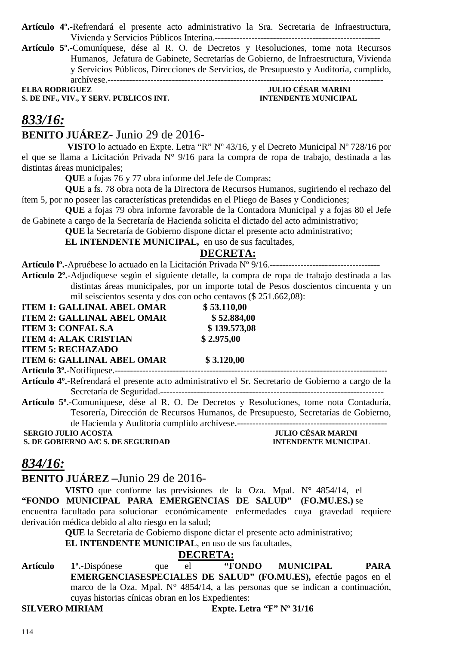- **Artículo 4º.-**Refrendará el presente acto administrativo la Sra. Secretaria de Infraestructura, Vivienda y Servicios Públicos Interina.------------------------------------------------------
- **Artículo 5º.-**Comuníquese, dése al R. O. de Decretos y Resoluciones, tome nota Recursos Humanos, Jefatura de Gabinete, Secretarías de Gobierno, de Infraestructura, Vivienda y Servicios Públicos, Direcciones de Servicios, de Presupuesto y Auditoría, cumplido, archívese.------------------------------------------------------------------------------------------

**ELBA RODRIGUEZ JULIO CÉSAR MARINI S. DE INF., VIV., Y SERV. PUBLICOS INT. INTENDENTE MUNICIPAL**

## *833/16:* **BENITO JUÁREZ**- Junio 29 de 2016-

 **VISTO** lo actuado en Expte. Letra "R" Nº 43/16, y el Decreto Municipal Nº 728/16 por el que se llama a Licitación Privada N° 9/16 para la compra de ropa de trabajo, destinada a las distintas áreas municipales;

**QUE** a fojas 76 y 77 obra informe del Jefe de Compras;

**QUE** a fs. 78 obra nota de la Directora de Recursos Humanos, sugiriendo el rechazo del ítem 5, por no poseer las características pretendidas en el Pliego de Bases y Condiciones;

**QUE** a fojas 79 obra informe favorable de la Contadora Municipal y a fojas 80 el Jefe de Gabinete a cargo de la Secretaría de Hacienda solicita el dictado del acto administrativo;

**QUE** la Secretaría de Gobierno dispone dictar el presente acto administrativo;

**EL INTENDENTE MUNICIPAL,** en uso de sus facultades,

## **DECRETA:**

**Artículo lº.-**Apruébese lo actuado en la Licitación Privada Nº 9/16.------------------------------------

**Artículo 2º.-**Adjudíquese según el siguiente detalle, la compra de ropa de trabajo destinada a las distintas áreas municipales, por un importe total de Pesos doscientos cincuenta y un mil seiscientos sesenta y dos con ocho centavos (\$ 251.662,08):

| <b>ITEM 1: GALLINAL ABEL OMAR</b>                                                  | \$53.110,00                                                                                                      |  |
|------------------------------------------------------------------------------------|------------------------------------------------------------------------------------------------------------------|--|
| <b>ITEM 2: GALLINAL ABEL OMAR</b>                                                  | \$52.884,00                                                                                                      |  |
| <b>ITEM 3: CONFAL S.A</b>                                                          | \$139.573,08                                                                                                     |  |
| <b>ITEM 4: ALAK CRISTIAN</b>                                                       | \$2.975,00                                                                                                       |  |
| <b>ITEM 5: RECHAZADO</b>                                                           |                                                                                                                  |  |
| <b>ITEM 6: GALLINAL ABEL OMAR</b>                                                  | \$3.120,00                                                                                                       |  |
|                                                                                    |                                                                                                                  |  |
|                                                                                    | Artículo 4 <sup>o</sup> .-Refrendará el presente acto administrativo el Sr. Secretario de Gobierno a cargo de la |  |
|                                                                                    |                                                                                                                  |  |
|                                                                                    | Artículo 5 <sup>°</sup> . Comuníquese, dése al R. O. De Decretos y Resoluciones, tome nota Contaduría,           |  |
| Tesorería, Dirección de Recursos Humanos, de Presupuesto, Secretarías de Gobierno, |                                                                                                                  |  |
| de Hacienda y Auditoría cumplido archívese.                                        |                                                                                                                  |  |
| <b>SERGIO JULIO ACOSTA</b>                                                         | <b>JULIO CÉSAR MARINI</b>                                                                                        |  |
| S. DE GOBIERNO A/C S. DE SEGURIDAD                                                 | <b>INTENDENTE MUNICIPAL</b>                                                                                      |  |

## *834/16:*

## **BENITO JUÁREZ –**Junio 29 de 2016-

**VISTO** que conforme las previsiones de la Oza. Mpal. N° 4854/14, el **"FONDO MUNICIPAL PARA EMERGENCIAS DE SALUD" (FO.MU.ES.)** se encuentra facultado para solucionar económicamente enfermedades cuya gravedad requiere derivación médica debido al alto riesgo en la salud;

> **QUE** la Secretaría de Gobierno dispone dictar el presente acto administrativo; **EL INTENDENTE MUNICIPAL**, en uso de sus facultades,

que DECRETA:<br>
el "FONDO" **Artículo 1º.-**Dispónese que el **"FONDO MUNICIPAL PARA EMERGENCIASESPECIALES DE SALUD" (FO.MU.ES),** efectúe pagos en el marco de la Oza. Mpal. N° 4854/14, a las personas que se indican a continuación, cuyas historias cínicas obran en los Expedientes: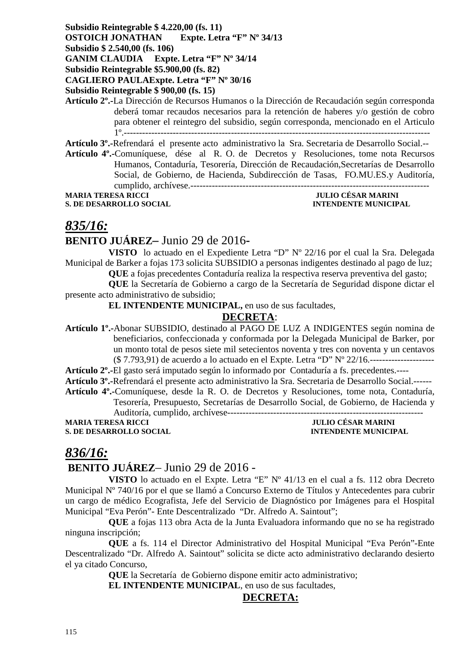## **Subsidio Reintegrable \$ 4.220,00 (fs. 11) OSTOICH JONATHAN Expte. Letra "F" Nº 34/13**

**Subsidio \$ 2.540,00 (fs. 106)** 

**GANIM CLAUDIA Expte. Letra "F" Nº 34/14** 

**Subsidio Reintegrable \$5.900,00 (fs. 82)** 

**CAGLIERO PAULAExpte. Letra "F" Nº 30/16** 

**Subsidio Reintegrable \$ 900,00 (fs. 15)** 

**Artículo 2º.-**La Dirección de Recursos Humanos o la Dirección de Recaudación según corresponda deberá tomar recaudos necesarios para la retención de haberes y/o gestión de cobro para obtener el reintegro del subsidio, según corresponda, mencionado en el Articulo 1º.----------------------------------------------------------------------------------------------------

**Artículo 3º.-**Refrendará el presente acto administrativo la Sra. Secretaria de Desarrollo Social.--

**Artículo 4º.-**Comuníquese, dése al R. O. de Decretos y Resoluciones, tome nota Recursos Humanos, Contaduría, Tesorería, Dirección de Recaudación,Secretarías de Desarrollo Social, de Gobierno, de Hacienda, Subdirección de Tasas, FO.MU.ES.y Auditoría, cumplido, archívese.------------------------------------------------------------------------------

**MARIA TERESA RICCI JULIO CÉSAR MARINI** 

**S. DE DESARROLLO SOCIAL DESARROLLO SOCIAL DESARROLLO SOCIAL DESARROLLO SOCIAL DESARROLLO SOCIAL DE L'ALGEBRE DE L'ALGEBRE DE L'ALGEBRE DE L'ALGEBRE DE L'ALGEBRE DE L'ALGEBRE DE L'ALGEBRE DE L'ALGEBRE DE L'ALGEBRE DE L'ALG** 

## *835/16:*

## **BENITO JUÁREZ–** Junio 29 de 2016**-**

**VISTO** lo actuado en el Expediente Letra "D" Nº 22/16 por el cual la Sra. Delegada Municipal de Barker a fojas 173 solicita SUBSIDIO a personas indigentes destinado al pago de luz;

**QUE** a fojas precedentes Contaduría realiza la respectiva reserva preventiva del gasto;

**QUE** la Secretaría de Gobierno a cargo de la Secretaría de Seguridad dispone dictar el presente acto administrativo de subsidio;

**EL INTENDENTE MUNICIPAL,** en uso de sus facultades,

## **DECRETA**:

**Artículo 1º.-**Abonar SUBSIDIO, destinado al PAGO DE LUZ A INDIGENTES según nomina de beneficiarios, confeccionada y conformada por la Delegada Municipal de Barker, por un monto total de pesos siete mil setecientos noventa y tres con noventa y un centavos (\$ 7.793,91) de acuerdo a lo actuado en el Expte. Letra "D" Nº 22/16.---------------------

**Artículo 2º.-**El gasto será imputado según lo informado por Contaduría a fs. precedentes.----

**Artículo 3º.-**Refrendará el presente acto administrativo la Sra. Secretaria de Desarrollo Social.------ **Artículo 4º.-**Comuníquese, desde la R. O. de Decretos y Resoluciones, tome nota, Contaduría,

Tesorería, Presupuesto, Secretarías de Desarrollo Social, de Gobierno, de Hacienda y Auditoría, cumplido, archívese----------------------------------------------------------------

**MARIA TERESA RICCI JULIO CÉSAR MARINI S. DE DESARROLLO SOCIAL INTENDENTE MUNICIPAL** 

# *836/16:*

## **BENITO JUÁREZ**– Junio 29 de 2016 -

**VISTO** lo actuado en el Expte. Letra "E" Nº 41/13 en el cual a fs. 112 obra Decreto Municipal Nº 740/16 por el que se llamó a Concurso Externo de Títulos y Antecedentes para cubrir un cargo de médico Ecografista, Jefe del Servicio de Diagnóstico por Imágenes para el Hospital Municipal "Eva Perón"- Ente Descentralizado "Dr. Alfredo A. Saintout";

**QUE** a fojas 113 obra Acta de la Junta Evaluadora informando que no se ha registrado ninguna inscripción;

**QUE** a fs. 114 el Director Administrativo del Hospital Municipal "Eva Perón"-Ente Descentralizado "Dr. Alfredo A. Saintout" solicita se dicte acto administrativo declarando desierto el ya citado Concurso,

**QUE** la Secretaría de Gobierno dispone emitir acto administrativo;

**EL INTENDENTE MUNICIPAL**, en uso de sus facultades,

## **DECRETA:**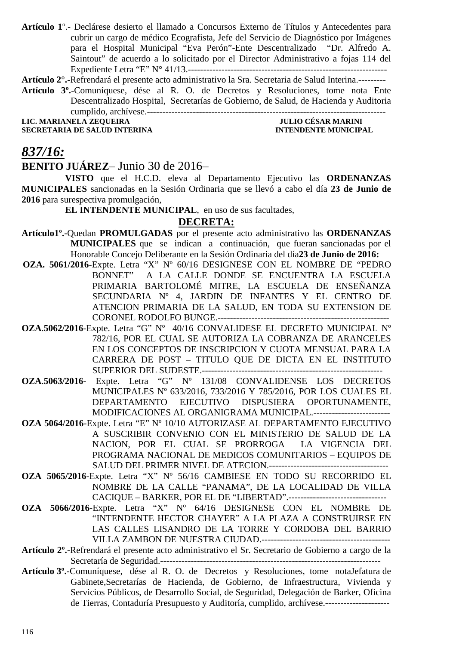**Artículo 1**º.- Declárese desierto el llamado a Concursos Externo de Títulos y Antecedentes para cubrir un cargo de médico Ecografista, Jefe del Servicio de Diagnóstico por Imágenes para el Hospital Municipal "Eva Perón"-Ente Descentralizado "Dr. Alfredo A. Saintout" de acuerdo a lo solicitado por el Director Administrativo a fojas 114 del Expediente Letra "E" N° 41/13.-----------------------------------------------------------------

**Artículo 2°.-**Refrendará el presente acto administrativo la Sra. Secretaria de Salud Interina.---------

**Artículo 3º.-**Comuníquese, dése al R. O. de Decretos y Resoluciones, tome nota Ente Descentralizado Hospital, Secretarías de Gobierno, de Salud, de Hacienda y Auditoria cumplido, archívese.------------------------------------------------------------------------------

**LIC. MARIANELA ZEQUEIRA JULIO CÉSAR MARINI SECRETARIA DE SALUD INTERINA** 

## *837/16:*

#### **BENITO JUÁREZ**– Junio 30 de 2016–

**VISTO** que el H.C.D. eleva al Departamento Ejecutivo las **ORDENANZAS MUNICIPALES** sancionadas en la Sesión Ordinaria que se llevó a cabo el día **23 de Junio de 2016** para surespectiva promulgación,

**EL INTENDENTE MUNICIPAL**, en uso de sus facultades,

## **DECRETA:**

**Artículo1º.-**Quedan **PROMULGADAS** por el presente acto administrativo las **ORDENANZAS MUNICIPALES** que se indican a continuación, que fueran sancionadas por el Honorable Concejo Deliberante en la Sesión Ordinaria del día**23 de Junio de 2016:** 

- **OZA. 5061/2016**-Expte. Letra "X" Nº 60/16 DESIGNESE CON EL NOMBRE DE "PEDRO BONNET" A LA CALLE DONDE SE ENCUENTRA LA ESCUELA PRIMARIA BARTOLOMÉ MITRE, LA ESCUELA DE ENSEÑANZA SECUNDARIA Nº 4, JARDIN DE INFANTES Y EL CENTRO DE ATENCION PRIMARIA DE LA SALUD, EN TODA SU EXTENSION DE CORONEL RODOLFO BUNGE.--------------------------------------------------------
- **OZA**.**5062/2016**-Expte. Letra "G" Nº 40/16 CONVALIDESE EL DECRETO MUNICIPAL Nº 782/16, POR EL CUAL SE AUTORIZA LA COBRANZA DE ARANCELES EN LOS CONCEPTOS DE INSCRIPCION Y CUOTA MENSUAL PARA LA CARRERA DE POST – TITULO QUE DE DICTA EN EL INSTITUTO SUPERIOR DEL SUDESTE.-----------------------------------------------------------
- **OZA**.**5063/2016-** Expte. Letra "G" Nº 131/08 CONVALIDENSE LOS DECRETOS MUNICIPALES Nº 633/2016, 733/2016 Y 785/2016, POR LOS CUALES EL DEPARTAMENTO EJECUTIVO DISPUSIERA OPORTUNAMENTE, MODIFICACIONES AL ORGANIGRAMA MUNICIPAL.-------------------------
- **OZA 5064/2016**-Expte. Letra "E" Nº 10/10 AUTORIZASE AL DEPARTAMENTO EJECUTIVO A SUSCRIBIR CONVENIO CON EL MINISTERIO DE SALUD DE LA NACION, POR EL CUAL SE PRORROGA LA VIGENCIA DEL PROGRAMA NACIONAL DE MEDICOS COMUNITARIOS – EQUIPOS DE SALUD DEL PRIMER NIVEL DE ATECION.---------------------------------------
- **OZA 5065/2016**-Expte. Letra "X" Nº 56/16 CAMBIESE EN TODO SU RECORRIDO EL NOMBRE DE LA CALLE "PANAMA", DE LA LOCALIDAD DE VILLA CACIQUE – BARKER, POR EL DE "LIBERTAD".--------------------------------
- **OZA 5066/2016**-Expte. Letra "X" Nº 64/16 DESIGNESE CON EL NOMBRE DE "INTENDENTE HECTOR CHAYER" A LA PLAZA A CONSTRUIRSE EN LAS CALLES LISANDRO DE LA TORRE Y CORDOBA DEL BARRIO VILLA ZAMBON DE NUESTRA CIUDAD.------------------------------------------
- **Artículo 2º.-**Refrendará el presente acto administrativo el Sr. Secretario de Gobierno a cargo de la Secretaría de Seguridad.------------------------------------------------------------------------
- **Artículo 3º.-**Comuníquese, dése al R. O. de Decretos y Resoluciones, tome notaJefatura de Gabinete,Secretarías de Hacienda, de Gobierno, de Infraestructura, Vivienda y Servicios Públicos, de Desarrollo Social, de Seguridad, Delegación de Barker, Oficina de Tierras, Contaduría Presupuesto y Auditoría, cumplido, archívese.---------------------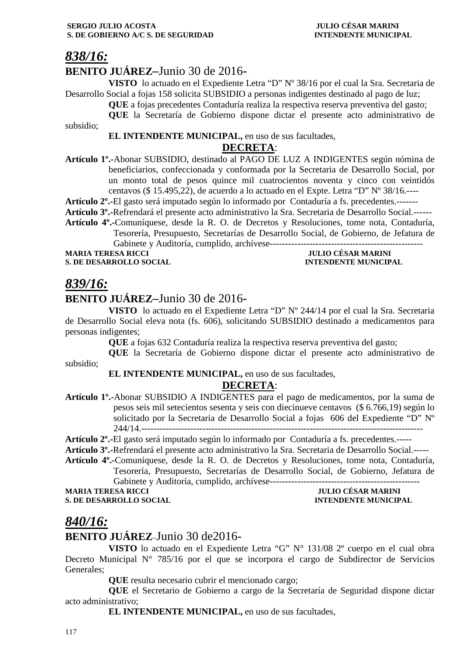## *838/16:*

subsidio;

## **BENITO JUÁREZ–**Junio 30 de 2016**-**

**VISTO** lo actuado en el Expediente Letra "D" Nº 38/16 por el cual la Sra. Secretaria de Desarrollo Social a fojas 158 solicita SUBSIDIO a personas indigentes destinado al pago de luz;

**QUE** a fojas precedentes Contaduría realiza la respectiva reserva preventiva del gasto;

**QUE** la Secretaría de Gobierno dispone dictar el presente acto administrativo de

**EL INTENDENTE MUNICIPAL,** en uso de sus facultades,

## **DECRETA**:

**Artículo 1º.-**Abonar SUBSIDIO, destinado al PAGO DE LUZ A INDIGENTES según nómina de beneficiarios, confeccionada y conformada por la Secretaria de Desarrollo Social, por un monto total de pesos quince mil cuatrocientos noventa y cinco con veintidós centavos (\$ 15.495,22), de acuerdo a lo actuado en el Expte. Letra "D" Nº 38/16.----

**Artículo 2º.-**El gasto será imputado según lo informado por Contaduría a fs. precedentes.-------

**Artículo 3º.-**Refrendará el presente acto administrativo la Sra. Secretaria de Desarrollo Social.------

**Artículo 4º.-**Comuníquese, desde la R. O. de Decretos y Resoluciones, tome nota, Contaduría, Tesorería, Presupuesto, Secretarías de Desarrollo Social, de Gobierno, de Jefatura de Gabinete y Auditoría, cumplido, archívese--------------------

**MARIA TERESA RICCI JULIO CÉSAR MARINI** 

**S. DE DESARROLLO SOCIAL INTENDENTE MUNICIPAL** 

## *839/16:*

## **BENITO JUÁREZ–**Junio 30 de 2016**-**

**VISTO** lo actuado en el Expediente Letra "D" Nº 244/14 por el cual la Sra. Secretaria de Desarrollo Social eleva nota (fs. 606), solicitando SUBSIDIO destinado a medicamentos para personas indigentes;

**QUE** a fojas 632 Contaduría realiza la respectiva reserva preventiva del gasto;

**QUE** la Secretaría de Gobierno dispone dictar el presente acto administrativo de

subsidio;

**EL INTENDENTE MUNICIPAL,** en uso de sus facultades,

## **DECRETA**:

**Artículo 1º.-**Abonar SUBSIDIO A INDIGENTES para el pago de medicamentos, por la suma de pesos seis mil setecientos sesenta y seis con diecinueve centavos (\$ 6.766,19) según lo solicitado por la Secretaria de Desarrollo Social a fojas 606 del Expediente "D" Nº 244/14.----------------

**Artículo 2º.-**El gasto será imputado según lo informado por Contaduría a fs. precedentes.-----

**Artículo 3º.-**Refrendará el presente acto administrativo la Sra. Secretaria de Desarrollo Social.-----

**Artículo 4º.-**Comuníquese, desde la R. O. de Decretos y Resoluciones, tome nota, Contaduría, Tesorería, Presupuesto, Secretarías de Desarrollo Social, de Gobierno, Jefatura de Gabinete y Auditoría, cumplido, archívese-------------------------------------------------

#### **MULIO CÉSAR MARINI S. DE DESARROLLO SOCIAL** *interesting* **and** *interesting intervalse in the interesting intervalse in the interval interval*

## *840/16:*

## **BENITO JUÁREZ**–Junio 30 de2016-

**VISTO** lo actuado en el Expediente Letra "G" N° 131/08 2º cuerpo en el cual obra Decreto Municipal  $N^{\circ}$  785/16 por el que se incorpora el cargo de Subdirector de Servicios Generales;

**QUE** resulta necesario cubrir el mencionado cargo;

**QUE** el Secretario de Gobierno a cargo de la Secretaría de Seguridad dispone dictar acto administrativo;

**EL INTENDENTE MUNICIPAL,** en uso de sus facultades,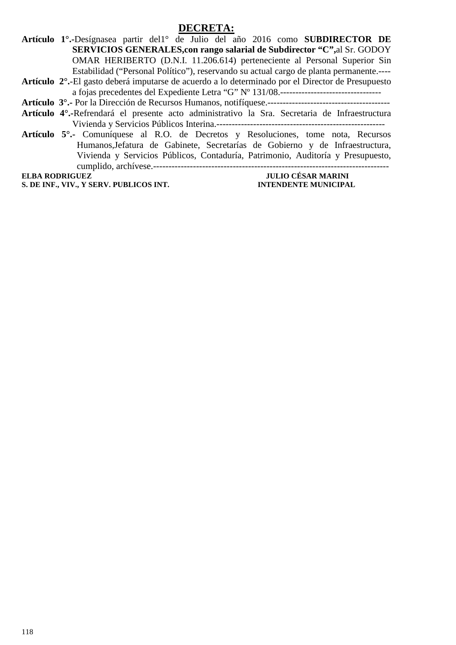#### **DECRETA:**

**Artículo 1°.-**Desígnasea partir del1° de Julio del año 2016 como **SUBDIRECTOR DE SERVICIOS GENERALES,con rango salarial de Subdirector "C",**al Sr. GODOY OMAR HERIBERTO (D.N.I. 11.206.614) perteneciente al Personal Superior Sin Estabilidad ("Personal Político"), reservando su actual cargo de planta permanente.----

- **Artículo 2°.**-El gasto deberá imputarse de acuerdo a lo determinado por el Director de Presupuesto a fojas precedentes del Expediente Letra "G" Nº 131/08.---------------------------------
- **Artículo 3°.-** Por la Dirección de Recursos Humanos, notifíquese.----------------------------------------
- **Artículo 4°.-**Refrendará el presente acto administrativo la Sra. Secretaria de Infraestructura Vivienda y Servicios Públicos Interina.-------------------------------------------------------
- **Artículo 5°.-** Comuníquese al R.O. de Decretos y Resoluciones, tome nota, Recursos Humanos,Jefatura de Gabinete, Secretarías de Gobierno y de Infraestructura, Vivienda y Servicios Públicos, Contaduría, Patrimonio, Auditoría y Presupuesto, cumplido, archívese.-----------------------------------------------------------------------------

**S. DE INF., VIV., Y SERV. PUBLICOS INT. INTENDENTE MUNICIPAL** 

**JULIO CÉSAR MARINI**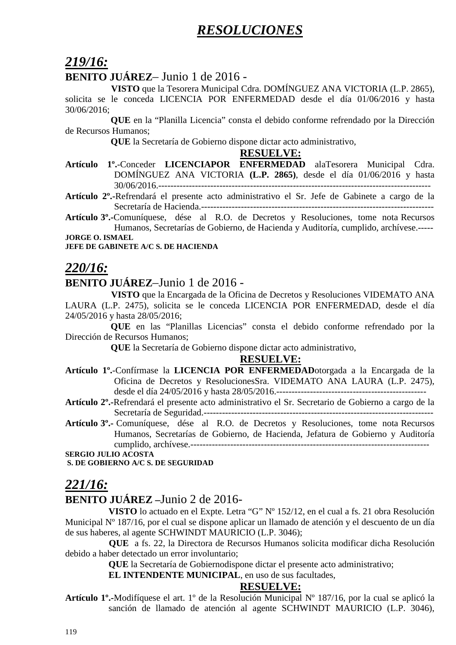## *RESOLUCIONES*

## *219/16:*

## **BENITO JUÁREZ**– Junio 1 de 2016 -

 **VISTO** que la Tesorera Municipal Cdra. DOMÍNGUEZ ANA VICTORIA (L.P. 2865), solicita se le conceda LICENCIA POR ENFERMEDAD desde el día 01/06/2016 y hasta 30/06/2016;

 **QUE** en la "Planilla Licencia" consta el debido conforme refrendado por la Dirección de Recursos Humanos;

 **QUE** la Secretaría de Gobierno dispone dictar acto administrativo,

#### **RESUELVE:**

**Artículo 1º.**-Conceder **LICENCIAPOR ENFERMEDAD** alaTesorera Municipal Cdra. DOMÍNGUEZ ANA VICTORIA **(L.P. 2865)**, desde el día 01/06/2016 y hasta 30/06/2016.-----------------------------------------------------------------------------------------

**Artículo 2º.-**Refrendará el presente acto administrativo el Sr. Jefe de Gabinete a cargo de la Secretaría de Hacienda.----------------------------------------------------------------------------

**Artículo 3º.-**Comuníquese, dése al R.O. de Decretos y Resoluciones, tome nota Recursos Humanos, Secretarías de Gobierno, de Hacienda y Auditoría, cumplido, archívese.----- **JORGE O. ISMAEL** 

**JEFE DE GABINETE A/C S. DE HACIENDA** 

## *220/16:*

## **BENITO JUÁREZ**–Junio 1 de 2016 -

 **VISTO** que la Encargada de la Oficina de Decretos y Resoluciones VIDEMATO ANA LAURA (L.P. 2475), solicita se le conceda LICENCIA POR ENFERMEDAD, desde el día 24/05/2016 y hasta 28/05/2016;

 **QUE** en las "Planillas Licencias" consta el debido conforme refrendado por la Dirección de Recursos Humanos;

 **QUE** la Secretaría de Gobierno dispone dictar acto administrativo,

#### **RESUELVE:**

**Artículo 1º.**-Confírmase la **LICENCIA POR ENFERMEDAD**otorgada a la Encargada de la Oficina de Decretos y ResolucionesSra. VIDEMATO ANA LAURA (L.P. 2475), desde el día 24/05/2016 y hasta 28/05/2016.-------------------------------------------------

**Artículo 2º.-**Refrendará el presente acto administrativo el Sr. Secretario de Gobierno a cargo de la Secretaría de Seguridad.---------------------------------------------------------------------------

**Artículo 3º.-** Comuníquese, dése al R.O. de Decretos y Resoluciones, tome nota Recursos Humanos, Secretarías de Gobierno, de Hacienda, Jefatura de Gobierno y Auditoría cumplido, archívese.------------------------------------------------------------------------------

**SERGIO JULIO ACOSTA** 

 **S. DE GOBIERNO A/C S. DE SEGURIDAD** 

## *221/16:*

## **BENITO JUÁREZ –**Junio 2 de 2016-

**VISTO** lo actuado en el Expte. Letra "G" Nº 152/12, en el cual a fs. 21 obra Resolución Municipal Nº 187/16, por el cual se dispone aplicar un llamado de atención y el descuento de un día de sus haberes, al agente SCHWINDT MAURICIO (L.P. 3046);

 **QUE** a fs. 22, la Directora de Recursos Humanos solicita modificar dicha Resolución debido a haber detectado un error involuntario;

**QUE** la Secretaría de Gobiernodispone dictar el presente acto administrativo;

**EL INTENDENTE MUNICIPAL**, en uso de sus facultades,

## **RESUELVE:**

**Artículo 1º.-**Modifíquese el art. 1º de la Resolución Municipal Nº 187/16, por la cual se aplicó la sanción de llamado de atención al agente SCHWINDT MAURICIO (L.P. 3046),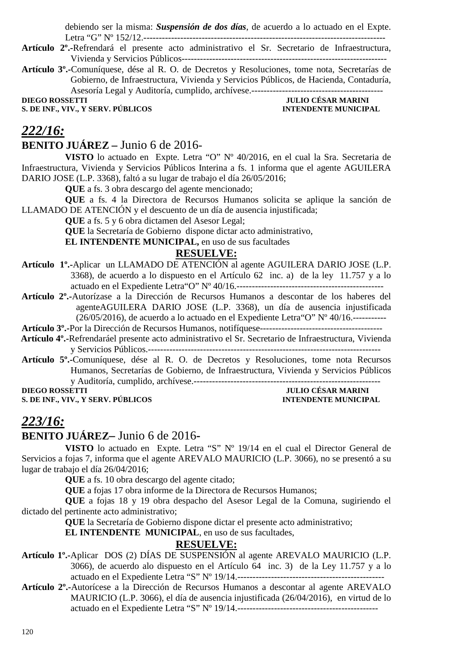debiendo ser la misma: *Suspensión de dos días*, de acuerdo a lo actuado en el Expte. Letra "G" Nº 152/12.-------------------------------------------------------------------------------

- **Artículo 2º.-**Refrendará el presente acto administrativo el Sr. Secretario de Infraestructura, Vivienda y Servicios Públicos-------------------------------------------------------------------
- **Artículo 3º.-**Comuníquese, dése al R. O. de Decretos y Resoluciones, tome nota, Secretarías de Gobierno, de Infraestructura, Vivienda y Servicios Públicos, de Hacienda, Contaduría, Asesoría Legal y Auditoría, cumplido, archívese.-------------------------------------------

**S. DE INF., VIV., Y SERV. PÚBLICOS** 

**JULIO CÉSAR MARINI<br>INTENDENTE MUNICIPAL** 

## *222/16:*

### **BENITO JUÁREZ –** Junio 6 de 2016-

**VISTO** lo actuado en Expte. Letra "O" Nº 40/2016, en el cual la Sra. Secretaria de Infraestructura, Vivienda y Servicios Públicos Interina a fs. 1 informa que el agente AGUILERA DARIO JOSE (L.P. 3368), faltó a su lugar de trabajo el día 26/05/2016;

**QUE** a fs. 3 obra descargo del agente mencionado;

**QUE** a fs. 4 la Directora de Recursos Humanos solicita se aplique la sanción de LLAMADO DE ATENCIÓN y el descuento de un día de ausencia injustificada;

**QUE** a fs. 5 y 6 obra dictamen del Asesor Legal;

**QUE** la Secretaría de Gobierno dispone dictar acto administrativo,

**EL INTENDENTE MUNICIPAL,** en uso de sus facultades

### **RESUELVE:**

- **Artículo 1º.-**Aplicar un LLAMADO DE ATENCIÓN al agente AGUILERA DARIO JOSE (L.P. 3368), de acuerdo a lo dispuesto en el Artículo 62 inc. a) de la ley 11.757 y a lo actuado en el Expediente Letra"O" Nº 40/16.------------------------------------------------
- **Artículo 2º.-**Autorízase a la Dirección de Recursos Humanos a descontar de los haberes del agenteAGUILERA DARIO JOSE (L.P. 3368), un día de ausencia injustificada  $(26/05/2016)$ , de acuerdo a lo actuado en el Expediente Letra "O" Nº 40/16.------------

**Artículo 3º.-**Por la Dirección de Recursos Humanos, notifíquese----------------------------------------

- **Artículo 4º.-**Refrendaráel presente acto administrativo el Sr. Secretario de Infraestructura, Vivienda y Servicios Públicos.----------------------------------------------------------------------------
- **Artículo 5º.-**Comuníquese, dése al R. O. de Decretos y Resoluciones, tome nota Recursos Humanos, Secretarías de Gobierno, de Infraestructura, Vivienda y Servicios Públicos y Auditoría, cumplido, archívese.-------------------------------------------------------------

**S. DE INF., VIV., Y SERV. PÚBLICOS INTENDENTE MUNICIPAL** 

# **DIEGO ROSSETTI JULIO CÉSAR MARINI**

## *223/16:*

## **BENITO JUÁREZ–** Junio 6 de 2016**-**

**VISTO** lo actuado en Expte. Letra "S" Nº 19/14 en el cual el Director General de Servicios a fojas 7, informa que el agente AREVALO MAURICIO (L.P. 3066), no se presentó a su lugar de trabajo el día 26/04/2016;

**QUE** a fs. 10 obra descargo del agente citado;

**QUE** a fojas 17 obra informe de la Directora de Recursos Humanos;

**QUE** a fojas 18 y 19 obra despacho del Asesor Legal de la Comuna, sugiriendo el dictado del pertinente acto administrativo;

**QUE** la Secretaría de Gobierno dispone dictar el presente acto administrativo;

**EL INTENDENTE MUNICIPAL**, en uso de sus facultades,

## **RESUELVE:**

- **Artículo 1º.-**Aplicar DOS (2) DÍAS DE SUSPENSIÓN al agente AREVALO MAURICIO (L.P. 3066), de acuerdo alo dispuesto en el Artículo 64 inc. 3) de la Ley 11.757 y a lo actuado en el Expediente Letra "S" Nº 19/14.------------------------------------------------
- **Artículo 2º.-**Autorícese a la Dirección de Recursos Humanos a descontar al agente AREVALO MAURICIO (L.P. 3066), el día de ausencia injustificada (26/04/2016), en virtud de lo actuado en el Expediente Letra "S" Nº 19/14.----------------------------------------------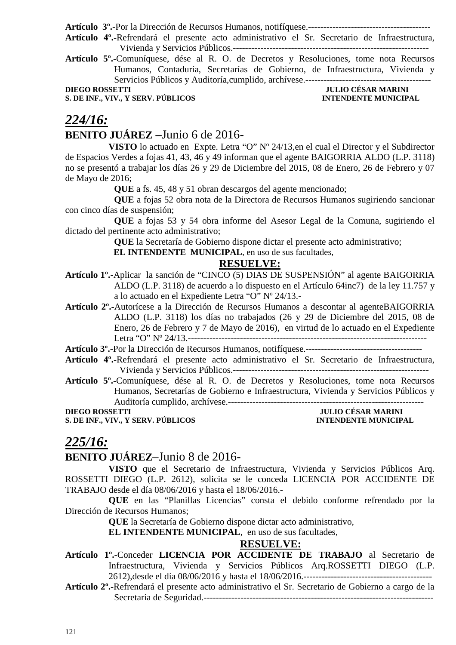**Artículo 3º.**-Por la Dirección de Recursos Humanos, notifíquese.----------------------------------------

**Artículo 4º.-**Refrendará el presente acto administrativo el Sr. Secretario de Infraestructura, Vivienda y Servicios Públicos.----------------------------------------------------------------

**Artículo 5º.-**Comuníquese, dése al R. O. de Decretos y Resoluciones, tome nota Recursos Humanos, Contaduría, Secretarías de Gobierno, de Infraestructura, Vivienda y Servicios Públicos y Auditoría,cumplido, archívese.-----------------------------------------

**S. DE INF., VIV., Y SERV. PÚBLICOS INTENDENTE MUNICIPAL** 

# **DIEGO ROSSETTI DIEGO ROSSETTI DIEGO POSSETTI DIEGO POSSETTI DIEGO POSSETTI DIEGO POSSETTI DIEGO POSSETTI DIEGO POSSETTI DIEGO POSSETTI DIEGO POSSETTI DIEGO POSSETTI DIEGO POSSETTI DIEGO POSSETTI DIEGO POSSETTI DIEGO POSSE**

## *224/16:*

## **BENITO JUÁREZ –**Junio 6 de 2016**-**

**VISTO** lo actuado en Expte. Letra "O" Nº 24/13,en el cual el Director y el Subdirector de Espacios Verdes a fojas 41, 43, 46 y 49 informan que el agente BAIGORRIA ALDO (L.P. 3118) no se presentó a trabajar los días 26 y 29 de Diciembre del 2015, 08 de Enero, 26 de Febrero y 07 de Mayo de 2016;

**QUE** a fs. 45, 48 y 51 obran descargos del agente mencionado;

**QUE** a fojas 52 obra nota de la Directora de Recursos Humanos sugiriendo sancionar con cinco días de suspensión;

**QUE** a fojas 53 y 54 obra informe del Asesor Legal de la Comuna, sugiriendo el dictado del pertinente acto administrativo;

**QUE** la Secretaría de Gobierno dispone dictar el presente acto administrativo;

 **EL INTENDENTE MUNICIPAL**, en uso de sus facultades,

### **RESUELVE:**

**Artículo 1º.-**Aplicar la sanción de "CINCO (5) DIAS DE SUSPENSIÓN" al agente BAIGORRIA ALDO (L.P. 3118) de acuerdo a lo dispuesto en el Artículo 64inc7) de la ley 11.757 y a lo actuado en el Expediente Letra "O" Nº 24/13.-

**Artículo 2º.-**Autorícese a la Dirección de Recursos Humanos a descontar al agenteBAIGORRIA ALDO (L.P. 3118) los días no trabajados (26 y 29 de Diciembre del 2015, 08 de Enero, 26 de Febrero y 7 de Mayo de 2016), en virtud de lo actuado en el Expediente Letra "O" Nº 24/13.------------------------------------------------------------------------------

**Artículo 3º.**-Por la Dirección de Recursos Humanos, notifíquese.--------------------------------------

- **Artículo 4º.-**Refrendará el presente acto administrativo el Sr. Secretario de Infraestructura, Vivienda y Servicios Públicos.----------------------------------------------------------------
- **Artículo 5º.-**Comuníquese, dése al R. O. de Decretos y Resoluciones, tome nota Recursos Humanos, Secretarías de Gobierno e Infraestructura, Vivienda y Servicios Públicos y Auditoría cumplido, archívese.----------------------------------------------------------------

**S. DE INF., VIV., Y SERV. PÚBLICOS** 

# **DIEGO DE SAR MARINI<br>INTENDENTE MUNICIPAL**

## *225/16:*

## **BENITO JUÁREZ**–Junio 8 de 2016-

**VISTO** que el Secretario de Infraestructura, Vivienda y Servicios Públicos Arq. ROSSETTI DIEGO (L.P. 2612), solicita se le conceda LICENCIA POR ACCIDENTE DE TRABAJO desde el día 08/06/2016 y hasta el 18/06/2016.-

 **QUE** en las "Planillas Licencias" consta el debido conforme refrendado por la Dirección de Recursos Humanos;

 **QUE** la Secretaría de Gobierno dispone dictar acto administrativo,

**EL INTENDENTE MUNICIPAL**, en uso de sus facultades,

## **RESUELVE:**

- **Artículo 1º.**-Conceder **LICENCIA POR ACCIDENTE DE TRABAJO** al Secretario de Infraestructura, Vivienda y Servicios Públicos Arq.ROSSETTI DIEGO (L.P. 2612),desde el día 08/06/2016 y hasta el 18/06/2016.------------------------------------------
- **Artículo 2º.-**Refrendará el presente acto administrativo el Sr. Secretario de Gobierno a cargo de la Secretaría de Seguridad.---------------------------------------------------------------------------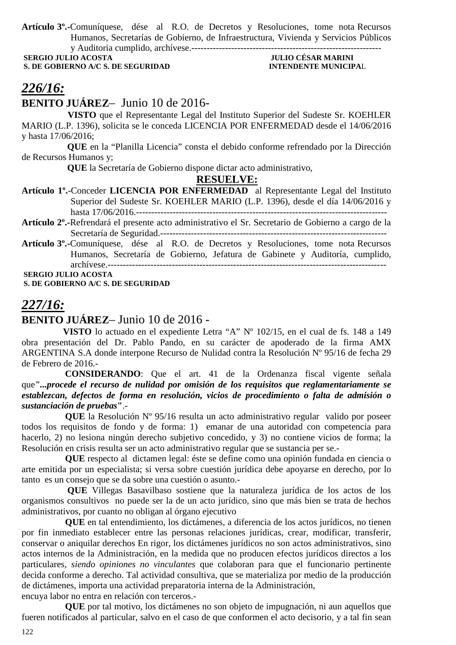**Artículo 3º.-**Comuníquese, dése al R.O. de Decretos y Resoluciones, tome nota Recursos Humanos, Secretarías de Gobierno, de Infraestructura, Vivienda y Servicios Públicos y Auditoria cumplido, archívese.--------------------------------------------------------------

**SERVETT STREET OF A/C S. DE SEGURIDAD** 

# **JULIO CÉSAR MARINI<br>INTENDENTE MUNICIPAL**

# *226/16:*

**BENITO JUÁREZ**– Junio 10 de 2016-

 **VISTO** que el Representante Legal del Instituto Superior del Sudeste Sr. KOEHLER MARIO (L.P. 1396), solicita se le conceda LICENCIA POR ENFERMEDAD desde el 14/06/2016 y hasta 17/06/2016;

 **QUE** en la "Planilla Licencia" consta el debido conforme refrendado por la Dirección de Recursos Humanos y;

 **QUE** la Secretaría de Gobierno dispone dictar acto administrativo,

#### **RESUELVE:**

- **Artículo 1º.**-Conceder **LICENCIA POR ENFERMEDAD** al Representante Legal del Instituto Superior del Sudeste Sr. KOEHLER MARIO (L.P. 1396), desde el día 14/06/2016 y hasta 17/06/2016.----------------------------------------------------------------------------------
- **Artículo 2º.-**Refrendará el presente acto administrativo el Sr. Secretario de Gobierno a cargo de la Secretaría de Seguridad.--------------------------------------------------------------------------
- **Artículo 3º.-**Comuníquese, dése al R.O. de Decretos y Resoluciones, tome nota Recursos Humanos, Secretaría de Gobierno, Jefatura de Gabinete y Auditoría, cumplido, archívese.-------------------------------------------------------------------------------------------  **SERGIO JULIO ACOSTA**

 **S. DE GOBIERNO A/C S. DE SEGURIDAD** 

## *227/16:*

#### **BENITO JUÁREZ**– Junio 10 de 2016 -

 **VISTO** lo actuado en el expediente Letra "A" Nº 102/15, en el cual de fs. 148 a 149 obra presentación del Dr. Pablo Pando, en su carácter de apoderado de la firma AMX ARGENTINA S.A donde interpone Recurso de Nulidad contra la Resolución Nº 95/16 de fecha 29 de Febrero de 2016.-

**CONSIDERANDO**: Que el art. 41 de la Ordenanza fiscal vigente señala que*"...procede el recurso de nulidad por omisión de los requisitos que reglamentariamente se establezcan, defectos de forma en resolución, vicios de procedimiento o falta de admisión o sustanciación de pruebas***"**.-

**QUE** la Resolución Nº 95/16 resulta un acto administrativo regular valido por poseer todos los requisitos de fondo y de forma: 1) emanar de una autoridad con competencia para hacerlo, 2) no lesiona ningún derecho subjetivo concedido, y 3) no contiene vicios de forma; la Resolución en crisis resulta ser un acto administrativo regular que se sustancia per se.-

**QUE** respecto al dictamen legal: éste se define como una opinión fundada en ciencia o arte emitida por un especialista; si versa sobre cuestión jurídica debe apoyarse en derecho, por lo tanto es un consejo que se da sobre una cuestión o asunto.-

 **QUE** Villegas Basavilbaso sostiene que la naturaleza jurídica de los actos de los organismos consultivos no puede ser la de un acto jurídico, sino que más bien se trata de hechos administrativos, por cuanto no obligan al órgano ejecutivo

**QUE** en tal entendimiento, los dictámenes, a diferencia de los actos jurídicos, no tienen por fin inmediato establecer entre las personas relaciones jurídicas, crear, modificar, transferir, conservar o aniquilar derechos En rigor, los dictámenes jurídicos no son actos administrativos, sino actos internos de la Administración, en la medida que no producen efectos jurídicos directos a los particulares, *siendo opiniones no vinculantes* que colaboran para que el funcionario pertinente decida conforme a derecho. Tal actividad consultiva, que se materializa por medio de la producción de dictámenes, importa una actividad preparatoria interna de la Administración,

encuya labor no entra en relación con terceros.-

**QUE** por tal motivo, los dictámenes no son objeto de impugnación, ni aun aquellos que fueren notificados al particular, salvo en el caso de que conformen el acto decisorio, y a tal fin sean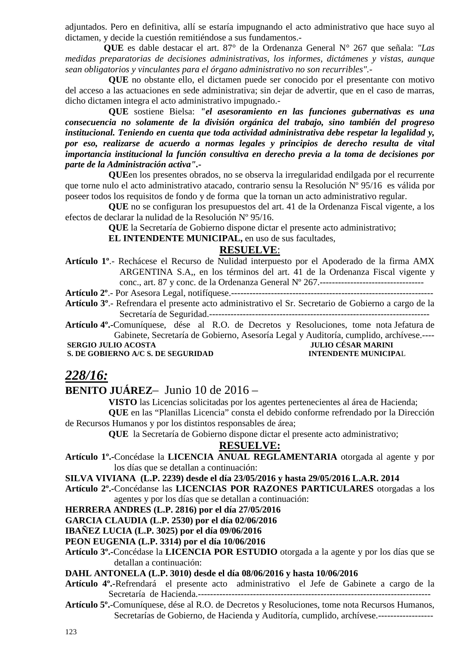adjuntados. Pero en definitiva, allí se estaría impugnando el acto administrativo que hace suyo al dictamen, y decide la cuestión remitiéndose a sus fundamentos.-

 **QUE** es dable destacar el art. 87° de la Ordenanza General N° 267 que señala: *"Las medidas preparatorias de decisiones administrativas, los informes, dictámenes y vistas, aunque sean obligatorios y vinculantes para el órgano administrativo no son recurribles".-* 

**QUE** no obstante ello, el dictamen puede ser conocido por el presentante con motivo del acceso a las actuaciones en sede administrativa; sin dejar de advertir, que en el caso de marras, dicho dictamen integra el acto administrativo impugnado.-

**QUE** sostiene Bielsa: *"el asesoramiento en las funciones gubernativas es una consecuencia no solamente de la división orgánica del trabajo, sino también del progreso institucional. Teniendo en cuenta que toda actividad administrativa debe respetar la legalidad y, por eso, realizarse de acuerdo a normas legales y principios de derecho resulta de vital importancia institucional la función consultiva en derecho previa a la toma de decisiones por parte de la Administración activa".-*

**QUE**en los presentes obrados*,* no se observa la irregularidad endilgada por el recurrente que torne nulo el acto administrativo atacado, contrario sensu la Resolución Nº 95/16 es válida por poseer todos los requisitos de fondo y de forma que la tornan un acto administrativo regular.

**QUE** no se configuran los presupuestos del art. 41 de la Ordenanza Fiscal vigente, a los efectos de declarar la nulidad de la Resolución Nº 95/16.

**QUE** la Secretaría de Gobierno dispone dictar el presente acto administrativo;

**EL INTENDENTE MUNICIPAL,** en uso de sus facultades,

#### **RESUELVE**:

**Artículo 1º**.- Rechácese el Recurso de Nulidad interpuesto por el Apoderado de la firma AMX ARGENTINA S.A,, en los términos del art. 41 de la Ordenanza Fiscal vigente y conc., art. 87 y conc. de la Ordenanza General Nº 267.----------------------------------

**Artículo 2º**.- Por Asesora Legal, notifíquese.------------------------------------------------------------------

**Artículo 3º**.- Refrendara el presente acto administrativo el Sr. Secretario de Gobierno a cargo de la Secretaría de Seguridad.------------------------------------------------------------------------

**Artículo 4º.-**Comuníquese, dése al R.O. de Decretos y Resoluciones, tome nota Jefatura de Gabinete, Secretaría de Gobierno, Asesoría Legal y Auditoría, cumplido, archívese.----

**S. DE GOBIERNO A/C S. DE SEGURIDAD** 

# **SULIO CÉSAR MARINI<br>INTENDENTE MUNICIPAL**

## *228/16:*

## **BENITO JUÁREZ**– Junio 10 de 2016 –

**VISTO** las Licencias solicitadas por los agentes pertenecientes al área de Hacienda;

**QUE** en las "Planillas Licencia" consta el debido conforme refrendado por la Dirección de Recursos Humanos y por los distintos responsables de área;

**QUE** la Secretaría de Gobierno dispone dictar el presente acto administrativo;

#### **RESUELVE:**

- **Artículo 1º.-**Concédase la **LICENCIA ANUAL REGLAMENTARIA** otorgada al agente y por los días que se detallan a continuación:
- **SILVA VIVIANA (L.P. 2239) desde el día 23/05/2016 y hasta 29/05/2016 L.A.R. 2014**
- **Artículo 2º.-**Concédanse las **LICENCIAS POR RAZONES PARTICULARES** otorgadas a los agentes y por los días que se detallan a continuación:

**HERRERA ANDRES (L.P. 2816) por el día 27/05/2016** 

**GARCIA CLAUDIA (L.P. 2530) por el día 02/06/2016** 

**IBAÑEZ LUCIA (L.P. 3025) por el día 09/06/2016** 

**PEON EUGENIA (L.P. 3314) por el día 10/06/2016** 

**Artículo 3º.-**Concédase la **LICENCIA POR ESTUDIO** otorgada a la agente y por los días que se detallan a continuación:

**DAHL ANTONELA (L.P. 3010) desde el día 08/06/2016 y hasta 10/06/2016** 

- **Artículo 4º.-**Refrendará el presente acto administrativo el Jefe de Gabinete a cargo de la Secretaría de Hacienda.----------------------------------------------------------------------------
- **Artículo 5º.**-Comuníquese, dése al R.O. de Decretos y Resoluciones, tome nota Recursos Humanos, Secretarías de Gobierno, de Hacienda y Auditoría, cumplido, archívese.------------------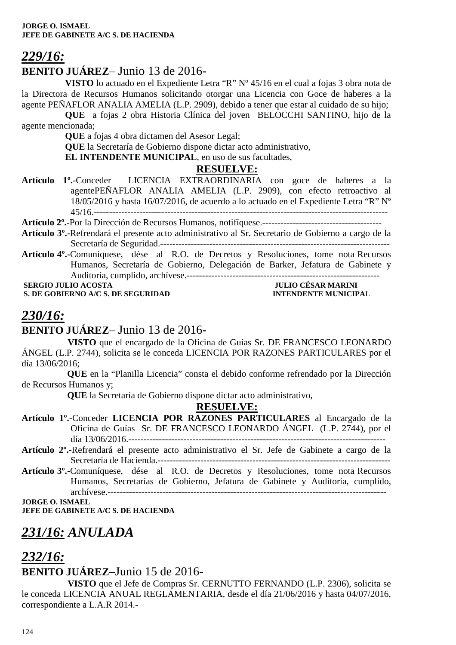# *229/16:*

## **BENITO JUÁREZ**– Junio 13 de 2016-

**VISTO** lo actuado en el Expediente Letra "R" Nº 45/16 en el cual a fojas 3 obra nota de la Directora de Recursos Humanos solicitando otorgar una Licencia con Goce de haberes a la agente PEÑAFLOR ANALIA AMELIA (L.P. 2909), debido a tener que estar al cuidado de su hijo;

**QUE** a fojas 2 obra Historia Clínica del joven BELOCCHI SANTINO, hijo de la agente mencionada;

**QUE** a fojas 4 obra dictamen del Asesor Legal;

**QUE** la Secretaría de Gobierno dispone dictar acto administrativo,

**EL INTENDENTE MUNICIPAL**, en uso de sus facultades,

## **RESUELVE:**

**Artículo 1º.**-Conceder LICENCIA EXTRAORDINARIA con goce de haberes a la agentePEÑAFLOR ANALIA AMELIA (L.P. 2909), con efecto retroactivo al 18/05/2016 y hasta 16/07/2016, de acuerdo a lo actuado en el Expediente Letra "R" Nº 45/16.------------------------------------------------------------------------------------------------

**Artículo 2º.-**Por la Dirección de Recursos Humanos, notifíquese.---------------------------------------

- **Artículo 3º.-**Refrendará el presente acto administrativo al Sr. Secretario de Gobierno a cargo de la Secretaría de Seguridad.---------------------------------------------------------------------------
- **Artículo 4º.-**Comuníquese, dése al R.O. de Decretos y Resoluciones, tome nota Recursos Humanos, Secretaría de Gobierno, Delegación de Barker, Jefatura de Gabinete y Auditoría, cumplido, archívese.---------------------------------------------------------------

**S. DE GOBIERNO A/C S. DE SEGURIDAD** 

 **JULIO CÉSAR MARINI<br>INTENDENTE MUNICIPAL** 

# *230/16:*

## **BENITO JUÁREZ**– Junio 13 de 2016-

 **VISTO** que el encargado de la Oficina de Guías Sr. DE FRANCESCO LEONARDO ÁNGEL (L.P. 2744), solicita se le conceda LICENCIA POR RAZONES PARTICULARES por el día 13/06/2016;

 **QUE** en la "Planilla Licencia" consta el debido conforme refrendado por la Dirección de Recursos Humanos y;

 **QUE** la Secretaría de Gobierno dispone dictar acto administrativo,

## **RESUELVE:**

- **Artículo 1º.**-Conceder **LICENCIA POR RAZONES PARTICULARES** al Encargado de la Oficina de Guías Sr. DE FRANCESCO LEONARDO ÁNGEL (L.P. 2744), por el día 13/06/2016.------------------------------------------------------------------------------------
- **Artículo 2º.-**Refrendará el presente acto administrativo el Sr. Jefe de Gabinete a cargo de la Secretaría de Hacienda.----------------------------------------------------------------------------
- **Artículo 3º.-**Comuníquese, dése al R.O. de Decretos y Resoluciones, tome nota Recursos Humanos, Secretarías de Gobierno, Jefatura de Gabinete y Auditoría, cumplido, archívese.-------------------------------------------------------------------------------------------

**JORGE O. ISMAEL** 

**JEFE DE GABINETE A/C S. DE HACIENDA** 

# *231/16: ANULADA*

# *232/16:*

## **BENITO JUÁREZ**–Junio 15 de 2016-

 **VISTO** que el Jefe de Compras Sr. CERNUTTO FERNANDO (L.P. 2306), solicita se le conceda LICENCIA ANUAL REGLAMENTARIA, desde el día 21/06/2016 y hasta 04/07/2016, correspondiente a L.A.R 2014.-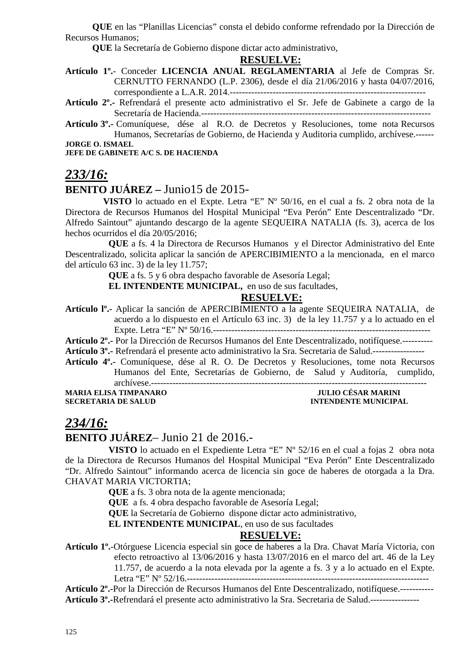**QUE** en las "Planillas Licencias" consta el debido conforme refrendado por la Dirección de Recursos Humanos;

 **QUE** la Secretaría de Gobierno dispone dictar acto administrativo,

#### **RESUELVE:**

- **Artículo 1º.** Conceder **LICENCIA ANUAL REGLAMENTARIA** al Jefe de Compras Sr. CERNUTTO FERNANDO (L.P. 2306), desde el día 21/06/2016 y hasta 04/07/2016, correspondiente a L.A.R. 2014.----------------------------------------------------------------
- **Artículo 2º.-** Refrendará el presente acto administrativo el Sr. Jefe de Gabinete a cargo de la Secretaría de Hacienda.---------------------------------------------------------------------------

**Artículo 3º.-** Comuníquese, dése al R.O. de Decretos y Resoluciones, tome nota Recursos Humanos, Secretarías de Gobierno, de Hacienda y Auditoria cumplido, archívese.------

**JORGE O. ISMAEL** 

**JEFE DE GABINETE A/C S. DE HACIENDA** 

## *233/16:*

## **BENITO JUÁREZ –** Junio15 de 2015-

**VISTO** lo actuado en el Expte. Letra "E" Nº 50/16, en el cual a fs. 2 obra nota de la Directora de Recursos Humanos del Hospital Municipal "Eva Perón" Ente Descentralizado "Dr. Alfredo Saintout" ajuntando descargo de la agente SEQUEIRA NATALIA (fs. 3), acerca de los hechos ocurridos el día 20/05/2016;

**QUE** a fs. 4 la Directora de Recursos Humanos y el Director Administrativo del Ente Descentralizado, solicita aplicar la sanción de APERCIBIMIENTO a la mencionada, en el marco del artículo 63 inc. 3) de la ley 11.757;

**QUE** a fs. 5 y 6 obra despacho favorable de Asesoría Legal;

**EL INTENDENTE MUNICIPAL,** en uso de sus facultades,

#### **RESUELVE:**

**Artículo lº.-** Aplicar la sanción de APERCIBIMIENTO a la agente SEQUEIRA NATALIA, de acuerdo a lo dispuesto en el Artículo 63 inc. 3) de la ley 11.757 y a lo actuado en el Expte. Letra "E" Nº 50/16.-----------------------------------------------------------------------

**Artículo 2º.-** Por la Dirección de Recursos Humanos del Ente Descentralizado, notifíquese.---------- **Artículo 3º.-** Refrendará el presente acto administrativo la Sra. Secretaria de Salud.-----------------

**Artículo 4º.-** Comuníquese, dése al R. O. De Decretos y Resoluciones, tome nota Recursos Humanos del Ente, Secretarías de Gobierno, de Salud y Auditoría, cumplido,

archívese.------------------------------------------------------------------------------------------

**MARIA ELISA TIMPANARO<br>SECRETARIA DE SALUD** 

**INTENDENTE MUNICIPAL** 

## *234/16:*

## **BENITO JUÁREZ**– Junio 21 de 2016.-

**VISTO** lo actuado en el Expediente Letra "E" Nº 52/16 en el cual a fojas 2 obra nota de la Directora de Recursos Humanos del Hospital Municipal "Eva Perón" Ente Descentralizado "Dr. Alfredo Saintout" informando acerca de licencia sin goce de haberes de otorgada a la Dra. CHAVAT MARIA VICTORTIA;

**QUE** a fs. 3 obra nota de la agente mencionada;

**QUE** a fs. 4 obra despacho favorable de Asesoría Legal;

**QUE** la Secretaría de Gobierno dispone dictar acto administrativo,

**EL INTENDENTE MUNICIPAL**, en uso de sus facultades

#### **RESUELVE:**

**Artículo 1º.**-Otórguese Licencia especial sin goce de haberes a la Dra. Chavat María Victoria, con efecto retroactivo al 13/06/2016 y hasta 13/07/2016 en el marco del art. 46 de la Ley 11.757, de acuerdo a la nota elevada por la agente a fs. 3 y a lo actuado en el Expte. Letra "E" Nº 52/16.-------------------------------------------------------------------------------

**Artículo 2º.-**Por la Dirección de Recursos Humanos del Ente Descentralizado, notifíquese.----------- **Artículo 3º.-**Refrendará el presente acto administrativo la Sra. Secretaria de Salud.----------------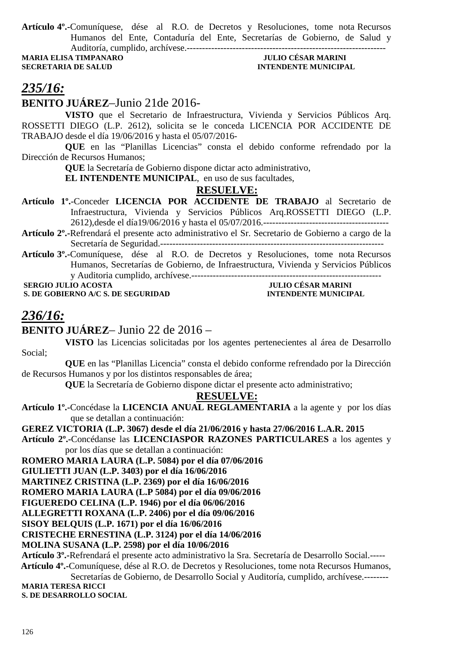**Artículo 4º.-**Comuníquese, dése al R.O. de Decretos y Resoluciones, tome nota Recursos Humanos del Ente, Contaduría del Ente, Secretarías de Gobierno, de Salud y Auditoría, cumplido, archívese.-----------------------------------------------------------------

**MARIA ELISA TIMPANARO SECRETARIA DE SALUD INTENDENTE MUNICIPAL** 

# *235/16:*

**BENITO JUÁREZ**–Junio 21de 2016-

**VISTO** que el Secretario de Infraestructura, Vivienda y Servicios Públicos Arq. ROSSETTI DIEGO (L.P. 2612), solicita se le conceda LICENCIA POR ACCIDENTE DE TRABAJO desde el día 19/06/2016 y hasta el 05/07/2016-

 **QUE** en las "Planillas Licencias" consta el debido conforme refrendado por la Dirección de Recursos Humanos;

 **QUE** la Secretaría de Gobierno dispone dictar acto administrativo,

**EL INTENDENTE MUNICIPAL**, en uso de sus facultades,

### **RESUELVE:**

**Artículo 1º.**-Conceder **LICENCIA POR ACCIDENTE DE TRABAJO** al Secretario de Infraestructura, Vivienda y Servicios Públicos Arq.ROSSETTI DIEGO (L.P. 2612),desde el día19/06/2016 y hasta el 05/07/2016.-----------------------------------------

**Artículo 2º.-**Refrendará el presente acto administrativo el Sr. Secretario de Gobierno a cargo de la Secretaría de Seguridad.-------------------------------------------------------------------------

**Artículo 3º.-**Comuníquese, dése al R.O. de Decretos y Resoluciones, tome nota Recursos Humanos, Secretarías de Gobierno, de Infraestructura, Vivienda y Servicios Públicos y Auditoria cumplido, archívese.--------------------------------------------------------------

**S. DE GOBIERNO A/C S. DE SEGURIDAD** 

------------------------<br>JULIO CÉSAR MARINI<br>INTENDENTE MUNICIPAL

# *236/16:*

## **BENITO JUÁREZ**– Junio 22 de 2016 –

**VISTO** las Licencias solicitadas por los agentes pertenecientes al área de Desarrollo Social;

**QUE** en las "Planillas Licencia" consta el debido conforme refrendado por la Dirección de Recursos Humanos y por los distintos responsables de área;

 **QUE** la Secretaría de Gobierno dispone dictar el presente acto administrativo;

#### **RESUELVE:**

**Artículo 1º.-**Concédase la **LICENCIA ANUAL REGLAMENTARIA** a la agente y por los días que se detallan a continuación:

**GEREZ VICTORIA (L.P. 3067) desde el día 21/06/2016 y hasta 27/06/2016 L.A.R. 2015** 

**Artículo 2º.-**Concédanse las **LICENCIASPOR RAZONES PARTICULARES** a los agentes y por los días que se detallan a continuación:

**ROMERO MARIA LAURA (L.P. 5084) por el día 07/06/2016** 

**GIULIETTI JUAN (L.P. 3403) por el día 16/06/2016** 

**MARTINEZ CRISTINA (L.P. 2369) por el día 16/06/2016**

**ROMERO MARIA LAURA (L.P 5084) por el día 09/06/2016**

**FIGUEREDO CELINA (L.P. 1946) por el día 06/06/2016** 

**ALLEGRETTI ROXANA (L.P. 2406) por el día 09/06/2016**

**SISOY BELQUIS (L.P. 1671) por el día 16/06/2016** 

**CRISTECHE ERNESTINA (L.P. 3124) por el día 14/06/2016** 

**MOLINA SUSANA (L.P. 2598) por el día 10/06/2016** 

**Artículo 3º.-**Refrendará el presente acto administrativo la Sra. Secretaría de Desarrollo Social.-----  **Artículo 4º.-**Comuníquese, dése al R.O. de Decretos y Resoluciones, tome nota Recursos Humanos,

Secretarías de Gobierno, de Desarrollo Social y Auditoría, cumplido, archívese.-------- **MARIA TERESA RICCI S. DE DESARROLLO SOCIAL**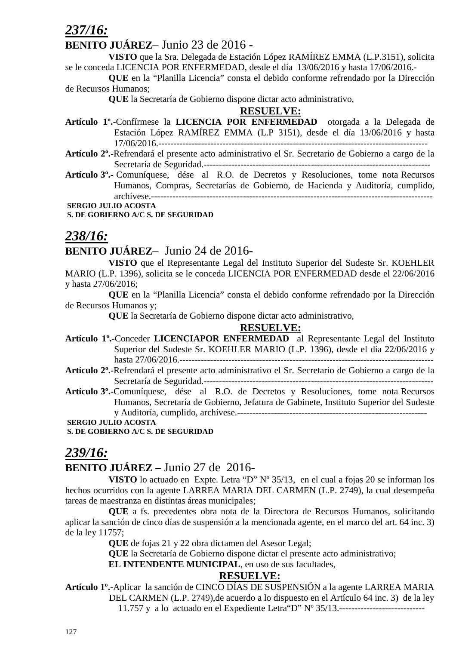*237/16:*

#### **BENITO JUÁREZ**– Junio 23 de 2016 -

**VISTO** que la Sra. Delegada de Estación López RAMÍREZ EMMA (L.P.3151), solicita se le conceda LICENCIA POR ENFERMEDAD, desde el día 13/06/2016 y hasta 17/06/2016.-

 **QUE** en la "Planilla Licencia" consta el debido conforme refrendado por la Dirección de Recursos Humanos;

 **QUE** la Secretaría de Gobierno dispone dictar acto administrativo,

#### **RESUELVE:**

- **Artículo 1º.**-Confírmese la **LICENCIA POR ENFERMEDAD** otorgada a la Delegada de Estación López RAMÍREZ EMMA (L.P 3151), desde el día 13/06/2016 y hasta 17/06/2016.----------------------------------------------------------------------------------------
- **Artículo 2º.-**Refrendará el presente acto administrativo el Sr. Secretario de Gobierno a cargo de la Secretaría de Seguridad.--------------------------------------------------------------------------
- **Artículo 3º.-** Comuníquese, dése al R.O. de Decretos y Resoluciones, tome nota Recursos Humanos, Compras, Secretarías de Gobierno, de Hacienda y Auditoría, cumplido, archívese.--------------------------------------------------------------------------------------------

 **SERGIO JULIO ACOSTA** 

 **S. DE GOBIERNO A/C S. DE SEGURIDAD** 

## *238/16:*

## **BENITO JUÁREZ**– Junio 24 de 2016-

**VISTO** que el Representante Legal del Instituto Superior del Sudeste Sr. KOEHLER MARIO (L.P. 1396), solicita se le conceda LICENCIA POR ENFERMEDAD desde el 22/06/2016 y hasta 27/06/2016;

**QUE** en la "Planilla Licencia" consta el debido conforme refrendado por la Dirección de Recursos Humanos y;

 **QUE** la Secretaría de Gobierno dispone dictar acto administrativo,

#### **RESUELVE:**

- **Artículo 1º.**-Conceder **LICENCIAPOR ENFERMEDAD** al Representante Legal del Instituto Superior del Sudeste Sr. KOEHLER MARIO (L.P. 1396), desde el día 22/06/2016 y hasta 27/06/2016.-----------------------------------------------------------------------------------
- **Artículo 2º.-**Refrendará el presente acto administrativo el Sr. Secretario de Gobierno a cargo de la Secretaría de Seguridad.---------------------------------------------------------------------------
- **Artículo 3º.-**Comuníquese, dése al R.O. de Decretos y Resoluciones, tome nota Recursos Humanos, Secretaría de Gobierno, Jefatura de Gabinete, Instituto Superior del Sudeste y Auditoría, cumplido, archívese.--------------------------------------------------------------

 **SERGIO JULIO ACOSTA** 

 **S. DE GOBIERNO A/C S. DE SEGURIDAD** 

## *239/16:*

## **BENITO JUÁREZ –** Junio 27 de 2016-

**VISTO** lo actuado en Expte. Letra "D" N° 35/13, en el cual a fojas 20 se informan los hechos ocurridos con la agente LARREA MARIA DEL CARMEN (L.P. 2749), la cual desempeña tareas de maestranza en distintas áreas municipales;

**QUE** a fs. precedentes obra nota de la Directora de Recursos Humanos, solicitando aplicar la sanción de cinco días de suspensión a la mencionada agente, en el marco del art. 64 inc. 3) de la ley 11757;

 **QUE** de fojas 21 y 22 obra dictamen del Asesor Legal;

**QUE** la Secretaría de Gobierno dispone dictar el presente acto administrativo;

**EL INTENDENTE MUNICIPAL**, en uso de sus facultades,

#### **RESUELVE:**

**Artículo 1º.-**Aplicar la sanción de CINCO DÍAS DE SUSPENSIÓN a la agente LARREA MARIA DEL CARMEN (L.P. 2749),de acuerdo a lo dispuesto en el Artículo 64 inc. 3) de la ley 11.757 y a lo actuado en el Expediente Letra"D" Nº 35/13.----------------------------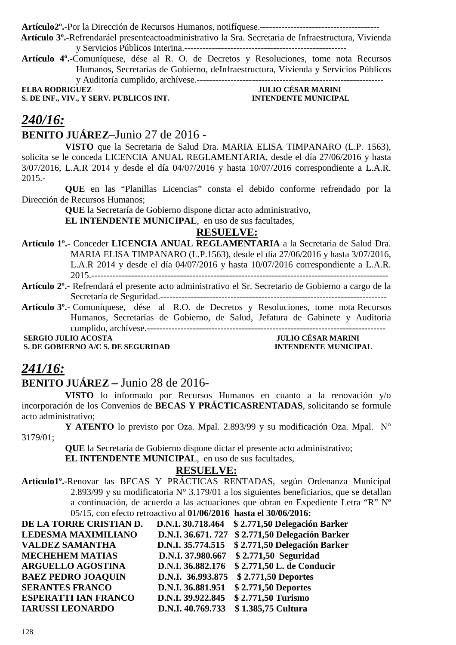**Artículo2º.**-Por la Dirección de Recursos Humanos, notifíquese.---------------------------------------

 **Artículo 3º.-**Refrendaráel presenteactoadministrativo la Sra. Secretaria de Infraestructura, Vivienda y Servicios Públicos Interina.-----------------------------------------------------

**Artículo 4º.-**Comuníquese, dése al R. O. de Decretos y Resoluciones, tome nota Recursos Humanos, Secretarías de Gobierno, deInfraestructura, Vivienda y Servicios Públicos y Auditoría cumplido, archívese.-------------------------------------------------------------

**S. DE INF., VIV., Y SERV. PUBLICOS INT.** 

**ELLIO CÉSAR MARINI<br>INTENDENTE MUNICIPAL** 

## *240/16:*

## **BENITO JUÁREZ**–Junio 27 de 2016 -

**VISTO** que la Secretaria de Salud Dra. MARIA ELISA TIMPANARO (L.P. 1563), solicita se le conceda LICENCIA ANUAL REGLAMENTARIA, desde el día 27/06/2016 y hasta 3/07/2016, L.A.R 2014 y desde el día 04/07/2016 y hasta 10/07/2016 correspondiente a L.A.R. 2015.-

**QUE** en las "Planillas Licencias" consta el debido conforme refrendado por la Dirección de Recursos Humanos;

**QUE** la Secretaría de Gobierno dispone dictar acto administrativo,

**EL INTENDENTE MUNICIPAL**, en uso de sus facultades,

## **RESUELVE:**

**Artículo 1º.**- Conceder **LICENCIA ANUAL REGLAMENTARIA** a la Secretaria de Salud Dra. MARIA ELISA TIMPANARO (L.P.1563), desde el día 27/06/2016 y hasta 3/07/2016, L.A.R 2014 y desde el día 04/07/2016 y hasta 10/07/2016 correspondiente a L.A.R. 2015.-------------------------------------------------------------------------------------------------

**Artículo 2º.-** Refrendará el presente acto administrativo el Sr. Secretario de Gobierno a cargo de la Secretaría de Seguridad.--------------------------------------------------------------------------

**Artículo 3º.-** Comuníquese, dése al R.O. de Decretos y Resoluciones, tome nota Recursos Humanos, Secretarías de Gobierno, de Salud, Jefatura de Gabinete y Auditoria cumplido, archívese.------------------------------------------------------------------------------

**S. DE GOBIERNO A/C S. DE SEGURIDAD INTENDENTE MUNICIPAL** 

# **SERGIO JULIO ACOSTA JULIO CÉSAR MARINI**

## *241/16:*

### **BENITO JUÁREZ –** Junio 28 de 2016-

**VISTO** lo informado por Recursos Humanos en cuanto a la renovación y/o incorporación de los Convenios de **BECAS Y PRÁCTICASRENTADAS**, solicitando se formule acto administrativo;

**Y ATENTO** lo previsto por Oza. Mpal. 2.893/99 y su modificación Oza. Mpal. N° 3179/01;

 **QUE** la Secretaría de Gobierno dispone dictar el presente acto administrativo;

**EL INTENDENTE MUNICIPAL**, en uso de sus facultades,

#### **RESUELVE:**

**Artículo1º.-**Renovar las BECAS Y PRÁCTICAS RENTADAS, según Ordenanza Municipal 2.893/99 y su modificatoria N° 3.179/01 a los siguientes beneficiarios, que se detallan a continuación, de acuerdo a las actuaciones que obran en Expediente Letra "R" Nº 05/15, con efecto retroactivo al **01/06/2016 hasta el 30/06/2016:** 

| DE LA TORRE CRISTIAN D.     |                   | D.N.I. 30.718.464 \$2.771,50 Delegación Barker   |
|-----------------------------|-------------------|--------------------------------------------------|
| <b>LEDESMA MAXIMILIANO</b>  |                   | D.N.I. 36.671. 727 \$ 2.771,50 Delegación Barker |
| <b>VALDEZ SAMANTHA</b>      |                   | D.N.I. 35.774.515 \$2.771,50 Delegación Barker   |
| <b>MECHEHEM MATIAS</b>      |                   | D.N.I. 37.980.667 \$2.771,50 Seguridad           |
| <b>ARGUELLO AGOSTINA</b>    |                   | D.N.I. 36.882.176 \$2.771,50 L. de Conducir      |
| <b>BAEZ PEDRO JOAQUIN</b>   |                   | D.N.I. 36.993.875 \$2.771,50 Deportes            |
| <b>SERANTES FRANCO</b>      | D.N.I. 36.881.951 | \$2.771,50 Deportes                              |
| <b>ESPERATTI IAN FRANCO</b> | D.N.I. 39.922.845 | \$2.771,50 Turismo                               |
| <b>IARUSSI LEONARDO</b>     | D.N.I. 40.769.733 | \$1.385,75 Cultura                               |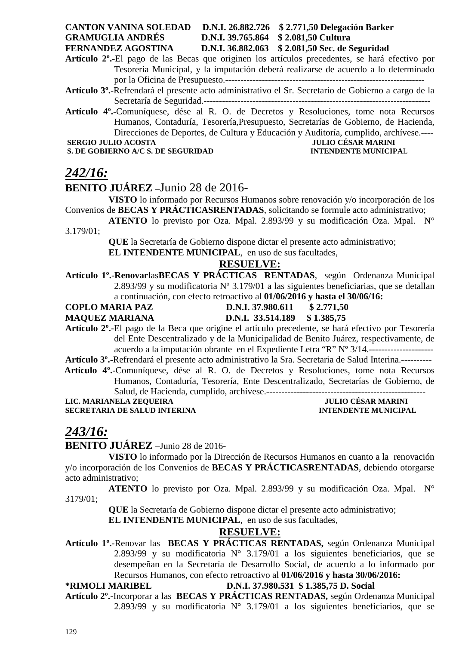#### **CANTON VANINA SOLEDAD D.N.I. 26.882.726 \$ 2.771,50 Delegación Barker GRAMUGLIA ANDRÉS D.N.I. 39.765.864 \$ 2.081,50 Cultura FERNANDEZ AGOSTINA D.N.I. 36.882.063 \$ 2.081,50 Sec. de Seguridad**

**Artículo 2º.-**El pago de las Becas que originen los artículos precedentes, se hará efectivo por Tesorería Municipal, y la imputación deberá realizarse de acuerdo a lo determinado por la Oficina de Presupuesto.-----------------------------------------------------------------

- **Artículo 3º.-**Refrendará el presente acto administrativo el Sr. Secretario de Gobierno a cargo de la Secretaría de Seguridad.--------------------------------------------------------------------------
- **Artículo 4º.-**Comuníquese, dése al R. O. de Decretos y Resoluciones, tome nota Recursos Humanos, Contaduría, Tesorería,Presupuesto, Secretarías de Gobierno, de Hacienda, Direcciones de Deportes, de Cultura y Educación y Auditoría, cumplido, archívese.----  **SERGIO JULIO ACOSTA JULIO CÉSAR MARINI**

**S. DE GOBIERNO A/C S. DE SEGURIDAD INTENDENTE MUNICIPAL** 

## *242/16:*

## **BENITO JUÁREZ –**Junio 28 de 2016-

**VISTO** lo informado por Recursos Humanos sobre renovación y/o incorporación de los Convenios de **BECAS Y PRÁCTICASRENTADAS**, solicitando se formule acto administrativo;

**ATENTO** lo previsto por Oza. Mpal. 2.893/99 y su modificación Oza. Mpal. N° 3.179/01;

**QUE** la Secretaría de Gobierno dispone dictar el presente acto administrativo;

**EL INTENDENTE MUNICIPAL**, en uso de sus facultades,

### **RESUELVE:**

- **Artículo 1º.-Renovar**las**BECAS Y PRÁCTICAS RENTADAS**, según Ordenanza Municipal 2.893/99 y su modificatoria Nº 3.179/01 a las siguientes beneficiarias, que se detallan a continuación, con efecto retroactivo al **01/06/2016 y hasta el 30/06/16:**
- **COPLO MARIA PAZ D.N.I. 37.980.611 \$ 2.771,50**
- 
- **MAQUEZ MARIANA D.N.I. 33.514.189 \$ 1.385,75**

**Artículo 2º.-**El pago de la Beca que origine el artículo precedente, se hará efectivo por Tesorería del Ente Descentralizado y de la Municipalidad de Benito Juárez, respectivamente, de acuerdo a la imputación obrante en el Expediente Letra "R" Nº 3/14.---------------------

- **Artículo 3º.-**Refrendará el presente acto administrativo la Sra. Secretaria de Salud Interina.----------  **Artículo 4º.-**Comuníquese, dése al R. O. de Decretos y Resoluciones, tome nota Recursos
	- Humanos, Contaduría, Tesorería, Ente Descentralizado, Secretarías de Gobierno, de Salud, de Hacienda, cumplido, archívese.----------------------------------------------------

**LIC. MARIANELA ZEQUEIRA** 

# **SECRETARIA DE SALUD INTERINA INTENDENTE MUNICIPAL**

## *243/16:*

**BENITO JUÁREZ** –Junio 28 de 2016-

**VISTO** lo informado por la Dirección de Recursos Humanos en cuanto a la renovación y/o incorporación de los Convenios de **BECAS Y PRÁCTICASRENTADAS**, debiendo otorgarse acto administrativo;

**ATENTO** lo previsto por Oza. Mpal. 2.893/99 y su modificación Oza. Mpal. N° 3179/01;

**QUE** la Secretaría de Gobierno dispone dictar el presente acto administrativo;

**EL INTENDENTE MUNICIPAL**, en uso de sus facultades,

## **RESUELVE:**

**Artículo 1º.-**Renovar las **BECAS Y PRÁCTICAS RENTADAS,** según Ordenanza Municipal 2.893/99 y su modificatoria  $N^{\circ}$  3.179/01 a los siguientes beneficiarios, que se desempeñan en la Secretaría de Desarrollo Social, de acuerdo a lo informado por Recursos Humanos, con efecto retroactivo al **01/06/2016 y hasta 30/06/2016:** 

## **\*RIMOLI MARIBEL D.N.I. 37.980.531 \$ 1.385,75 D. Social**

**Artículo 2º.-**Incorporar a las **BECAS Y PRÁCTICAS RENTADAS,** según Ordenanza Municipal 2.893/99 y su modificatoria  $N^{\circ}$  3.179/01 a los siguientes beneficiarios, que se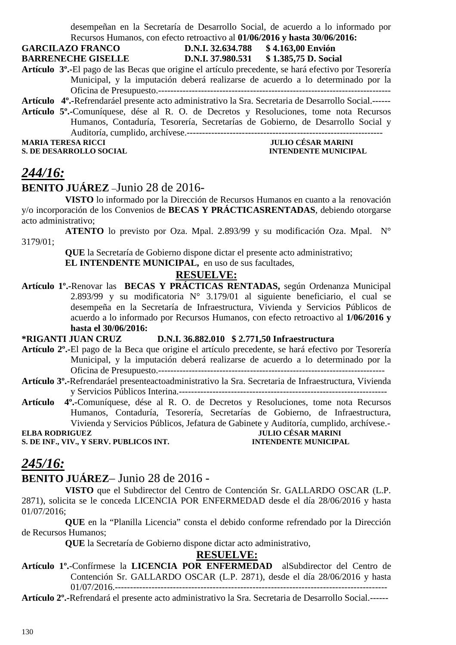desempeñan en la Secretaría de Desarrollo Social, de acuerdo a lo informado por Recursos Humanos, con efecto retroactivo al **01/06/2016 y hasta 30/06/2016:** 

**GARCILAZO FRANCO D.N.I. 32.634.788 \$ 4.163,00 Envión** 

**BARRENECHE GISELLE D.N.I. 37.980.531 \$ 1.385,75 D. Social** 

**Artículo 3º.-**El pago de las Becas que origine el artículo precedente, se hará efectivo por Tesorería Municipal, y la imputación deberá realizarse de acuerdo a lo determinado por la Oficina de Presupuesto.----------------------------------------------------------------------------

**Artículo 4º.-**Refrendaráel presente acto administrativo la Sra. Secretaria de Desarrollo Social.------ **Artículo 5º.-**Comuníquese, dése al R. O. de Decretos y Resoluciones, tome nota Recursos Humanos, Contaduría, Tesorería, Secretarías de Gobierno, de Desarrollo Social y Auditoría, cumplido, archívese.----------------------------------------------------------------

**MARIA TERESA RICCI JULIO CÉSAR MARINI S. DE DESARROLLO SOCIAL DESPESSION DE L'ALGERIE DE L'ALGERIE DE L'ALGERIE DE L'ALGERIE DE L'ALGERIE DE L'ALGER** 

## *244/16:* **BENITO JUÁREZ** –Junio 28 de 2016-

**VISTO** lo informado por la Dirección de Recursos Humanos en cuanto a la renovación y/o incorporación de los Convenios de **BECAS Y PRÁCTICASRENTADAS**, debiendo otorgarse acto administrativo;

**ATENTO** lo previsto por Oza. Mpal. 2.893/99 y su modificación Oza. Mpal. N° 3179/01;

> **QUE** la Secretaría de Gobierno dispone dictar el presente acto administrativo; **EL INTENDENTE MUNICIPAL,** en uso de sus facultades,

## **RESUELVE:**

**Artículo 1º.-**Renovar las **BECAS Y PRÁCTICAS RENTADAS,** según Ordenanza Municipal 2.893/99 y su modificatoria N° 3.179/01 al siguiente beneficiario, el cual se desempeña en la Secretaría de Infraestructura, Vivienda y Servicios Públicos de acuerdo a lo informado por Recursos Humanos, con efecto retroactivo al **1/06/2016 y hasta el 30/06/2016:** 

**\*RIGANTI JUAN CRUZ D.N.I. 36.882.010 \$ 2.771,50 Infraestructura** 

- **Artículo 2º.-**El pago de la Beca que origine el artículo precedente, se hará efectivo por Tesorería Municipal, y la imputación deberá realizarse de acuerdo a lo determinado por la Oficina de Presupuesto.--------------------------------------------------------------------------
- **Artículo 3º.-**Refrendaráel presenteactoadministrativo la Sra. Secretaria de Infraestructura, Vivienda y Servicios Públicos Interina.--------------------------------------------------------------------
- **Artículo 4º.-**Comuníquese, dése al R. O. de Decretos y Resoluciones, tome nota Recursos Humanos, Contaduría, Tesorería, Secretarías de Gobierno, de Infraestructura, Vivienda y Servicios Públicos, Jefatura de Gabinete y Auditoría, cumplido, archívese.-

**ELBA RODRIGUEZ JULIO CÉSAR MARINI S. DE INF., VIV., Y SERV. PUBLICOS INT.** 

# *245/16:*

## **BENITO JUÁREZ**– Junio 28 de 2016 -

**VISTO** que el Subdirector del Centro de Contención Sr. GALLARDO OSCAR (L.P. 2871), solicita se le conceda LICENCIA POR ENFERMEDAD desde el día 28/06/2016 y hasta 01/07/2016;

**QUE** en la "Planilla Licencia" consta el debido conforme refrendado por la Dirección de Recursos Humanos;

 **QUE** la Secretaría de Gobierno dispone dictar acto administrativo,

## **RESUELVE:**

**Artículo 1º.**-Confírmese la **LICENCIA POR ENFERMEDAD** alSubdirector del Centro de Contención Sr. GALLARDO OSCAR (L.P. 2871), desde el día 28/06/2016 y hasta 01/07/2016.-----------------------------------------------------------------------------------------

**Artículo 2º.-**Refrendará el presente acto administrativo la Sra. Secretaria de Desarrollo Social.------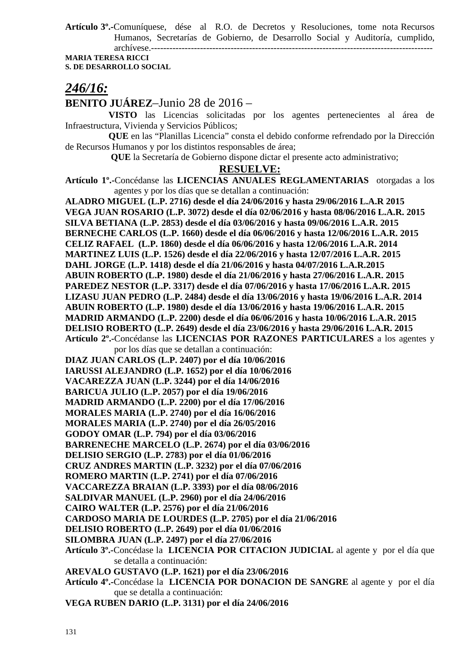**Artículo 3º.-**Comuníquese, dése al R.O. de Decretos y Resoluciones, tome nota Recursos Humanos, Secretarías de Gobierno, de Desarrollo Social y Auditoría, cumplido, archívese.--------------------------------------------------------------------------------------------

**MARIA TERESA RICCI S. DE DESARROLLO SOCIAL** 

## *246/16:*

**BENITO JUÁREZ**–Junio 28 de 2016 –

**VISTO** las Licencias solicitadas por los agentes pertenecientes al área de Infraestructura, Vivienda y Servicios Públicos;

**QUE** en las "Planillas Licencia" consta el debido conforme refrendado por la Dirección de Recursos Humanos y por los distintos responsables de área;

 **QUE** la Secretaría de Gobierno dispone dictar el presente acto administrativo;

#### **RESUELVE:**

**Artículo 1º.-**Concédanse las **LICENCIAS ANUALES REGLAMENTARIAS** otorgadas a los agentes y por los días que se detallan a continuación:

**ALADRO MIGUEL (L.P. 2716) desde el día 24/06/2016 y hasta 29/06/2016 L.A.R 2015 VEGA JUAN ROSARIO (L.P. 3072) desde el día 02/06/2016 y hasta 08/06/2016 L.A.R. 2015 SILVA BETIANA (L.P. 2853) desde el día 03/06/2016 y hasta 09/06/2016 L.A.R. 2015 BERNECHE CARLOS (L.P. 1660) desde el día 06/06/2016 y hasta 12/06/2016 L.A.R. 2015 CELIZ RAFAEL (L.P. 1860) desde el día 06/06/2016 y hasta 12/06/2016 L.A.R. 2014 MARTINEZ LUIS (L.P. 1526) desde el día 22/06/2016 y hasta 12/07/2016 L.A.R. 2015 DAHL JORGE (L.P. 1418) desde el día 21/06/2016 y hasta 04/07/2016 L.A.R.2015 ABUIN ROBERTO (L.P. 1980) desde el día 21/06/2016 y hasta 27/06/2016 L.A.R. 2015 PAREDEZ NESTOR (L.P. 3317) desde el día 07/06/2016 y hasta 17/06/2016 L.A.R. 2015 LIZASU JUAN PEDRO (L.P. 2484) desde el día 13/06/2016 y hasta 19/06/2016 L.A.R. 2014 ABUIN ROBERTO (L.P. 1980) desde el día 13/06/2016 y hasta 19/06/2016 L.A.R. 2015 MADRID ARMANDO (L.P. 2200) desde el día 06/06/2016 y hasta 10/06/2016 L.A.R. 2015 DELISIO ROBERTO (L.P. 2649) desde el día 23/06/2016 y hasta 29/06/2016 L.A.R. 2015 Artículo 2º.-**Concédanse las **LICENCIAS POR RAZONES PARTICULARES** a los agentes y por los días que se detallan a continuación: **DIAZ JUAN CARLOS (L.P. 2407) por el día 10/06/2016 IARUSSI ALEJANDRO (L.P. 1652) por el día 10/06/2016 VACAREZZA JUAN (L.P. 3244) por el día 14/06/2016 BARICUA JULIO (L.P. 2057) por el día 19/06/2016 MADRID ARMANDO (L.P. 2200) por el día 17/06/2016 MORALES MARIA (L.P. 2740) por el día 16/06/2016 MORALES MARIA (L.P. 2740) por el día 26/05/2016 GODOY OMAR (L.P. 794) por el día 03/06/2016 BARRENECHE MARCELO (L.P. 2674) por el día 03/06/2016 DELISIO SERGIO (L.P. 2783) por el día 01/06/2016 CRUZ ANDRES MARTIN (L.P. 3232) por el día 07/06/2016 ROMERO MARTIN (L.P. 2741) por el día 07/06/2016 VACCAREZZA BRAIAN (L.P. 3393) por el día 08/06/2016 SALDIVAR MANUEL (L.P. 2960) por el día 24/06/2016 CAIRO WALTER (L.P. 2576) por el día 21/06/2016 CARDOSO MARIA DE LOURDES (L.P. 2705) por el día 21/06/2016 DELISIO ROBERTO (L.P. 2649) por el día 01/06/2016 SILOMBRA JUAN (L.P. 2497) por el día 27/06/2016 Artículo 3º.-**Concédase la **LICENCIA POR CITACION JUDICIAL** al agente y por el día que se detalla a continuación: **AREVALO GUSTAVO (L.P. 1621) por el día 23/06/2016 Artículo 4º.-**Concédase la **LICENCIA POR DONACION DE SANGRE** al agente y por el día que se detalla a continuación:

**VEGA RUBEN DARIO (L.P. 3131) por el día 24/06/2016**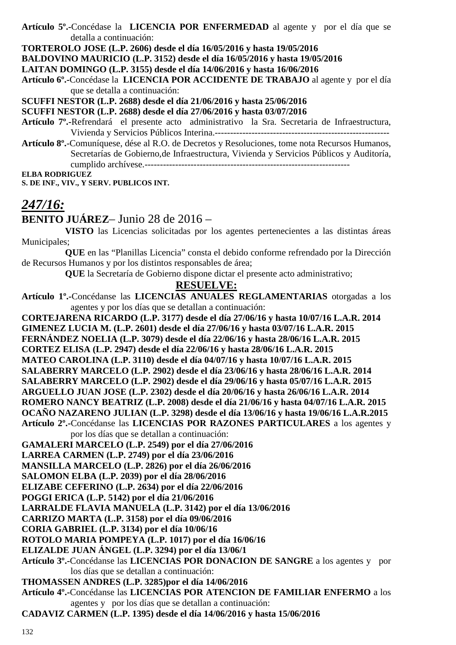**Artículo 5º.-**Concédase la **LICENCIA POR ENFERMEDAD** al agente y por el día que se detalla a continuación:

**TORTEROLO JOSE (L.P. 2606) desde el día 16/05/2016 y hasta 19/05/2016** 

**BALDOVINO MAURICIO (L.P. 3152) desde el día 16/05/2016 y hasta 19/05/2016** 

**LAITAN DOMINGO (L.P. 3155) desde el día 14/06/2016 y hasta 16/06/2016** 

**Artículo 6º.-**Concédase la **LICENCIA POR ACCIDENTE DE TRABAJO** al agente y por el día que se detalla a continuación:

**SCUFFI NESTOR (L.P. 2688) desde el día 21/06/2016 y hasta 25/06/2016** 

**SCUFFI NESTOR (L.P. 2688) desde el día 27/06/2016 y hasta 03/07/2016** 

**Artículo 7º.-**Refrendará el presente acto administrativo la Sra. Secretaria de Infraestructura, Vivienda y Servicios Públicos Interina.---------------------------------------------------------

**Artículo 8º.**-Comuníquese, dése al R.O. de Decretos y Resoluciones, tome nota Recursos Humanos, Secretarías de Gobierno,de Infraestructura, Vivienda y Servicios Públicos y Auditoría, cumplido archívese.-------------------------------------------------------------------

**ELBA RODRIGUEZ** 

**S. DE INF., VIV., Y SERV. PUBLICOS INT.** 

# *247/16:*

**BENITO JUÁREZ**– Junio 28 de 2016 –

**VISTO** las Licencias solicitadas por los agentes pertenecientes a las distintas áreas Municipales;

**QUE** en las "Planillas Licencia" consta el debido conforme refrendado por la Dirección de Recursos Humanos y por los distintos responsables de área;

 **QUE** la Secretaría de Gobierno dispone dictar el presente acto administrativo;

## **RESUELVE:**

**Artículo 1º.-**Concédanse las **LICENCIAS ANUALES REGLAMENTARIAS** otorgadas a los agentes y por los días que se detallan a continuación:

**CORTEJARENA RICARDO (L.P. 3177) desde el día 27/06/16 y hasta 10/07/16 L.A.R. 2014 GIMENEZ LUCIA M. (L.P. 2601) desde el día 27/06/16 y hasta 03/07/16 L.A.R. 2015 FERNÁNDEZ NOELIA (L.P. 3079) desde el día 22/06/16 y hasta 28/06/16 L.A.R. 2015 CORTEZ ELISA (L.P. 2947) desde el día 22/06/16 y hasta 28/06/16 L.A.R. 2015 MATEO CAROLINA (L.P. 3110) desde el día 04/07/16 y hasta 10/07/16 L.A.R. 2015 SALABERRY MARCELO (L.P. 2902) desde el día 23/06/16 y hasta 28/06/16 L.A.R. 2014 SALABERRY MARCELO (L.P. 2902) desde el día 29/06/16 y hasta 05/07/16 L.A.R. 2015 ARGUELLO JUAN JOSE (L.P. 2302) desde el día 20/06/16 y hasta 26/06/16 L.A.R. 2014 ROMERO NANCY BEATRIZ (L.P. 2008) desde el día 21/06/16 y hasta 04/07/16 L.A.R. 2015 OCAÑO NAZARENO JULIAN (L.P. 3298) desde el día 13/06/16 y hasta 19/06/16 L.A.R.2015 Artículo 2º.-**Concédanse las **LICENCIAS POR RAZONES PARTICULARES** a los agentes y por los días que se detallan a continuación: **GAMALERI MARCELO (L.P. 2549) por el día 27/06/2016 LARREA CARMEN (L.P. 2749) por el día 23/06/2016 MANSILLA MARCELO (L.P. 2826) por el día 26/06/2016 SALOMON ELBA (L.P. 2039) por el día 28/06/2016 ELIZABE CEFERINO (L.P. 2634) por el día 22/06/2016 POGGI ERICA (L.P. 5142) por el día 21/06/2016 LARRALDE FLAVIA MANUELA (L.P. 3142) por el día 13/06/2016 CARRIZO MARTA (L.P. 3158) por el día 09/06/2016 CORIA GABRIEL (L.P. 3134) por el día 10/06/16 ROTOLO MARIA POMPEYA (L.P. 1017) por el día 16/06/16 ELIZALDE JUAN ÁNGEL (L.P. 3294) por el día 13/06/1 Artículo 3º.-**Concédanse las **LICENCIAS POR DONACION DE SANGRE** a los agentes y por los días que se detallan a continuación: **THOMASSEN ANDRES (L.P. 3285)por el día 14/06/2016** 

**Artículo 4º.-**Concédanse las **LICENCIAS POR ATENCION DE FAMILIAR ENFERMO** a los agentes y por los días que se detallan a continuación:

**CADAVIZ CARMEN (L.P. 1395) desde el día 14/06/2016 y hasta 15/06/2016**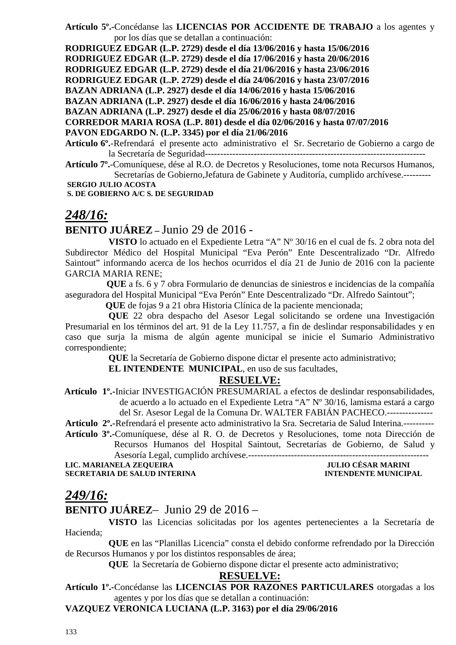**Artículo 5º.-**Concédanse las **LICENCIAS POR ACCIDENTE DE TRABAJO** a los agentes y por los días que se detallan a continuación:

**RODRIGUEZ EDGAR (L.P. 2729) desde el día 13/06/2016 y hasta 15/06/2016 RODRIGUEZ EDGAR (L.P. 2729) desde el día 17/06/2016 y hasta 20/06/2016 RODRIGUEZ EDGAR (L.P. 2729) desde el día 21/06/2016 y hasta 23/06/2016 RODRIGUEZ EDGAR (L.P. 2729) desde el día 24/06/2016 y hasta 23/07/2016 BAZAN ADRIANA (L.P. 2927) desde el día 14/06/2016 y hasta 15/06/2016 BAZAN ADRIANA (L.P. 2927) desde el día 16/06/2016 y hasta 24/06/2016 BAZAN ADRIANA (L.P. 2927) desde el día 25/06/2016 y hasta 08/07/2016 CORREDOR MARIA ROSA (L.P. 801) desde el día 02/06/2016 y hasta 07/07/2016 PAVON EDGARDO N. (L.P. 3345) por el día 21/06/2016** 

**Artículo 6º.**-Refrendará el presente acto administrativo el Sr. Secretario de Gobierno a cargo de la Secretaría de Seguridad------------------------------------------------------------------------

**Artículo 7º.**-Comuníquese, dése al R.O. de Decretos y Resoluciones, tome nota Recursos Humanos, Secretarías de Gobierno,Jefatura de Gabinete y Auditoría, cumplido archívese.---------  **SERGIO JULIO ACOSTA** 

 **S. DE GOBIERNO A/C S. DE SEGURIDAD** 

## *248/16:*

### **BENITO JUÁREZ –** Junio 29 de 2016 -

**VISTO** lo actuado en el Expediente Letra "A" Nº 30/16 en el cual de fs. 2 obra nota del Subdirector Médico del Hospital Municipal "Eva Perón" Ente Descentralizado "Dr. Alfredo Saintout" informando acerca de los hechos ocurridos el día 21 de Junio de 2016 con la paciente GARCIA MARIA RENE;

 **QUE** a fs. 6 y 7 obra Formulario de denuncias de siniestros e incidencias de la compañía aseguradora del Hospital Municipal "Eva Perón" Ente Descentralizado "Dr. Alfredo Saintout";

 **QUE** de fojas 9 a 21 obra Historia Clínica de la paciente mencionada;

**QUE** 22 obra despacho del Asesor Legal solicitando se ordene una Investigación Presumarial en los términos del art. 91 de la Ley 11.757, a fin de deslindar responsabilidades y en caso que surja la misma de algún agente municipal se inicie el Sumario Administrativo correspondiente;

**QUE** la Secretaría de Gobierno dispone dictar el presente acto administrativo;

**EL INTENDENTE MUNICIPAL**, en uso de sus facultades,

#### **RESUELVE:**

 **Artículo 1º.-**Iniciar INVESTIGACIÓN PRESUMARIAL a efectos de deslindar responsabilidades, de acuerdo a lo actuado en el Expediente Letra "A" Nº 30/16, lamisma estará a cargo del Sr. Asesor Legal de la Comuna Dr. WALTER FABIÁN PACHECO.---------------

**Artículo 2º.-**Refrendará el presente acto administrativo la Sra. Secretaria de Salud Interina.----------

**Artículo 3º.-**Comuníquese, dése al R. O. de Decretos y Resoluciones, tome nota Dirección de Recursos Humanos del Hospital Saintout, Secretarías de Gobierno, de Salud y Asesoría Legal, cumplido archívese.-----------------------------------------------------------

**LIC. MARIANELA ZEQUEIRA SECRETARIA DE SALUD INTERINA INTENDENTE MUNICIPAL** 

## *249/16:*

## **BENITO JUÁREZ**– Junio 29 de 2016 –

**VISTO** las Licencias solicitadas por los agentes pertenecientes a la Secretaría de Hacienda;

**QUE** en las "Planillas Licencia" consta el debido conforme refrendado por la Dirección de Recursos Humanos y por los distintos responsables de área;

 **QUE** la Secretaría de Gobierno dispone dictar el presente acto administrativo;

#### **RESUELVE:**

**Artículo 1º.-**Concédanse las **LICENCIAS POR RAZONES PARTICULARES** otorgadas a los agentes y por los días que se detallan a continuación:

**VAZQUEZ VERONICA LUCIANA (L.P. 3163) por el día 29/06/2016**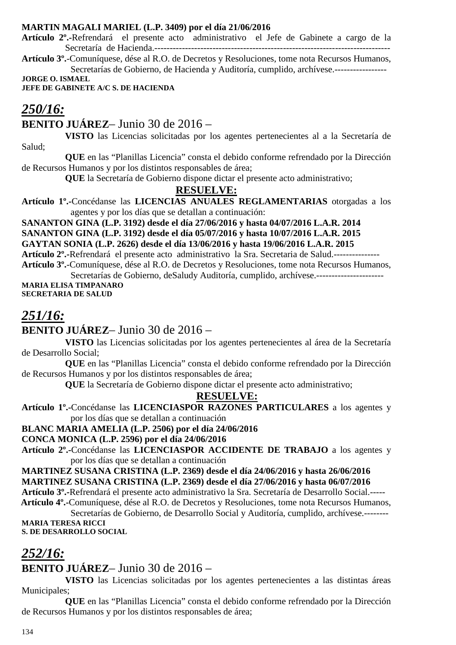#### **MARTIN MAGALI MARIEL (L.P. 3409) por el día 21/06/2016**

**Artículo 2º.-**Refrendará el presente acto administrativo el Jefe de Gabinete a cargo de la Secretaría de Hacienda.-----------------------------------------------------------------------------

**Artículo 3º.**-Comuníquese, dése al R.O. de Decretos y Resoluciones, tome nota Recursos Humanos, Secretarías de Gobierno, de Hacienda y Auditoría, cumplido, archívese.-----------------

**JORGE O. ISMAEL** 

**JEFE DE GABINETE A/C S. DE HACIENDA** 

## *250/16:*

**BENITO JUÁREZ**– Junio 30 de 2016 –

**VISTO** las Licencias solicitadas por los agentes pertenecientes al a la Secretaría de Salud;

**QUE** en las "Planillas Licencia" consta el debido conforme refrendado por la Dirección de Recursos Humanos y por los distintos responsables de área;

**QUE** la Secretaría de Gobierno dispone dictar el presente acto administrativo;

## **RESUELVE:**

**Artículo 1º.-**Concédanse las **LICENCIAS ANUALES REGLAMENTARIAS** otorgadas a los agentes y por los días que se detallan a continuación:

**SANANTON GINA (L.P. 3192) desde el día 27/06/2016 y hasta 04/07/2016 L.A.R. 2014 SANANTON GINA (L.P. 3192) desde el día 05/07/2016 y hasta 10/07/2016 L.A.R. 2015 GAYTAN SONIA (L.P. 2626) desde el día 13/06/2016 y hasta 19/06/2016 L.A.R. 2015** 

**Artículo 2º.-**Refrendará el presente acto administrativo la Sra. Secretaria de Salud.--------------- **Artículo 3º.**-Comuníquese, dése al R.O. de Decretos y Resoluciones, tome nota Recursos Humanos,

Secretarías de Gobierno, deSaludy Auditoría, cumplido, archívese.----------------------**MARIA ELISA TIMPANARO SECRETARIA DE SALUD** 

# *251/16:*

## **BENITO JUÁREZ**– Junio 30 de 2016 –

**VISTO** las Licencias solicitadas por los agentes pertenecientes al área de la Secretaría de Desarrollo Social;

**QUE** en las "Planillas Licencia" consta el debido conforme refrendado por la Dirección de Recursos Humanos y por los distintos responsables de área;

**QUE** la Secretaría de Gobierno dispone dictar el presente acto administrativo;

#### **RESUELVE:**

**Artículo 1º.-**Concédanse las **LICENCIASPOR RAZONES PARTICULARES** a los agentes y por los días que se detallan a continuación

#### **BLANC MARIA AMELIA (L.P. 2506) por el día 24/06/2016**

#### **CONCA MONICA (L.P. 2596) por el día 24/06/2016**

**Artículo 2º.-**Concédanse las **LICENCIASPOR ACCIDENTE DE TRABAJO** a los agentes y por los días que se detallan a continuación

**MARTINEZ SUSANA CRISTINA (L.P. 2369) desde el día 24/06/2016 y hasta 26/06/2016 MARTINEZ SUSANA CRISTINA (L.P. 2369) desde el día 27/06/2016 y hasta 06/07/2016 Artículo 3º.-**Refrendará el presente acto administrativo la Sra. Secretaría de Desarrollo Social.-----  **Artículo 4º.-**Comuníquese, dése al R.O. de Decretos y Resoluciones, tome nota Recursos Humanos,

Secretarías de Gobierno, de Desarrollo Social y Auditoría, cumplido, archívese.-------- **MARIA TERESA RICCI** 

**S. DE DESARROLLO SOCIAL** 

## *252/16:*

## **BENITO JUÁREZ**– Junio 30 de 2016 –

**VISTO** las Licencias solicitadas por los agentes pertenecientes a las distintas áreas Municipales;

**QUE** en las "Planillas Licencia" consta el debido conforme refrendado por la Dirección de Recursos Humanos y por los distintos responsables de área;